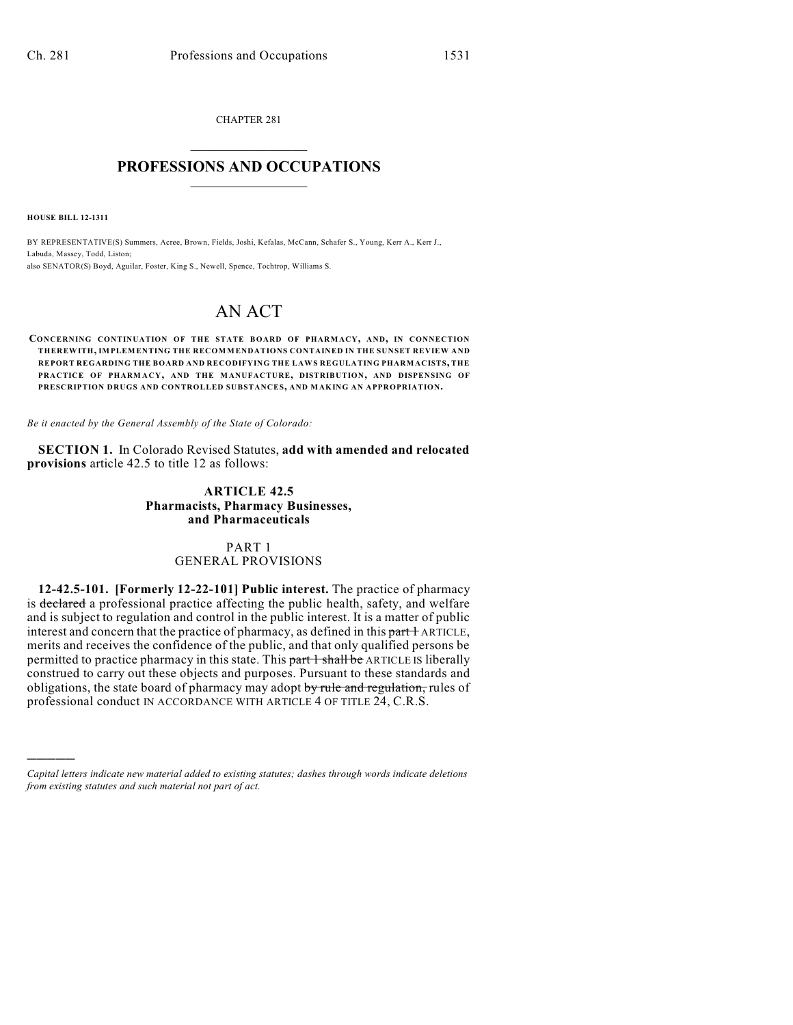CHAPTER 281  $\overline{\phantom{a}}$  . The set of the set of the set of the set of the set of the set of the set of the set of the set of the set of the set of the set of the set of the set of the set of the set of the set of the set of the set o

## **PROFESSIONS AND OCCUPATIONS**  $\frac{1}{2}$  ,  $\frac{1}{2}$  ,  $\frac{1}{2}$  ,  $\frac{1}{2}$  ,  $\frac{1}{2}$  ,  $\frac{1}{2}$

**HOUSE BILL 12-1311**

)))))

BY REPRESENTATIVE(S) Summers, Acree, Brown, Fields, Joshi, Kefalas, McCann, Schafer S., Young, Kerr A., Kerr J., Labuda, Massey, Todd, Liston; also SENATOR(S) Boyd, Aguilar, Foster, King S., Newell, Spence, Tochtrop, Williams S.

# AN ACT

**CONCERNING CONTINUATION OF THE STATE BOARD OF PHARMACY, AND, IN CONNECTION THEREWITH, IMPLEMENTING THE RECOMMENDATIONS CONTAINED IN THE SUNSET REVIEW AND REPORT REGARDING THE BOARD AND RECODIFYING THE LAWS REGULATING PHARMACISTS, THE PRACTICE OF PHARM ACY, AND THE MANUFACTURE, DISTRIBUTION, AND DISPENSING OF PRESCRIPTION DRUGS AND CONTROLLED SUBSTANCES, AND MAKING AN APPROPRIATION.**

*Be it enacted by the General Assembly of the State of Colorado:*

**SECTION 1.** In Colorado Revised Statutes, **add with amended and relocated provisions** article 42.5 to title 12 as follows:

## **ARTICLE 42.5 Pharmacists, Pharmacy Businesses, and Pharmaceuticals**

### PART 1 GENERAL PROVISIONS

**12-42.5-101. [Formerly 12-22-101] Public interest.** The practice of pharmacy is declared a professional practice affecting the public health, safety, and welfare and is subject to regulation and control in the public interest. It is a matter of public interest and concern that the practice of pharmacy, as defined in this part  $\pm$  ARTICLE, merits and receives the confidence of the public, and that only qualified persons be permitted to practice pharmacy in this state. This part 1 shall be ARTICLE IS liberally construed to carry out these objects and purposes. Pursuant to these standards and obligations, the state board of pharmacy may adopt by rule and regulation, rules of professional conduct IN ACCORDANCE WITH ARTICLE 4 OF TITLE 24, C.R.S.

*Capital letters indicate new material added to existing statutes; dashes through words indicate deletions from existing statutes and such material not part of act.*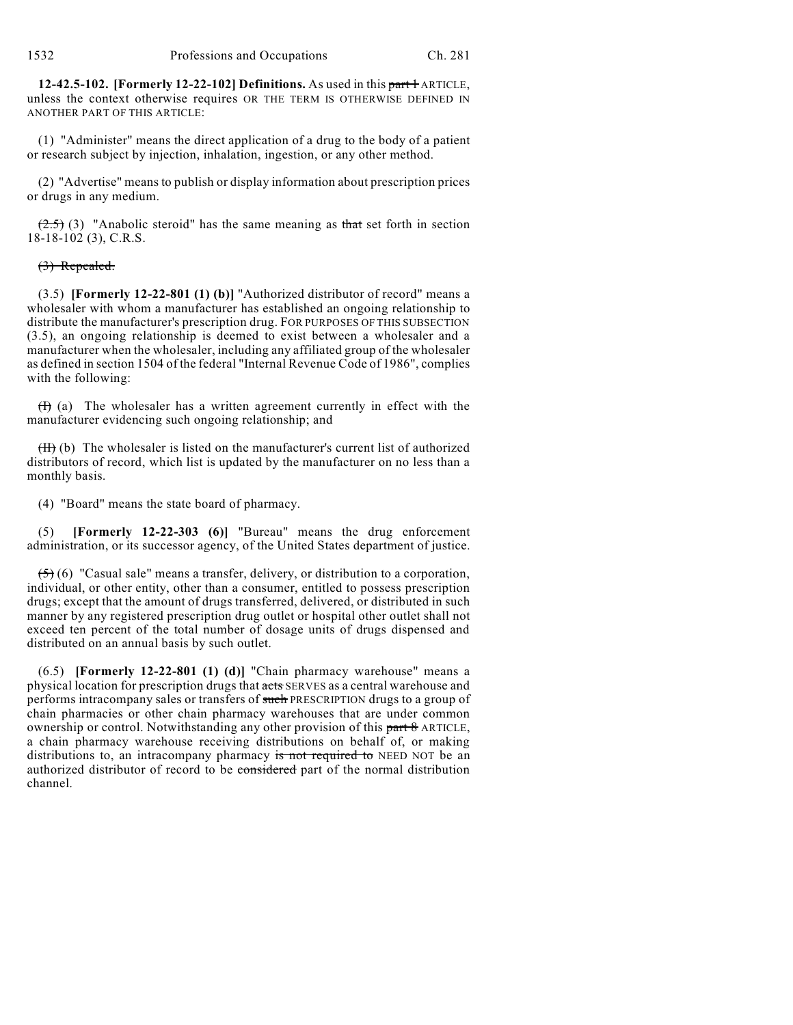**12-42.5-102. [Formerly 12-22-102] Definitions.** As used in this part + ARTICLE, unless the context otherwise requires OR THE TERM IS OTHERWISE DEFINED IN ANOTHER PART OF THIS ARTICLE:

(1) "Administer" means the direct application of a drug to the body of a patient or research subject by injection, inhalation, ingestion, or any other method.

(2) "Advertise" means to publish or display information about prescription prices or drugs in any medium.

 $(2.5)$  (3) "Anabolic steroid" has the same meaning as that set forth in section 18-18-102 (3), C.R.S.

## (3) Repealed.

(3.5) **[Formerly 12-22-801 (1) (b)]** "Authorized distributor of record" means a wholesaler with whom a manufacturer has established an ongoing relationship to distribute the manufacturer's prescription drug. FOR PURPOSES OF THIS SUBSECTION (3.5), an ongoing relationship is deemed to exist between a wholesaler and a manufacturer when the wholesaler, including any affiliated group of the wholesaler as defined in section 1504 of the federal "Internal Revenue Code of 1986", complies with the following:

 $(H)$  (a) The wholesaler has a written agreement currently in effect with the manufacturer evidencing such ongoing relationship; and

 $(H)$  (b) The wholesaler is listed on the manufacturer's current list of authorized distributors of record, which list is updated by the manufacturer on no less than a monthly basis.

(4) "Board" means the state board of pharmacy.

(5) **[Formerly 12-22-303 (6)]** "Bureau" means the drug enforcement administration, or its successor agency, of the United States department of justice.

 $(5)$  (6) "Casual sale" means a transfer, delivery, or distribution to a corporation, individual, or other entity, other than a consumer, entitled to possess prescription drugs; except that the amount of drugs transferred, delivered, or distributed in such manner by any registered prescription drug outlet or hospital other outlet shall not exceed ten percent of the total number of dosage units of drugs dispensed and distributed on an annual basis by such outlet.

(6.5) **[Formerly 12-22-801 (1) (d)]** "Chain pharmacy warehouse" means a physical location for prescription drugs that acts SERVES as a central warehouse and performs intracompany sales or transfers of such PRESCRIPTION drugs to a group of chain pharmacies or other chain pharmacy warehouses that are under common ownership or control. Notwithstanding any other provision of this part 8 ARTICLE, a chain pharmacy warehouse receiving distributions on behalf of, or making distributions to, an intracompany pharmacy is not required to NEED NOT be an authorized distributor of record to be considered part of the normal distribution channel.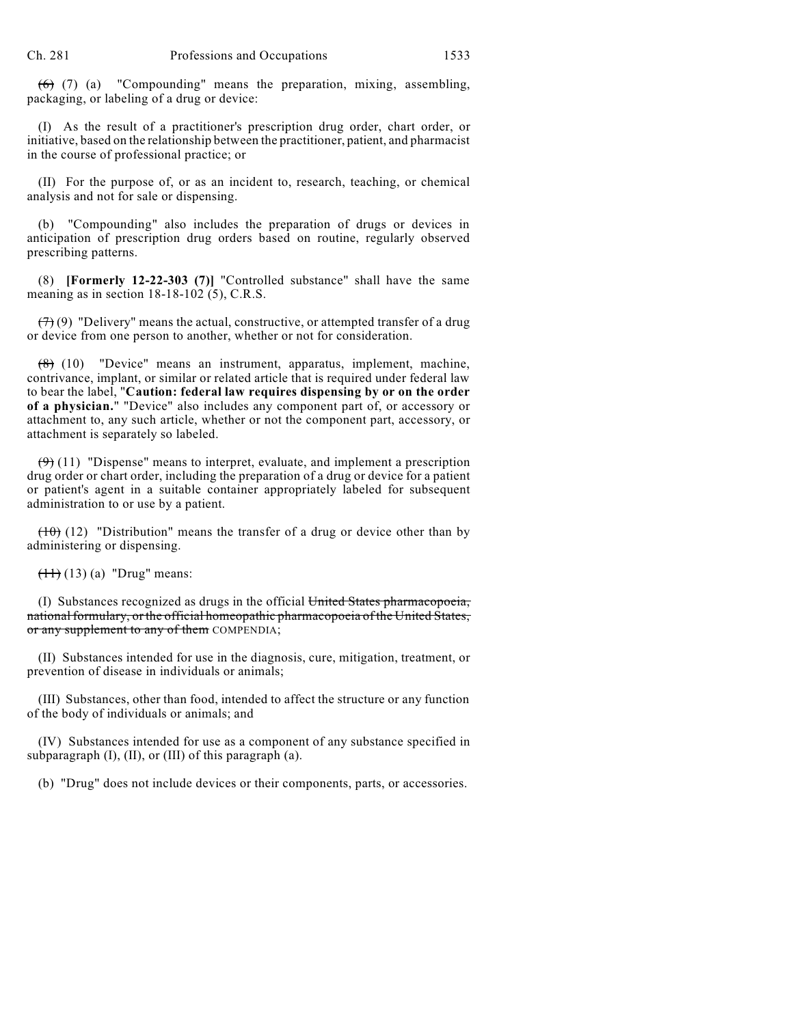$(6)$  (7) (a) "Compounding" means the preparation, mixing, assembling, packaging, or labeling of a drug or device:

(I) As the result of a practitioner's prescription drug order, chart order, or initiative, based on the relationship between the practitioner, patient, and pharmacist in the course of professional practice; or

(II) For the purpose of, or as an incident to, research, teaching, or chemical analysis and not for sale or dispensing.

(b) "Compounding" also includes the preparation of drugs or devices in anticipation of prescription drug orders based on routine, regularly observed prescribing patterns.

(8) **[Formerly 12-22-303 (7)]** "Controlled substance" shall have the same meaning as in section 18-18-102 (5), C.R.S.

 $(7)(9)$  "Delivery" means the actual, constructive, or attempted transfer of a drug or device from one person to another, whether or not for consideration.

(8) (10) "Device" means an instrument, apparatus, implement, machine, contrivance, implant, or similar or related article that is required under federal law to bear the label, "**Caution: federal law requires dispensing by or on the order of a physician.**" "Device" also includes any component part of, or accessory or attachment to, any such article, whether or not the component part, accessory, or attachment is separately so labeled.

 $(9)$  (11) "Dispense" means to interpret, evaluate, and implement a prescription drug order or chart order, including the preparation of a drug or device for a patient or patient's agent in a suitable container appropriately labeled for subsequent administration to or use by a patient.

 $(10)$  (12) "Distribution" means the transfer of a drug or device other than by administering or dispensing.

 $(11)$  (13) (a) "Drug" means:

(I) Substances recognized as drugs in the official United States pharmacopoeia, national formulary, or the official homeopathic pharmacopoeia of the United States, or any supplement to any of them COMPENDIA;

(II) Substances intended for use in the diagnosis, cure, mitigation, treatment, or prevention of disease in individuals or animals;

(III) Substances, other than food, intended to affect the structure or any function of the body of individuals or animals; and

(IV) Substances intended for use as a component of any substance specified in subparagraph (I), (II), or (III) of this paragraph (a).

(b) "Drug" does not include devices or their components, parts, or accessories.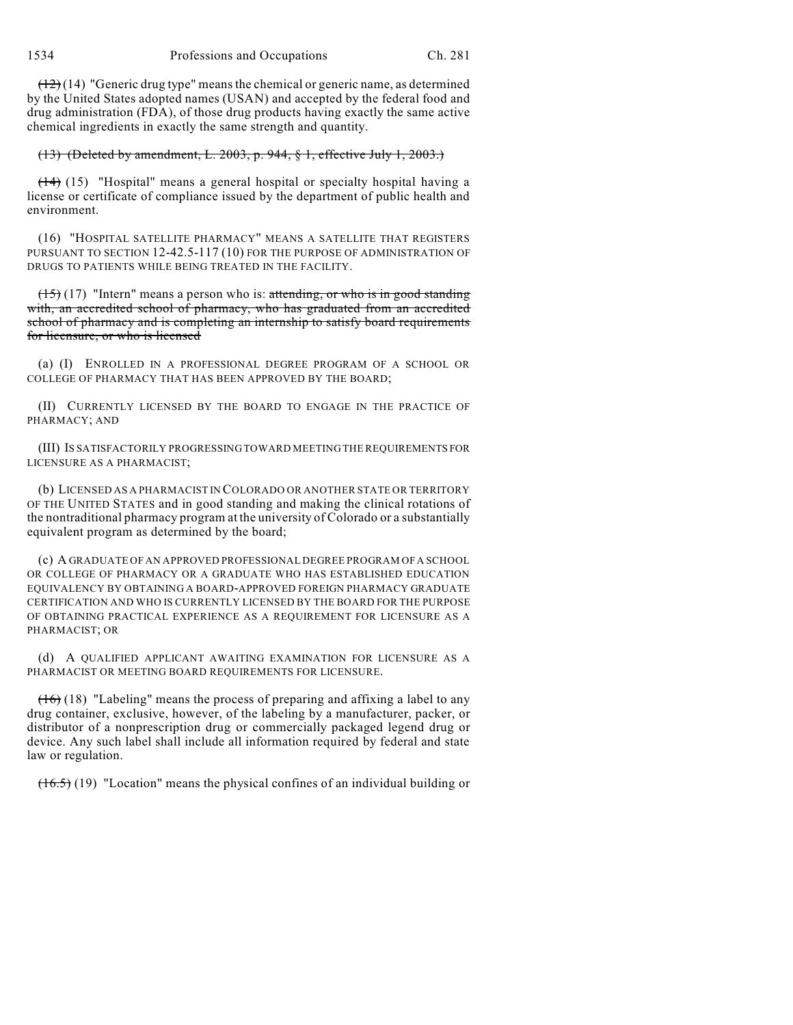$(12)(14)$  "Generic drug type" means the chemical or generic name, as determined by the United States adopted names (USAN) and accepted by the federal food and drug administration (FDA), of those drug products having exactly the same active chemical ingredients in exactly the same strength and quantity.

## (13) (Deleted by amendment, L. 2003, p. 944, § 1, effective July 1, 2003.)

(14) (15) "Hospital" means a general hospital or specialty hospital having a license or certificate of compliance issued by the department of public health and environment.

(16) "HOSPITAL SATELLITE PHARMACY" MEANS A SATELLITE THAT REGISTERS PURSUANT TO SECTION 12-42.5-117 (10) FOR THE PURPOSE OF ADMINISTRATION OF DRUGS TO PATIENTS WHILE BEING TREATED IN THE FACILITY.

 $(15)$  (17) "Intern" means a person who is: attending, or who is in good standing with, an accredited school of pharmacy, who has graduated from an accredited school of pharmacy and is completing an internship to satisfy board requirements for licensure, or who is licensed

(a) (I) ENROLLED IN A PROFESSIONAL DEGREE PROGRAM OF A SCHOOL OR COLLEGE OF PHARMACY THAT HAS BEEN APPROVED BY THE BOARD;

(II) CURRENTLY LICENSED BY THE BOARD TO ENGAGE IN THE PRACTICE OF PHARMACY; AND

(III) IS SATISFACTORILY PROGRESSING TOWARD MEETING THE REQUIREMENTS FOR LICENSURE AS A PHARMACIST;

(b) LICENSED AS A PHARMACIST IN COLORADO OR ANOTHER STATE OR TERRITORY OF THE UNITED STATES and in good standing and making the clinical rotations of the nontraditional pharmacy program at the university of Colorado or a substantially equivalent program as determined by the board;

(c) A GRADUATE OF AN APPROVED PROFESSIONAL DEGREE PROGRAM OF A SCHOOL OR COLLEGE OF PHARMACY OR A GRADUATE WHO HAS ESTABLISHED EDUCATION EQUIVALENCY BY OBTAINING A BOARD-APPROVED FOREIGN PHARMACY GRADUATE CERTIFICATION AND WHO IS CURRENTLY LICENSED BY THE BOARD FOR THE PURPOSE OF OBTAINING PRACTICAL EXPERIENCE AS A REQUIREMENT FOR LICENSURE AS A PHARMACIST; OR

(d) A QUALIFIED APPLICANT AWAITING EXAMINATION FOR LICENSURE AS A PHARMACIST OR MEETING BOARD REQUIREMENTS FOR LICENSURE.

 $(16)$  (18) "Labeling" means the process of preparing and affixing a label to any drug container, exclusive, however, of the labeling by a manufacturer, packer, or distributor of a nonprescription drug or commercially packaged legend drug or device. Any such label shall include all information required by federal and state law or regulation.

 $(16.5)$  (19) "Location" means the physical confines of an individual building or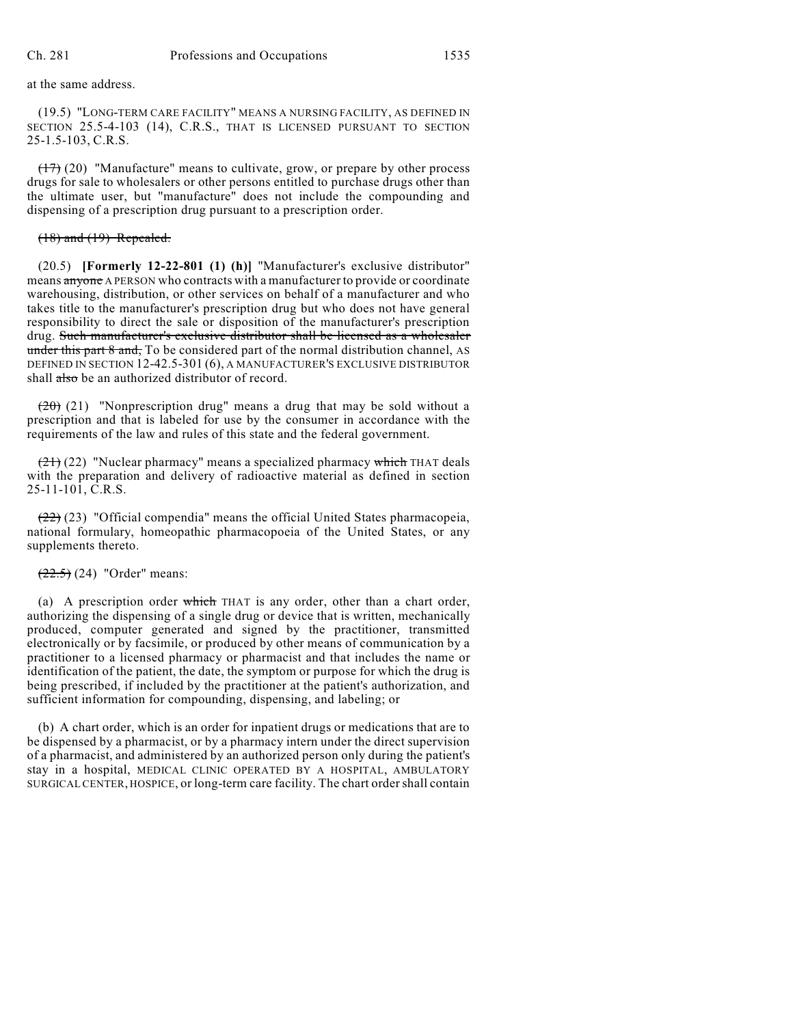at the same address.

(19.5) "LONG-TERM CARE FACILITY" MEANS A NURSING FACILITY, AS DEFINED IN SECTION 25.5-4-103 (14), C.R.S., THAT IS LICENSED PURSUANT TO SECTION 25-1.5-103, C.R.S.

(17) (20) "Manufacture" means to cultivate, grow, or prepare by other process drugs for sale to wholesalers or other persons entitled to purchase drugs other than the ultimate user, but "manufacture" does not include the compounding and dispensing of a prescription drug pursuant to a prescription order.

## (18) and (19) Repealed.

(20.5) **[Formerly 12-22-801 (1) (h)]** "Manufacturer's exclusive distributor" means anyone A PERSON who contracts with a manufacturer to provide or coordinate warehousing, distribution, or other services on behalf of a manufacturer and who takes title to the manufacturer's prescription drug but who does not have general responsibility to direct the sale or disposition of the manufacturer's prescription drug. Such manufacturer's exclusive distributor shall be licensed as a wholesaler under this part 8 and, To be considered part of the normal distribution channel, AS DEFINED IN SECTION 12-42.5-301 (6), A MANUFACTURER'S EXCLUSIVE DISTRIBUTOR shall also be an authorized distributor of record.

 $(20)$  (21) "Nonprescription drug" means a drug that may be sold without a prescription and that is labeled for use by the consumer in accordance with the requirements of the law and rules of this state and the federal government.

 $(21)(22)$  "Nuclear pharmacy" means a specialized pharmacy which THAT deals with the preparation and delivery of radioactive material as defined in section 25-11-101, C.R.S.

(22) (23) "Official compendia" means the official United States pharmacopeia, national formulary, homeopathic pharmacopoeia of the United States, or any supplements thereto.

## $(22.5)$  (24) "Order" means:

(a) A prescription order which THAT is any order, other than a chart order, authorizing the dispensing of a single drug or device that is written, mechanically produced, computer generated and signed by the practitioner, transmitted electronically or by facsimile, or produced by other means of communication by a practitioner to a licensed pharmacy or pharmacist and that includes the name or identification of the patient, the date, the symptom or purpose for which the drug is being prescribed, if included by the practitioner at the patient's authorization, and sufficient information for compounding, dispensing, and labeling; or

(b) A chart order, which is an order for inpatient drugs or medications that are to be dispensed by a pharmacist, or by a pharmacy intern under the direct supervision of a pharmacist, and administered by an authorized person only during the patient's stay in a hospital, MEDICAL CLINIC OPERATED BY A HOSPITAL, AMBULATORY SURGICAL CENTER, HOSPICE, or long-term care facility. The chart ordershall contain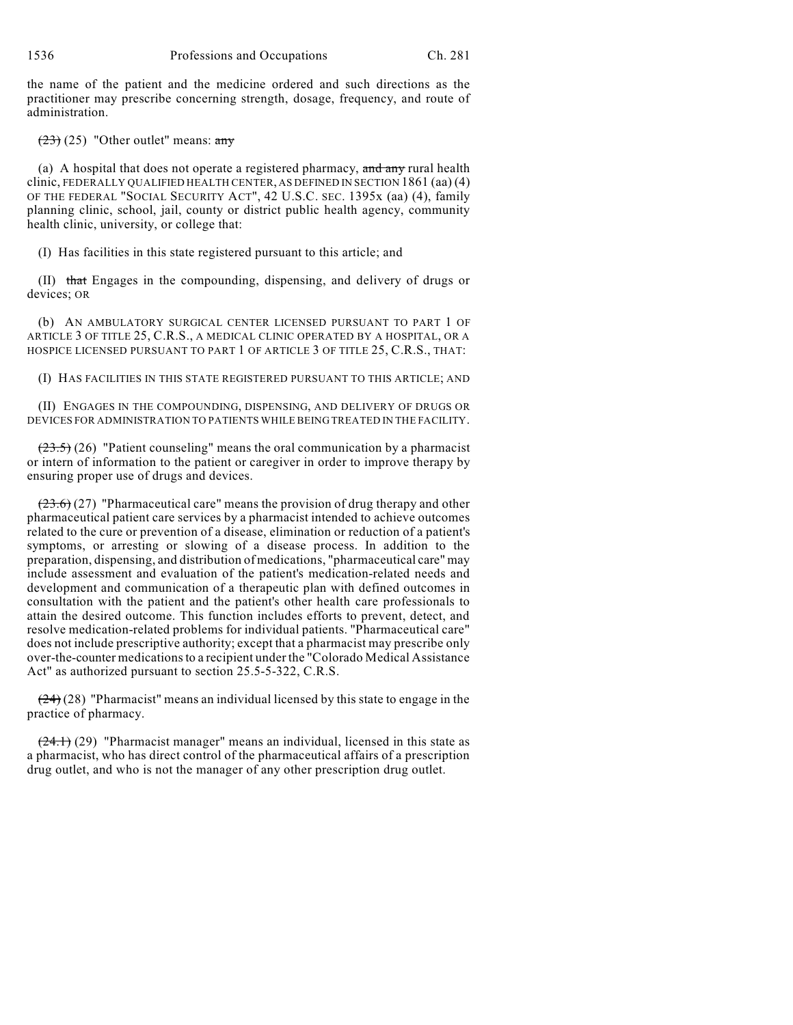the name of the patient and the medicine ordered and such directions as the practitioner may prescribe concerning strength, dosage, frequency, and route of administration.

 $(23)$  (25) "Other outlet" means: any

(a) A hospital that does not operate a registered pharmacy,  $\overline{\text{and any}}$  rural health clinic, FEDERALLY QUALIFIED HEALTH CENTER, AS DEFINED IN SECTION 1861 (aa) (4) OF THE FEDERAL "SOCIAL SECURITY ACT", 42 U.S.C. SEC. 1395x (aa) (4), family planning clinic, school, jail, county or district public health agency, community health clinic, university, or college that:

(I) Has facilities in this state registered pursuant to this article; and

(II) that Engages in the compounding, dispensing, and delivery of drugs or devices; OR

(b) AN AMBULATORY SURGICAL CENTER LICENSED PURSUANT TO PART 1 OF ARTICLE 3 OF TITLE 25, C.R.S., A MEDICAL CLINIC OPERATED BY A HOSPITAL, OR A HOSPICE LICENSED PURSUANT TO PART 1 OF ARTICLE 3 OF TITLE 25, C.R.S., THAT:

(I) HAS FACILITIES IN THIS STATE REGISTERED PURSUANT TO THIS ARTICLE; AND

(II) ENGAGES IN THE COMPOUNDING, DISPENSING, AND DELIVERY OF DRUGS OR DEVICES FOR ADMINISTRATION TO PATIENTS WHILE BEING TREATED IN THE FACILITY.

 $(23.5)$  (26) "Patient counseling" means the oral communication by a pharmacist or intern of information to the patient or caregiver in order to improve therapy by ensuring proper use of drugs and devices.

 $(23.6)$  (27) "Pharmaceutical care" means the provision of drug therapy and other pharmaceutical patient care services by a pharmacist intended to achieve outcomes related to the cure or prevention of a disease, elimination or reduction of a patient's symptoms, or arresting or slowing of a disease process. In addition to the preparation, dispensing, and distribution of medications, "pharmaceutical care" may include assessment and evaluation of the patient's medication-related needs and development and communication of a therapeutic plan with defined outcomes in consultation with the patient and the patient's other health care professionals to attain the desired outcome. This function includes efforts to prevent, detect, and resolve medication-related problems for individual patients. "Pharmaceutical care" does not include prescriptive authority; except that a pharmacist may prescribe only over-the-counter medicationsto a recipient under the "Colorado Medical Assistance Act" as authorized pursuant to section 25.5-5-322, C.R.S.

 $(24)(28)$  "Pharmacist" means an individual licensed by this state to engage in the practice of pharmacy.

 $(24.1)$  (29) "Pharmacist manager" means an individual, licensed in this state as a pharmacist, who has direct control of the pharmaceutical affairs of a prescription drug outlet, and who is not the manager of any other prescription drug outlet.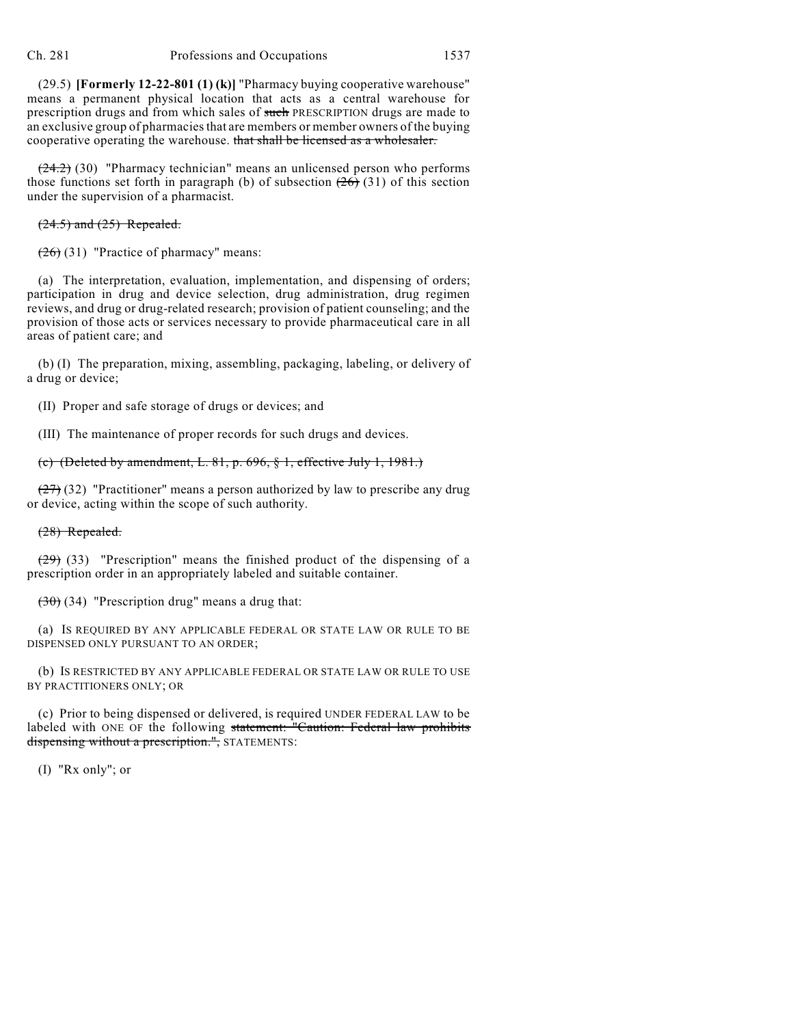(29.5) **[Formerly 12-22-801 (1) (k)]** "Pharmacy buying cooperative warehouse" means a permanent physical location that acts as a central warehouse for prescription drugs and from which sales of such PRESCRIPTION drugs are made to an exclusive group of pharmaciesthat are members or member owners of the buying cooperative operating the warehouse. that shall be licensed as a wholesaler.

 $(24.2)$  (30) "Pharmacy technician" means an unlicensed person who performs those functions set forth in paragraph (b) of subsection  $(26)$  (31) of this section under the supervision of a pharmacist.

#### $(24.5)$  and  $(25)$  Repealed.

 $(26)(31)$  "Practice of pharmacy" means:

(a) The interpretation, evaluation, implementation, and dispensing of orders; participation in drug and device selection, drug administration, drug regimen reviews, and drug or drug-related research; provision of patient counseling; and the provision of those acts or services necessary to provide pharmaceutical care in all areas of patient care; and

(b) (I) The preparation, mixing, assembling, packaging, labeling, or delivery of a drug or device;

(II) Proper and safe storage of drugs or devices; and

(III) The maintenance of proper records for such drugs and devices.

## (c) (Deleted by amendment, L. 81, p. 696, § 1, effective July 1, 1981.)

 $(27)$  (32) "Practitioner" means a person authorized by law to prescribe any drug or device, acting within the scope of such authority.

#### (28) Repealed.

 $(29)$  (33) "Prescription" means the finished product of the dispensing of a prescription order in an appropriately labeled and suitable container.

 $(30)(34)$  "Prescription drug" means a drug that:

(a) IS REQUIRED BY ANY APPLICABLE FEDERAL OR STATE LAW OR RULE TO BE DISPENSED ONLY PURSUANT TO AN ORDER;

(b) IS RESTRICTED BY ANY APPLICABLE FEDERAL OR STATE LAW OR RULE TO USE BY PRACTITIONERS ONLY; OR

(c) Prior to being dispensed or delivered, is required UNDER FEDERAL LAW to be labeled with ONE OF the following statement: "Caution: Federal law prohibits dispensing without a prescription.", STATEMENTS:

(I) "Rx only"; or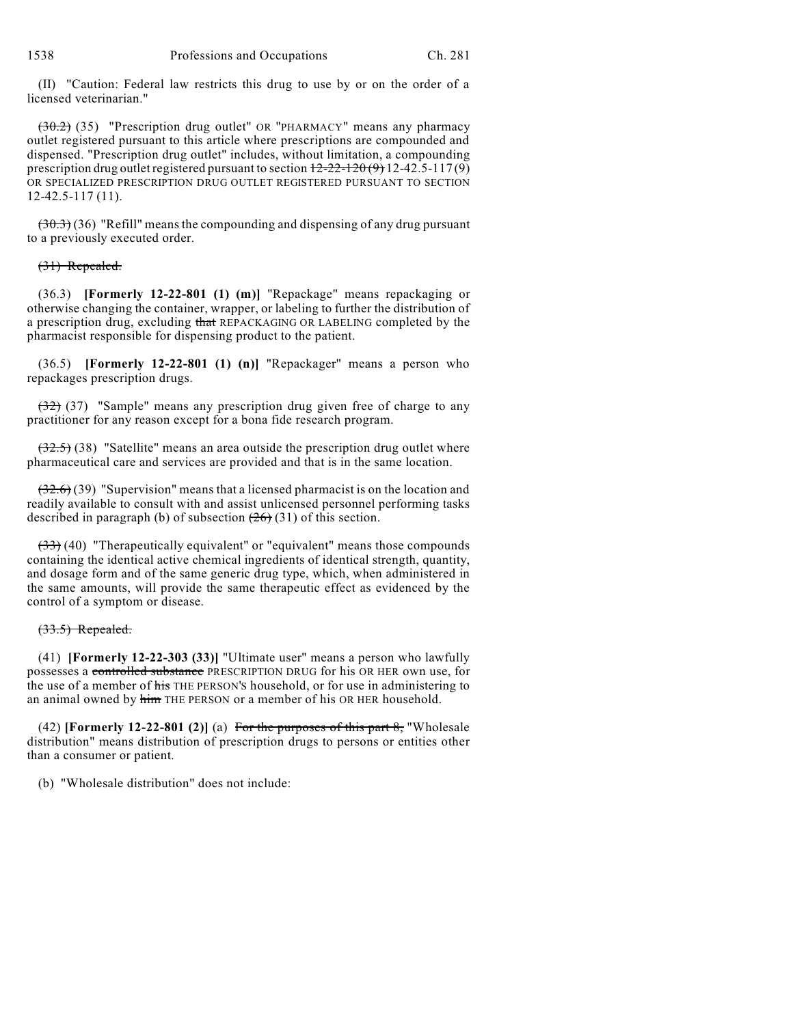(II) "Caution: Federal law restricts this drug to use by or on the order of a licensed veterinarian."

(30.2) (35) "Prescription drug outlet" OR "PHARMACY" means any pharmacy outlet registered pursuant to this article where prescriptions are compounded and dispensed. "Prescription drug outlet" includes, without limitation, a compounding prescription drug outlet registered pursuant to section  $12-22-120(9)$  12-42.5-117(9) OR SPECIALIZED PRESCRIPTION DRUG OUTLET REGISTERED PURSUANT TO SECTION 12-42.5-117 (11).

 $(30.3)$  (36) "Refill" means the compounding and dispensing of any drug pursuant to a previously executed order.

#### (31) Repealed.

(36.3) **[Formerly 12-22-801 (1) (m)]** "Repackage" means repackaging or otherwise changing the container, wrapper, or labeling to further the distribution of a prescription drug, excluding that REPACKAGING OR LABELING completed by the pharmacist responsible for dispensing product to the patient.

(36.5) **[Formerly 12-22-801 (1) (n)]** "Repackager" means a person who repackages prescription drugs.

 $(32)$  (37) "Sample" means any prescription drug given free of charge to any practitioner for any reason except for a bona fide research program.

 $(32.5)$  (38) "Satellite" means an area outside the prescription drug outlet where pharmaceutical care and services are provided and that is in the same location.

 $(32.6)$  (39) "Supervision" means that a licensed pharmacist is on the location and readily available to consult with and assist unlicensed personnel performing tasks described in paragraph (b) of subsection  $(26)(31)$  of this section.

 $(33)$  (40) "Therapeutically equivalent" or "equivalent" means those compounds containing the identical active chemical ingredients of identical strength, quantity, and dosage form and of the same generic drug type, which, when administered in the same amounts, will provide the same therapeutic effect as evidenced by the control of a symptom or disease.

#### (33.5) Repealed.

(41) **[Formerly 12-22-303 (33)]** "Ultimate user" means a person who lawfully possesses a controlled substance PRESCRIPTION DRUG for his OR HER own use, for the use of a member of his THE PERSON'S household, or for use in administering to an animal owned by him THE PERSON or a member of his OR HER household.

(42) **[Formerly 12-22-801 (2)]** (a) For the purposes of this part 8, "Wholesale distribution" means distribution of prescription drugs to persons or entities other than a consumer or patient.

(b) "Wholesale distribution" does not include: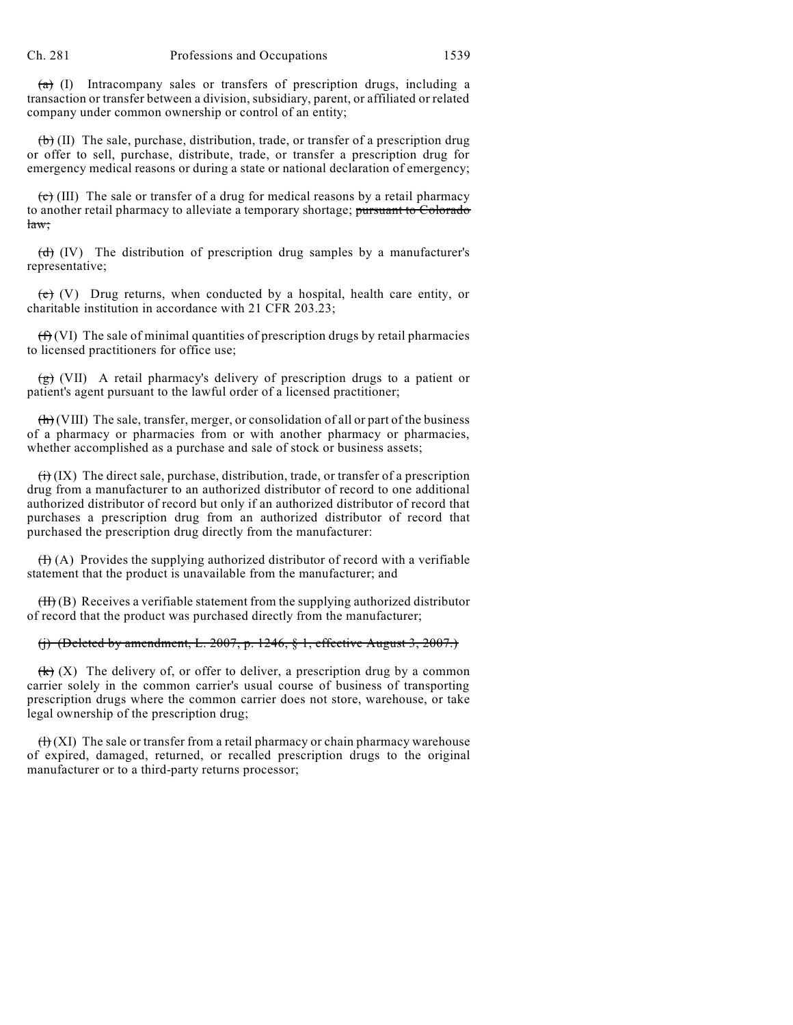$(a)$  (I) Intracompany sales or transfers of prescription drugs, including a transaction or transfer between a division, subsidiary, parent, or affiliated or related company under common ownership or control of an entity;

 $(\theta)$  (II) The sale, purchase, distribution, trade, or transfer of a prescription drug or offer to sell, purchase, distribute, trade, or transfer a prescription drug for emergency medical reasons or during a state or national declaration of emergency;

 $\overline{(e)}$  (III) The sale or transfer of a drug for medical reasons by a retail pharmacy to another retail pharmacy to alleviate a temporary shortage; pursuant to Colorado law;

 $\overrightarrow{(d)}$  (IV) The distribution of prescription drug samples by a manufacturer's representative;

 $\overrightarrow{e}$  (V) Drug returns, when conducted by a hospital, health care entity, or charitable institution in accordance with 21 CFR 203.23;

 $(f<sup>2</sup>)$  (VI) The sale of minimal quantities of prescription drugs by retail pharmacies to licensed practitioners for office use;

 $(g)$  (VII) A retail pharmacy's delivery of prescription drugs to a patient or patient's agent pursuant to the lawful order of a licensed practitioner;

 $\left(\frac{h}{h}\right)$  (VIII) The sale, transfer, merger, or consolidation of all or part of the business of a pharmacy or pharmacies from or with another pharmacy or pharmacies, whether accomplished as a purchase and sale of stock or business assets;

 $\overleftrightarrow{(ii)}$  (IX) The direct sale, purchase, distribution, trade, or transfer of a prescription drug from a manufacturer to an authorized distributor of record to one additional authorized distributor of record but only if an authorized distributor of record that purchases a prescription drug from an authorized distributor of record that purchased the prescription drug directly from the manufacturer:

 $(H(A))$  Provides the supplying authorized distributor of record with a verifiable statement that the product is unavailable from the manufacturer; and

 $(H)$  (B) Receives a verifiable statement from the supplying authorized distributor of record that the product was purchased directly from the manufacturer;

## (j) (Deleted by amendment, L. 2007, p. 1246,  $\S$  1, effective August 3, 2007.)

 $\left(\mathbf{k}\right)$  (X) The delivery of, or offer to deliver, a prescription drug by a common carrier solely in the common carrier's usual course of business of transporting prescription drugs where the common carrier does not store, warehouse, or take legal ownership of the prescription drug;

 $(H)$  (XI) The sale or transfer from a retail pharmacy or chain pharmacy warehouse of expired, damaged, returned, or recalled prescription drugs to the original manufacturer or to a third-party returns processor;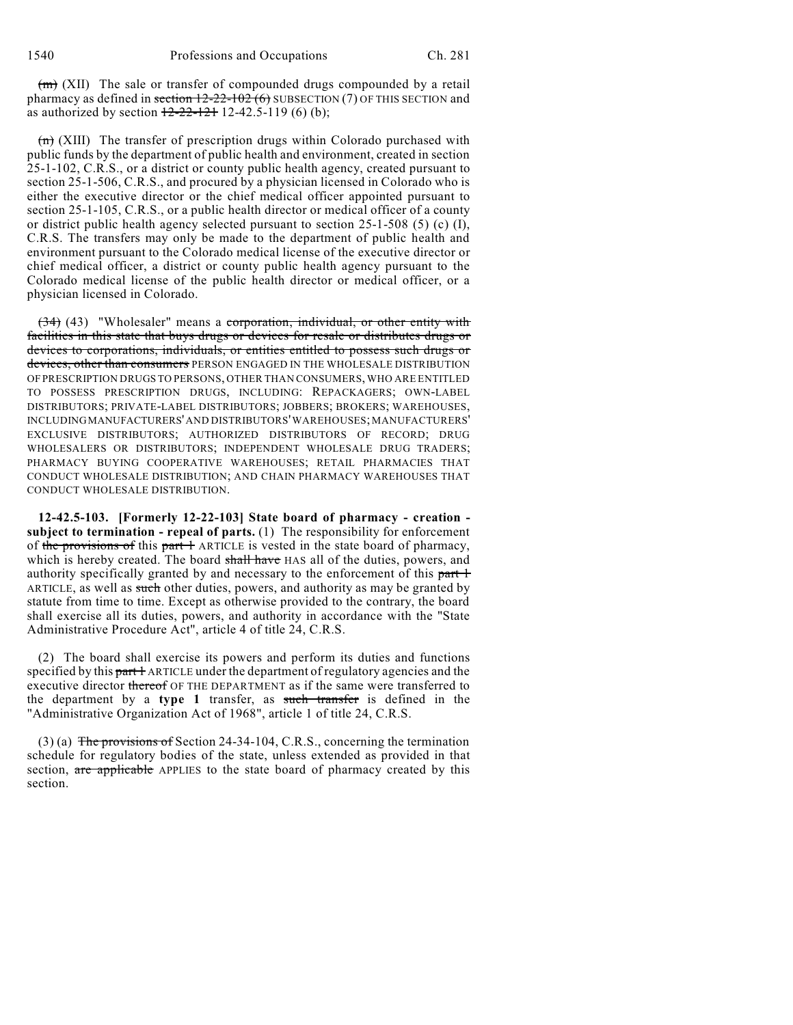$(m)$  (XII) The sale or transfer of compounded drugs compounded by a retail pharmacy as defined in section  $12{\text -}22{\text -}102$  (6) SUBSECTION (7) OF THIS SECTION and as authorized by section  $12-22-121$  12-42.5-119 (6) (b);

 $\overline{(m)}$  (XIII) The transfer of prescription drugs within Colorado purchased with public funds by the department of public health and environment, created in section 25-1-102, C.R.S., or a district or county public health agency, created pursuant to section 25-1-506, C.R.S., and procured by a physician licensed in Colorado who is either the executive director or the chief medical officer appointed pursuant to section 25-1-105, C.R.S., or a public health director or medical officer of a county or district public health agency selected pursuant to section 25-1-508 (5) (c) (I), C.R.S. The transfers may only be made to the department of public health and environment pursuant to the Colorado medical license of the executive director or chief medical officer, a district or county public health agency pursuant to the Colorado medical license of the public health director or medical officer, or a physician licensed in Colorado.

(34) (43) "Wholesaler" means a corporation, individual, or other entity with facilities in this state that buys drugs or devices for resale or distributes drugs or devices to corporations, individuals, or entities entitled to possess such drugs or devices, other than consumers PERSON ENGAGED IN THE WHOLESALE DISTRIBUTION OF PRESCRIPTION DRUGS TO PERSONS, OTHER THAN CONSUMERS, WHO ARE ENTITLED TO POSSESS PRESCRIPTION DRUGS, INCLUDING: REPACKAGERS; OWN-LABEL DISTRIBUTORS; PRIVATE-LABEL DISTRIBUTORS; JOBBERS; BROKERS; WAREHOUSES, INCLUDINGMANUFACTURERS'AND DISTRIBUTORS'WAREHOUSES; MANUFACTURERS' EXCLUSIVE DISTRIBUTORS; AUTHORIZED DISTRIBUTORS OF RECORD; DRUG WHOLESALERS OR DISTRIBUTORS; INDEPENDENT WHOLESALE DRUG TRADERS; PHARMACY BUYING COOPERATIVE WAREHOUSES; RETAIL PHARMACIES THAT CONDUCT WHOLESALE DISTRIBUTION; AND CHAIN PHARMACY WAREHOUSES THAT CONDUCT WHOLESALE DISTRIBUTION.

**12-42.5-103. [Formerly 12-22-103] State board of pharmacy - creation subject to termination - repeal of parts.** (1) The responsibility for enforcement of the provisions of this part 1 ARTICLE is vested in the state board of pharmacy, which is hereby created. The board shall have HAS all of the duties, powers, and authority specifically granted by and necessary to the enforcement of this part 1 ARTICLE, as well as such other duties, powers, and authority as may be granted by statute from time to time. Except as otherwise provided to the contrary, the board shall exercise all its duties, powers, and authority in accordance with the "State Administrative Procedure Act", article 4 of title 24, C.R.S.

(2) The board shall exercise its powers and perform its duties and functions specified by this part 1 ARTICLE under the department of regulatory agencies and the executive director thereof OF THE DEPARTMENT as if the same were transferred to the department by a **type 1** transfer, as such transfer is defined in the "Administrative Organization Act of 1968", article 1 of title 24, C.R.S.

(3) (a) The provisions of Section 24-34-104, C.R.S., concerning the termination schedule for regulatory bodies of the state, unless extended as provided in that section, are applicable APPLIES to the state board of pharmacy created by this section.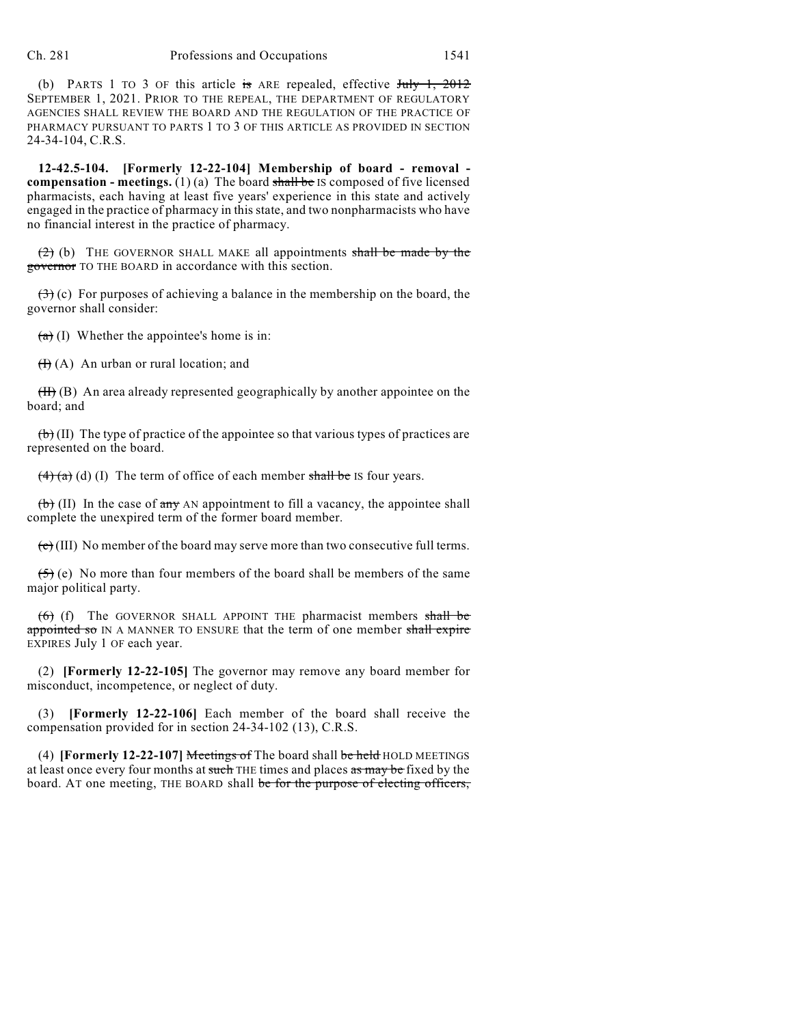(b) PARTS 1 TO 3 OF this article is ARE repealed, effective  $J_{\text{t}}$   $\frac{1}{2012}$ SEPTEMBER 1, 2021. PRIOR TO THE REPEAL, THE DEPARTMENT OF REGULATORY AGENCIES SHALL REVIEW THE BOARD AND THE REGULATION OF THE PRACTICE OF PHARMACY PURSUANT TO PARTS 1 TO 3 OF THIS ARTICLE AS PROVIDED IN SECTION 24-34-104, C.R.S.

**12-42.5-104. [Formerly 12-22-104] Membership of board - removal compensation - meetings.** (1) (a) The board shall be IS composed of five licensed pharmacists, each having at least five years' experience in this state and actively engaged in the practice of pharmacy in this state, and two nonpharmacists who have no financial interest in the practice of pharmacy.

 $(2)$  (b) THE GOVERNOR SHALL MAKE all appointments shall be made by the governor TO THE BOARD in accordance with this section.

 $(3)$  (c) For purposes of achieving a balance in the membership on the board, the governor shall consider:

 $(a)$  (I) Whether the appointee's home is in:

 $(H)(A)$  An urban or rural location; and

 $(H)$  (B) An area already represented geographically by another appointee on the board; and

 $\left(\frac{b}{b}\right)$  (II) The type of practice of the appointee so that various types of practices are represented on the board.

 $\left(4\right)$  (a) (l) The term of office of each member shall be IS four years.

 $(b)$  (II) In the case of any AN appointment to fill a vacancy, the appointee shall complete the unexpired term of the former board member.

 $\overline{(e)}$  (III) No member of the board may serve more than two consecutive full terms.

 $(5)$  (e) No more than four members of the board shall be members of the same major political party.

 $(6)$  (f) The GOVERNOR SHALL APPOINT THE pharmacist members shall be appointed so IN A MANNER TO ENSURE that the term of one member shall expire EXPIRES July 1 OF each year.

(2) **[Formerly 12-22-105]** The governor may remove any board member for misconduct, incompetence, or neglect of duty.

(3) **[Formerly 12-22-106]** Each member of the board shall receive the compensation provided for in section 24-34-102 (13), C.R.S.

(4) **[Formerly 12-22-107]** Meetings of The board shall be held HOLD MEETINGS at least once every four months at such THE times and places as may be fixed by the board. AT one meeting, THE BOARD shall be for the purpose of electing officers,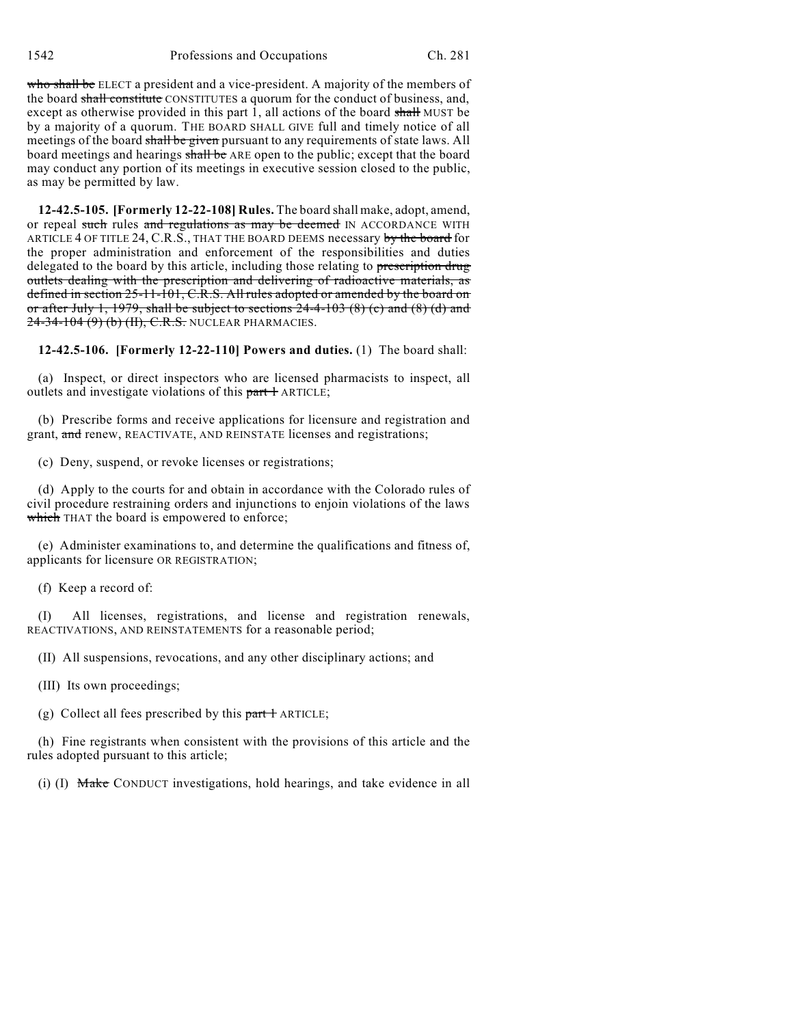1542 Professions and Occupations Ch. 281

who shall be ELECT a president and a vice-president. A majority of the members of the board shall constitute CONSTITUTES a quorum for the conduct of business, and, except as otherwise provided in this part 1, all actions of the board shall MUST be by a majority of a quorum. THE BOARD SHALL GIVE full and timely notice of all meetings of the board shall be given pursuant to any requirements of state laws. All board meetings and hearings shall be ARE open to the public; except that the board may conduct any portion of its meetings in executive session closed to the public, as may be permitted by law.

**12-42.5-105. [Formerly 12-22-108] Rules.** The board shall make, adopt, amend, or repeal such rules and regulations as may be deemed IN ACCORDANCE WITH ARTICLE 4 OF TITLE 24, C.R.S., THAT THE BOARD DEEMS necessary by the board for the proper administration and enforcement of the responsibilities and duties delegated to the board by this article, including those relating to prescription drug outlets dealing with the prescription and delivering of radioactive materials, as defined in section 25-11-101, C.R.S. All rules adopted or amended by the board on or after July 1, 1979, shall be subject to sections  $24-4-103$  (8) (c) and (8) (d) and 24-34-104 (9) (b) (II), C.R.S. NUCLEAR PHARMACIES.

**12-42.5-106. [Formerly 12-22-110] Powers and duties.** (1) The board shall:

(a) Inspect, or direct inspectors who are licensed pharmacists to inspect, all outlets and investigate violations of this part + ARTICLE;

(b) Prescribe forms and receive applications for licensure and registration and grant, and renew, REACTIVATE, AND REINSTATE licenses and registrations;

(c) Deny, suspend, or revoke licenses or registrations;

(d) Apply to the courts for and obtain in accordance with the Colorado rules of civil procedure restraining orders and injunctions to enjoin violations of the laws which THAT the board is empowered to enforce;

(e) Administer examinations to, and determine the qualifications and fitness of, applicants for licensure OR REGISTRATION;

(f) Keep a record of:

(I) All licenses, registrations, and license and registration renewals, REACTIVATIONS, AND REINSTATEMENTS for a reasonable period;

(II) All suspensions, revocations, and any other disciplinary actions; and

(III) Its own proceedings;

(g) Collect all fees prescribed by this  $part 1$  ARTICLE;

(h) Fine registrants when consistent with the provisions of this article and the rules adopted pursuant to this article;

(i) (I) Make CONDUCT investigations, hold hearings, and take evidence in all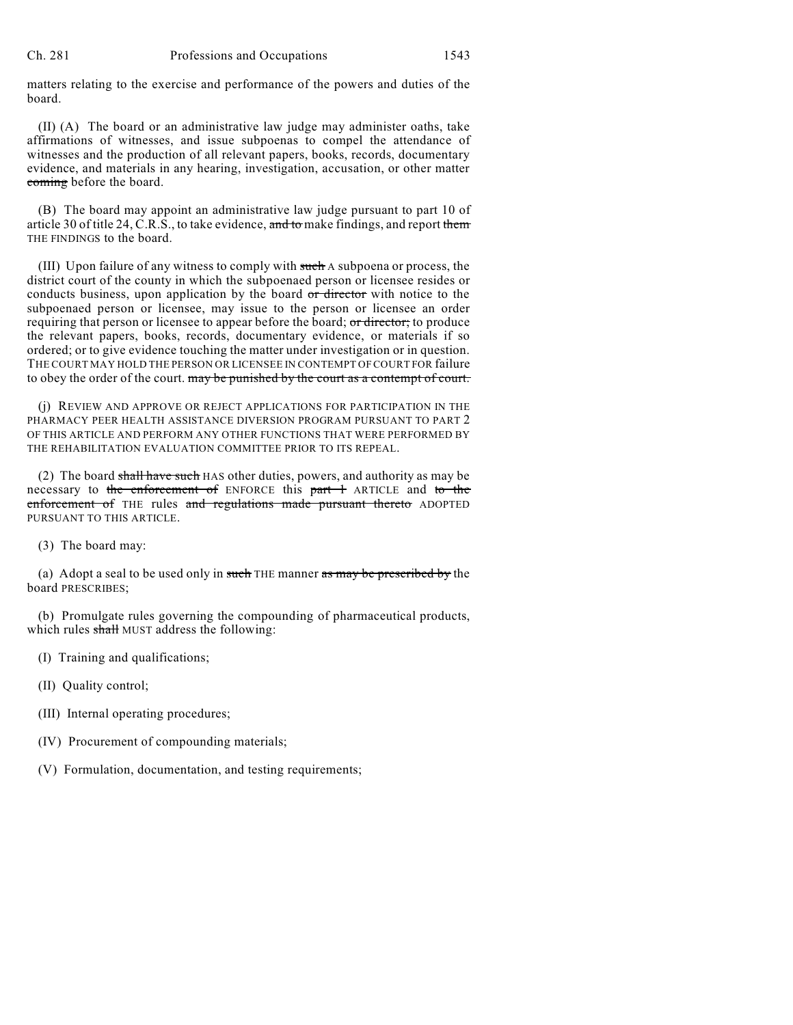matters relating to the exercise and performance of the powers and duties of the board.

(II) (A) The board or an administrative law judge may administer oaths, take affirmations of witnesses, and issue subpoenas to compel the attendance of witnesses and the production of all relevant papers, books, records, documentary evidence, and materials in any hearing, investigation, accusation, or other matter coming before the board.

(B) The board may appoint an administrative law judge pursuant to part 10 of article 30 of title 24, C.R.S., to take evidence, and to make findings, and report them THE FINDINGS to the board.

(III) Upon failure of any witness to comply with such A subpoena or process, the district court of the county in which the subpoenaed person or licensee resides or conducts business, upon application by the board or director with notice to the subpoenaed person or licensee, may issue to the person or licensee an order requiring that person or licensee to appear before the board; or director; to produce the relevant papers, books, records, documentary evidence, or materials if so ordered; or to give evidence touching the matter under investigation or in question. THE COURT MAY HOLD THE PERSON OR LICENSEE IN CONTEMPT OF COURT FOR failure to obey the order of the court. may be punished by the court as a contempt of court.

(j) REVIEW AND APPROVE OR REJECT APPLICATIONS FOR PARTICIPATION IN THE PHARMACY PEER HEALTH ASSISTANCE DIVERSION PROGRAM PURSUANT TO PART 2 OF THIS ARTICLE AND PERFORM ANY OTHER FUNCTIONS THAT WERE PERFORMED BY THE REHABILITATION EVALUATION COMMITTEE PRIOR TO ITS REPEAL.

(2) The board shall have such HAS other duties, powers, and authority as may be necessary to the enforcement of ENFORCE this part 1 ARTICLE and to the enforcement of THE rules and regulations made pursuant thereto ADOPTED PURSUANT TO THIS ARTICLE.

(3) The board may:

(a) Adopt a seal to be used only in such THE manner as may be prescribed by the board PRESCRIBES;

(b) Promulgate rules governing the compounding of pharmaceutical products, which rules shall MUST address the following:

- (I) Training and qualifications;
- (II) Quality control;
- (III) Internal operating procedures;
- (IV) Procurement of compounding materials;
- (V) Formulation, documentation, and testing requirements;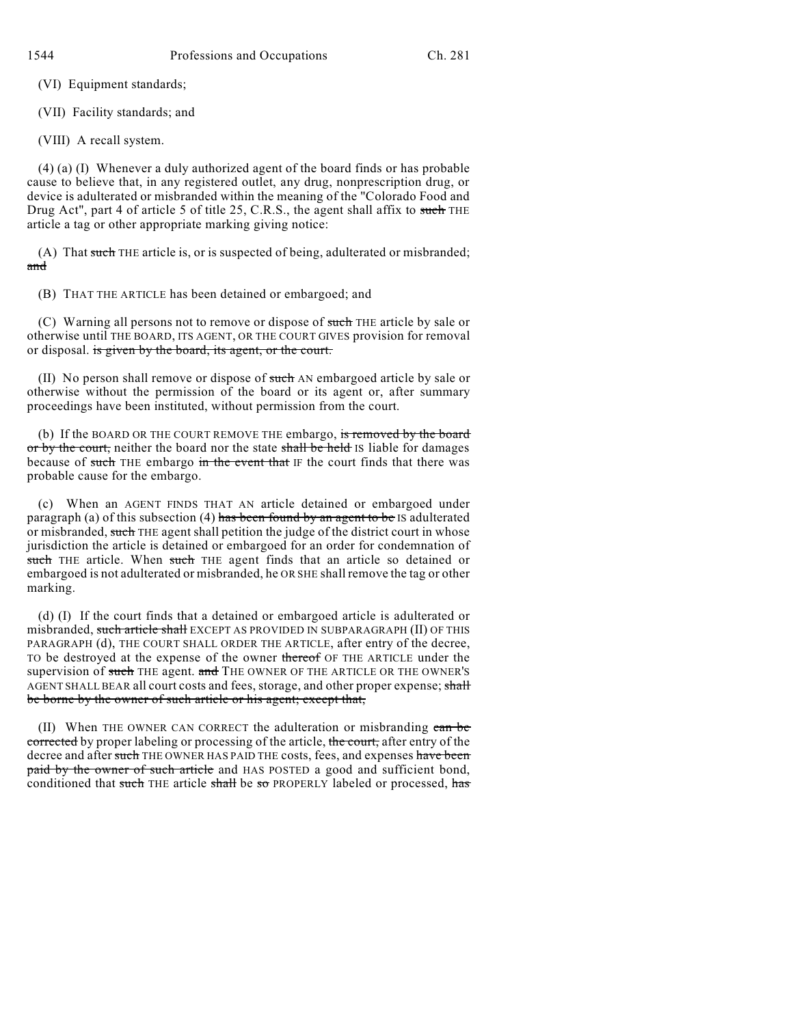(VI) Equipment standards;

(VII) Facility standards; and

(VIII) A recall system.

(4) (a) (I) Whenever a duly authorized agent of the board finds or has probable cause to believe that, in any registered outlet, any drug, nonprescription drug, or device is adulterated or misbranded within the meaning of the "Colorado Food and Drug Act", part 4 of article 5 of title 25, C.R.S., the agent shall affix to such THE article a tag or other appropriate marking giving notice:

(A) That such THE article is, or is suspected of being, adulterated or misbranded; and

(B) THAT THE ARTICLE has been detained or embargoed; and

(C) Warning all persons not to remove or dispose of such THE article by sale or otherwise until THE BOARD, ITS AGENT, OR THE COURT GIVES provision for removal or disposal. is given by the board, its agent, or the court.

(II) No person shall remove or dispose of such AN embargoed article by sale or otherwise without the permission of the board or its agent or, after summary proceedings have been instituted, without permission from the court.

(b) If the BOARD OR THE COURT REMOVE THE embargo, is removed by the board or by the court, neither the board nor the state shall be held IS liable for damages because of such THE embargo in the event that IF the court finds that there was probable cause for the embargo.

(c) When an AGENT FINDS THAT AN article detained or embargoed under paragraph (a) of this subsection (4) has been found by an agent to be IS adulterated or misbranded, such THE agent shall petition the judge of the district court in whose jurisdiction the article is detained or embargoed for an order for condemnation of such THE article. When such THE agent finds that an article so detained or embargoed is not adulterated or misbranded, he OR SHE shall remove the tag or other marking.

(d) (I) If the court finds that a detained or embargoed article is adulterated or misbranded, such article shall EXCEPT AS PROVIDED IN SUBPARAGRAPH (II) OF THIS PARAGRAPH (d), THE COURT SHALL ORDER THE ARTICLE, after entry of the decree, TO be destroyed at the expense of the owner thereof OF THE ARTICLE under the supervision of such THE agent. and THE OWNER OF THE ARTICLE OR THE OWNER'S AGENT SHALL BEAR all court costs and fees, storage, and other proper expense; shall be borne by the owner of such article or his agent; except that,

(II) When THE OWNER CAN CORRECT the adulteration or misbranding can be corrected by proper labeling or processing of the article, the court, after entry of the decree and after such THE OWNER HAS PAID THE costs, fees, and expenses have been paid by the owner of such article and HAS POSTED a good and sufficient bond, conditioned that such THE article shall be so PROPERLY labeled or processed, has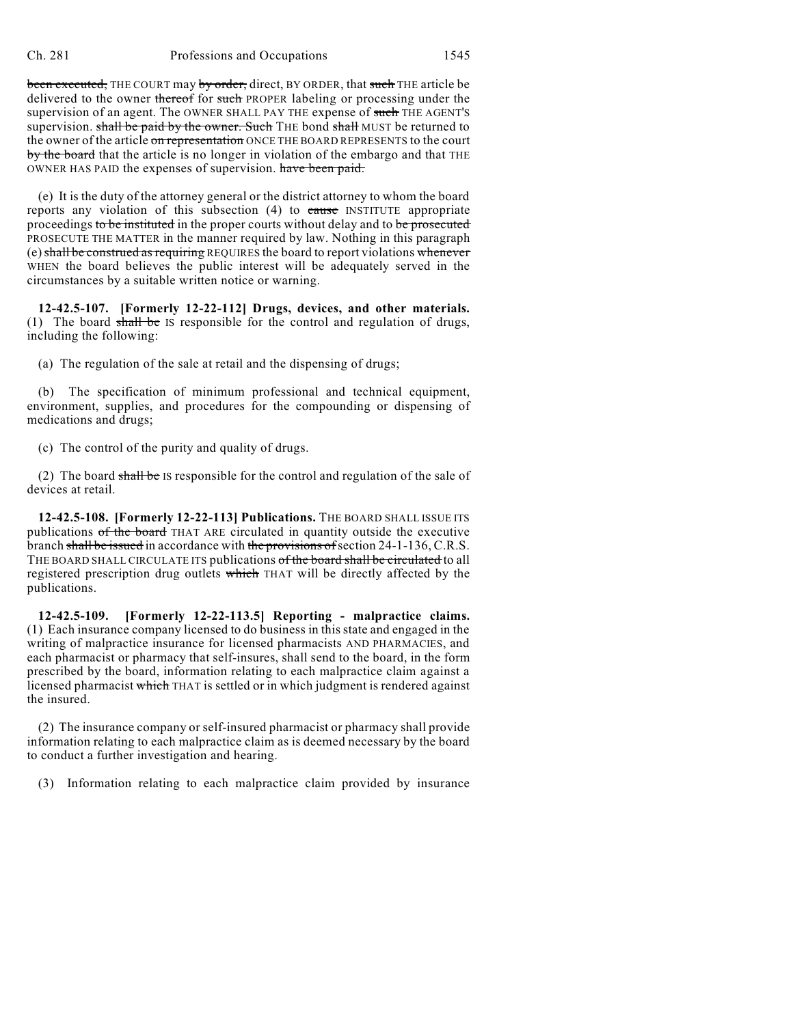been executed, THE COURT may by order, direct, BY ORDER, that such THE article be delivered to the owner thereof for such PROPER labeling or processing under the supervision of an agent. The OWNER SHALL PAY THE expense of such THE AGENT'S supervision. shall be paid by the owner. Such THE bond shall MUST be returned to the owner of the article on representation ONCE THE BOARD REPRESENTS to the court by the board that the article is no longer in violation of the embargo and that THE OWNER HAS PAID the expenses of supervision. have been paid.

(e) It is the duty of the attorney general or the district attorney to whom the board reports any violation of this subsection  $(4)$  to cause INSTITUTE appropriate proceedings to be instituted in the proper courts without delay and to be prosecuted PROSECUTE THE MATTER in the manner required by law. Nothing in this paragraph (e) shall be construed as requiring REQUIRES the board to report violations whenever WHEN the board believes the public interest will be adequately served in the circumstances by a suitable written notice or warning.

**12-42.5-107. [Formerly 12-22-112] Drugs, devices, and other materials.** (1) The board  $shall be$  IS responsible for the control and regulation of drugs, including the following:

(a) The regulation of the sale at retail and the dispensing of drugs;

(b) The specification of minimum professional and technical equipment, environment, supplies, and procedures for the compounding or dispensing of medications and drugs;

(c) The control of the purity and quality of drugs.

(2) The board shall be IS responsible for the control and regulation of the sale of devices at retail.

**12-42.5-108. [Formerly 12-22-113] Publications.** THE BOARD SHALL ISSUE ITS publications of the board THAT ARE circulated in quantity outside the executive branch shall be issued in accordance with the provisions of section 24-1-136, C.R.S. THE BOARD SHALL CIRCULATE ITS publications of the board shall be circulated to all registered prescription drug outlets which THAT will be directly affected by the publications.

**12-42.5-109. [Formerly 12-22-113.5] Reporting - malpractice claims.** (1) Each insurance company licensed to do business in this state and engaged in the writing of malpractice insurance for licensed pharmacists AND PHARMACIES, and each pharmacist or pharmacy that self-insures, shall send to the board, in the form prescribed by the board, information relating to each malpractice claim against a licensed pharmacist which THAT is settled or in which judgment is rendered against the insured.

(2) The insurance company or self-insured pharmacist or pharmacy shall provide information relating to each malpractice claim as is deemed necessary by the board to conduct a further investigation and hearing.

(3) Information relating to each malpractice claim provided by insurance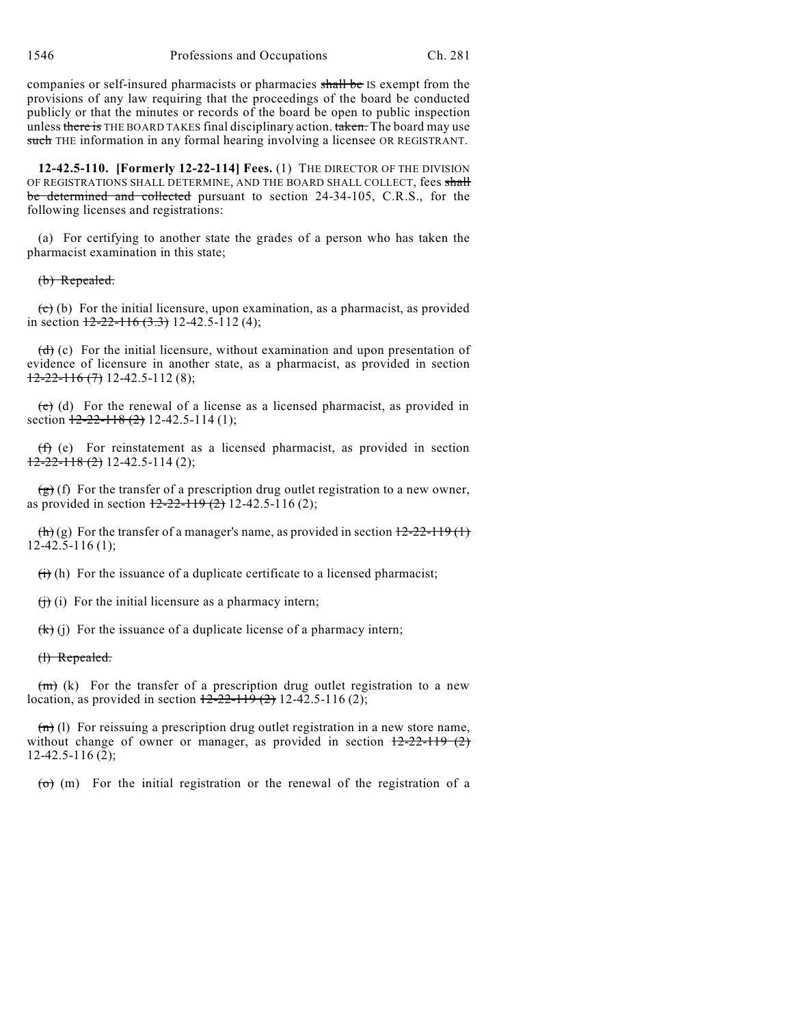companies or self-insured pharmacists or pharmacies shall be IS exempt from the provisions of any law requiring that the proceedings of the board be conducted publicly or that the minutes or records of the board be open to public inspection unless there is THE BOARD TAKES final disciplinary action. taken. The board may use such THE information in any formal hearing involving a licensee OR REGISTRANT.

**12-42.5-110. [Formerly 12-22-114] Fees.** (1) THE DIRECTOR OF THE DIVISION OF REGISTRATIONS SHALL DETERMINE, AND THE BOARD SHALL COLLECT, fees shall be determined and collected pursuant to section 24-34-105, C.R.S., for the following licenses and registrations:

(a) For certifying to another state the grades of a person who has taken the pharmacist examination in this state;

#### (b) Repealed.

 $(c)$  (b) For the initial licensure, upon examination, as a pharmacist, as provided in section  $12-22-116$  (3.3) 12-42.5-112 (4);

 $(d)$  (c) For the initial licensure, without examination and upon presentation of evidence of licensure in another state, as a pharmacist, as provided in section  $12-22-116(7)$  12-42.5-112 (8);

 $(e)$  (d) For the renewal of a license as a licensed pharmacist, as provided in section  $12-22-118(2)$  12-42.5-114 (1);

(f) (e) For reinstatement as a licensed pharmacist, as provided in section  $12-22-118(2)$  12-42.5-114 (2);

 $(g)$  (f) For the transfer of a prescription drug outlet registration to a new owner, as provided in section  $12-22-119$  (2) 12-42.5-116 (2);

 $\left(\frac{h}{h}\right)$  (g) For the transfer of a manager's name, as provided in section  $\frac{12-22-119}{1}$ 12-42.5-116 (1);

 $(h)$  For the issuance of a duplicate certificate to a licensed pharmacist;

 $(i)$  for the initial licensure as a pharmacy intern;

 $(k)(j)$  For the issuance of a duplicate license of a pharmacy intern;

#### (l) Repealed.

 $(m)$  (k) For the transfer of a prescription drug outlet registration to a new location, as provided in section  $12-22-119(2)$  12-42.5-116 (2);

 $\overline{(n)}$  (1) For reissuing a prescription drug outlet registration in a new store name, without change of owner or manager, as provided in section  $12-22-119$  (2) 12-42.5-116 (2);

 $\overline{(0)}$  (m) For the initial registration or the renewal of the registration of a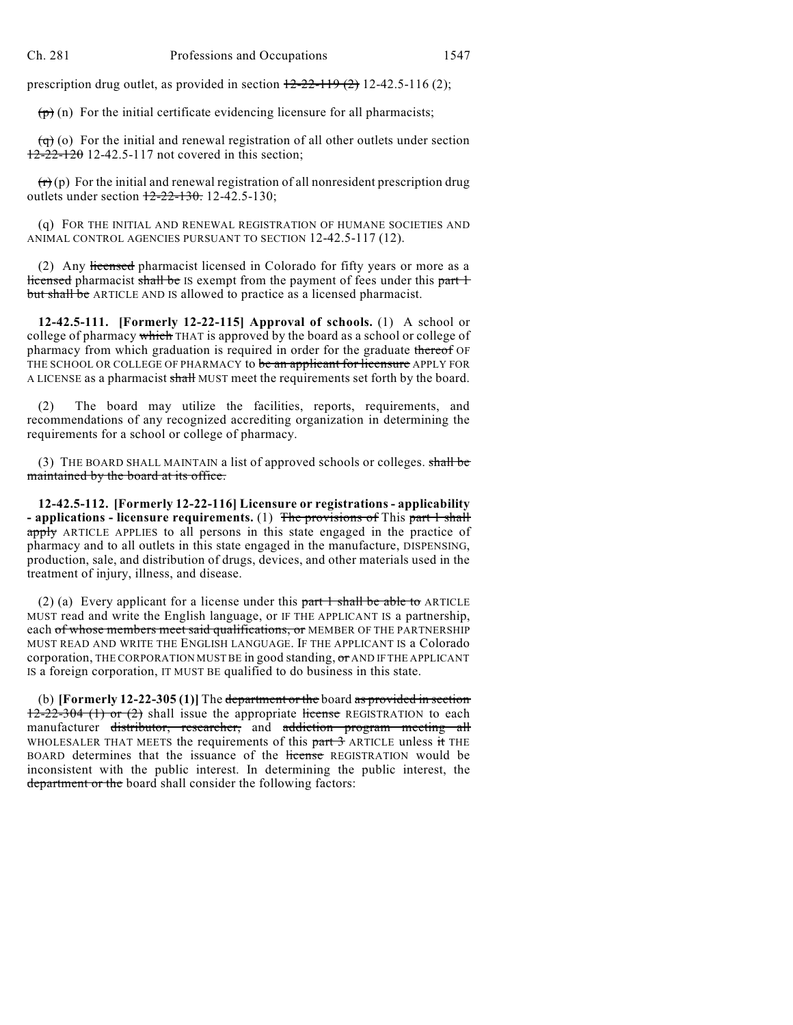prescription drug outlet, as provided in section  $12-22-119(2)$  12-42.5-116 (2);

 $(\vec{p})$  (n) For the initial certificate evidencing licensure for all pharmacists;

 $\overline{(q)}$  (o) For the initial and renewal registration of all other outlets under section 12-22-120 12-42.5-117 not covered in this section;

 $(r)(p)$  For the initial and renewal registration of all nonresident prescription drug outlets under section  $12-22-130$ . 12-42.5-130;

(q) FOR THE INITIAL AND RENEWAL REGISTRATION OF HUMANE SOCIETIES AND ANIMAL CONTROL AGENCIES PURSUANT TO SECTION 12-42.5-117 (12).

(2) Any licensed pharmacist licensed in Colorado for fifty years or more as a licensed pharmacist shall be IS exempt from the payment of fees under this part 1 but shall be ARTICLE AND IS allowed to practice as a licensed pharmacist.

**12-42.5-111. [Formerly 12-22-115] Approval of schools.** (1) A school or college of pharmacy which THAT is approved by the board as a school or college of pharmacy from which graduation is required in order for the graduate thereof OF THE SCHOOL OR COLLEGE OF PHARMACY to be an applicant for licensure APPLY FOR A LICENSE as a pharmacist shall MUST meet the requirements set forth by the board.

(2) The board may utilize the facilities, reports, requirements, and recommendations of any recognized accrediting organization in determining the requirements for a school or college of pharmacy.

(3) THE BOARD SHALL MAINTAIN a list of approved schools or colleges. shall be maintained by the board at its office.

**12-42.5-112. [Formerly 12-22-116] Licensure or registrations - applicability - applications - licensure requirements.** (1) The provisions of This part 1 shall apply ARTICLE APPLIES to all persons in this state engaged in the practice of pharmacy and to all outlets in this state engaged in the manufacture, DISPENSING, production, sale, and distribution of drugs, devices, and other materials used in the treatment of injury, illness, and disease.

(2) (a) Every applicant for a license under this  $part 1$  shall be able to ARTICLE MUST read and write the English language, or IF THE APPLICANT IS a partnership, each of whose members meet said qualifications, or MEMBER OF THE PARTNERSHIP MUST READ AND WRITE THE ENGLISH LANGUAGE. IF THE APPLICANT IS a Colorado corporation, THE CORPORATION MUSTBE in good standing, or AND IF THE APPLICANT IS a foreign corporation, IT MUST BE qualified to do business in this state.

(b) **[Formerly 12-22-305 (1)]** The department or the board as provided in section  $12-22-304$  (1) or (2) shall issue the appropriate license REGISTRATION to each manufacturer distributor, researcher, and addiction program meeting all WHOLESALER THAT MEETS the requirements of this  $part 3$  ARTICLE unless it THE BOARD determines that the issuance of the license REGISTRATION would be inconsistent with the public interest. In determining the public interest, the department or the board shall consider the following factors: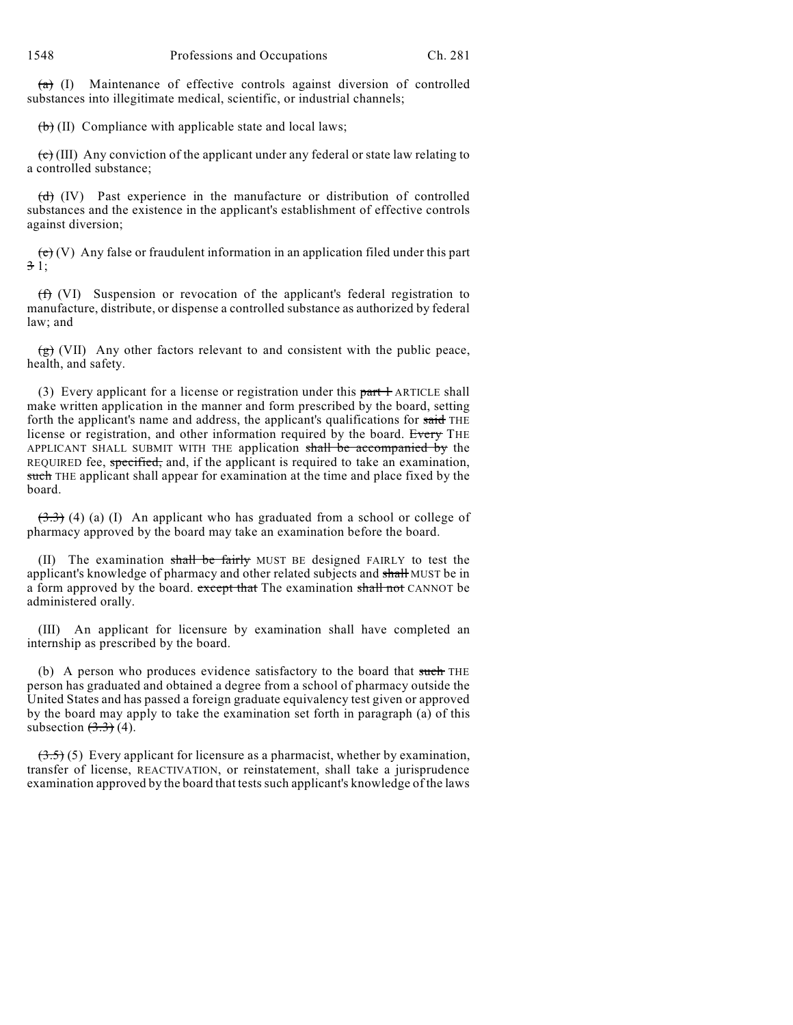$(a)$  (I) Maintenance of effective controls against diversion of controlled substances into illegitimate medical, scientific, or industrial channels;

 $(b)$  (II) Compliance with applicable state and local laws;

 $\overrightarrow{c}$  (III) Any conviction of the applicant under any federal or state law relating to a controlled substance;

 $\overrightarrow{(d)}$  (IV) Past experience in the manufacture or distribution of controlled substances and the existence in the applicant's establishment of effective controls against diversion;

 $\overline{(e)}$  (V) Any false or fraudulent information in an application filed under this part 3 1;

(f) (VI) Suspension or revocation of the applicant's federal registration to manufacture, distribute, or dispense a controlled substance as authorized by federal law; and

 $\left(\frac{g}{g}\right)$  (VII) Any other factors relevant to and consistent with the public peace, health, and safety.

(3) Every applicant for a license or registration under this  $part +$  ARTICLE shall make written application in the manner and form prescribed by the board, setting forth the applicant's name and address, the applicant's qualifications for said THE license or registration, and other information required by the board. Every THE APPLICANT SHALL SUBMIT WITH THE application shall be accompanied by the REQUIRED fee, specified, and, if the applicant is required to take an examination, such THE applicant shall appear for examination at the time and place fixed by the board.

 $(3.3)$  (4) (a) (I) An applicant who has graduated from a school or college of pharmacy approved by the board may take an examination before the board.

(II) The examination shall be fairly MUST BE designed FAIRLY to test the applicant's knowledge of pharmacy and other related subjects and shall MUST be in a form approved by the board. except that The examination shall not CANNOT be administered orally.

(III) An applicant for licensure by examination shall have completed an internship as prescribed by the board.

(b) A person who produces evidence satisfactory to the board that such THE person has graduated and obtained a degree from a school of pharmacy outside the United States and has passed a foreign graduate equivalency test given or approved by the board may apply to take the examination set forth in paragraph (a) of this subsection  $(3.3)$  (4).

 $(3.5)$  (5) Every applicant for licensure as a pharmacist, whether by examination, transfer of license, REACTIVATION, or reinstatement, shall take a jurisprudence examination approved by the board that testssuch applicant's knowledge of the laws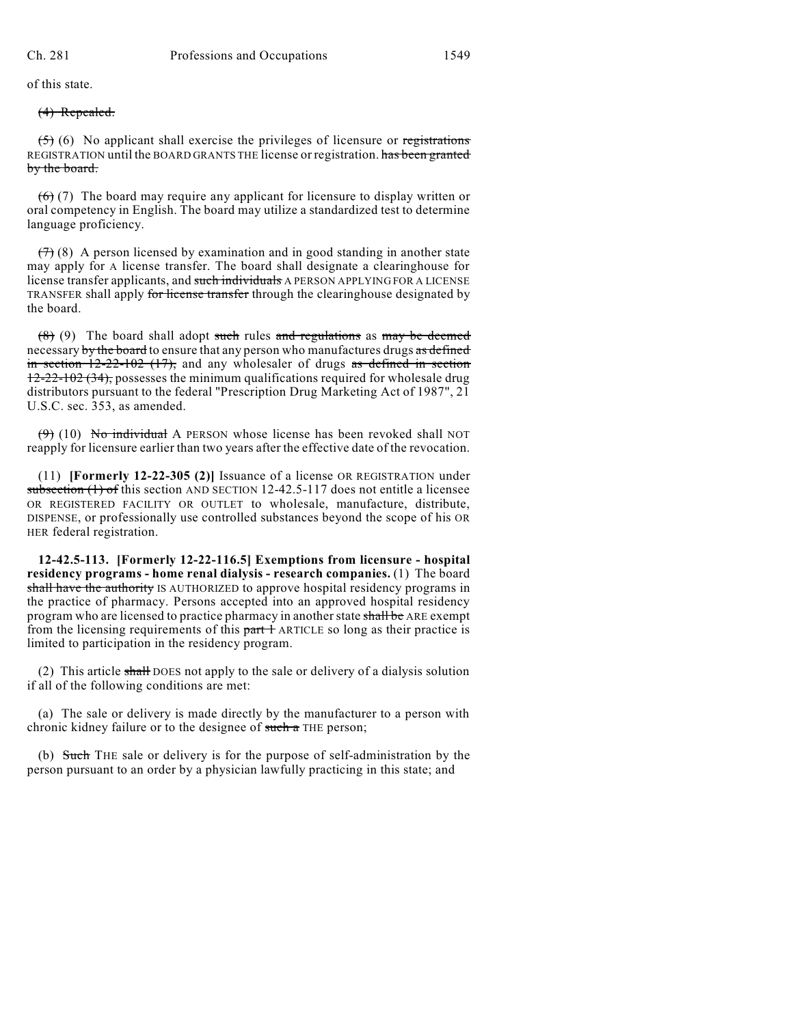of this state.

#### (4) Repealed.

 $(5)$  (6) No applicant shall exercise the privileges of licensure or registrations REGISTRATION until the BOARD GRANTS THE license or registration. has been granted by the board.

 $(6)$  (7) The board may require any applicant for licensure to display written or oral competency in English. The board may utilize a standardized test to determine language proficiency.

 $(7)$  (8) A person licensed by examination and in good standing in another state may apply for A license transfer. The board shall designate a clearinghouse for license transfer applicants, and such individuals A PERSON APPLYING FOR A LICENSE TRANSFER shall apply for license transfer through the clearinghouse designated by the board.

 $(8)$  (9) The board shall adopt such rules and regulations as may be deemed necessary by the board to ensure that any person who manufactures drugs as defined in section  $12-22-102$  (17), and any wholesaler of drugs as defined in section 12-22-102 (34), possesses the minimum qualifications required for wholesale drug distributors pursuant to the federal "Prescription Drug Marketing Act of 1987", 21 U.S.C. sec. 353, as amended.

 $(9)$  (10) No individual A PERSON whose license has been revoked shall NOT reapply for licensure earlier than two years after the effective date of the revocation.

(11) **[Formerly 12-22-305 (2)]** Issuance of a license OR REGISTRATION under subsection (1) of this section AND SECTION 12-42.5-117 does not entitle a licensee OR REGISTERED FACILITY OR OUTLET to wholesale, manufacture, distribute, DISPENSE, or professionally use controlled substances beyond the scope of his OR HER federal registration.

**12-42.5-113. [Formerly 12-22-116.5] Exemptions from licensure - hospital residency programs - home renal dialysis - research companies.** (1) The board shall have the authority IS AUTHORIZED to approve hospital residency programs in the practice of pharmacy. Persons accepted into an approved hospital residency program who are licensed to practice pharmacy in another state shall be ARE exempt from the licensing requirements of this  $part +$  ARTICLE so long as their practice is limited to participation in the residency program.

(2) This article shall DOES not apply to the sale or delivery of a dialysis solution if all of the following conditions are met:

(a) The sale or delivery is made directly by the manufacturer to a person with chronic kidney failure or to the designee of such a THE person;

(b) Such THE sale or delivery is for the purpose of self-administration by the person pursuant to an order by a physician lawfully practicing in this state; and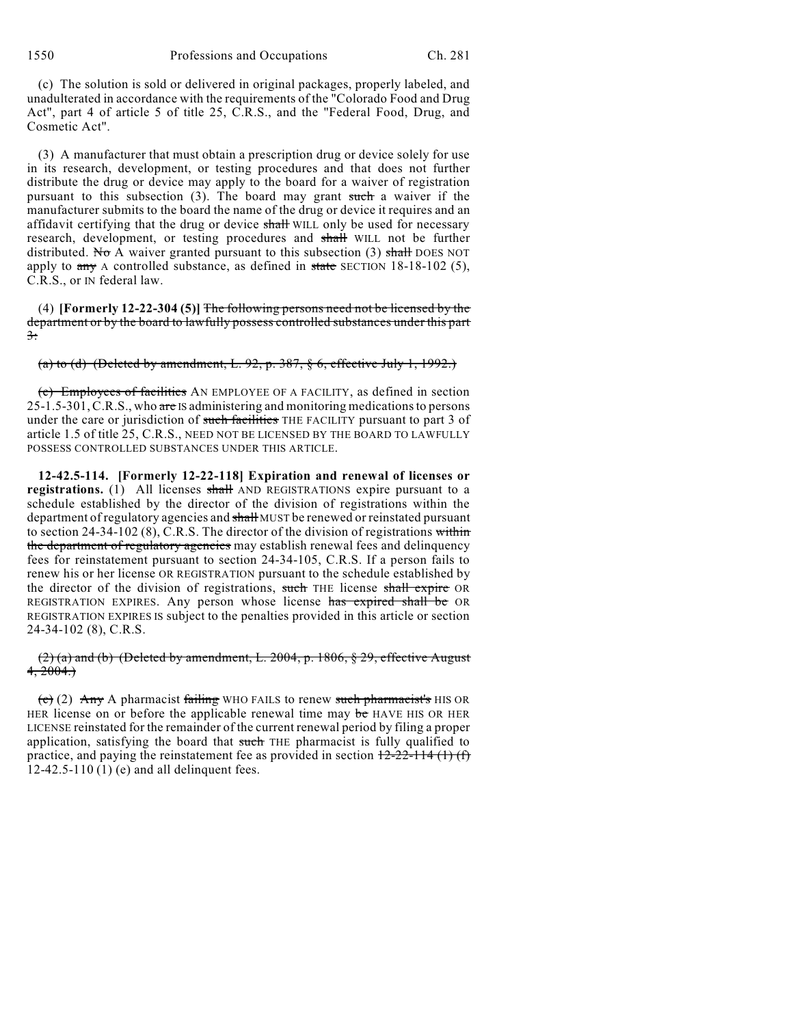1550 Professions and Occupations Ch. 281

(c) The solution is sold or delivered in original packages, properly labeled, and unadulterated in accordance with the requirements of the "Colorado Food and Drug Act", part 4 of article 5 of title 25, C.R.S., and the "Federal Food, Drug, and Cosmetic Act".

(3) A manufacturer that must obtain a prescription drug or device solely for use in its research, development, or testing procedures and that does not further distribute the drug or device may apply to the board for a waiver of registration pursuant to this subsection (3). The board may grant such a waiver if the manufacturer submits to the board the name of the drug or device it requires and an affidavit certifying that the drug or device shall WILL only be used for necessary research, development, or testing procedures and shall WILL not be further distributed. No A waiver granted pursuant to this subsection (3) shall DOES NOT apply to  $\frac{any}{x}$  A controlled substance, as defined in state SECTION 18-18-102 (5), C.R.S., or IN federal law.

(4) **[Formerly 12-22-304 (5)]** The following persons need not be licensed by the department or by the board to lawfully possess controlled substances under this part 3:

(a) to (d) (Deleted by amendment, L. 92, p. 387,  $\S$  6, effective July 1, 1992.)

(e) Employees of facilities AN EMPLOYEE OF A FACILITY, as defined in section  $25-1.5-301$ , C.R.S., who are IS administering and monitoring medications to persons under the care or jurisdiction of such facilities THE FACILITY pursuant to part 3 of article 1.5 of title 25, C.R.S., NEED NOT BE LICENSED BY THE BOARD TO LAWFULLY POSSESS CONTROLLED SUBSTANCES UNDER THIS ARTICLE.

**12-42.5-114. [Formerly 12-22-118] Expiration and renewal of licenses or** registrations. (1) All licenses shall AND REGISTRATIONS expire pursuant to a schedule established by the director of the division of registrations within the department of regulatory agencies and shall MUST be renewed or reinstated pursuant to section  $24-34-102$  (8), C.R.S. The director of the division of registrations within the department of regulatory agencies may establish renewal fees and delinquency fees for reinstatement pursuant to section 24-34-105, C.R.S. If a person fails to renew his or her license OR REGISTRATION pursuant to the schedule established by the director of the division of registrations, such THE license shall expire OR REGISTRATION EXPIRES. Any person whose license has expired shall be OR REGISTRATION EXPIRES IS subject to the penalties provided in this article or section 24-34-102 (8), C.R.S.

 $(2)$  (a) and (b) (Deleted by amendment, L. 2004, p. 1806, § 29, effective August  $4, 2004.$ 

 $\overline{c}$  (c)  $\overline{c}$  (2) Any A pharmacist failing WHO FAILS to renew such pharmacist's HIS OR HER license on or before the applicable renewal time may be HAVE HIS OR HER LICENSE reinstated for the remainder of the current renewal period by filing a proper application, satisfying the board that such THE pharmacist is fully qualified to practice, and paying the reinstatement fee as provided in section  $12-22-114$  (1) (f) 12-42.5-110 (1) (e) and all delinquent fees.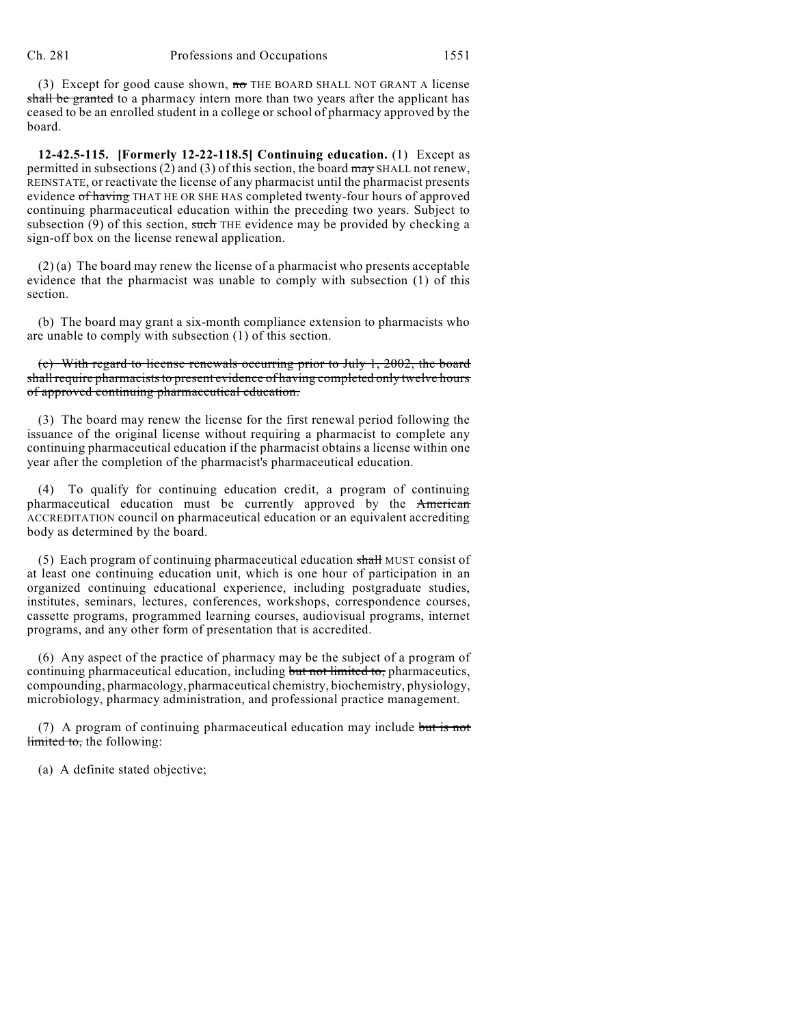(3) Except for good cause shown, no THE BOARD SHALL NOT GRANT A license shall be granted to a pharmacy intern more than two years after the applicant has ceased to be an enrolled student in a college or school of pharmacy approved by the board.

**12-42.5-115. [Formerly 12-22-118.5] Continuing education.** (1) Except as permitted in subsections  $(2)$  and  $(3)$  of this section, the board may SHALL not renew, REINSTATE, or reactivate the license of any pharmacist until the pharmacist presents evidence of having THAT HE OR SHE HAS completed twenty-four hours of approved continuing pharmaceutical education within the preceding two years. Subject to subsection  $(9)$  of this section, such THE evidence may be provided by checking a sign-off box on the license renewal application.

 $(2)$  (a) The board may renew the license of a pharmacist who presents acceptable evidence that the pharmacist was unable to comply with subsection (1) of this section.

(b) The board may grant a six-month compliance extension to pharmacists who are unable to comply with subsection (1) of this section.

(c) With regard to license renewals occurring prior to July 1, 2002, the board shall require pharmacists to present evidence of having completed only twelve hours of approved continuing pharmaceutical education.

(3) The board may renew the license for the first renewal period following the issuance of the original license without requiring a pharmacist to complete any continuing pharmaceutical education if the pharmacist obtains a license within one year after the completion of the pharmacist's pharmaceutical education.

(4) To qualify for continuing education credit, a program of continuing pharmaceutical education must be currently approved by the American ACCREDITATION council on pharmaceutical education or an equivalent accrediting body as determined by the board.

(5) Each program of continuing pharmaceutical education shall MUST consist of at least one continuing education unit, which is one hour of participation in an organized continuing educational experience, including postgraduate studies, institutes, seminars, lectures, conferences, workshops, correspondence courses, cassette programs, programmed learning courses, audiovisual programs, internet programs, and any other form of presentation that is accredited.

(6) Any aspect of the practice of pharmacy may be the subject of a program of continuing pharmaceutical education, including but not limited to, pharmaceutics, compounding, pharmacology, pharmaceutical chemistry, biochemistry, physiology, microbiology, pharmacy administration, and professional practice management.

(7) A program of continuing pharmaceutical education may include but is not limited to, the following:

(a) A definite stated objective;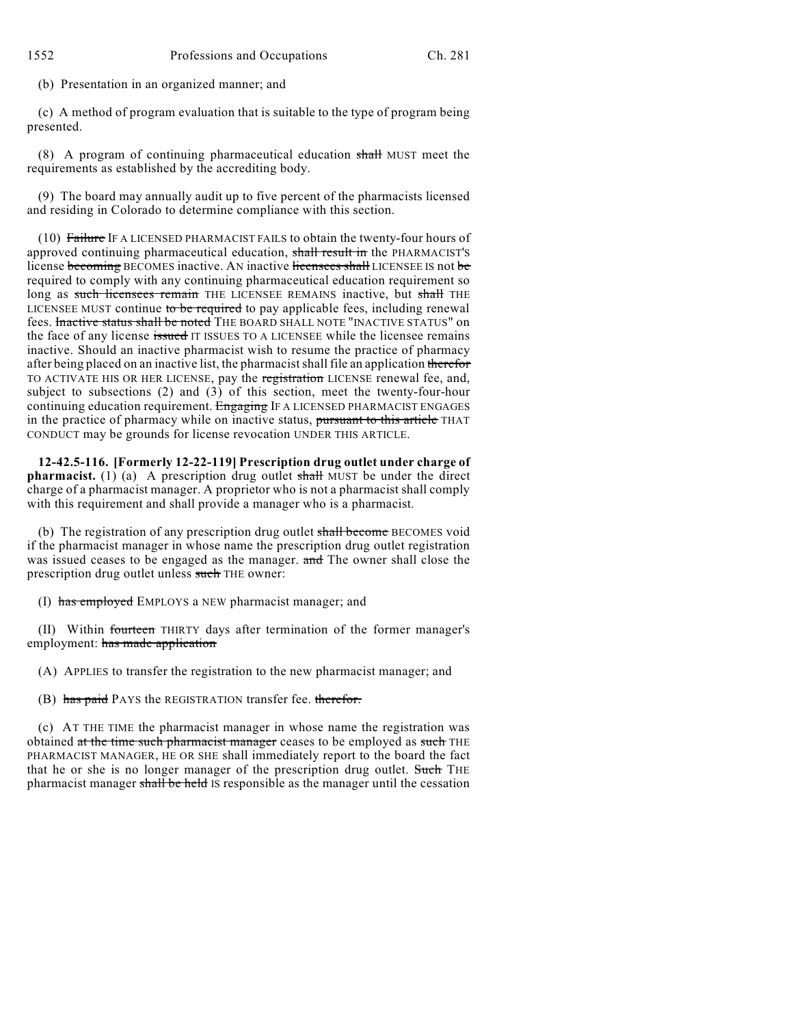(b) Presentation in an organized manner; and

(c) A method of program evaluation that is suitable to the type of program being presented.

(8) A program of continuing pharmaceutical education shall MUST meet the requirements as established by the accrediting body.

(9) The board may annually audit up to five percent of the pharmacists licensed and residing in Colorado to determine compliance with this section.

(10) Failure IF A LICENSED PHARMACIST FAILS to obtain the twenty-four hours of approved continuing pharmaceutical education, shall result in the PHARMACIST'S license becoming BECOMES inactive. AN inactive licensees shall LICENSEE IS not be required to comply with any continuing pharmaceutical education requirement so long as such licensees remain THE LICENSEE REMAINS inactive, but shall THE LICENSEE MUST continue to be required to pay applicable fees, including renewal fees. Inactive status shall be noted THE BOARD SHALL NOTE "INACTIVE STATUS" on the face of any license issued IT ISSUES TO A LICENSEE while the licensee remains inactive. Should an inactive pharmacist wish to resume the practice of pharmacy after being placed on an inactive list, the pharmacist shall file an application therefor TO ACTIVATE HIS OR HER LICENSE, pay the registration LICENSE renewal fee, and, subject to subsections (2) and (3) of this section, meet the twenty-four-hour continuing education requirement. Engaging IF A LICENSED PHARMACIST ENGAGES in the practice of pharmacy while on inactive status, pursuant to this article THAT CONDUCT may be grounds for license revocation UNDER THIS ARTICLE.

**12-42.5-116. [Formerly 12-22-119] Prescription drug outlet under charge of pharmacist.** (1) (a) A prescription drug outlet shall MUST be under the direct charge of a pharmacist manager. A proprietor who is not a pharmacist shall comply with this requirement and shall provide a manager who is a pharmacist.

(b) The registration of any prescription drug outlet shall become BECOMES void if the pharmacist manager in whose name the prescription drug outlet registration was issued ceases to be engaged as the manager. and The owner shall close the prescription drug outlet unless such THE owner:

(I) has employed EMPLOYS a NEW pharmacist manager; and

(II) Within fourteen THIRTY days after termination of the former manager's employment: has made application

(A) APPLIES to transfer the registration to the new pharmacist manager; and

(B) has paid PAYS the REGISTRATION transfer fee. therefor.

(c) AT THE TIME the pharmacist manager in whose name the registration was obtained at the time such pharmacist manager ceases to be employed as such THE PHARMACIST MANAGER, HE OR SHE shall immediately report to the board the fact that he or she is no longer manager of the prescription drug outlet. Such THE pharmacist manager shall be held IS responsible as the manager until the cessation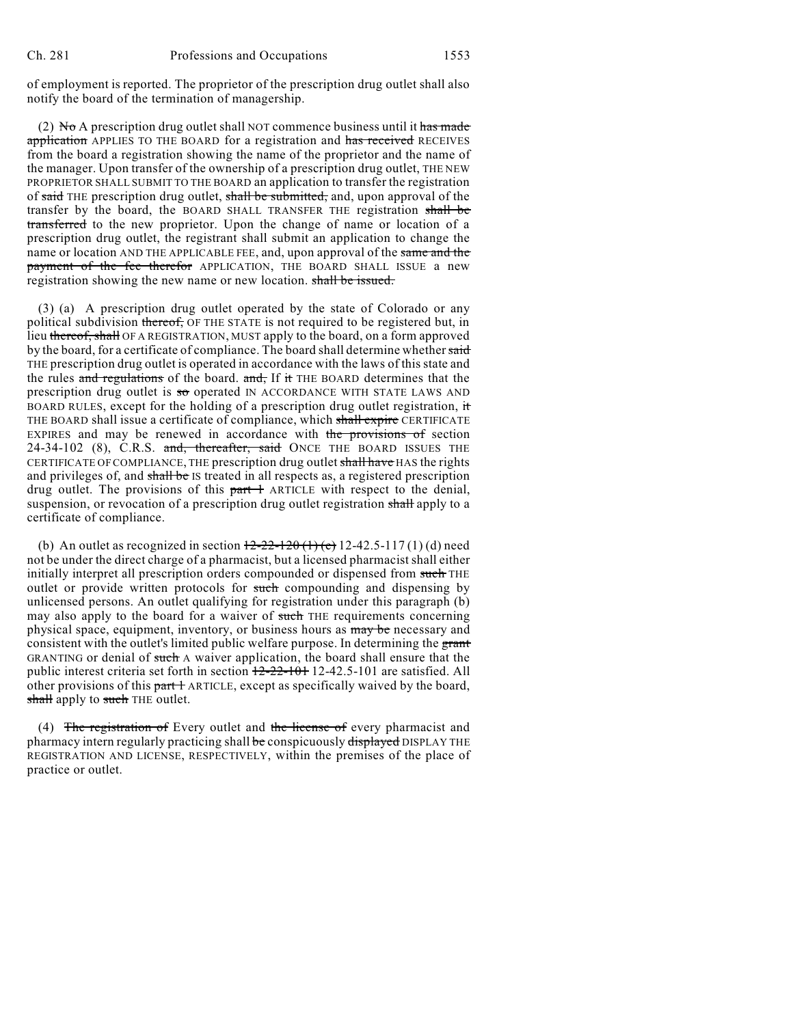of employment is reported. The proprietor of the prescription drug outlet shall also notify the board of the termination of managership.

(2) No A prescription drug outlet shall NOT commence business until it has made application APPLIES TO THE BOARD for a registration and has received RECEIVES from the board a registration showing the name of the proprietor and the name of the manager. Upon transfer of the ownership of a prescription drug outlet, THE NEW PROPRIETOR SHALL SUBMIT TO THE BOARD an application to transfer the registration of said THE prescription drug outlet, shall be submitted, and, upon approval of the transfer by the board, the BOARD SHALL TRANSFER THE registration shall be transferred to the new proprietor. Upon the change of name or location of a prescription drug outlet, the registrant shall submit an application to change the name or location AND THE APPLICABLE FEE, and, upon approval of the same and the payment of the fee therefor APPLICATION, THE BOARD SHALL ISSUE a new registration showing the new name or new location. shall be issued.

(3) (a) A prescription drug outlet operated by the state of Colorado or any political subdivision thereof, OF THE STATE is not required to be registered but, in lieu thereof, shall OF A REGISTRATION, MUST apply to the board, on a form approved by the board, for a certificate of compliance. The board shall determine whether said THE prescription drug outlet is operated in accordance with the laws of this state and the rules and regulations of the board. and, If it THE BOARD determines that the prescription drug outlet is so operated IN ACCORDANCE WITH STATE LAWS AND BOARD RULES, except for the holding of a prescription drug outlet registration, it THE BOARD shall issue a certificate of compliance, which shall expire CERTIFICATE EXPIRES and may be renewed in accordance with the provisions of section 24-34-102 (8), C.R.S. and, thereafter, said ONCE THE BOARD ISSUES THE CERTIFICATE OF COMPLIANCE, THE prescription drug outlet shall have HAS the rights and privileges of, and shall be IS treated in all respects as, a registered prescription drug outlet. The provisions of this  $part +$  ARTICLE with respect to the denial, suspension, or revocation of a prescription drug outlet registration shall apply to a certificate of compliance.

(b) An outlet as recognized in section  $12-22-120$  (1) (e) 12-42.5-117 (1) (d) need not be under the direct charge of a pharmacist, but a licensed pharmacistshall either initially interpret all prescription orders compounded or dispensed from such THE outlet or provide written protocols for such compounding and dispensing by unlicensed persons. An outlet qualifying for registration under this paragraph (b) may also apply to the board for a waiver of such THE requirements concerning physical space, equipment, inventory, or business hours as may be necessary and consistent with the outlet's limited public welfare purpose. In determining the grant GRANTING or denial of such A waiver application, the board shall ensure that the public interest criteria set forth in section 12-22-101 12-42.5-101 are satisfied. All other provisions of this part 1 ARTICLE, except as specifically waived by the board, shall apply to such THE outlet.

(4) The registration of Every outlet and the license of every pharmacist and pharmacy intern regularly practicing shall be conspicuously displayed DISPLAY THE REGISTRATION AND LICENSE, RESPECTIVELY, within the premises of the place of practice or outlet.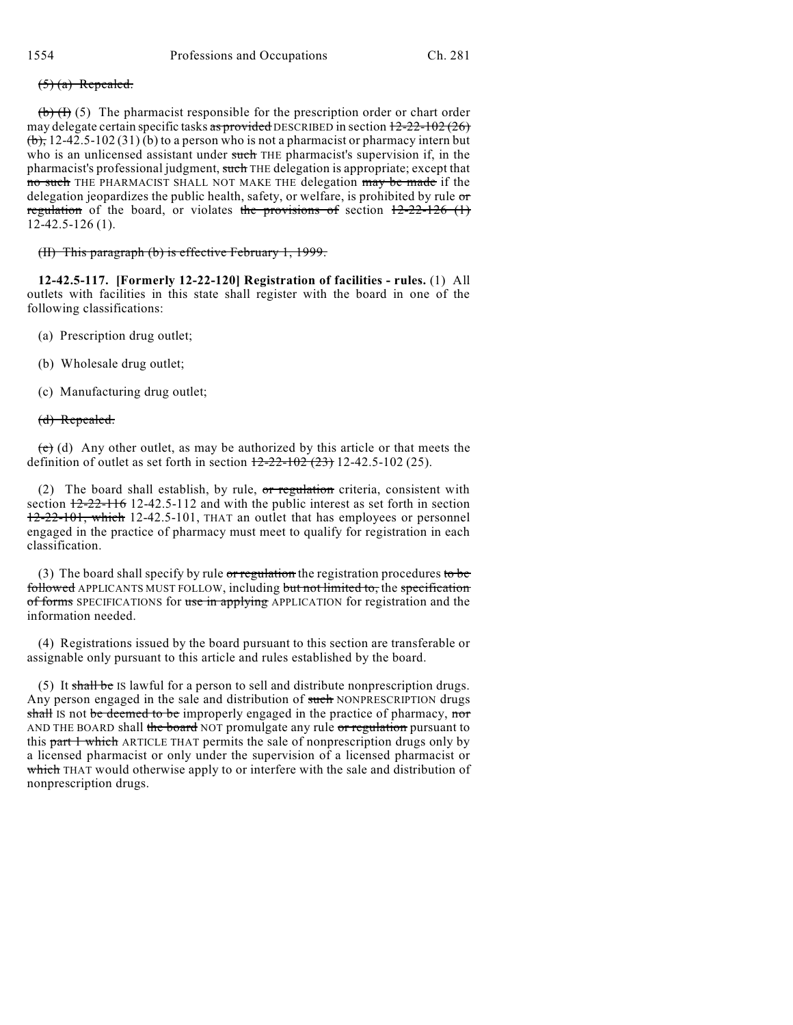## $(5)$  (a) Repealed.

 $(b)$  (f) (5) The pharmacist responsible for the prescription order or chart order may delegate certain specific tasks as provided DESCRIBED in section  $12-22-102(26)$  $(b)$ , 12-42.5-102 (31) (b) to a person who is not a pharmacist or pharmacy intern but who is an unlicensed assistant under such THE pharmacist's supervision if, in the pharmacist's professional judgment, such THE delegation is appropriate; except that no such THE PHARMACIST SHALL NOT MAKE THE delegation may be made if the delegation jeopardizes the public health, safety, or welfare, is prohibited by rule or regulation of the board, or violates the provisions of section  $12-22-126$  (1) 12-42.5-126 (1).

(II) This paragraph (b) is effective February 1, 1999.

**12-42.5-117. [Formerly 12-22-120] Registration of facilities - rules.** (1) All outlets with facilities in this state shall register with the board in one of the following classifications:

- (a) Prescription drug outlet;
- (b) Wholesale drug outlet;
- (c) Manufacturing drug outlet;

## (d) Repealed.

 $(e)$  (d) Any other outlet, as may be authorized by this article or that meets the definition of outlet as set forth in section  $12-22-102$  (23) 12-42.5-102 (25).

(2) The board shall establish, by rule, or regulation criteria, consistent with section  $12-22-116$  12-42.5-112 and with the public interest as set forth in section 12-22-101, which 12-42.5-101, THAT an outlet that has employees or personnel engaged in the practice of pharmacy must meet to qualify for registration in each classification.

(3) The board shall specify by rule or regulation the registration procedures to be followed APPLICANTS MUST FOLLOW, including but not limited to, the specification of forms SPECIFICATIONS for use in applying APPLICATION for registration and the information needed.

(4) Registrations issued by the board pursuant to this section are transferable or assignable only pursuant to this article and rules established by the board.

(5) It shall be IS lawful for a person to sell and distribute nonprescription drugs. Any person engaged in the sale and distribution of such NONPRESCRIPTION drugs shall IS not be deemed to be improperly engaged in the practice of pharmacy, nor AND THE BOARD shall the board NOT promulgate any rule or regulation pursuant to this part 1 which ARTICLE THAT permits the sale of nonprescription drugs only by a licensed pharmacist or only under the supervision of a licensed pharmacist or which THAT would otherwise apply to or interfere with the sale and distribution of nonprescription drugs.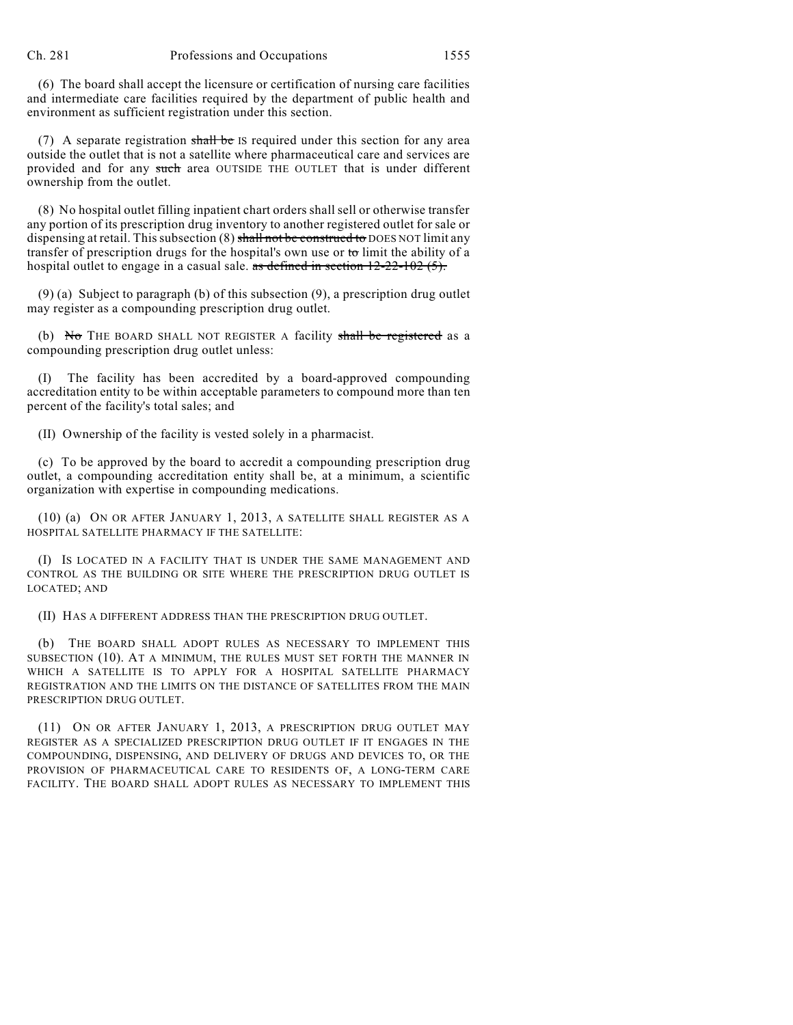(6) The board shall accept the licensure or certification of nursing care facilities and intermediate care facilities required by the department of public health and environment as sufficient registration under this section.

(7) A separate registration shall be IS required under this section for any area outside the outlet that is not a satellite where pharmaceutical care and services are provided and for any such area OUTSIDE THE OUTLET that is under different ownership from the outlet.

(8) No hospital outlet filling inpatient chart orders shall sell or otherwise transfer any portion of its prescription drug inventory to another registered outlet for sale or dispensing at retail. This subsection  $(8)$  shall not be construed to DOES NOT limit any transfer of prescription drugs for the hospital's own use or to limit the ability of a hospital outlet to engage in a casual sale. as defined in section  $12-22-102$  (5).

(9) (a) Subject to paragraph (b) of this subsection (9), a prescription drug outlet may register as a compounding prescription drug outlet.

(b) No THE BOARD SHALL NOT REGISTER A facility shall be registered as a compounding prescription drug outlet unless:

The facility has been accredited by a board-approved compounding accreditation entity to be within acceptable parameters to compound more than ten percent of the facility's total sales; and

(II) Ownership of the facility is vested solely in a pharmacist.

(c) To be approved by the board to accredit a compounding prescription drug outlet, a compounding accreditation entity shall be, at a minimum, a scientific organization with expertise in compounding medications.

(10) (a) ON OR AFTER JANUARY 1, 2013, A SATELLITE SHALL REGISTER AS A HOSPITAL SATELLITE PHARMACY IF THE SATELLITE:

(I) IS LOCATED IN A FACILITY THAT IS UNDER THE SAME MANAGEMENT AND CONTROL AS THE BUILDING OR SITE WHERE THE PRESCRIPTION DRUG OUTLET IS LOCATED; AND

(II) HAS A DIFFERENT ADDRESS THAN THE PRESCRIPTION DRUG OUTLET.

(b) THE BOARD SHALL ADOPT RULES AS NECESSARY TO IMPLEMENT THIS SUBSECTION (10). AT A MINIMUM, THE RULES MUST SET FORTH THE MANNER IN WHICH A SATELLITE IS TO APPLY FOR A HOSPITAL SATELLITE PHARMACY REGISTRATION AND THE LIMITS ON THE DISTANCE OF SATELLITES FROM THE MAIN PRESCRIPTION DRUG OUTLET.

(11) ON OR AFTER JANUARY 1, 2013, A PRESCRIPTION DRUG OUTLET MAY REGISTER AS A SPECIALIZED PRESCRIPTION DRUG OUTLET IF IT ENGAGES IN THE COMPOUNDING, DISPENSING, AND DELIVERY OF DRUGS AND DEVICES TO, OR THE PROVISION OF PHARMACEUTICAL CARE TO RESIDENTS OF, A LONG-TERM CARE FACILITY. THE BOARD SHALL ADOPT RULES AS NECESSARY TO IMPLEMENT THIS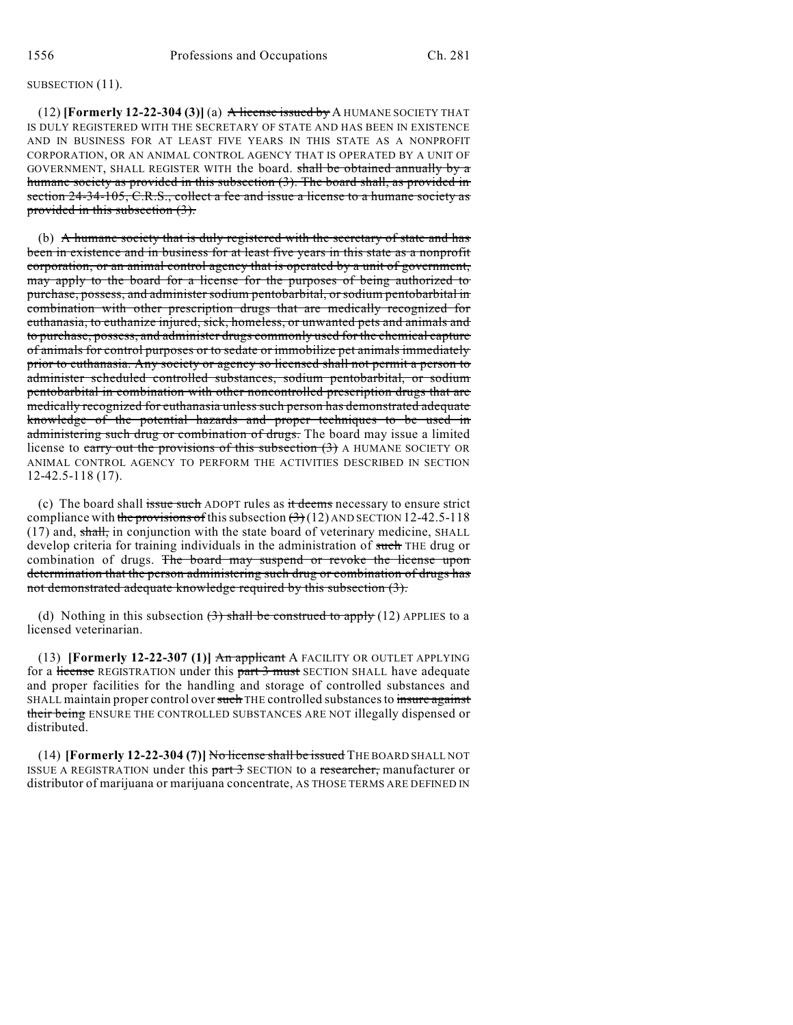#### SUBSECTION  $(11)$ .

(12) **[Formerly 12-22-304 (3)]** (a) A license issued by A HUMANE SOCIETY THAT IS DULY REGISTERED WITH THE SECRETARY OF STATE AND HAS BEEN IN EXISTENCE AND IN BUSINESS FOR AT LEAST FIVE YEARS IN THIS STATE AS A NONPROFIT CORPORATION, OR AN ANIMAL CONTROL AGENCY THAT IS OPERATED BY A UNIT OF GOVERNMENT, SHALL REGISTER WITH the board. shall be obtained annually by a humane society as provided in this subsection (3). The board shall, as provided in section 24-34-105, C.R.S., collect a fee and issue a license to a humane society as provided in this subsection (3).

(b) A humane society that is duly registered with the secretary of state and has been in existence and in business for at least five years in this state as a nonprofit corporation, or an animal control agency that is operated by a unit of government, may apply to the board for a license for the purposes of being authorized to purchase, possess, and administer sodium pentobarbital, or sodium pentobarbital in combination with other prescription drugs that are medically recognized for euthanasia, to euthanize injured, sick, homeless, or unwanted pets and animals and to purchase, possess, and administer drugs commonly used for the chemical capture of animals for control purposes or to sedate or immobilize pet animals immediately prior to euthanasia. Any society or agency so licensed shall not permit a person to administer scheduled controlled substances, sodium pentobarbital, or sodium pentobarbital in combination with other noncontrolled prescription drugs that are medically recognized for euthanasia unless such person has demonstrated adequate knowledge of the potential hazards and proper techniques to be used in administering such drug or combination of drugs. The board may issue a limited license to carry out the provisions of this subsection  $(3)$  A HUMANE SOCIETY OR ANIMAL CONTROL AGENCY TO PERFORM THE ACTIVITIES DESCRIBED IN SECTION 12-42.5-118 (17).

(c) The board shall issue such ADOPT rules as it deems necessary to ensure strict compliance with the provisions of this subsection  $(3)(12)$  AND SECTION 12-42.5-118  $(17)$  and, shall, in conjunction with the state board of veterinary medicine, SHALL develop criteria for training individuals in the administration of such THE drug or combination of drugs. The board may suspend or revoke the license upon determination that the person administering such drug or combination of drugs has not demonstrated adequate knowledge required by this subsection (3).

(d) Nothing in this subsection  $\left(\frac{3}{2}\right)$  shall be construed to apply (12) APPLIES to a licensed veterinarian.

(13) **[Formerly 12-22-307 (1)]** An applicant A FACILITY OR OUTLET APPLYING for a license REGISTRATION under this part 3 must SECTION SHALL have adequate and proper facilities for the handling and storage of controlled substances and SHALL maintain proper control over such THE controlled substances to insure against their being ENSURE THE CONTROLLED SUBSTANCES ARE NOT illegally dispensed or distributed.

(14) **[Formerly 12-22-304 (7)]** No license shall be issued THE BOARD SHALL NOT ISSUE A REGISTRATION under this part 3 SECTION to a researcher, manufacturer or distributor of marijuana or marijuana concentrate, AS THOSE TERMS ARE DEFINED IN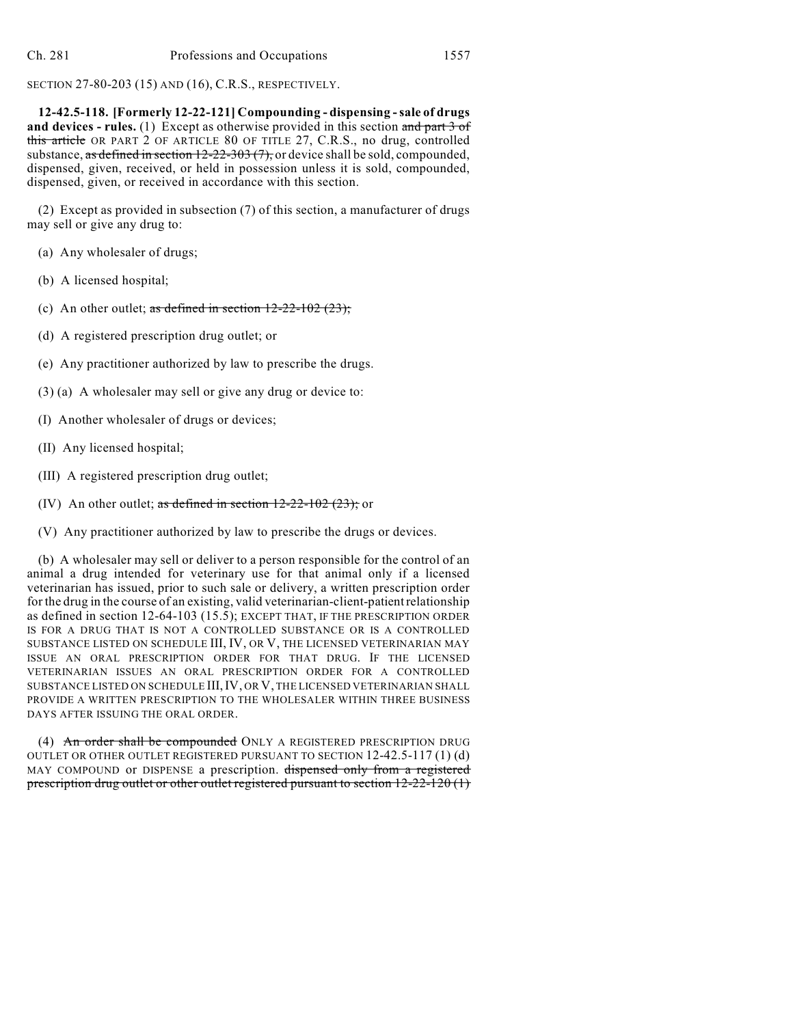SECTION 27-80-203 (15) AND (16), C.R.S., RESPECTIVELY.

**12-42.5-118. [Formerly 12-22-121] Compounding - dispensing -sale of drugs** and devices - rules. (1) Except as otherwise provided in this section and part 3 of this article OR PART 2 OF ARTICLE 80 OF TITLE 27, C.R.S., no drug, controlled substance, as defined in section  $12-22-303(7)$ , or device shall be sold, compounded, dispensed, given, received, or held in possession unless it is sold, compounded, dispensed, given, or received in accordance with this section.

(2) Except as provided in subsection (7) of this section, a manufacturer of drugs may sell or give any drug to:

- (a) Any wholesaler of drugs;
- (b) A licensed hospital;
- (c) An other outlet; as defined in section  $12-22-102$  (23);
- (d) A registered prescription drug outlet; or
- (e) Any practitioner authorized by law to prescribe the drugs.
- (3) (a) A wholesaler may sell or give any drug or device to:
- (I) Another wholesaler of drugs or devices;
- (II) Any licensed hospital;
- (III) A registered prescription drug outlet;
- (IV) An other outlet; as defined in section  $12{\text -}22{\text -}102$  (23); or
- (V) Any practitioner authorized by law to prescribe the drugs or devices.

(b) A wholesaler may sell or deliver to a person responsible for the control of an animal a drug intended for veterinary use for that animal only if a licensed veterinarian has issued, prior to such sale or delivery, a written prescription order for the drug in the course of an existing, valid veterinarian-client-patient relationship as defined in section 12-64-103 (15.5); EXCEPT THAT, IF THE PRESCRIPTION ORDER IS FOR A DRUG THAT IS NOT A CONTROLLED SUBSTANCE OR IS A CONTROLLED SUBSTANCE LISTED ON SCHEDULE III, IV, OR V, THE LICENSED VETERINARIAN MAY ISSUE AN ORAL PRESCRIPTION ORDER FOR THAT DRUG. IF THE LICENSED VETERINARIAN ISSUES AN ORAL PRESCRIPTION ORDER FOR A CONTROLLED SUBSTANCE LISTED ON SCHEDULE III,IV, OR V, THE LICENSED VETERINARIAN SHALL PROVIDE A WRITTEN PRESCRIPTION TO THE WHOLESALER WITHIN THREE BUSINESS DAYS AFTER ISSUING THE ORAL ORDER.

(4) An order shall be compounded ONLY A REGISTERED PRESCRIPTION DRUG OUTLET OR OTHER OUTLET REGISTERED PURSUANT TO SECTION 12-42.5-117 (1) (d) MAY COMPOUND or DISPENSE a prescription. dispensed only from a registered prescription drug outlet or other outlet registered pursuant to section 12-22-120 (1)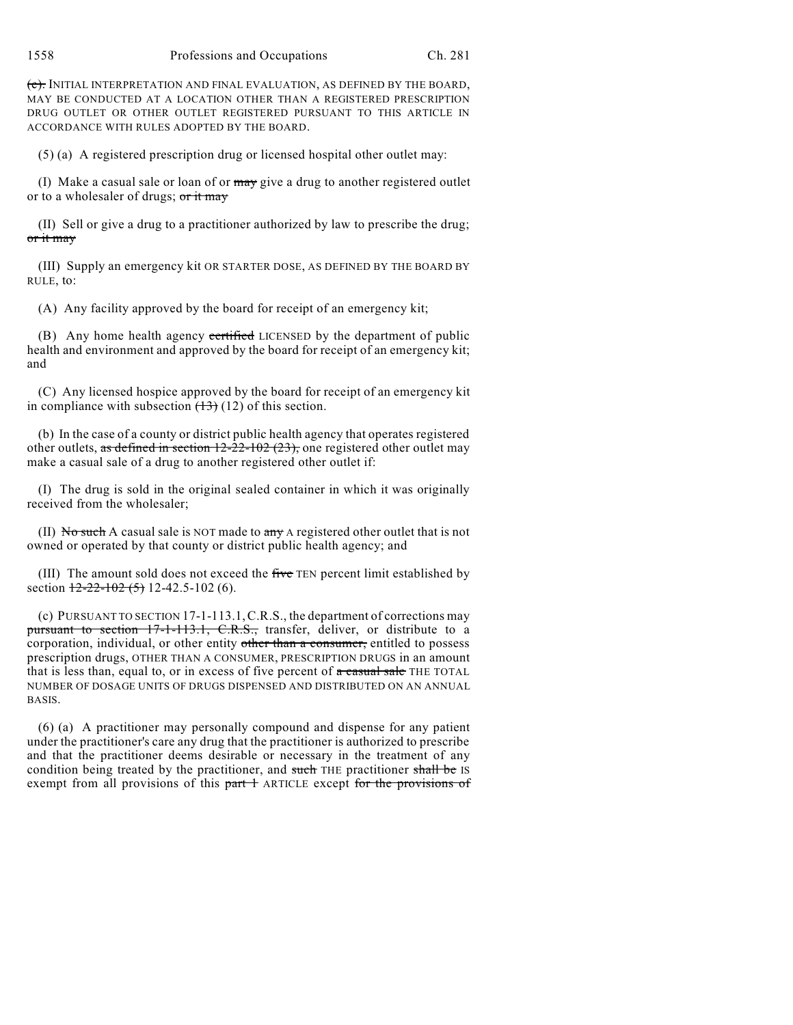(e). INITIAL INTERPRETATION AND FINAL EVALUATION, AS DEFINED BY THE BOARD, MAY BE CONDUCTED AT A LOCATION OTHER THAN A REGISTERED PRESCRIPTION DRUG OUTLET OR OTHER OUTLET REGISTERED PURSUANT TO THIS ARTICLE IN ACCORDANCE WITH RULES ADOPTED BY THE BOARD.

(5) (a) A registered prescription drug or licensed hospital other outlet may:

(I) Make a casual sale or loan of or  $\frac{may}{day}$  give a drug to another registered outlet or to a wholesaler of drugs; or it may

(II) Sell or give a drug to a practitioner authorized by law to prescribe the drug; or it may

(III) Supply an emergency kit OR STARTER DOSE, AS DEFINED BY THE BOARD BY RULE, to:

(A) Any facility approved by the board for receipt of an emergency kit;

(B) Any home health agency certified LICENSED by the department of public health and environment and approved by the board for receipt of an emergency kit; and

(C) Any licensed hospice approved by the board for receipt of an emergency kit in compliance with subsection  $(13)(12)$  of this section.

(b) In the case of a county or district public health agency that operates registered other outlets, as defined in section  $12-22-102$  (23), one registered other outlet may make a casual sale of a drug to another registered other outlet if:

(I) The drug is sold in the original sealed container in which it was originally received from the wholesaler;

(II) No such A casual sale is NOT made to  $\frac{any}{y}$  A registered other outlet that is not owned or operated by that county or district public health agency; and

(III) The amount sold does not exceed the five TEN percent limit established by section  $12-22-102(5)$  12-42.5-102 (6).

(c) PURSUANT TO SECTION 17-1-113.1,C.R.S., the department of corrections may pursuant to section 17-1-113.1, C.R.S., transfer, deliver, or distribute to a corporation, individual, or other entity other than a consumer, entitled to possess prescription drugs, OTHER THAN A CONSUMER, PRESCRIPTION DRUGS in an amount that is less than, equal to, or in excess of five percent of  $\alpha$  casual sale THE TOTAL NUMBER OF DOSAGE UNITS OF DRUGS DISPENSED AND DISTRIBUTED ON AN ANNUAL BASIS.

(6) (a) A practitioner may personally compound and dispense for any patient under the practitioner's care any drug that the practitioner is authorized to prescribe and that the practitioner deems desirable or necessary in the treatment of any condition being treated by the practitioner, and such THE practitioner shall be IS exempt from all provisions of this part 1 ARTICLE except for the provisions of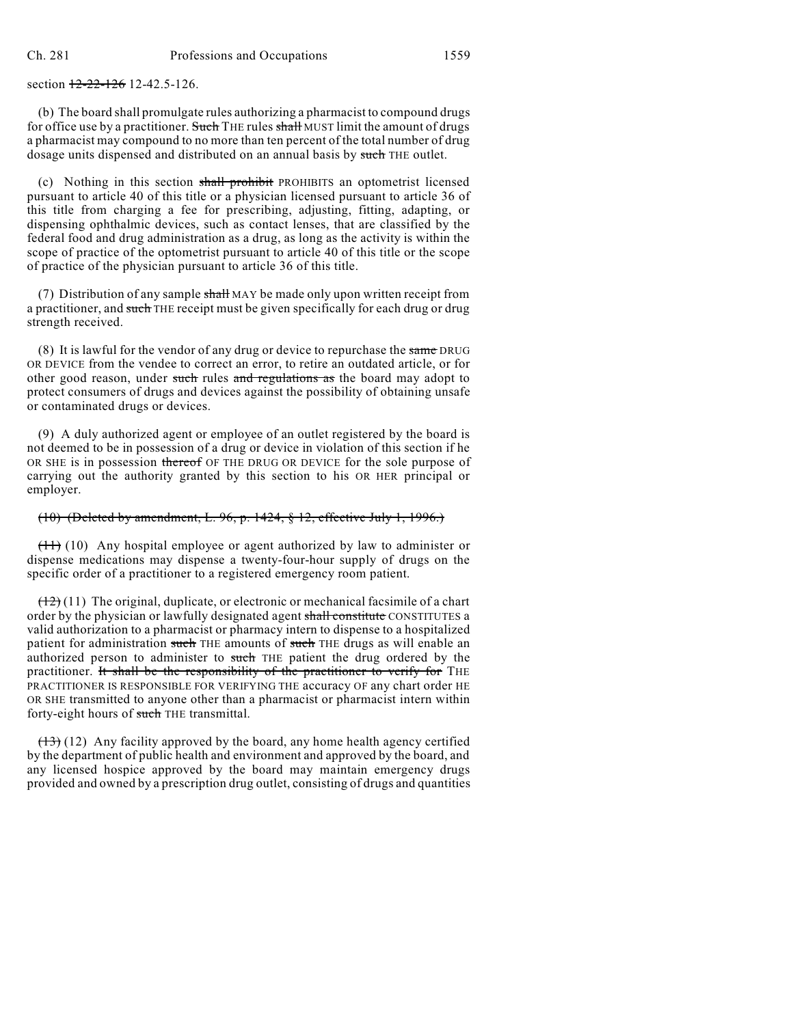section  $12-22-126$  12-42.5-126.

(b) The board shall promulgate rules authorizing a pharmacist to compound drugs for office use by a practitioner. Such THE rules shall MUST limit the amount of drugs a pharmacist may compound to no more than ten percent of the total number of drug dosage units dispensed and distributed on an annual basis by such THE outlet.

(c) Nothing in this section shall prohibit PROHIBITS an optometrist licensed pursuant to article 40 of this title or a physician licensed pursuant to article 36 of this title from charging a fee for prescribing, adjusting, fitting, adapting, or dispensing ophthalmic devices, such as contact lenses, that are classified by the federal food and drug administration as a drug, as long as the activity is within the scope of practice of the optometrist pursuant to article 40 of this title or the scope of practice of the physician pursuant to article 36 of this title.

(7) Distribution of any sample shall MAY be made only upon written receipt from a practitioner, and such THE receipt must be given specifically for each drug or drug strength received.

(8) It is lawful for the vendor of any drug or device to repurchase the same DRUG OR DEVICE from the vendee to correct an error, to retire an outdated article, or for other good reason, under such rules and regulations as the board may adopt to protect consumers of drugs and devices against the possibility of obtaining unsafe or contaminated drugs or devices.

(9) A duly authorized agent or employee of an outlet registered by the board is not deemed to be in possession of a drug or device in violation of this section if he OR SHE is in possession thereof OF THE DRUG OR DEVICE for the sole purpose of carrying out the authority granted by this section to his OR HER principal or employer.

#### (10) (Deleted by amendment, L. 96, p. 1424, § 12, effective July 1, 1996.)

 $(11)$  (10) Any hospital employee or agent authorized by law to administer or dispense medications may dispense a twenty-four-hour supply of drugs on the specific order of a practitioner to a registered emergency room patient.

 $(12)(11)$  The original, duplicate, or electronic or mechanical facsimile of a chart order by the physician or lawfully designated agent shall constitute CONSTITUTES a valid authorization to a pharmacist or pharmacy intern to dispense to a hospitalized patient for administration such THE amounts of such THE drugs as will enable an authorized person to administer to such THE patient the drug ordered by the practitioner. It shall be the responsibility of the practitioner to verify for THE PRACTITIONER IS RESPONSIBLE FOR VERIFYING THE accuracy OF any chart order HE OR SHE transmitted to anyone other than a pharmacist or pharmacist intern within forty-eight hours of such THE transmittal.

 $(13)$  (12) Any facility approved by the board, any home health agency certified by the department of public health and environment and approved by the board, and any licensed hospice approved by the board may maintain emergency drugs provided and owned by a prescription drug outlet, consisting of drugs and quantities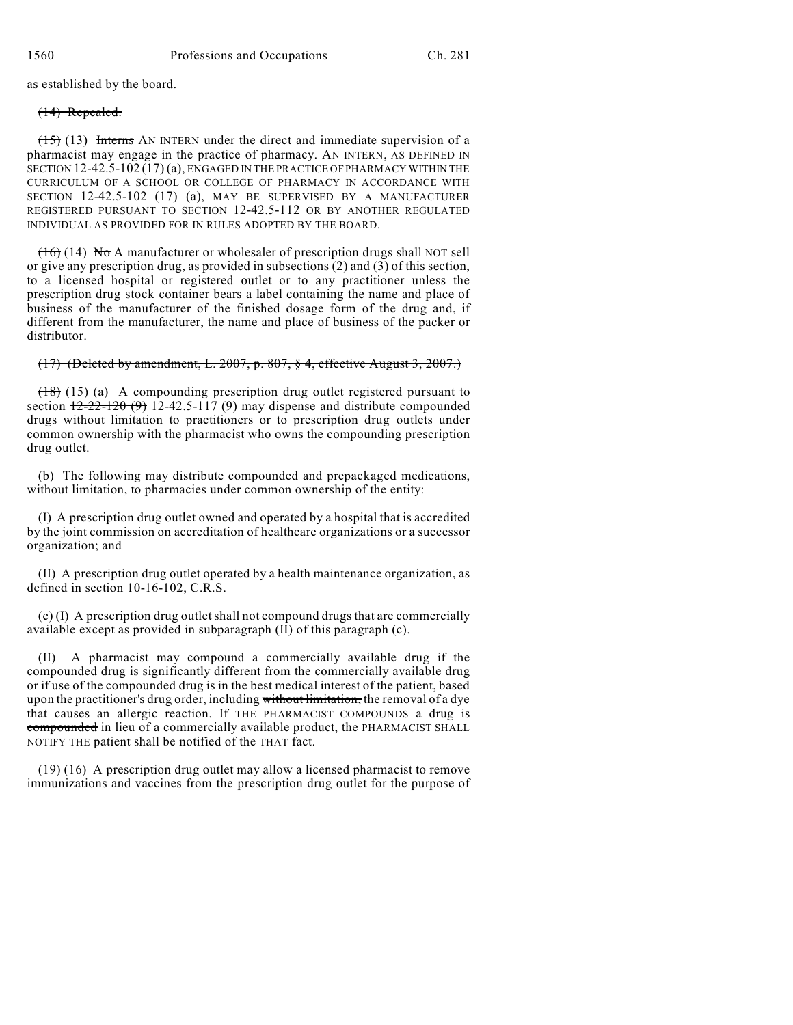as established by the board.

#### (14) Repealed.

(15) (13) Interns AN INTERN under the direct and immediate supervision of a pharmacist may engage in the practice of pharmacy. AN INTERN, AS DEFINED IN SECTION 12-42.5-102 (17) (a), ENGAGED IN THE PRACTICE OF PHARMACY WITHIN THE CURRICULUM OF A SCHOOL OR COLLEGE OF PHARMACY IN ACCORDANCE WITH SECTION 12-42.5-102 (17) (a), MAY BE SUPERVISED BY A MANUFACTURER REGISTERED PURSUANT TO SECTION 12-42.5-112 OR BY ANOTHER REGULATED INDIVIDUAL AS PROVIDED FOR IN RULES ADOPTED BY THE BOARD.

 $(16)$  (14) No A manufacturer or wholesaler of prescription drugs shall NOT sell or give any prescription drug, as provided in subsections (2) and (3) of this section, to a licensed hospital or registered outlet or to any practitioner unless the prescription drug stock container bears a label containing the name and place of business of the manufacturer of the finished dosage form of the drug and, if different from the manufacturer, the name and place of business of the packer or distributor.

## (17) (Deleted by amendment, L. 2007, p. 807, § 4, effective August 3, 2007.)

(18) (15) (a) A compounding prescription drug outlet registered pursuant to section  $\frac{12-22-120(9)}{2}$  12-42.5-117 (9) may dispense and distribute compounded drugs without limitation to practitioners or to prescription drug outlets under common ownership with the pharmacist who owns the compounding prescription drug outlet.

(b) The following may distribute compounded and prepackaged medications, without limitation, to pharmacies under common ownership of the entity:

(I) A prescription drug outlet owned and operated by a hospital that is accredited by the joint commission on accreditation of healthcare organizations or a successor organization; and

(II) A prescription drug outlet operated by a health maintenance organization, as defined in section 10-16-102, C.R.S.

(c) (I) A prescription drug outletshall not compound drugs that are commercially available except as provided in subparagraph (II) of this paragraph (c).

(II) A pharmacist may compound a commercially available drug if the compounded drug is significantly different from the commercially available drug or if use of the compounded drug is in the best medical interest of the patient, based upon the practitioner's drug order, including without limitation, the removal of a dye that causes an allergic reaction. If THE PHARMACIST COMPOUNDS a drug is compounded in lieu of a commercially available product, the PHARMACIST SHALL NOTIFY THE patient shall be notified of the THAT fact.

 $(19)$  (16) A prescription drug outlet may allow a licensed pharmacist to remove immunizations and vaccines from the prescription drug outlet for the purpose of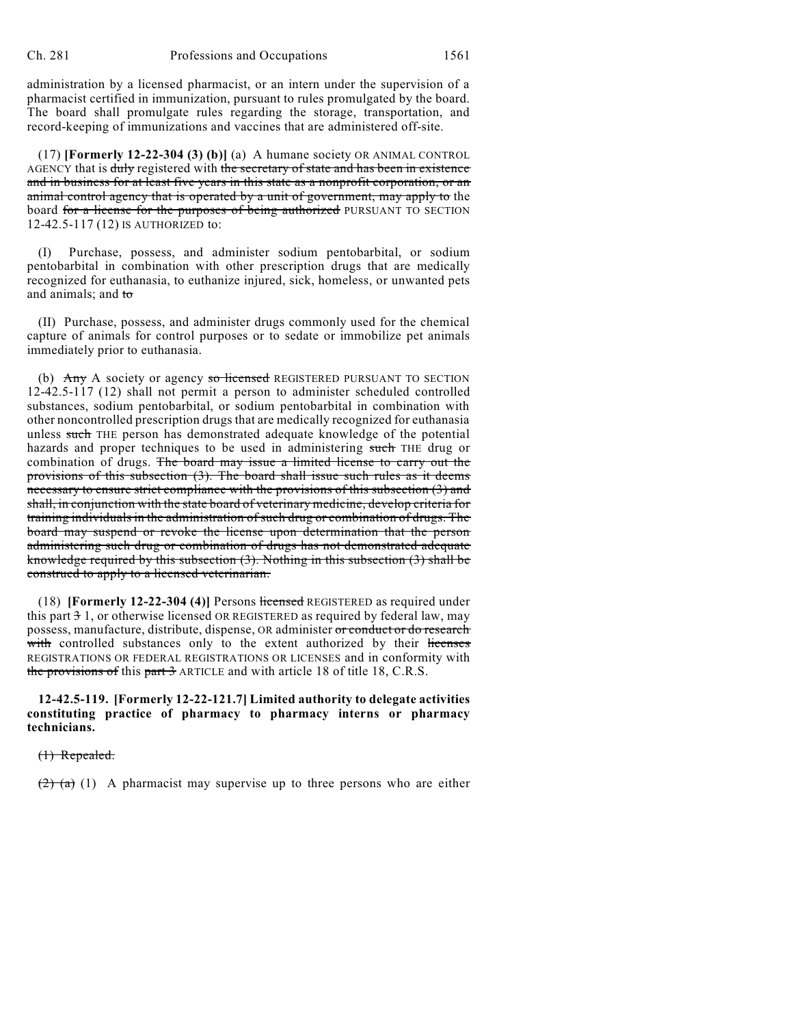administration by a licensed pharmacist, or an intern under the supervision of a pharmacist certified in immunization, pursuant to rules promulgated by the board. The board shall promulgate rules regarding the storage, transportation, and record-keeping of immunizations and vaccines that are administered off-site.

(17) **[Formerly 12-22-304 (3) (b)]** (a) A humane society OR ANIMAL CONTROL AGENCY that is duly registered with the secretary of state and has been in existence and in business for at least five years in this state as a nonprofit corporation, or an animal control agency that is operated by a unit of government, may apply to the board for a license for the purposes of being authorized PURSUANT TO SECTION 12-42.5-117 (12) IS AUTHORIZED to:

(I) Purchase, possess, and administer sodium pentobarbital, or sodium pentobarbital in combination with other prescription drugs that are medically recognized for euthanasia, to euthanize injured, sick, homeless, or unwanted pets and animals; and to

(II) Purchase, possess, and administer drugs commonly used for the chemical capture of animals for control purposes or to sedate or immobilize pet animals immediately prior to euthanasia.

(b) Any A society or agency so licensed REGISTERED PURSUANT TO SECTION 12-42.5-117 (12) shall not permit a person to administer scheduled controlled substances, sodium pentobarbital, or sodium pentobarbital in combination with other noncontrolled prescription drugs that are medically recognized for euthanasia unless such THE person has demonstrated adequate knowledge of the potential hazards and proper techniques to be used in administering such THE drug or combination of drugs. The board may issue a limited license to carry out the provisions of this subsection (3). The board shall issue such rules as it deems necessary to ensure strict compliance with the provisions of this subsection (3) and shall, in conjunction with the state board of veterinary medicine, develop criteria for training individuals in the administration of such drug or combination of drugs. The board may suspend or revoke the license upon determination that the person administering such drug or combination of drugs has not demonstrated adequate knowledge required by this subsection (3). Nothing in this subsection (3) shall be construed to apply to a licensed veterinarian.

(18) **[Formerly 12-22-304 (4)]** Persons licensed REGISTERED as required under this part 3 1, or otherwise licensed OR REGISTERED as required by federal law, may possess, manufacture, distribute, dispense, OR administer or conduct or do research with controlled substances only to the extent authorized by their licenses REGISTRATIONS OR FEDERAL REGISTRATIONS OR LICENSES and in conformity with the provisions of this part 3 ARTICLE and with article 18 of title 18, C.R.S.

**12-42.5-119. [Formerly 12-22-121.7] Limited authority to delegate activities constituting practice of pharmacy to pharmacy interns or pharmacy technicians.**

(1) Repealed.

 $(2)$  (a) (1) A pharmacist may supervise up to three persons who are either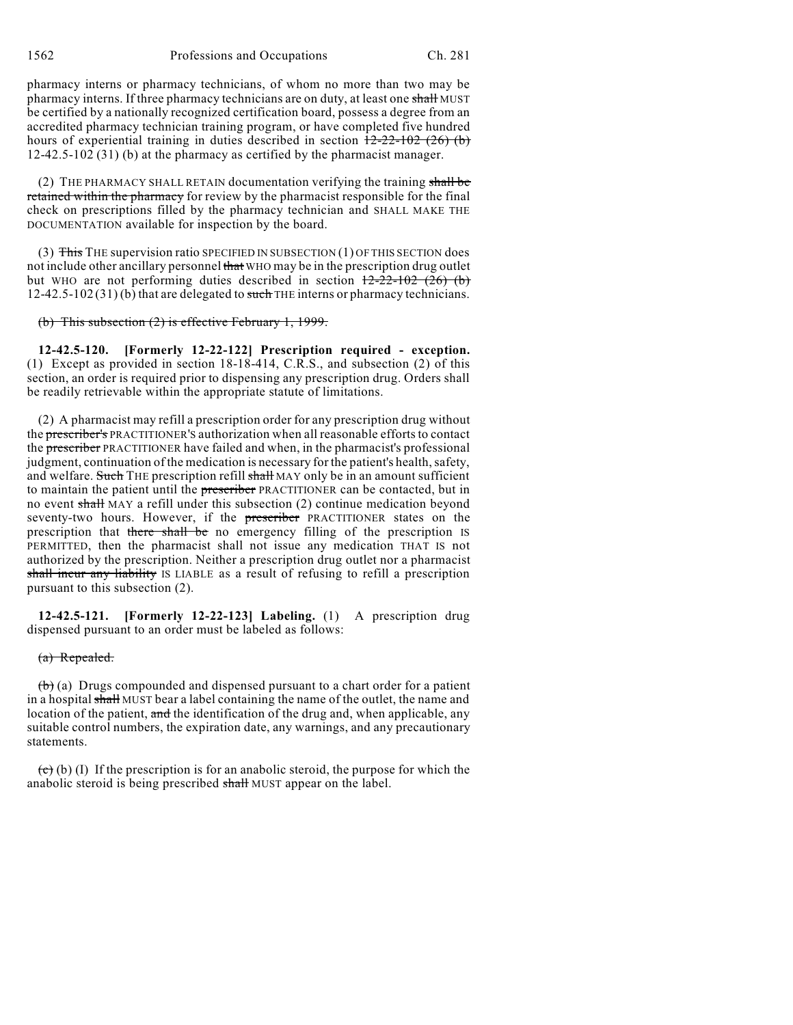1562 Professions and Occupations Ch. 281

pharmacy interns or pharmacy technicians, of whom no more than two may be pharmacy interns. If three pharmacy technicians are on duty, at least one shall MUST be certified by a nationally recognized certification board, possess a degree from an accredited pharmacy technician training program, or have completed five hundred hours of experiential training in duties described in section  $12-22-102$  (26) (b) 12-42.5-102 (31) (b) at the pharmacy as certified by the pharmacist manager.

(2) THE PHARMACY SHALL RETAIN documentation verifying the training shall be retained within the pharmacy for review by the pharmacist responsible for the final check on prescriptions filled by the pharmacy technician and SHALL MAKE THE DOCUMENTATION available for inspection by the board.

(3) This THE supervision ratio SPECIFIED IN SUBSECTION (1) OF THIS SECTION does not include other ancillary personnel that WHO may be in the prescription drug outlet but WHO are not performing duties described in section  $12-22-102$  (26) (b)  $12-42.5-102(31)$  (b) that are delegated to such THE interns or pharmacy technicians.

#### (b) This subsection (2) is effective February 1, 1999.

**12-42.5-120. [Formerly 12-22-122] Prescription required - exception.** (1) Except as provided in section 18-18-414, C.R.S., and subsection (2) of this section, an order is required prior to dispensing any prescription drug. Orders shall be readily retrievable within the appropriate statute of limitations.

(2) A pharmacist may refill a prescription order for any prescription drug without the prescriber's PRACTITIONER'S authorization when all reasonable efforts to contact the prescriber PRACTITIONER have failed and when, in the pharmacist's professional judgment, continuation of the medication is necessary for the patient's health, safety, and welfare. Such THE prescription refill shall MAY only be in an amount sufficient to maintain the patient until the prescriber PRACTITIONER can be contacted, but in no event shall MAY a refill under this subsection (2) continue medication beyond seventy-two hours. However, if the prescriber PRACTITIONER states on the prescription that there shall be no emergency filling of the prescription IS PERMITTED, then the pharmacist shall not issue any medication THAT IS not authorized by the prescription. Neither a prescription drug outlet nor a pharmacist shall incur any liability IS LIABLE as a result of refusing to refill a prescription pursuant to this subsection (2).

**12-42.5-121. [Formerly 12-22-123] Labeling.** (1) A prescription drug dispensed pursuant to an order must be labeled as follows:

#### (a) Repealed.

 $(b)$  (a) Drugs compounded and dispensed pursuant to a chart order for a patient in a hospital shall MUST bear a label containing the name of the outlet, the name and location of the patient, and the identification of the drug and, when applicable, any suitable control numbers, the expiration date, any warnings, and any precautionary statements.

 $\overline{(c)}$  (b) (I) If the prescription is for an anabolic steroid, the purpose for which the anabolic steroid is being prescribed shall MUST appear on the label.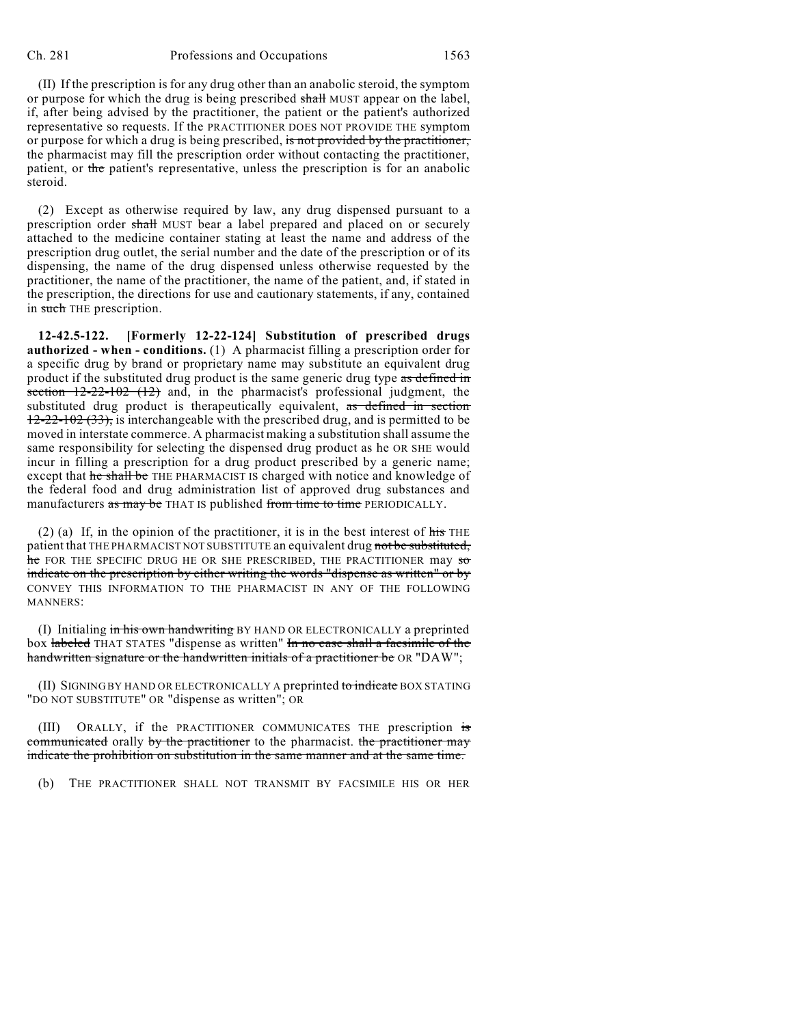(II) If the prescription is for any drug other than an anabolic steroid, the symptom or purpose for which the drug is being prescribed shall MUST appear on the label, if, after being advised by the practitioner, the patient or the patient's authorized representative so requests. If the PRACTITIONER DOES NOT PROVIDE THE symptom or purpose for which a drug is being prescribed, is not provided by the practitioner, the pharmacist may fill the prescription order without contacting the practitioner, patient, or the patient's representative, unless the prescription is for an anabolic steroid.

(2) Except as otherwise required by law, any drug dispensed pursuant to a prescription order shall MUST bear a label prepared and placed on or securely attached to the medicine container stating at least the name and address of the prescription drug outlet, the serial number and the date of the prescription or of its dispensing, the name of the drug dispensed unless otherwise requested by the practitioner, the name of the practitioner, the name of the patient, and, if stated in the prescription, the directions for use and cautionary statements, if any, contained in such THE prescription.

**12-42.5-122. [Formerly 12-22-124] Substitution of prescribed drugs authorized - when - conditions.** (1) A pharmacist filling a prescription order for a specific drug by brand or proprietary name may substitute an equivalent drug product if the substituted drug product is the same generic drug type as defined in section  $12-22-102$  (12) and, in the pharmacist's professional judgment, the substituted drug product is therapeutically equivalent, as defined in section  $12-22-102$  (33), is interchangeable with the prescribed drug, and is permitted to be moved in interstate commerce. A pharmacist making a substitution shall assume the same responsibility for selecting the dispensed drug product as he OR SHE would incur in filling a prescription for a drug product prescribed by a generic name; except that he shall be THE PHARMACIST IS charged with notice and knowledge of the federal food and drug administration list of approved drug substances and manufacturers as may be THAT IS published from time to time PERIODICALLY.

(2) (a) If, in the opinion of the practitioner, it is in the best interest of  $\frac{h}{h}$  THE patient that THE PHARMACIST NOT SUBSTITUTE an equivalent drug not be substituted,  $\frac{1}{2}$  for the specific drug he or she prescribed, the practitioner may so indicate on the prescription by either writing the words "dispense as written" or by CONVEY THIS INFORMATION TO THE PHARMACIST IN ANY OF THE FOLLOWING MANNERS:

(I) Initialing in his own handwriting BY HAND OR ELECTRONICALLY a preprinted box labeled THAT STATES "dispense as written" In no case shall a facsimile of the handwritten signature or the handwritten initials of a practitioner be OR "DAW";

(II) SIGNING BY HAND OR ELECTRONICALLY A preprinted to indicate BOX STATING "DO NOT SUBSTITUTE" OR "dispense as written"; OR

(III) ORALLY, if the PRACTITIONER COMMUNICATES THE prescription is communicated orally by the practitioner to the pharmacist. the practitioner may indicate the prohibition on substitution in the same manner and at the same time.

(b) THE PRACTITIONER SHALL NOT TRANSMIT BY FACSIMILE HIS OR HER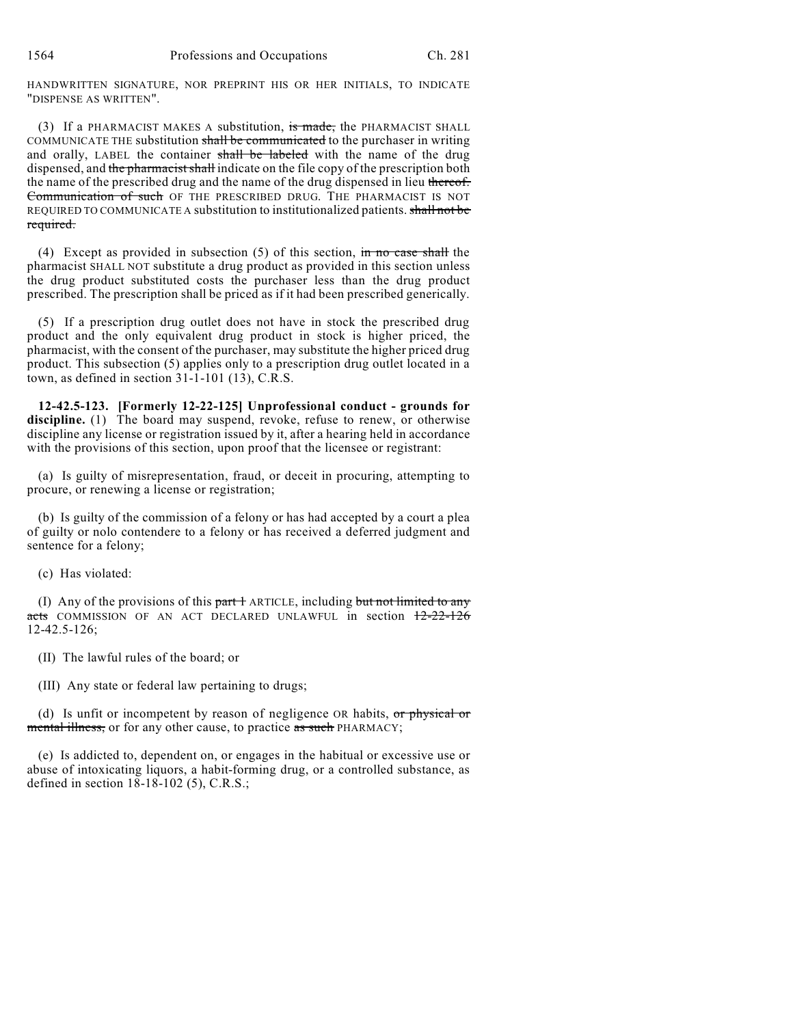HANDWRITTEN SIGNATURE, NOR PREPRINT HIS OR HER INITIALS, TO INDICATE "DISPENSE AS WRITTEN".

(3) If a PHARMACIST MAKES A substitution, is made, the PHARMACIST SHALL COMMUNICATE THE substitution shall be communicated to the purchaser in writing and orally, LABEL the container shall be labeled with the name of the drug dispensed, and the pharmacist shall indicate on the file copy of the prescription both the name of the prescribed drug and the name of the drug dispensed in lieu thereof. Communication of such OF THE PRESCRIBED DRUG. THE PHARMACIST IS NOT REQUIRED TO COMMUNICATE A substitution to institutionalized patients. shall not be required.

(4) Except as provided in subsection  $(5)$  of this section, in no case shall the pharmacist SHALL NOT substitute a drug product as provided in this section unless the drug product substituted costs the purchaser less than the drug product prescribed. The prescription shall be priced as if it had been prescribed generically.

(5) If a prescription drug outlet does not have in stock the prescribed drug product and the only equivalent drug product in stock is higher priced, the pharmacist, with the consent of the purchaser, may substitute the higher priced drug product. This subsection (5) applies only to a prescription drug outlet located in a town, as defined in section 31-1-101 (13), C.R.S.

**12-42.5-123. [Formerly 12-22-125] Unprofessional conduct - grounds for** discipline. (1) The board may suspend, revoke, refuse to renew, or otherwise discipline any license or registration issued by it, after a hearing held in accordance with the provisions of this section, upon proof that the licensee or registrant:

(a) Is guilty of misrepresentation, fraud, or deceit in procuring, attempting to procure, or renewing a license or registration;

(b) Is guilty of the commission of a felony or has had accepted by a court a plea of guilty or nolo contendere to a felony or has received a deferred judgment and sentence for a felony;

(c) Has violated:

(I) Any of the provisions of this  $part 1$  ARTICLE, including but not limited to any acts COMMISSION OF AN ACT DECLARED UNLAWFUL in section  $12-22-126$ 12-42.5-126;

(II) The lawful rules of the board; or

(III) Any state or federal law pertaining to drugs;

(d) Is unfit or incompetent by reason of negligence OR habits, or physical or mental illness, or for any other cause, to practice as such PHARMACY;

(e) Is addicted to, dependent on, or engages in the habitual or excessive use or abuse of intoxicating liquors, a habit-forming drug, or a controlled substance, as defined in section 18-18-102 (5), C.R.S.;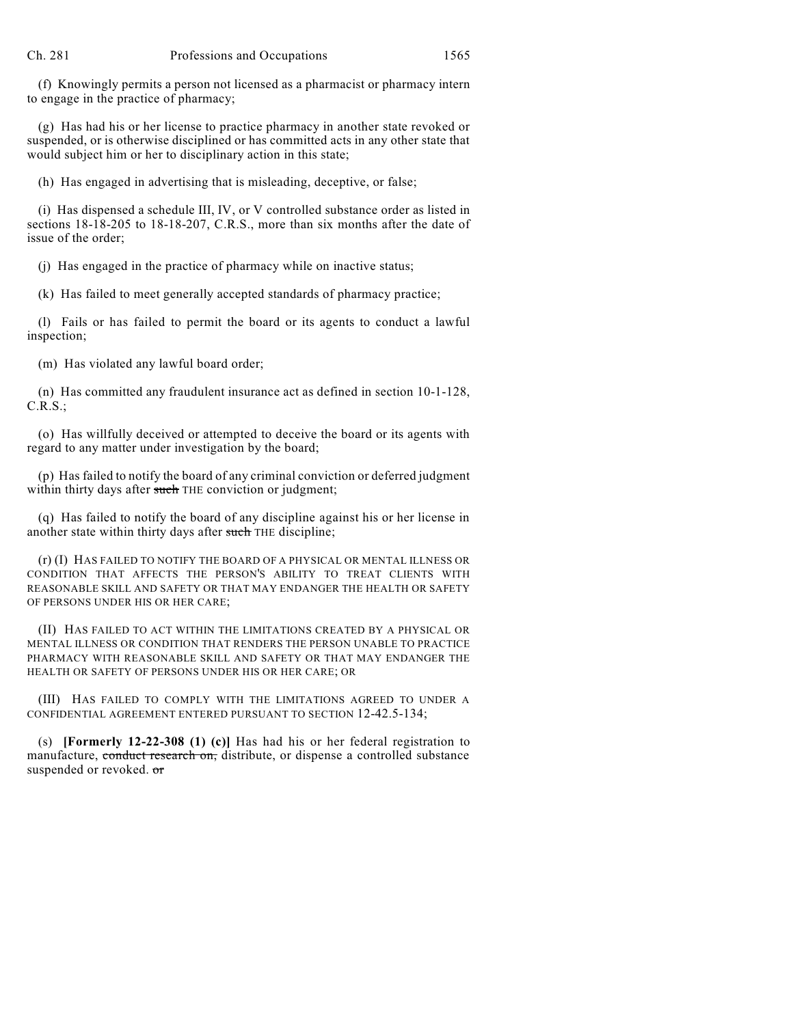(f) Knowingly permits a person not licensed as a pharmacist or pharmacy intern to engage in the practice of pharmacy;

(g) Has had his or her license to practice pharmacy in another state revoked or suspended, or is otherwise disciplined or has committed acts in any other state that would subject him or her to disciplinary action in this state;

(h) Has engaged in advertising that is misleading, deceptive, or false;

(i) Has dispensed a schedule III, IV, or V controlled substance order as listed in sections 18-18-205 to 18-18-207, C.R.S., more than six months after the date of issue of the order;

(j) Has engaged in the practice of pharmacy while on inactive status;

(k) Has failed to meet generally accepted standards of pharmacy practice;

(l) Fails or has failed to permit the board or its agents to conduct a lawful inspection;

(m) Has violated any lawful board order;

(n) Has committed any fraudulent insurance act as defined in section 10-1-128, C.R.S.;

(o) Has willfully deceived or attempted to deceive the board or its agents with regard to any matter under investigation by the board;

(p) Has failed to notify the board of any criminal conviction or deferred judgment within thirty days after such THE conviction or judgment;

(q) Has failed to notify the board of any discipline against his or her license in another state within thirty days after such THE discipline;

(r) (I) HAS FAILED TO NOTIFY THE BOARD OF A PHYSICAL OR MENTAL ILLNESS OR CONDITION THAT AFFECTS THE PERSON'S ABILITY TO TREAT CLIENTS WITH REASONABLE SKILL AND SAFETY OR THAT MAY ENDANGER THE HEALTH OR SAFETY OF PERSONS UNDER HIS OR HER CARE;

(II) HAS FAILED TO ACT WITHIN THE LIMITATIONS CREATED BY A PHYSICAL OR MENTAL ILLNESS OR CONDITION THAT RENDERS THE PERSON UNABLE TO PRACTICE PHARMACY WITH REASONABLE SKILL AND SAFETY OR THAT MAY ENDANGER THE HEALTH OR SAFETY OF PERSONS UNDER HIS OR HER CARE; OR

(III) HAS FAILED TO COMPLY WITH THE LIMITATIONS AGREED TO UNDER A CONFIDENTIAL AGREEMENT ENTERED PURSUANT TO SECTION 12-42.5-134;

(s) **[Formerly 12-22-308 (1) (c)]** Has had his or her federal registration to manufacture, conduct research on, distribute, or dispense a controlled substance suspended or revoked. or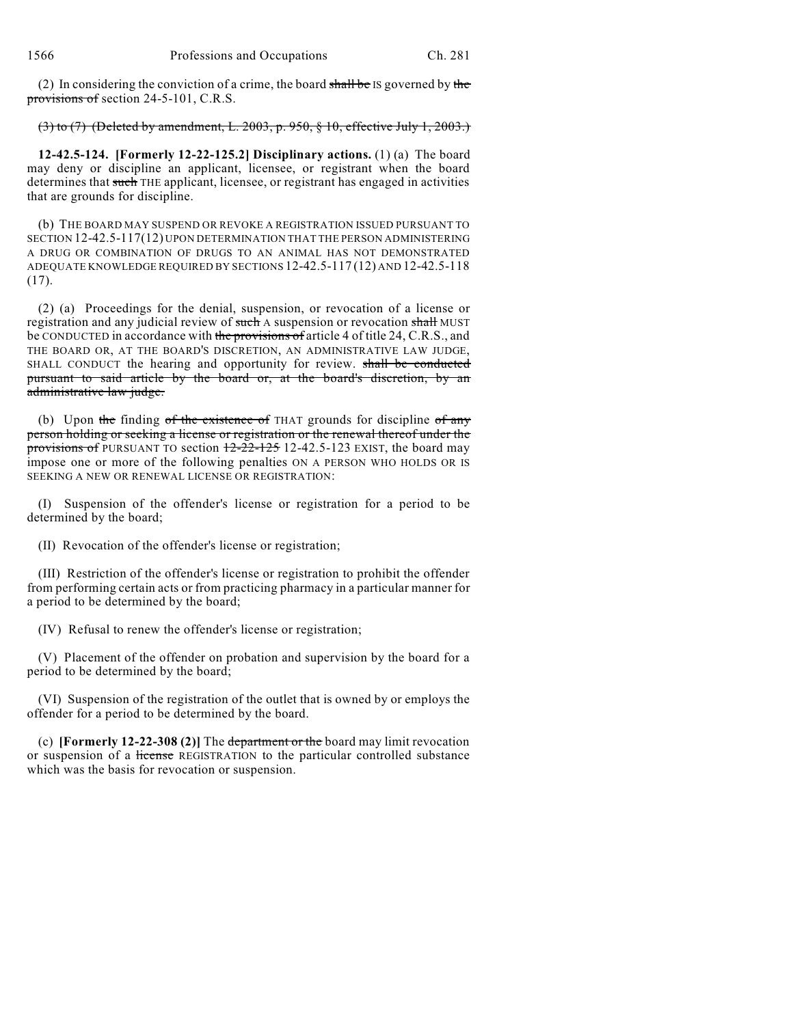(2) In considering the conviction of a crime, the board shall be IS governed by the provisions of section 24-5-101, C.R.S.

(3) to (7) (Deleted by amendment, L. 2003, p. 950, § 10, effective July 1, 2003.)

**12-42.5-124. [Formerly 12-22-125.2] Disciplinary actions.** (1) (a) The board may deny or discipline an applicant, licensee, or registrant when the board determines that such THE applicant, licensee, or registrant has engaged in activities that are grounds for discipline.

(b) THE BOARD MAY SUSPEND OR REVOKE A REGISTRATION ISSUED PURSUANT TO SECTION 12-42.5-117(12) UPON DETERMINATION THAT THE PERSON ADMINISTERING A DRUG OR COMBINATION OF DRUGS TO AN ANIMAL HAS NOT DEMONSTRATED ADEQUATE KNOWLEDGE REQUIRED BY SECTIONS 12-42.5-117 (12) AND 12-42.5-118 (17).

(2) (a) Proceedings for the denial, suspension, or revocation of a license or registration and any judicial review of such A suspension or revocation shall MUST be CONDUCTED in accordance with the provisions of article 4 of title 24, C.R.S., and THE BOARD OR, AT THE BOARD'S DISCRETION, AN ADMINISTRATIVE LAW JUDGE, SHALL CONDUCT the hearing and opportunity for review. shall be conducted pursuant to said article by the board or, at the board's discretion, by an administrative law judge.

(b) Upon the finding of the existence of THAT grounds for discipline of any person holding or seeking a license or registration or the renewal thereof under the provisions of PURSUANT TO section  $\frac{12-22-125}{2}$  12-42.5-123 EXIST, the board may impose one or more of the following penalties ON A PERSON WHO HOLDS OR IS SEEKING A NEW OR RENEWAL LICENSE OR REGISTRATION:

(I) Suspension of the offender's license or registration for a period to be determined by the board;

(II) Revocation of the offender's license or registration;

(III) Restriction of the offender's license or registration to prohibit the offender from performing certain acts or from practicing pharmacy in a particular manner for a period to be determined by the board;

(IV) Refusal to renew the offender's license or registration;

(V) Placement of the offender on probation and supervision by the board for a period to be determined by the board;

(VI) Suspension of the registration of the outlet that is owned by or employs the offender for a period to be determined by the board.

(c) **[Formerly 12-22-308 (2)]** The department or the board may limit revocation or suspension of a license REGISTRATION to the particular controlled substance which was the basis for revocation or suspension.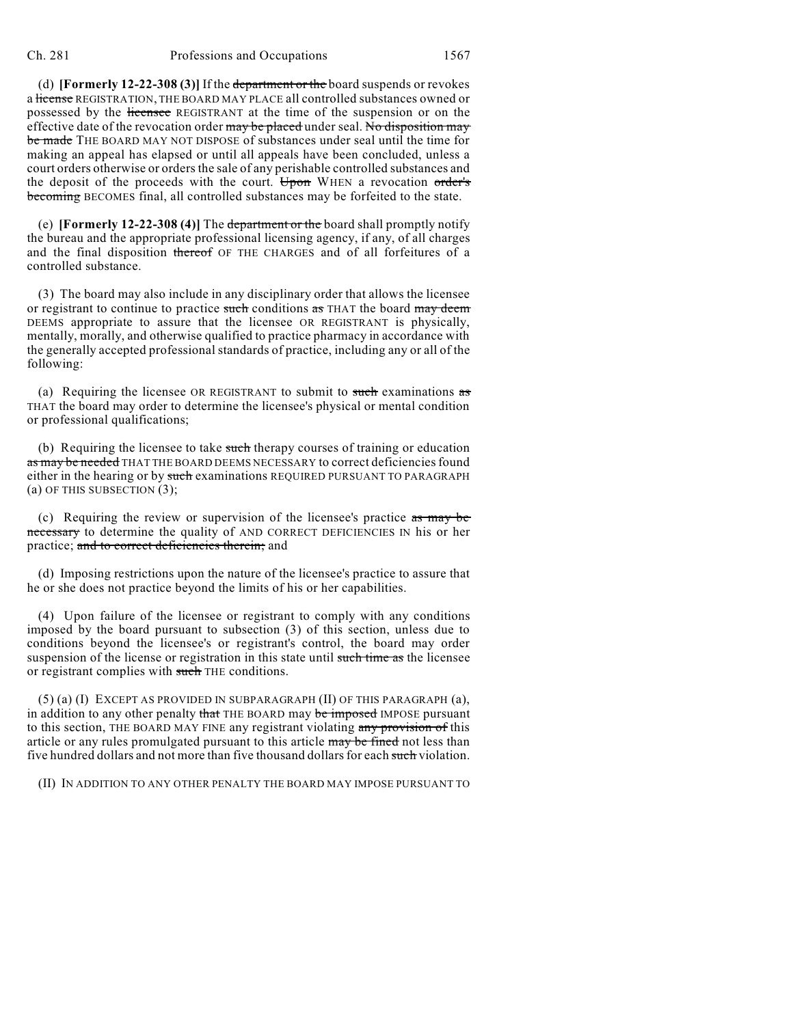(d) **[Formerly 12-22-308 (3)]** If the department or the board suspends or revokes a license REGISTRATION, THE BOARD MAY PLACE all controlled substances owned or possessed by the licensee REGISTRANT at the time of the suspension or on the effective date of the revocation order may be placed under seal. No disposition may be made THE BOARD MAY NOT DISPOSE of substances under seal until the time for making an appeal has elapsed or until all appeals have been concluded, unless a court orders otherwise or orders the sale of any perishable controlled substances and the deposit of the proceeds with the court. Upon WHEN a revocation order's becoming BECOMES final, all controlled substances may be forfeited to the state.

(e) **[Formerly 12-22-308 (4)]** The department or the board shall promptly notify the bureau and the appropriate professional licensing agency, if any, of all charges and the final disposition thereof OF THE CHARGES and of all forfeitures of a controlled substance.

(3) The board may also include in any disciplinary order that allows the licensee or registrant to continue to practice such conditions as THAT the board may deem DEEMS appropriate to assure that the licensee OR REGISTRANT is physically, mentally, morally, and otherwise qualified to practice pharmacy in accordance with the generally accepted professional standards of practice, including any or all of the following:

(a) Requiring the licensee OR REGISTRANT to submit to such examinations  $\frac{1}{\sqrt{2\pi}}$ THAT the board may order to determine the licensee's physical or mental condition or professional qualifications;

(b) Requiring the licensee to take such therapy courses of training or education as may be needed THAT THE BOARD DEEMS NECESSARY to correct deficiencies found either in the hearing or by such examinations REQUIRED PURSUANT TO PARAGRAPH (a) OF THIS SUBSECTION (3);

(c) Requiring the review or supervision of the licensee's practice as may be necessary to determine the quality of AND CORRECT DEFICIENCIES IN his or her practice; and to correct deficiencies therein; and

(d) Imposing restrictions upon the nature of the licensee's practice to assure that he or she does not practice beyond the limits of his or her capabilities.

(4) Upon failure of the licensee or registrant to comply with any conditions imposed by the board pursuant to subsection (3) of this section, unless due to conditions beyond the licensee's or registrant's control, the board may order suspension of the license or registration in this state until such time as the licensee or registrant complies with such THE conditions.

 $(5)$  (a) (I) EXCEPT AS PROVIDED IN SUBPARAGRAPH (II) OF THIS PARAGRAPH (a), in addition to any other penalty that THE BOARD may be imposed IMPOSE pursuant to this section, THE BOARD MAY FINE any registrant violating any provision of this article or any rules promulgated pursuant to this article may be fined not less than five hundred dollars and not more than five thousand dollars for each such violation.

(II) IN ADDITION TO ANY OTHER PENALTY THE BOARD MAY IMPOSE PURSUANT TO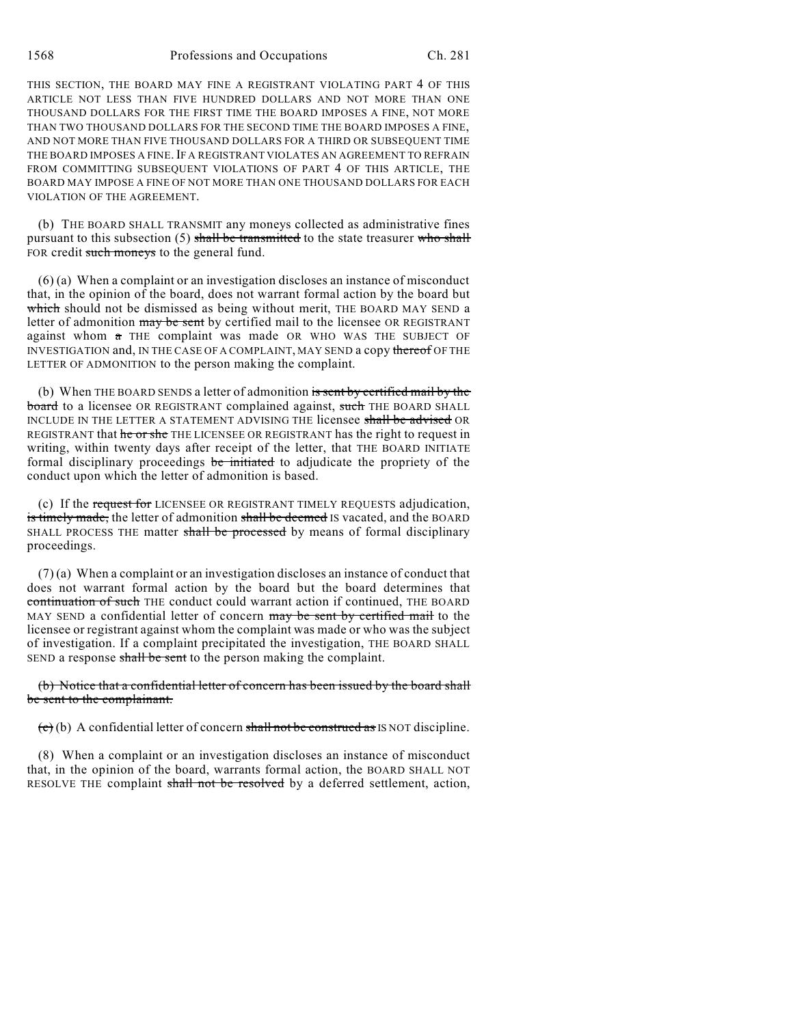THIS SECTION, THE BOARD MAY FINE A REGISTRANT VIOLATING PART 4 OF THIS ARTICLE NOT LESS THAN FIVE HUNDRED DOLLARS AND NOT MORE THAN ONE THOUSAND DOLLARS FOR THE FIRST TIME THE BOARD IMPOSES A FINE, NOT MORE THAN TWO THOUSAND DOLLARS FOR THE SECOND TIME THE BOARD IMPOSES A FINE, AND NOT MORE THAN FIVE THOUSAND DOLLARS FOR A THIRD OR SUBSEQUENT TIME THE BOARD IMPOSES A FINE. IF A REGISTRANT VIOLATES AN AGREEMENT TO REFRAIN FROM COMMITTING SUBSEQUENT VIOLATIONS OF PART 4 OF THIS ARTICLE, THE BOARD MAY IMPOSE A FINE OF NOT MORE THAN ONE THOUSAND DOLLARS FOR EACH VIOLATION OF THE AGREEMENT.

(b) THE BOARD SHALL TRANSMIT any moneys collected as administrative fines pursuant to this subsection (5) shall be transmitted to the state treasurer who shall FOR credit such moneys to the general fund.

(6) (a) When a complaint or an investigation discloses an instance of misconduct that, in the opinion of the board, does not warrant formal action by the board but which should not be dismissed as being without merit, THE BOARD MAY SEND a letter of admonition may be sent by certified mail to the licensee OR REGISTRANT against whom a THE complaint was made OR WHO WAS THE SUBJECT OF INVESTIGATION and, IN THE CASE OF A COMPLAINT, MAY SEND a copy thereof OF THE LETTER OF ADMONITION to the person making the complaint.

(b) When THE BOARD SENDS a letter of admonition is sent by certified mail by the **board** to a licensee OR REGISTRANT complained against, such THE BOARD SHALL INCLUDE IN THE LETTER A STATEMENT ADVISING THE licensee shall be advised OR REGISTRANT that he or she THE LICENSEE OR REGISTRANT has the right to request in writing, within twenty days after receipt of the letter, that THE BOARD INITIATE formal disciplinary proceedings be initiated to adjudicate the propriety of the conduct upon which the letter of admonition is based.

(c) If the request for LICENSEE OR REGISTRANT TIMELY REQUESTS adjudication, is timely made, the letter of admonition shall be deemed IS vacated, and the BOARD SHALL PROCESS THE matter shall be processed by means of formal disciplinary proceedings.

(7) (a) When a complaint or an investigation discloses an instance of conduct that does not warrant formal action by the board but the board determines that continuation of such THE conduct could warrant action if continued, THE BOARD MAY SEND a confidential letter of concern may be sent by certified mail to the licensee or registrant against whom the complaint was made or who was the subject of investigation. If a complaint precipitated the investigation, THE BOARD SHALL SEND a response shall be sent to the person making the complaint.

### (b) Notice that a confidential letter of concern has been issued by the board shall be sent to the complainant.

 $\overline{(c)}$  (b) A confidential letter of concern shall not be construed as IS NOT discipline.

(8) When a complaint or an investigation discloses an instance of misconduct that, in the opinion of the board, warrants formal action, the BOARD SHALL NOT RESOLVE THE complaint shall not be resolved by a deferred settlement, action,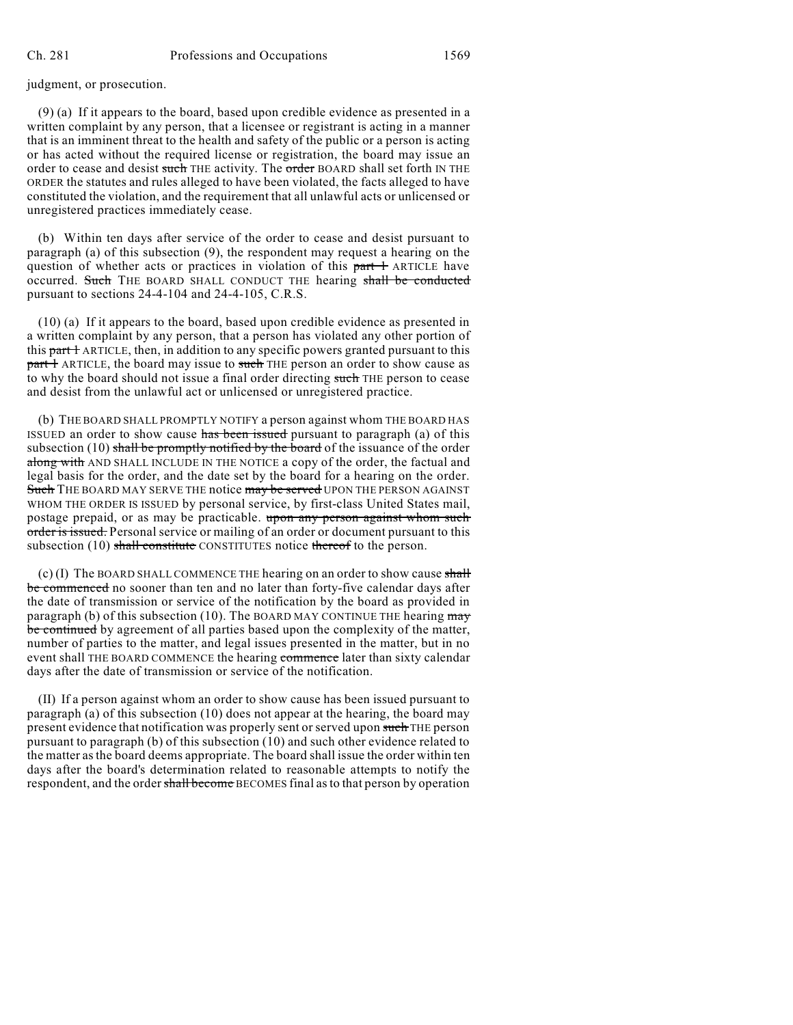judgment, or prosecution.

(9) (a) If it appears to the board, based upon credible evidence as presented in a written complaint by any person, that a licensee or registrant is acting in a manner that is an imminent threat to the health and safety of the public or a person is acting or has acted without the required license or registration, the board may issue an order to cease and desist such THE activity. The order BOARD shall set forth IN THE ORDER the statutes and rules alleged to have been violated, the facts alleged to have constituted the violation, and the requirement that all unlawful acts or unlicensed or unregistered practices immediately cease.

(b) Within ten days after service of the order to cease and desist pursuant to paragraph (a) of this subsection (9), the respondent may request a hearing on the question of whether acts or practices in violation of this part 1 ARTICLE have occurred. Such THE BOARD SHALL CONDUCT THE hearing shall be conducted pursuant to sections 24-4-104 and 24-4-105, C.R.S.

(10) (a) If it appears to the board, based upon credible evidence as presented in a written complaint by any person, that a person has violated any other portion of this part 1 ARTICLE, then, in addition to any specific powers granted pursuant to this part 1 ARTICLE, the board may issue to such THE person an order to show cause as to why the board should not issue a final order directing such THE person to cease and desist from the unlawful act or unlicensed or unregistered practice.

(b) THE BOARD SHALL PROMPTLY NOTIFY a person against whom THE BOARD HAS ISSUED an order to show cause has been issued pursuant to paragraph (a) of this subsection  $(10)$  shall be promptly notified by the board of the issuance of the order along with AND SHALL INCLUDE IN THE NOTICE a copy of the order, the factual and legal basis for the order, and the date set by the board for a hearing on the order. Such THE BOARD MAY SERVE THE notice may be served UPON THE PERSON AGAINST WHOM THE ORDER IS ISSUED by personal service, by first-class United States mail, postage prepaid, or as may be practicable. upon any person against whom such order is issued. Personal service or mailing of an order or document pursuant to this subsection (10) shall constitute CONSTITUTES notice thereof to the person.

(c) (I) The BOARD SHALL COMMENCE THE hearing on an order to show cause shall be commenced no sooner than ten and no later than forty-five calendar days after the date of transmission or service of the notification by the board as provided in paragraph (b) of this subsection (10). The BOARD MAY CONTINUE THE hearing  $\frac{may}{mg}$ be continued by agreement of all parties based upon the complexity of the matter, number of parties to the matter, and legal issues presented in the matter, but in no event shall THE BOARD COMMENCE the hearing commence later than sixty calendar days after the date of transmission or service of the notification.

(II) If a person against whom an order to show cause has been issued pursuant to paragraph (a) of this subsection  $(10)$  does not appear at the hearing, the board may present evidence that notification was properly sent or served upon such THE person pursuant to paragraph (b) of this subsection (10) and such other evidence related to the matter asthe board deems appropriate. The board shall issue the order within ten days after the board's determination related to reasonable attempts to notify the respondent, and the order shall become BECOMES final as to that person by operation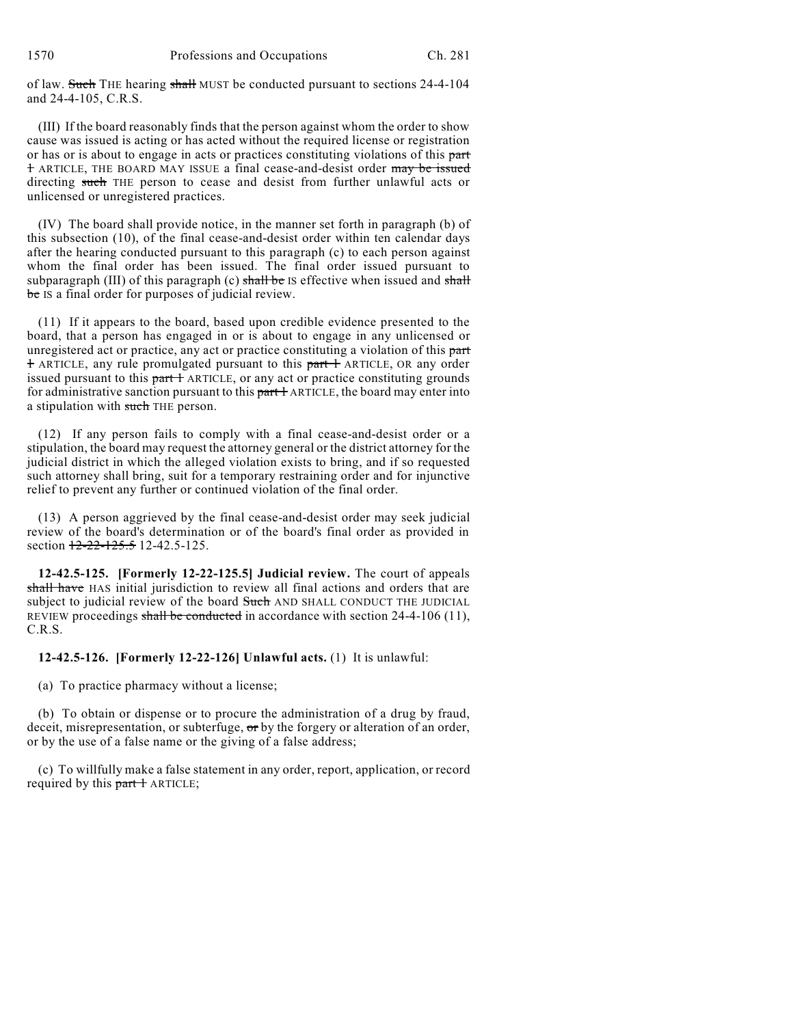of law. Such THE hearing shall MUST be conducted pursuant to sections 24-4-104 and 24-4-105, C.R.S.

(III) If the board reasonably finds that the person against whom the order to show cause was issued is acting or has acted without the required license or registration or has or is about to engage in acts or practices constituting violations of this part 1 ARTICLE, THE BOARD MAY ISSUE a final cease-and-desist order may be issued directing such THE person to cease and desist from further unlawful acts or unlicensed or unregistered practices.

(IV) The board shall provide notice, in the manner set forth in paragraph (b) of this subsection (10), of the final cease-and-desist order within ten calendar days after the hearing conducted pursuant to this paragraph (c) to each person against whom the final order has been issued. The final order issued pursuant to subparagraph (III) of this paragraph (c) shall be IS effective when issued and shall be IS a final order for purposes of judicial review.

(11) If it appears to the board, based upon credible evidence presented to the board, that a person has engaged in or is about to engage in any unlicensed or unregistered act or practice, any act or practice constituting a violation of this part <sup>1</sup> ARTICLE, any rule promulgated pursuant to this part <sup>1</sup> ARTICLE, OR any order issued pursuant to this  $part +$  ARTICLE, or any act or practice constituting grounds for administrative sanction pursuant to this  $part 1$  ARTICLE, the board may enter into a stipulation with such THE person.

(12) If any person fails to comply with a final cease-and-desist order or a stipulation, the board may request the attorney general or the district attorney for the judicial district in which the alleged violation exists to bring, and if so requested such attorney shall bring, suit for a temporary restraining order and for injunctive relief to prevent any further or continued violation of the final order.

(13) A person aggrieved by the final cease-and-desist order may seek judicial review of the board's determination or of the board's final order as provided in section 12-22-125.5 12-42.5-125.

**12-42.5-125. [Formerly 12-22-125.5] Judicial review.** The court of appeals shall have HAS initial jurisdiction to review all final actions and orders that are subject to judicial review of the board Such AND SHALL CONDUCT THE JUDICIAL REVIEW proceedings shall be conducted in accordance with section  $24-4-106$  (11), C.R.S.

**12-42.5-126. [Formerly 12-22-126] Unlawful acts.** (1) It is unlawful:

(a) To practice pharmacy without a license;

(b) To obtain or dispense or to procure the administration of a drug by fraud, deceit, misrepresentation, or subterfuge,  $\sigma r$  by the forgery or alteration of an order, or by the use of a false name or the giving of a false address;

(c) To willfully make a false statement in any order, report, application, or record required by this part 1 ARTICLE;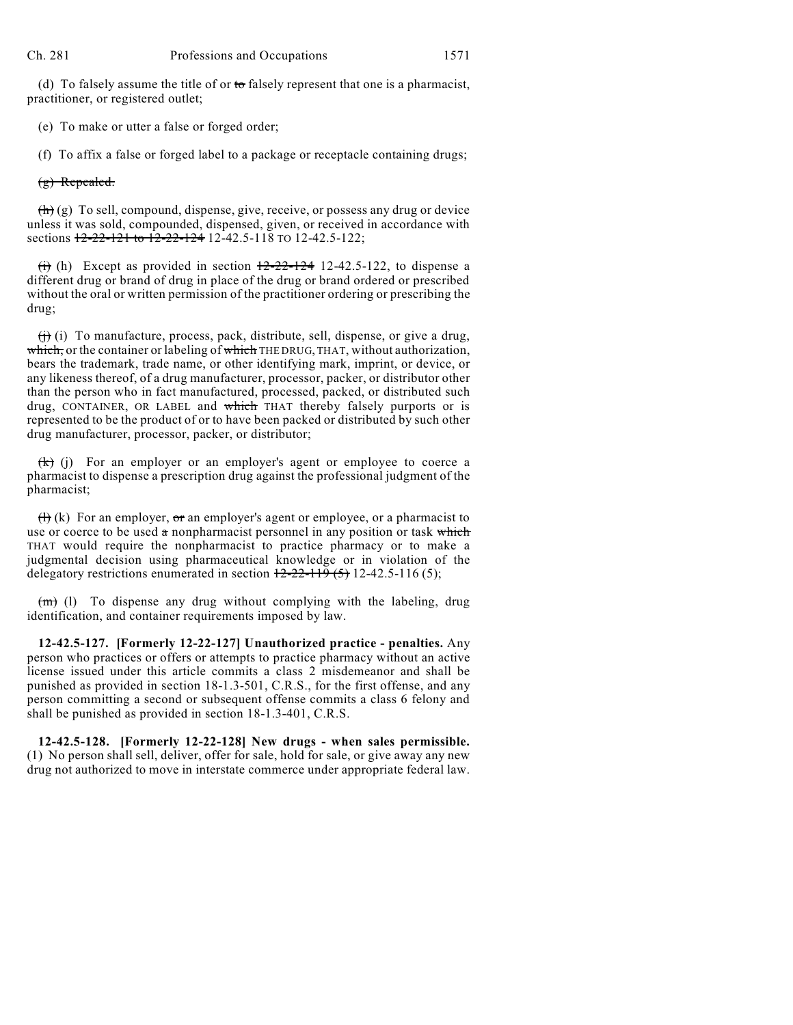(d) To falsely assume the title of or to falsely represent that one is a pharmacist, practitioner, or registered outlet;

(e) To make or utter a false or forged order;

(f) To affix a false or forged label to a package or receptacle containing drugs;

(g) Repealed.

 $(h)(g)$  To sell, compound, dispense, give, receive, or possess any drug or device unless it was sold, compounded, dispensed, given, or received in accordance with sections  $12-22-121$  to  $12-22-124$  12-42.5-118 TO 12-42.5-122;

(i) (h) Except as provided in section  $\frac{12-22-124}{2}$  12-42.5-122, to dispense a different drug or brand of drug in place of the drug or brand ordered or prescribed without the oral or written permission of the practitioner ordering or prescribing the drug;

 $\left(\frac{1}{1}\right)$  (i) To manufacture, process, pack, distribute, sell, dispense, or give a drug, which, or the container or labeling of which THE DRUG, THAT, without authorization, bears the trademark, trade name, or other identifying mark, imprint, or device, or any likeness thereof, of a drug manufacturer, processor, packer, or distributor other than the person who in fact manufactured, processed, packed, or distributed such drug, CONTAINER, OR LABEL and which THAT thereby falsely purports or is represented to be the product of or to have been packed or distributed by such other drug manufacturer, processor, packer, or distributor;

 $(k)$  (j) For an employer or an employer's agent or employee to coerce a pharmacist to dispense a prescription drug against the professional judgment of the pharmacist;

(h) (k) For an employer,  $\sigma$ r an employer's agent or employee, or a pharmacist to use or coerce to be used  $\alpha$  nonpharmacist personnel in any position or task which THAT would require the nonpharmacist to practice pharmacy or to make a judgmental decision using pharmaceutical knowledge or in violation of the delegatory restrictions enumerated in section  $12-22-119(5)$  12-42.5-116 (5);

 $(m)$  (l) To dispense any drug without complying with the labeling, drug identification, and container requirements imposed by law.

**12-42.5-127. [Formerly 12-22-127] Unauthorized practice - penalties.** Any person who practices or offers or attempts to practice pharmacy without an active license issued under this article commits a class 2 misdemeanor and shall be punished as provided in section 18-1.3-501, C.R.S., for the first offense, and any person committing a second or subsequent offense commits a class 6 felony and shall be punished as provided in section 18-1.3-401, C.R.S.

**12-42.5-128. [Formerly 12-22-128] New drugs - when sales permissible.** (1) No person shall sell, deliver, offer for sale, hold for sale, or give away any new drug not authorized to move in interstate commerce under appropriate federal law.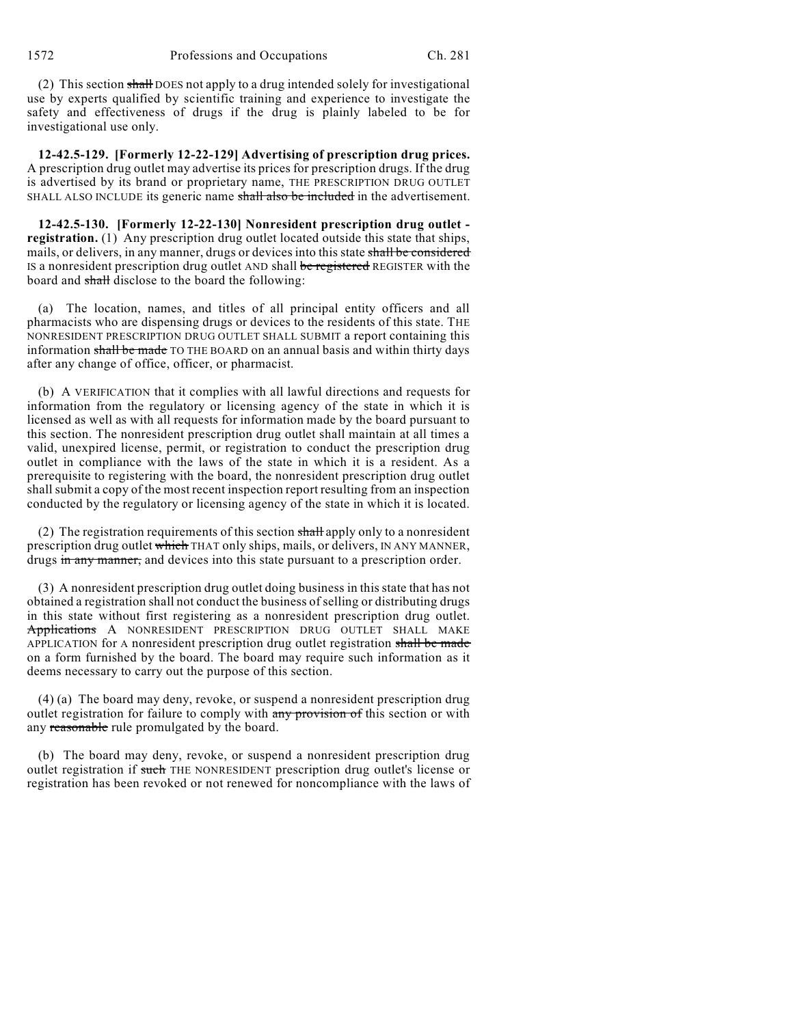(2) This section shall DOES not apply to a drug intended solely for investigational use by experts qualified by scientific training and experience to investigate the safety and effectiveness of drugs if the drug is plainly labeled to be for investigational use only.

**12-42.5-129. [Formerly 12-22-129] Advertising of prescription drug prices.** A prescription drug outlet may advertise its prices for prescription drugs. If the drug is advertised by its brand or proprietary name, THE PRESCRIPTION DRUG OUTLET SHALL ALSO INCLUDE its generic name shall also be included in the advertisement.

**12-42.5-130. [Formerly 12-22-130] Nonresident prescription drug outlet registration.** (1) Any prescription drug outlet located outside this state that ships, mails, or delivers, in any manner, drugs or devices into this state shall be considered IS a nonresident prescription drug outlet AND shall be registered REGISTER with the board and shall disclose to the board the following:

(a) The location, names, and titles of all principal entity officers and all pharmacists who are dispensing drugs or devices to the residents of this state. THE NONRESIDENT PRESCRIPTION DRUG OUTLET SHALL SUBMIT a report containing this information shall be made TO THE BOARD on an annual basis and within thirty days after any change of office, officer, or pharmacist.

(b) A VERIFICATION that it complies with all lawful directions and requests for information from the regulatory or licensing agency of the state in which it is licensed as well as with all requests for information made by the board pursuant to this section. The nonresident prescription drug outlet shall maintain at all times a valid, unexpired license, permit, or registration to conduct the prescription drug outlet in compliance with the laws of the state in which it is a resident. As a prerequisite to registering with the board, the nonresident prescription drug outlet shall submit a copy of the most recent inspection report resulting from an inspection conducted by the regulatory or licensing agency of the state in which it is located.

(2) The registration requirements of this section  $\frac{1}{n}$  apply only to a nonresident prescription drug outlet which THAT only ships, mails, or delivers, IN ANY MANNER, drugs in any manner, and devices into this state pursuant to a prescription order.

(3) A nonresident prescription drug outlet doing business in this state that has not obtained a registration shall not conduct the business of selling or distributing drugs in this state without first registering as a nonresident prescription drug outlet. Applications A NONRESIDENT PRESCRIPTION DRUG OUTLET SHALL MAKE APPLICATION for A nonresident prescription drug outlet registration shall be made on a form furnished by the board. The board may require such information as it deems necessary to carry out the purpose of this section.

(4) (a) The board may deny, revoke, or suspend a nonresident prescription drug outlet registration for failure to comply with any provision of this section or with any reasonable rule promulgated by the board.

(b) The board may deny, revoke, or suspend a nonresident prescription drug outlet registration if such THE NONRESIDENT prescription drug outlet's license or registration has been revoked or not renewed for noncompliance with the laws of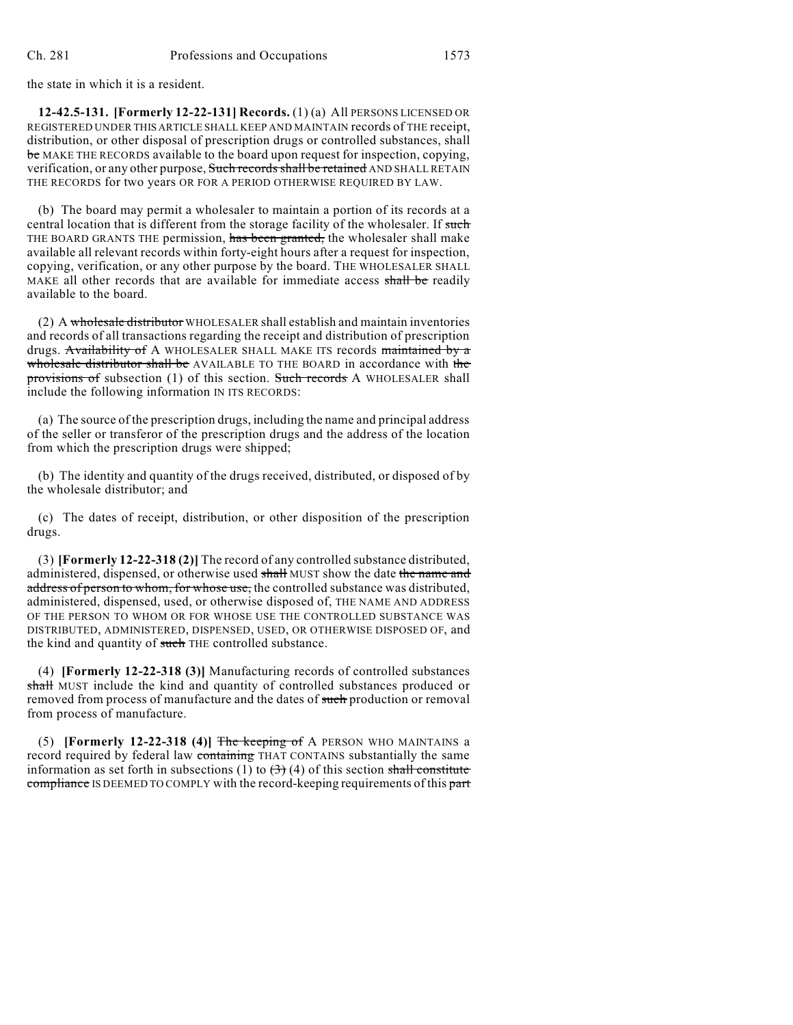the state in which it is a resident.

**12-42.5-131. [Formerly 12-22-131] Records.** (1) (a) All PERSONS LICENSED OR REGISTERED UNDER THIS ARTICLE SHALL KEEP AND MAINTAIN records of THE receipt, distribution, or other disposal of prescription drugs or controlled substances, shall be MAKE THE RECORDS available to the board upon request for inspection, copying, verification, or any other purpose, Such records shall be retained AND SHALL RETAIN THE RECORDS for two years OR FOR A PERIOD OTHERWISE REQUIRED BY LAW.

(b) The board may permit a wholesaler to maintain a portion of its records at a central location that is different from the storage facility of the wholesaler. If such THE BOARD GRANTS THE permission, has been granted, the wholesaler shall make available all relevant records within forty-eight hours after a request for inspection, copying, verification, or any other purpose by the board. THE WHOLESALER SHALL MAKE all other records that are available for immediate access shall be readily available to the board.

(2) A wholesale distributor WHOLESALER shall establish and maintain inventories and records of all transactions regarding the receipt and distribution of prescription drugs. Availability of A WHOLESALER SHALL MAKE ITS records maintained by a wholesale distributor shall be AVAILABLE TO THE BOARD in accordance with the provisions of subsection (1) of this section. Such records A WHOLESALER shall include the following information IN ITS RECORDS:

(a) The source of the prescription drugs, including the name and principal address of the seller or transferor of the prescription drugs and the address of the location from which the prescription drugs were shipped;

(b) The identity and quantity of the drugs received, distributed, or disposed of by the wholesale distributor; and

(c) The dates of receipt, distribution, or other disposition of the prescription drugs.

(3) **[Formerly 12-22-318 (2)]** The record of any controlled substance distributed, administered, dispensed, or otherwise used shall MUST show the date the name and address of person to whom, for whose use, the controlled substance was distributed, administered, dispensed, used, or otherwise disposed of, THE NAME AND ADDRESS OF THE PERSON TO WHOM OR FOR WHOSE USE THE CONTROLLED SUBSTANCE WAS DISTRIBUTED, ADMINISTERED, DISPENSED, USED, OR OTHERWISE DISPOSED OF, and the kind and quantity of such THE controlled substance.

(4) **[Formerly 12-22-318 (3)]** Manufacturing records of controlled substances shall MUST include the kind and quantity of controlled substances produced or removed from process of manufacture and the dates of such production or removal from process of manufacture.

(5) **[Formerly 12-22-318 (4)]** The keeping of A PERSON WHO MAINTAINS a record required by federal law containing THAT CONTAINS substantially the same information as set forth in subsections (1) to  $(3)$  (4) of this section shall constitute compliance IS DEEMED TO COMPLY with the record-keeping requirements of this part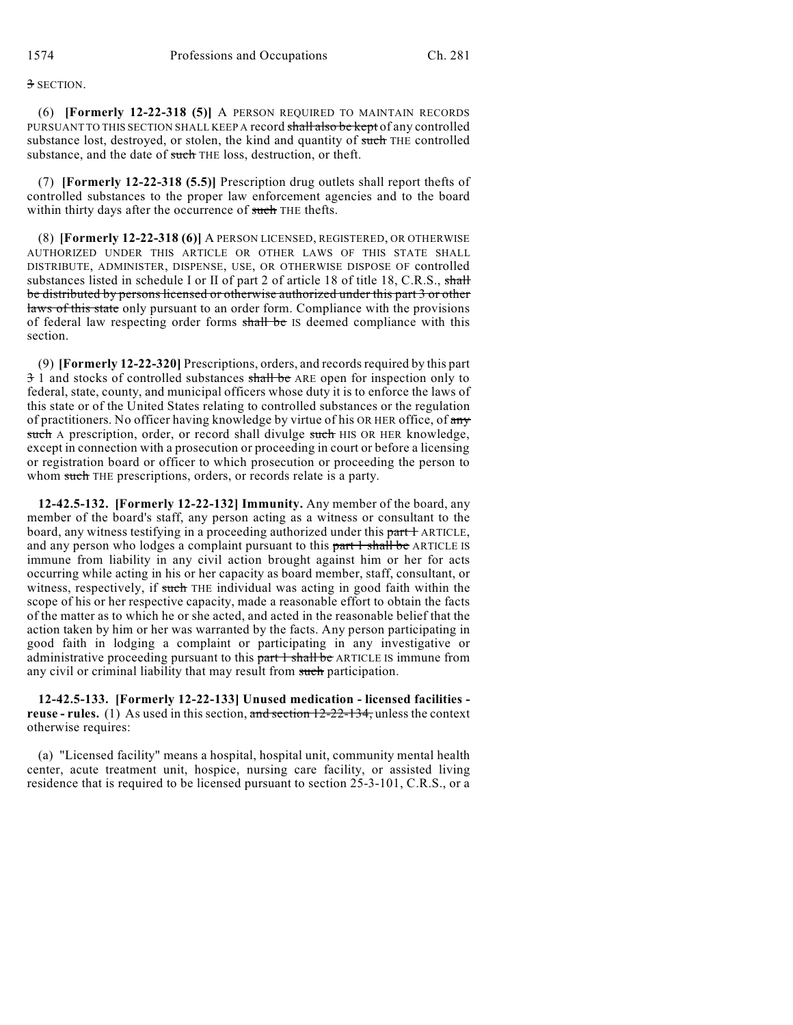# 3 SECTION.

(6) **[Formerly 12-22-318 (5)]** A PERSON REQUIRED TO MAINTAIN RECORDS PURSUANT TO THIS SECTION SHALL KEEP A record shall also be kept of any controlled substance lost, destroyed, or stolen, the kind and quantity of such THE controlled substance, and the date of such THE loss, destruction, or theft.

(7) **[Formerly 12-22-318 (5.5)]** Prescription drug outlets shall report thefts of controlled substances to the proper law enforcement agencies and to the board within thirty days after the occurrence of such THE thefts.

(8) **[Formerly 12-22-318 (6)]** A PERSON LICENSED, REGISTERED, OR OTHERWISE AUTHORIZED UNDER THIS ARTICLE OR OTHER LAWS OF THIS STATE SHALL DISTRIBUTE, ADMINISTER, DISPENSE, USE, OR OTHERWISE DISPOSE OF controlled substances listed in schedule I or II of part 2 of article 18 of title 18, C.R.S., shall be distributed by persons licensed or otherwise authorized under this part 3 or other laws of this state only pursuant to an order form. Compliance with the provisions of federal law respecting order forms shall be IS deemed compliance with this section.

(9) **[Formerly 12-22-320]** Prescriptions, orders, and recordsrequired by this part 3 1 and stocks of controlled substances shall be ARE open for inspection only to federal, state, county, and municipal officers whose duty it is to enforce the laws of this state or of the United States relating to controlled substances or the regulation of practitioners. No officer having knowledge by virtue of his OR HER office, of any such A prescription, order, or record shall divulge such HIS OR HER knowledge, except in connection with a prosecution or proceeding in court or before a licensing or registration board or officer to which prosecution or proceeding the person to whom such THE prescriptions, orders, or records relate is a party.

**12-42.5-132. [Formerly 12-22-132] Immunity.** Any member of the board, any member of the board's staff, any person acting as a witness or consultant to the board, any witness testifying in a proceeding authorized under this part + ARTICLE, and any person who lodges a complaint pursuant to this part 1 shall be ARTICLE IS immune from liability in any civil action brought against him or her for acts occurring while acting in his or her capacity as board member, staff, consultant, or witness, respectively, if such THE individual was acting in good faith within the scope of his or her respective capacity, made a reasonable effort to obtain the facts of the matter as to which he or she acted, and acted in the reasonable belief that the action taken by him or her was warranted by the facts. Any person participating in good faith in lodging a complaint or participating in any investigative or administrative proceeding pursuant to this part 1 shall be ARTICLE IS immune from any civil or criminal liability that may result from such participation.

**12-42.5-133. [Formerly 12-22-133] Unused medication - licensed facilities reuse - rules.** (1) As used in this section, and section 12-22-134, unless the context otherwise requires:

(a) "Licensed facility" means a hospital, hospital unit, community mental health center, acute treatment unit, hospice, nursing care facility, or assisted living residence that is required to be licensed pursuant to section 25-3-101, C.R.S., or a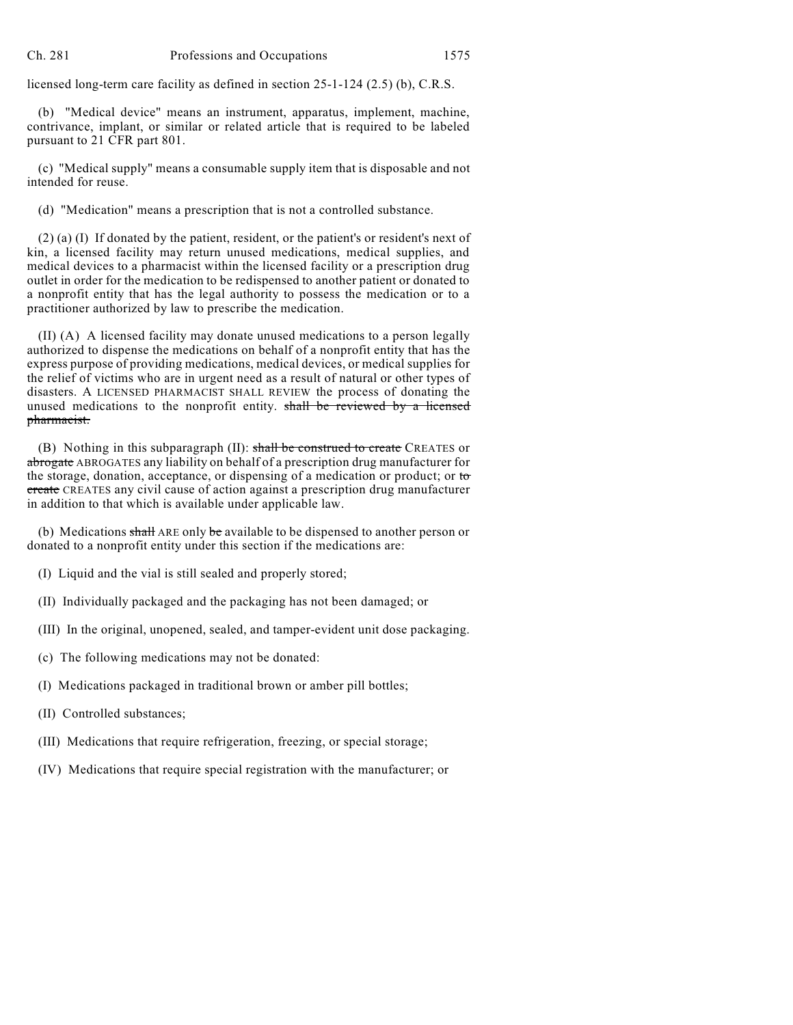licensed long-term care facility as defined in section 25-1-124 (2.5) (b), C.R.S.

(b) "Medical device" means an instrument, apparatus, implement, machine, contrivance, implant, or similar or related article that is required to be labeled pursuant to 21 CFR part 801.

(c) "Medical supply" means a consumable supply item that is disposable and not intended for reuse.

(d) "Medication" means a prescription that is not a controlled substance.

(2) (a) (I) If donated by the patient, resident, or the patient's or resident's next of kin, a licensed facility may return unused medications, medical supplies, and medical devices to a pharmacist within the licensed facility or a prescription drug outlet in order for the medication to be redispensed to another patient or donated to a nonprofit entity that has the legal authority to possess the medication or to a practitioner authorized by law to prescribe the medication.

(II) (A) A licensed facility may donate unused medications to a person legally authorized to dispense the medications on behalf of a nonprofit entity that has the express purpose of providing medications, medical devices, or medical supplies for the relief of victims who are in urgent need as a result of natural or other types of disasters. A LICENSED PHARMACIST SHALL REVIEW the process of donating the unused medications to the nonprofit entity. shall be reviewed by a licensed pharmacist.

(B) Nothing in this subparagraph (II): shall be construed to create CREATES or abrogate ABROGATES any liability on behalf of a prescription drug manufacturer for the storage, donation, acceptance, or dispensing of a medication or product; or to create CREATES any civil cause of action against a prescription drug manufacturer in addition to that which is available under applicable law.

(b) Medications  $\frac{\text{shall}}{\text{ARE}}$  ARE only be available to be dispensed to another person or donated to a nonprofit entity under this section if the medications are:

(I) Liquid and the vial is still sealed and properly stored;

- (II) Individually packaged and the packaging has not been damaged; or
- (III) In the original, unopened, sealed, and tamper-evident unit dose packaging.
- (c) The following medications may not be donated:
- (I) Medications packaged in traditional brown or amber pill bottles;
- (II) Controlled substances;
- (III) Medications that require refrigeration, freezing, or special storage;
- (IV) Medications that require special registration with the manufacturer; or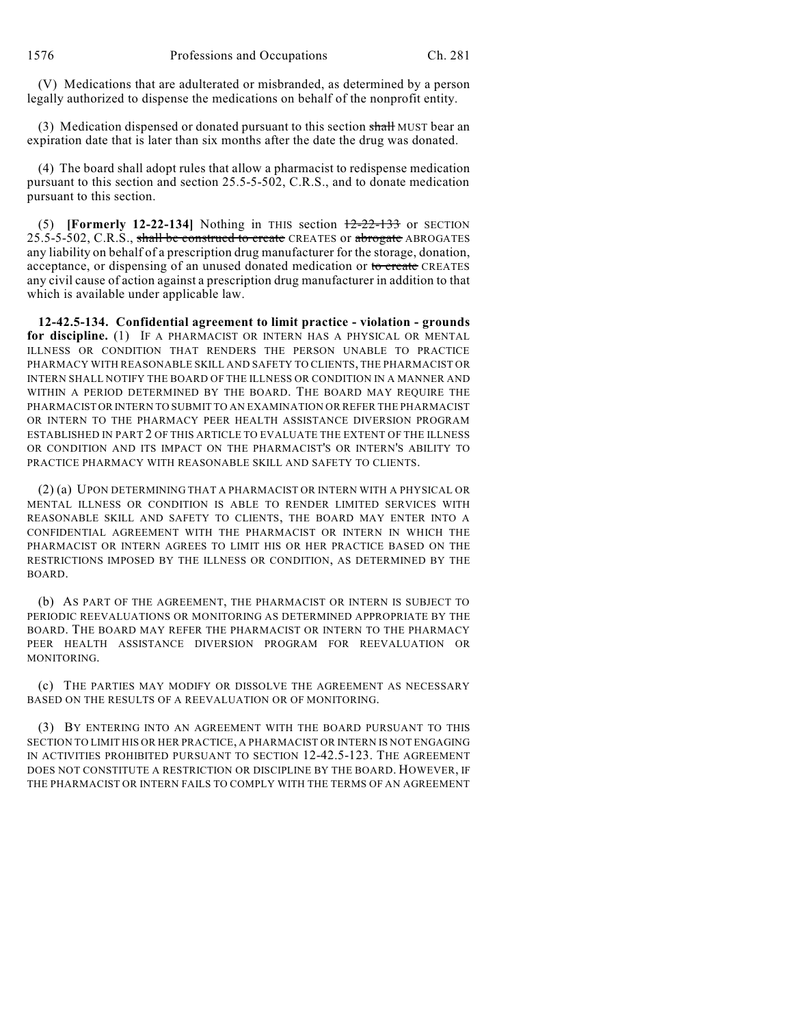(V) Medications that are adulterated or misbranded, as determined by a person legally authorized to dispense the medications on behalf of the nonprofit entity.

(3) Medication dispensed or donated pursuant to this section shall MUST bear an expiration date that is later than six months after the date the drug was donated.

(4) The board shall adopt rules that allow a pharmacist to redispense medication pursuant to this section and section 25.5-5-502, C.R.S., and to donate medication pursuant to this section.

(5) **[Formerly 12-22-134]** Nothing in THIS section 12-22-133 or SECTION 25.5-5-502, C.R.S., shall be construed to create CREATES or abrogate ABROGATES any liability on behalf of a prescription drug manufacturer for the storage, donation, acceptance, or dispensing of an unused donated medication or to create CREATES any civil cause of action against a prescription drug manufacturer in addition to that which is available under applicable law.

**12-42.5-134. Confidential agreement to limit practice - violation - grounds for discipline.** (1) IF A PHARMACIST OR INTERN HAS A PHYSICAL OR MENTAL ILLNESS OR CONDITION THAT RENDERS THE PERSON UNABLE TO PRACTICE PHARMACY WITH REASONABLE SKILL AND SAFETY TO CLIENTS, THE PHARMACIST OR INTERN SHALL NOTIFY THE BOARD OF THE ILLNESS OR CONDITION IN A MANNER AND WITHIN A PERIOD DETERMINED BY THE BOARD. THE BOARD MAY REQUIRE THE PHARMACIST OR INTERN TO SUBMIT TO AN EXAMINATION OR REFER THE PHARMACIST OR INTERN TO THE PHARMACY PEER HEALTH ASSISTANCE DIVERSION PROGRAM ESTABLISHED IN PART 2 OF THIS ARTICLE TO EVALUATE THE EXTENT OF THE ILLNESS OR CONDITION AND ITS IMPACT ON THE PHARMACIST'S OR INTERN'S ABILITY TO PRACTICE PHARMACY WITH REASONABLE SKILL AND SAFETY TO CLIENTS.

(2) (a) UPON DETERMINING THAT A PHARMACIST OR INTERN WITH A PHYSICAL OR MENTAL ILLNESS OR CONDITION IS ABLE TO RENDER LIMITED SERVICES WITH REASONABLE SKILL AND SAFETY TO CLIENTS, THE BOARD MAY ENTER INTO A CONFIDENTIAL AGREEMENT WITH THE PHARMACIST OR INTERN IN WHICH THE PHARMACIST OR INTERN AGREES TO LIMIT HIS OR HER PRACTICE BASED ON THE RESTRICTIONS IMPOSED BY THE ILLNESS OR CONDITION, AS DETERMINED BY THE BOARD.

(b) AS PART OF THE AGREEMENT, THE PHARMACIST OR INTERN IS SUBJECT TO PERIODIC REEVALUATIONS OR MONITORING AS DETERMINED APPROPRIATE BY THE BOARD. THE BOARD MAY REFER THE PHARMACIST OR INTERN TO THE PHARMACY PEER HEALTH ASSISTANCE DIVERSION PROGRAM FOR REEVALUATION OR MONITORING.

(c) THE PARTIES MAY MODIFY OR DISSOLVE THE AGREEMENT AS NECESSARY BASED ON THE RESULTS OF A REEVALUATION OR OF MONITORING.

(3) BY ENTERING INTO AN AGREEMENT WITH THE BOARD PURSUANT TO THIS SECTION TO LIMIT HIS OR HER PRACTICE, A PHARMACIST OR INTERN IS NOT ENGAGING IN ACTIVITIES PROHIBITED PURSUANT TO SECTION 12-42.5-123. THE AGREEMENT DOES NOT CONSTITUTE A RESTRICTION OR DISCIPLINE BY THE BOARD. HOWEVER, IF THE PHARMACIST OR INTERN FAILS TO COMPLY WITH THE TERMS OF AN AGREEMENT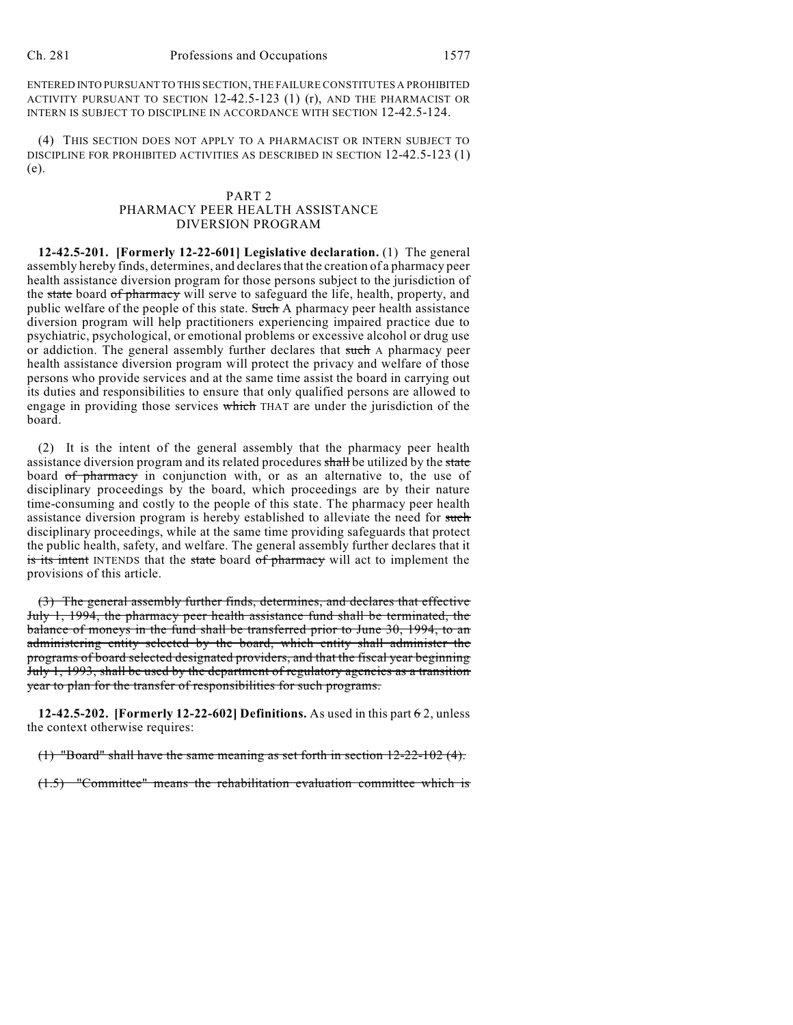ENTERED INTO PURSUANT TO THIS SECTION, THE FAILURE CONSTITUTES A PROHIBITED ACTIVITY PURSUANT TO SECTION 12-42.5-123 (1) (r), AND THE PHARMACIST OR INTERN IS SUBJECT TO DISCIPLINE IN ACCORDANCE WITH SECTION 12-42.5-124.

(4) THIS SECTION DOES NOT APPLY TO A PHARMACIST OR INTERN SUBJECT TO DISCIPLINE FOR PROHIBITED ACTIVITIES AS DESCRIBED IN SECTION 12-42.5-123 (1) (e).

### PART 2 PHARMACY PEER HEALTH ASSISTANCE DIVERSION PROGRAM

**12-42.5-201. [Formerly 12-22-601] Legislative declaration.** (1) The general assembly hereby finds, determines, and declaresthat the creation of a pharmacy peer health assistance diversion program for those persons subject to the jurisdiction of the state board of pharmacy will serve to safeguard the life, health, property, and public welfare of the people of this state. Such A pharmacy peer health assistance diversion program will help practitioners experiencing impaired practice due to psychiatric, psychological, or emotional problems or excessive alcohol or drug use or addiction. The general assembly further declares that such A pharmacy peer health assistance diversion program will protect the privacy and welfare of those persons who provide services and at the same time assist the board in carrying out its duties and responsibilities to ensure that only qualified persons are allowed to engage in providing those services which THAT are under the jurisdiction of the board.

(2) It is the intent of the general assembly that the pharmacy peer health assistance diversion program and its related procedures shall be utilized by the state board of pharmacy in conjunction with, or as an alternative to, the use of disciplinary proceedings by the board, which proceedings are by their nature time-consuming and costly to the people of this state. The pharmacy peer health assistance diversion program is hereby established to alleviate the need for such disciplinary proceedings, while at the same time providing safeguards that protect the public health, safety, and welfare. The general assembly further declares that it is its intent INTENDS that the state board of pharmacy will act to implement the provisions of this article.

(3) The general assembly further finds, determines, and declares that effective July 1, 1994, the pharmacy peer health assistance fund shall be terminated, the balance of moneys in the fund shall be transferred prior to June 30, 1994, to an administering entity selected by the board, which entity shall administer the programs of board selected designated providers, and that the fiscal year beginning July 1, 1993, shall be used by the department of regulatory agencies as a transition year to plan for the transfer of responsibilities for such programs.

**12-42.5-202. [Formerly 12-22-602] Definitions.** As used in this part 6 2, unless the context otherwise requires:

(1) "Board" shall have the same meaning as set forth in section 12-22-102 (4).

(1.5) "Committee" means the rehabilitation evaluation committee which is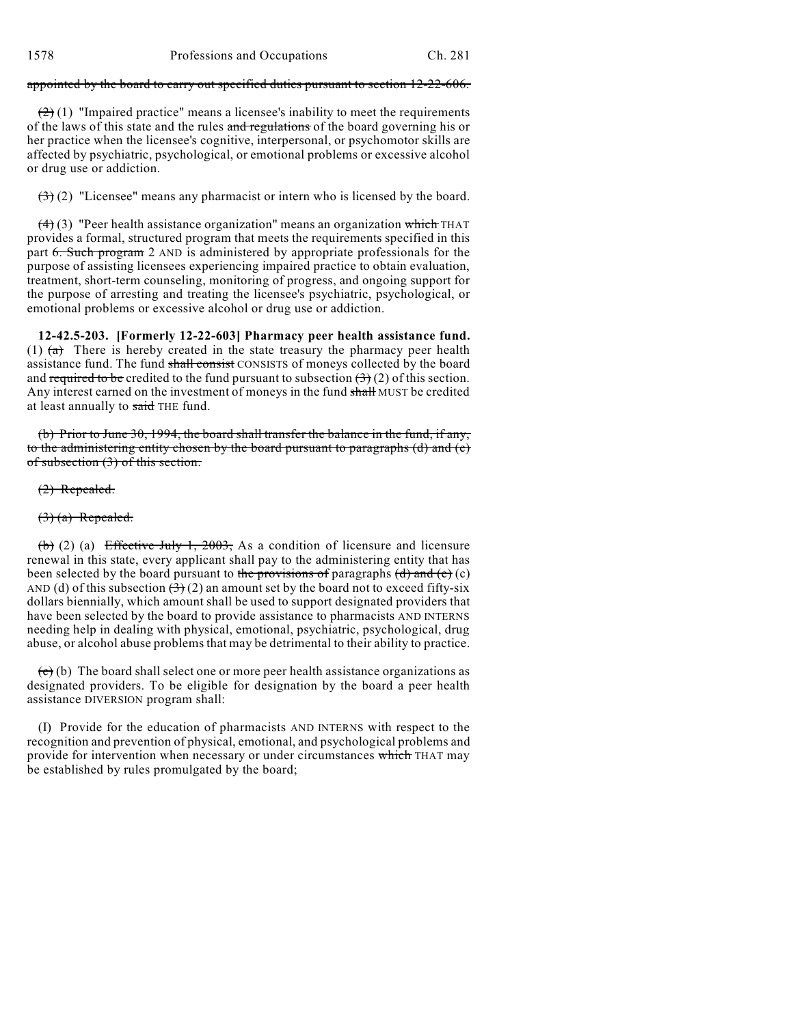### appointed by the board to carry out specified duties pursuant to section 12-22-606.

 $(2)(1)$  "Impaired practice" means a licensee's inability to meet the requirements of the laws of this state and the rules and regulations of the board governing his or her practice when the licensee's cognitive, interpersonal, or psychomotor skills are affected by psychiatric, psychological, or emotional problems or excessive alcohol or drug use or addiction.

 $(3)(2)$  "Licensee" means any pharmacist or intern who is licensed by the board.

 $(4)$  (3) "Peer health assistance organization" means an organization which THAT provides a formal, structured program that meets the requirements specified in this part 6. Such program 2 AND is administered by appropriate professionals for the purpose of assisting licensees experiencing impaired practice to obtain evaluation, treatment, short-term counseling, monitoring of progress, and ongoing support for the purpose of arresting and treating the licensee's psychiatric, psychological, or emotional problems or excessive alcohol or drug use or addiction.

**12-42.5-203. [Formerly 12-22-603] Pharmacy peer health assistance fund.** (1)  $(a)$  There is hereby created in the state treasury the pharmacy peer health assistance fund. The fund shall consist CONSISTS of moneys collected by the board and required to be credited to the fund pursuant to subsection  $(3)(2)$  of this section. Any interest earned on the investment of moneys in the fund shall MUST be credited at least annually to said THE fund.

(b) Prior to June 30, 1994, the board shall transfer the balance in the fund, if any, to the administering entity chosen by the board pursuant to paragraphs (d) and (e) of subsection (3) of this section.

(2) Repealed.

 $(3)$  (a) Repealed.

(b) (2) (a) Effective July 1, 2003, As a condition of licensure and licensure renewal in this state, every applicant shall pay to the administering entity that has been selected by the board pursuant to the provisions of paragraphs  $(d)$  and  $(e)$  (c) AND (d) of this subsection  $(3)(2)$  an amount set by the board not to exceed fifty-six dollars biennially, which amount shall be used to support designated providers that have been selected by the board to provide assistance to pharmacists AND INTERNS needing help in dealing with physical, emotional, psychiatric, psychological, drug abuse, or alcohol abuse problems that may be detrimental to their ability to practice.

 $(e)$  (b) The board shall select one or more peer health assistance organizations as designated providers. To be eligible for designation by the board a peer health assistance DIVERSION program shall:

(I) Provide for the education of pharmacists AND INTERNS with respect to the recognition and prevention of physical, emotional, and psychological problems and provide for intervention when necessary or under circumstances which THAT may be established by rules promulgated by the board;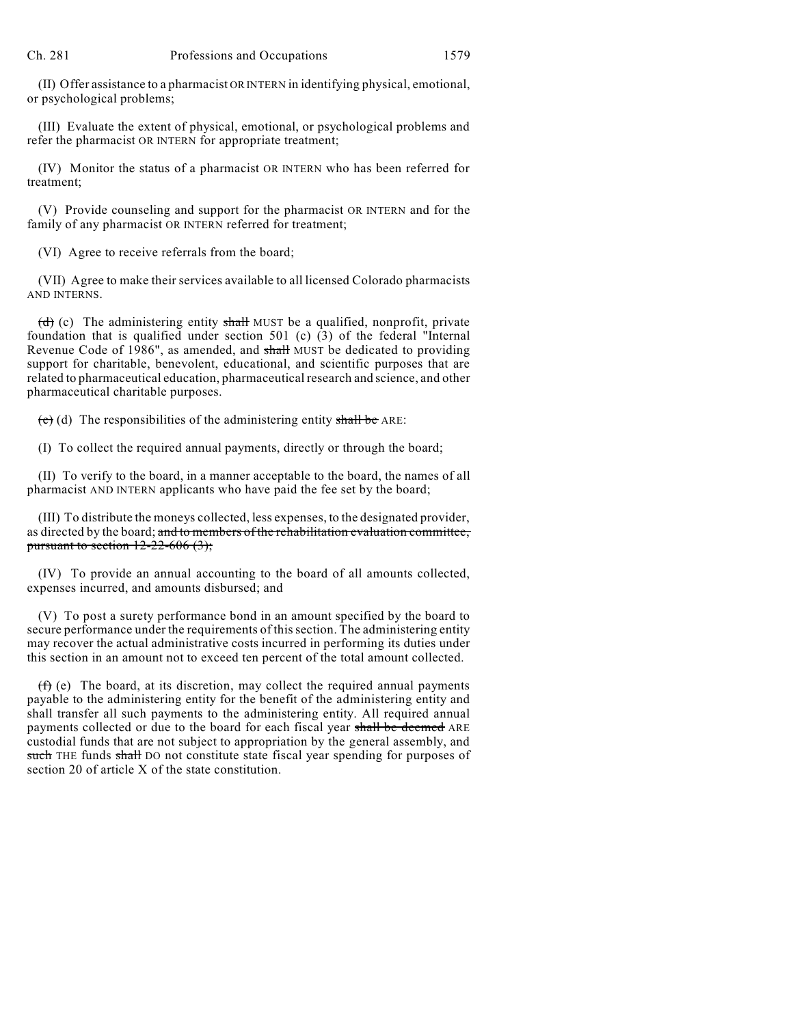(II) Offer assistance to a pharmacist OR INTERN in identifying physical, emotional, or psychological problems;

(III) Evaluate the extent of physical, emotional, or psychological problems and refer the pharmacist OR INTERN for appropriate treatment;

(IV) Monitor the status of a pharmacist OR INTERN who has been referred for treatment;

(V) Provide counseling and support for the pharmacist OR INTERN and for the family of any pharmacist OR INTERN referred for treatment;

(VI) Agree to receive referrals from the board;

(VII) Agree to make their services available to all licensed Colorado pharmacists AND INTERNS.

(d) (c) The administering entity shall MUST be a qualified, nonprofit, private foundation that is qualified under section 501 (c) (3) of the federal "Internal Revenue Code of 1986", as amended, and shall MUST be dedicated to providing support for charitable, benevolent, educational, and scientific purposes that are related to pharmaceutical education, pharmaceutical research and science, and other pharmaceutical charitable purposes.

 $(e)$  (d) The responsibilities of the administering entity shall be ARE:

(I) To collect the required annual payments, directly or through the board;

(II) To verify to the board, in a manner acceptable to the board, the names of all pharmacist AND INTERN applicants who have paid the fee set by the board;

(III) To distribute the moneys collected, less expenses, to the designated provider, as directed by the board; and to members of the rehabilitation evaluation committee, pursuant to section  $12-22-606(3)$ ;

(IV) To provide an annual accounting to the board of all amounts collected, expenses incurred, and amounts disbursed; and

(V) To post a surety performance bond in an amount specified by the board to secure performance under the requirements of this section. The administering entity may recover the actual administrative costs incurred in performing its duties under this section in an amount not to exceed ten percent of the total amount collected.

 $(f)$  (e) The board, at its discretion, may collect the required annual payments payable to the administering entity for the benefit of the administering entity and shall transfer all such payments to the administering entity. All required annual payments collected or due to the board for each fiscal year shall be deemed ARE custodial funds that are not subject to appropriation by the general assembly, and such THE funds shall DO not constitute state fiscal year spending for purposes of section 20 of article X of the state constitution.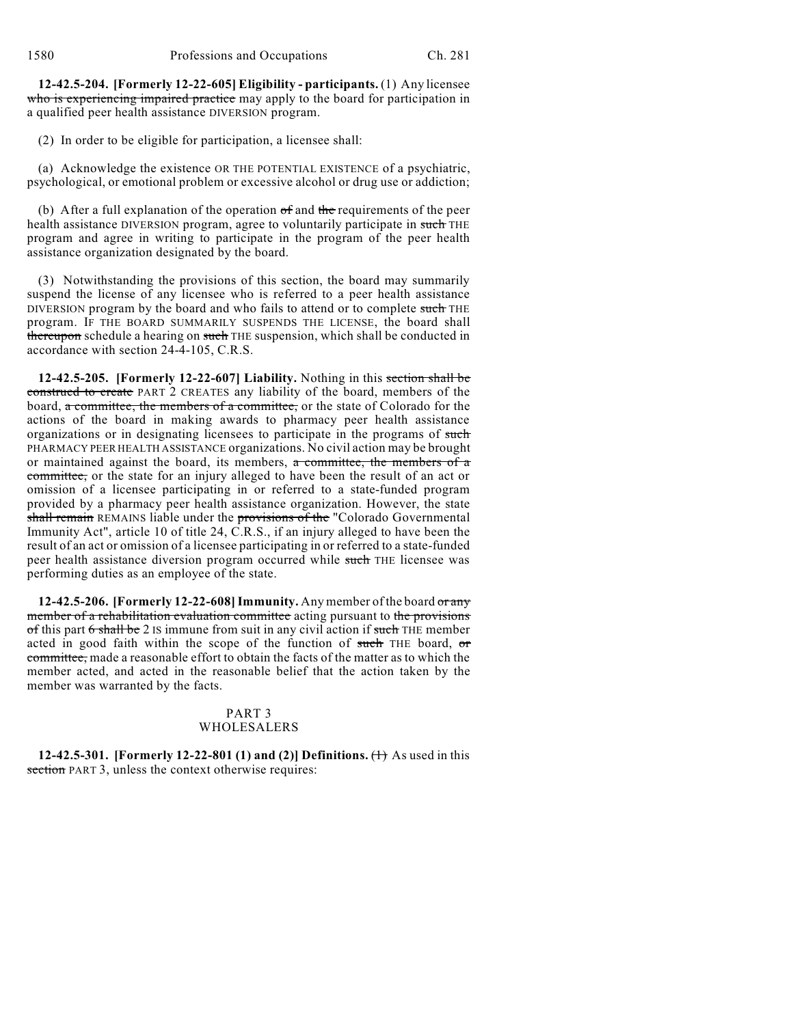**12-42.5-204. [Formerly 12-22-605] Eligibility - participants.** (1) Any licensee who is experiencing impaired practice may apply to the board for participation in a qualified peer health assistance DIVERSION program.

(2) In order to be eligible for participation, a licensee shall:

(a) Acknowledge the existence OR THE POTENTIAL EXISTENCE of a psychiatric, psychological, or emotional problem or excessive alcohol or drug use or addiction;

(b) After a full explanation of the operation of and the requirements of the peer health assistance DIVERSION program, agree to voluntarily participate in such THE program and agree in writing to participate in the program of the peer health assistance organization designated by the board.

(3) Notwithstanding the provisions of this section, the board may summarily suspend the license of any licensee who is referred to a peer health assistance DIVERSION program by the board and who fails to attend or to complete such THE program. IF THE BOARD SUMMARILY SUSPENDS THE LICENSE, the board shall thereupon schedule a hearing on such THE suspension, which shall be conducted in accordance with section 24-4-105, C.R.S.

**12-42.5-205. [Formerly 12-22-607] Liability.** Nothing in this section shall be construed to create PART 2 CREATES any liability of the board, members of the board, a committee, the members of a committee, or the state of Colorado for the actions of the board in making awards to pharmacy peer health assistance organizations or in designating licensees to participate in the programs of such PHARMACY PEER HEALTH ASSISTANCE organizations. No civil action may be brought or maintained against the board, its members, a committee, the members of a committee, or the state for an injury alleged to have been the result of an act or omission of a licensee participating in or referred to a state-funded program provided by a pharmacy peer health assistance organization. However, the state shall remain REMAINS liable under the provisions of the "Colorado Governmental Immunity Act", article 10 of title 24, C.R.S., if an injury alleged to have been the result of an act or omission of a licensee participating in or referred to a state-funded peer health assistance diversion program occurred while such THE licensee was performing duties as an employee of the state.

**12-42.5-206. [Formerly 12-22-608]Immunity.** Any member of the board or any member of a rehabilitation evaluation committee acting pursuant to the provisions of this part 6 shall be 2 IS immune from suit in any civil action if such THE member acted in good faith within the scope of the function of such THE board, or committee, made a reasonable effort to obtain the facts of the matter as to which the member acted, and acted in the reasonable belief that the action taken by the member was warranted by the facts.

# PART 3 WHOLESALERS

**12-42.5-301. [Formerly 12-22-801 (1) and (2)] Definitions.** (1) As used in this section PART 3, unless the context otherwise requires: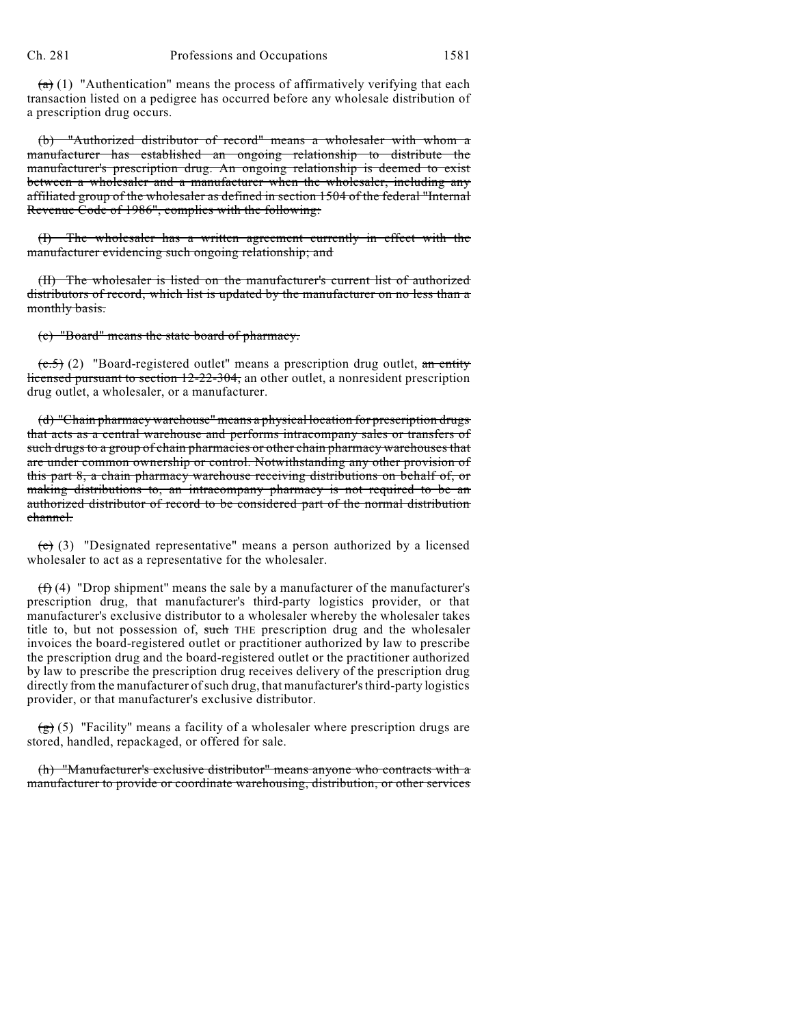$(a)$  (1) "Authentication" means the process of affirmatively verifying that each transaction listed on a pedigree has occurred before any wholesale distribution of a prescription drug occurs.

"Authorized distributor of record" means a wholesaler with whom a manufacturer has established an ongoing relationship to distribute the manufacturer's prescription drug. An ongoing relationship is deemed to exist between a wholesaler and a manufacturer when the wholesaler, including any affiliated group of the wholesaler as defined in section 1504 of the federal "Internal Revenue Code of 1986", complies with the following:

(I) The wholesaler has a written agreement currently in effect with the manufacturer evidencing such ongoing relationship; and

(II) The wholesaler is listed on the manufacturer's current list of authorized distributors of record, which list is updated by the manufacturer on no less than a monthly basis.

(c) "Board" means the state board of pharmacy.

 $(c.5)$  (2) "Board-registered outlet" means a prescription drug outlet, an entity licensed pursuant to section 12-22-304, an other outlet, a nonresident prescription drug outlet, a wholesaler, or a manufacturer.

(d) "Chain pharmacy warehouse" means a physical location for prescription drugs that acts as a central warehouse and performs intracompany sales or transfers of such drugs to a group of chain pharmacies or other chain pharmacy warehouses that are under common ownership or control. Notwithstanding any other provision of this part 8, a chain pharmacy warehouse receiving distributions on behalf of, or making distributions to, an intracompany pharmacy is not required to be an authorized distributor of record to be considered part of the normal distribution channel.

 $(e)$  (3) "Designated representative" means a person authorized by a licensed wholesaler to act as a representative for the wholesaler.

 $(f)$  (4) "Drop shipment" means the sale by a manufacturer of the manufacturer's prescription drug, that manufacturer's third-party logistics provider, or that manufacturer's exclusive distributor to a wholesaler whereby the wholesaler takes title to, but not possession of, such THE prescription drug and the wholesaler invoices the board-registered outlet or practitioner authorized by law to prescribe the prescription drug and the board-registered outlet or the practitioner authorized by law to prescribe the prescription drug receives delivery of the prescription drug directly from the manufacturer ofsuch drug, that manufacturer'sthird-party logistics provider, or that manufacturer's exclusive distributor.

 $\overline{(g)}$  (5) "Facility" means a facility of a wholesaler where prescription drugs are stored, handled, repackaged, or offered for sale.

(h) "Manufacturer's exclusive distributor" means anyone who contracts with a manufacturer to provide or coordinate warehousing, distribution, or other services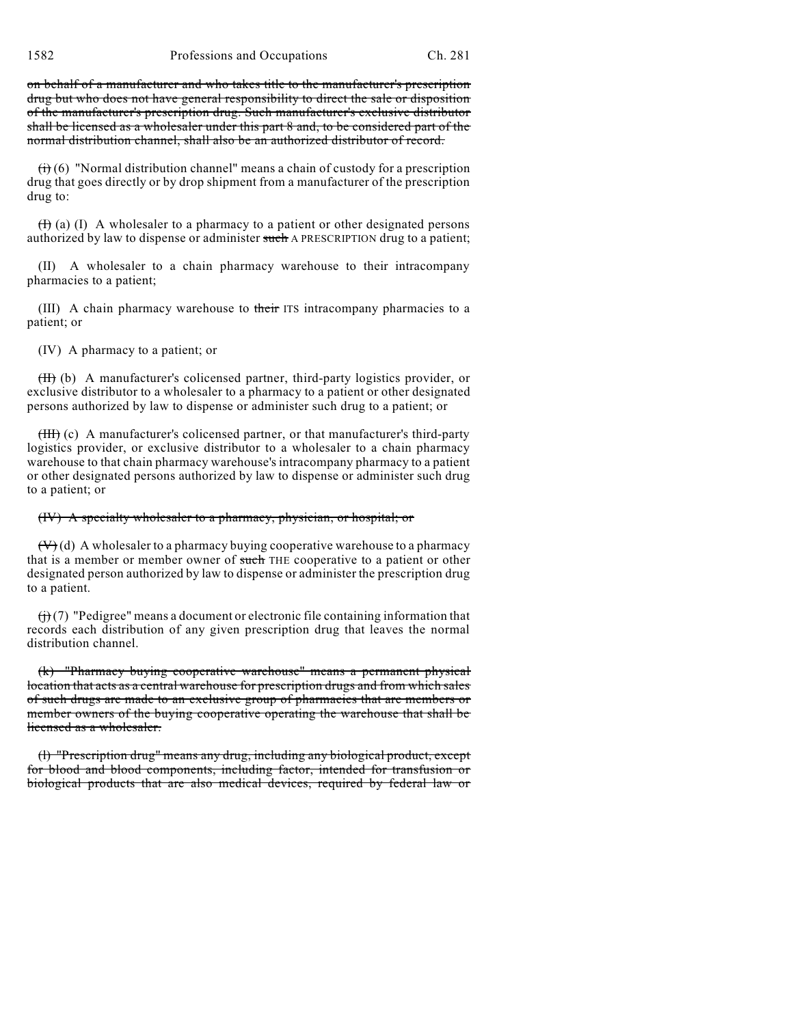1582 Professions and Occupations Ch. 281

on behalf of a manufacturer and who takes title to the manufacturer's prescription drug but who does not have general responsibility to direct the sale or disposition of the manufacturer's prescription drug. Such manufacturer's exclusive distributor shall be licensed as a wholesaler under this part 8 and, to be considered part of the normal distribution channel, shall also be an authorized distributor of record.

 $(i)$  (6) "Normal distribution channel" means a chain of custody for a prescription drug that goes directly or by drop shipment from a manufacturer of the prescription drug to:

 $(H)$  (a) (I) A wholesaler to a pharmacy to a patient or other designated persons authorized by law to dispense or administer such A PRESCRIPTION drug to a patient;

(II) A wholesaler to a chain pharmacy warehouse to their intracompany pharmacies to a patient;

(III) A chain pharmacy warehouse to their ITS intracompany pharmacies to a patient; or

(IV) A pharmacy to a patient; or

(II) (b) A manufacturer's colicensed partner, third-party logistics provider, or exclusive distributor to a wholesaler to a pharmacy to a patient or other designated persons authorized by law to dispense or administer such drug to a patient; or

(III) (c) A manufacturer's colicensed partner, or that manufacturer's third-party logistics provider, or exclusive distributor to a wholesaler to a chain pharmacy warehouse to that chain pharmacy warehouse's intracompany pharmacy to a patient or other designated persons authorized by law to dispense or administer such drug to a patient; or

(IV) A specialty wholesaler to a pharmacy, physician, or hospital; or

 $(V)(d)$  A wholesaler to a pharmacy buying cooperative warehouse to a pharmacy that is a member or member owner of such THE cooperative to a patient or other designated person authorized by law to dispense or administer the prescription drug to a patient.

 $(f)(7)$  "Pedigree" means a document or electronic file containing information that records each distribution of any given prescription drug that leaves the normal distribution channel.

(k) "Pharmacy buying cooperative warehouse" means a permanent physical location that acts as a central warehouse for prescription drugs and from which sales of such drugs are made to an exclusive group of pharmacies that are members or member owners of the buying cooperative operating the warehouse that shall be licensed as a wholesaler.

(l) "Prescription drug" means any drug, including any biological product, except for blood and blood components, including factor, intended for transfusion or biological products that are also medical devices, required by federal law or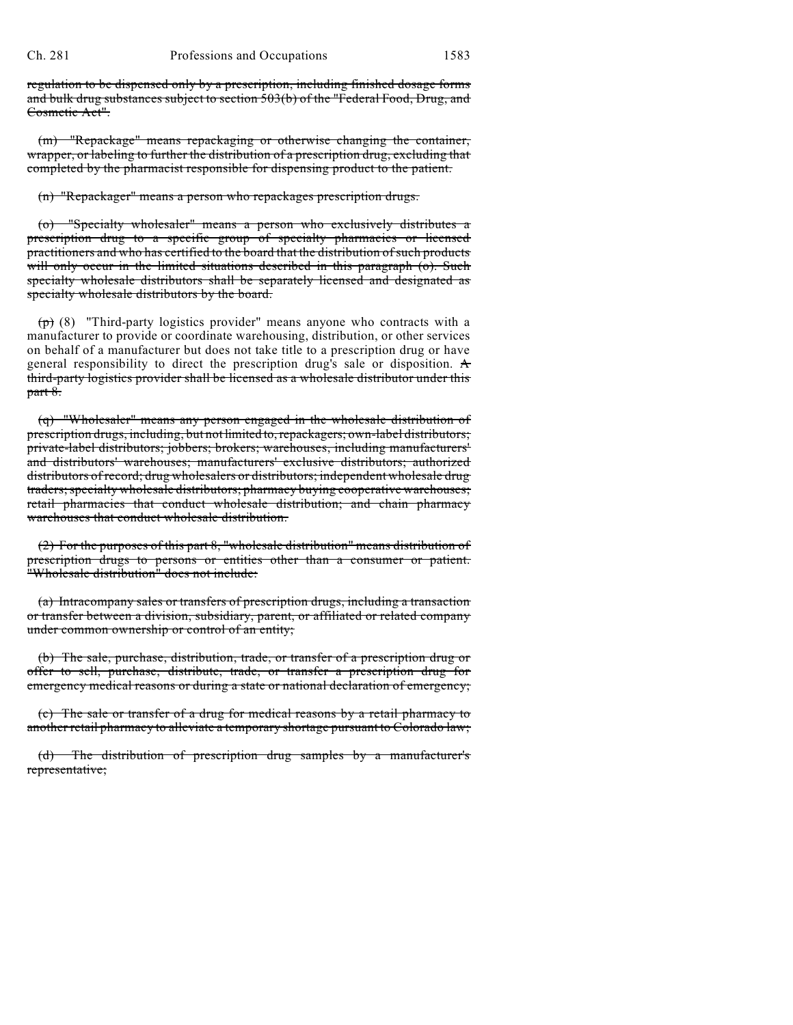regulation to be dispensed only by a prescription, including finished dosage forms and bulk drug substances subject to section 503(b) of the "Federal Food, Drug, and Cosmetic Act".

(m) "Repackage" means repackaging or otherwise changing the container, wrapper, or labeling to further the distribution of a prescription drug, excluding that completed by the pharmacist responsible for dispensing product to the patient.

(n) "Repackager" means a person who repackages prescription drugs.

(o) "Specialty wholesaler" means a person who exclusively distributes a prescription drug to a specific group of specialty pharmacies or licensed practitioners and who has certified to the board that the distribution ofsuch products will only occur in the limited situations described in this paragraph (o). Such specialty wholesale distributors shall be separately licensed and designated as specialty wholesale distributors by the board.

 $(\tau)$  (8) "Third-party logistics provider" means anyone who contracts with a manufacturer to provide or coordinate warehousing, distribution, or other services on behalf of a manufacturer but does not take title to a prescription drug or have general responsibility to direct the prescription drug's sale or disposition.  $\mathbf A$ third-party logistics provider shall be licensed as a wholesale distributor under this part 8.

(q) "Wholesaler" means any person engaged in the wholesale distribution of prescription drugs, including, but not limited to, repackagers; own-label distributors; private-label distributors; jobbers; brokers; warehouses, including manufacturers' and distributors' warehouses; manufacturers' exclusive distributors; authorized distributors of record; drug wholesalers or distributors; independent wholesale drug traders;specialty wholesale distributors; pharmacy buying cooperative warehouses; retail pharmacies that conduct wholesale distribution; and chain pharmacy warehouses that conduct wholesale distribution.

(2) For the purposes of this part 8, "wholesale distribution" means distribution of prescription drugs to persons or entities other than a consumer or patient. "Wholesale distribution" does not include:

(a) Intracompany sales or transfers of prescription drugs, including a transaction or transfer between a division, subsidiary, parent, or affiliated or related company under common ownership or control of an entity;

(b) The sale, purchase, distribution, trade, or transfer of a prescription drug or offer to sell, purchase, distribute, trade, or transfer a prescription drug for emergency medical reasons or during a state or national declaration of emergency;

(c) The sale or transfer of a drug for medical reasons by a retail pharmacy to another retail pharmacy to alleviate a temporary shortage pursuant to Colorado law;

(d) The distribution of prescription drug samples by a manufacturer's representative;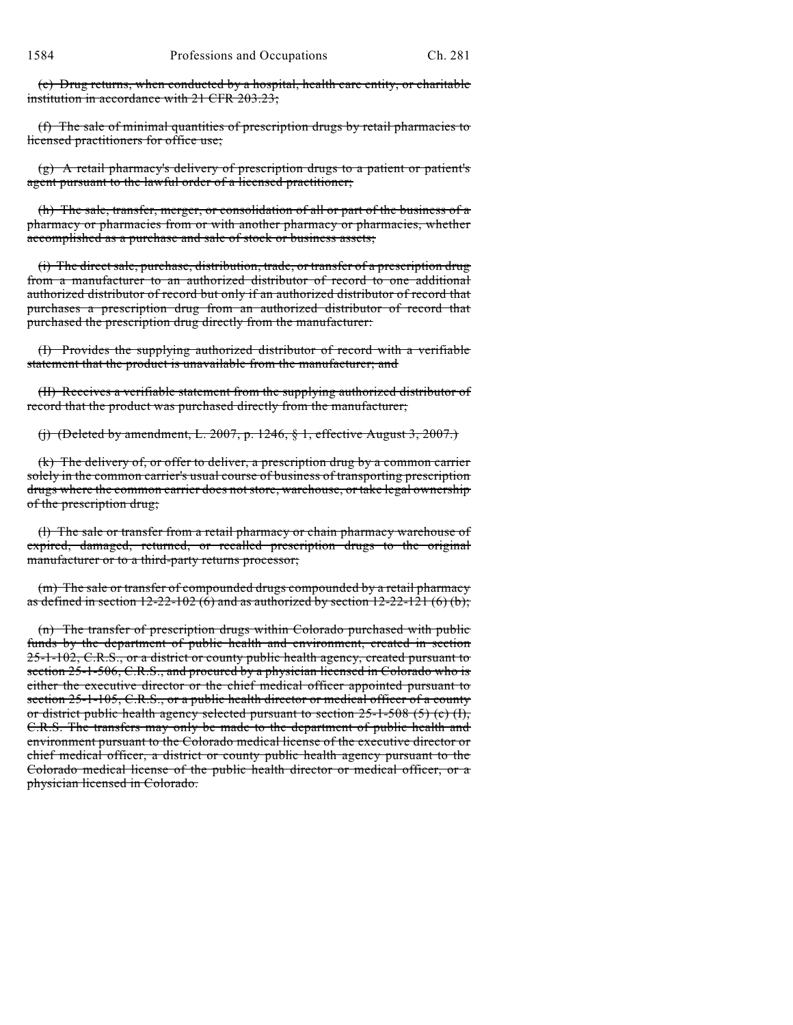(e) Drug returns, when conducted by a hospital, health care entity, or charitable institution in accordance with 21 CFR 203.23;

(f) The sale of minimal quantities of prescription drugs by retail pharmacies to licensed practitioners for office use;

(g) A retail pharmacy's delivery of prescription drugs to a patient or patient's agent pursuant to the lawful order of a licensed practitioner;

(h) The sale, transfer, merger, or consolidation of all or part of the business of a pharmacy or pharmacies from or with another pharmacy or pharmacies, whether accomplished as a purchase and sale of stock or business assets;

(i) The direct sale, purchase, distribution, trade, or transfer of a prescription drug from a manufacturer to an authorized distributor of record to one additional authorized distributor of record but only if an authorized distributor of record that purchases a prescription drug from an authorized distributor of record that purchased the prescription drug directly from the manufacturer:

(I) Provides the supplying authorized distributor of record with a verifiable statement that the product is unavailable from the manufacturer; and

(II) Receives a verifiable statement from the supplying authorized distributor of record that the product was purchased directly from the manufacturer;

(j) (Deleted by amendment, L. 2007, p. 1246,  $\S$  1, effective August 3, 2007.)

(k) The delivery of, or offer to deliver, a prescription drug by a common carrier solely in the common carrier's usual course of business of transporting prescription drugs where the common carrier does not store, warehouse, or take legal ownership of the prescription drug;

(l) The sale or transfer from a retail pharmacy or chain pharmacy warehouse of expired, damaged, returned, or recalled prescription drugs to the original manufacturer or to a third-party returns processor;

(m) The sale or transfer of compounded drugs compounded by a retail pharmacy as defined in section  $12-22-102$  (6) and as authorized by section  $12-22-121$  (6) (b);

(n) The transfer of prescription drugs within Colorado purchased with public funds by the department of public health and environment, created in section 25-1-102, C.R.S., or a district or county public health agency, created pursuant to section 25-1-506, C.R.S., and procured by a physician licensed in Colorado who is either the executive director or the chief medical officer appointed pursuant to section 25-1-105, C.R.S., or a public health director or medical officer of a county or district public health agency selected pursuant to section  $25-1-508$  (5) (c) (I), C.R.S. The transfers may only be made to the department of public health and environment pursuant to the Colorado medical license of the executive director or chief medical officer, a district or county public health agency pursuant to the Colorado medical license of the public health director or medical officer, or a physician licensed in Colorado.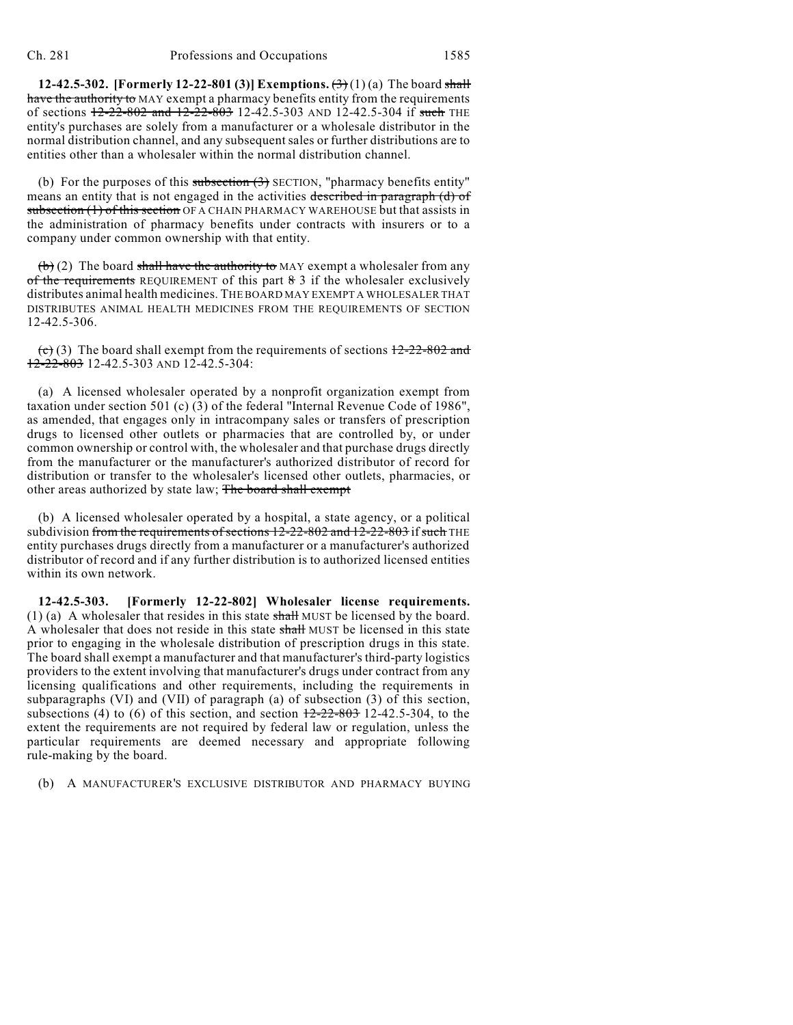**12-42.5-302. [Formerly 12-22-801 (3)] Exemptions.**  $(\frac{1}{2})(1)(a)$  The board shall have the authority to MAY exempt a pharmacy benefits entity from the requirements of sections  $12-22-802$  and  $12-22-803$  12-42.5-303 AND 12-42.5-304 if such THE entity's purchases are solely from a manufacturer or a wholesale distributor in the normal distribution channel, and any subsequent sales or further distributions are to entities other than a wholesaler within the normal distribution channel.

(b) For the purposes of this subsection  $(3)$  SECTION, "pharmacy benefits entity" means an entity that is not engaged in the activities described in paragraph (d) of subsection (1) of this section OF A CHAIN PHARMACY WAREHOUSE but that assists in the administration of pharmacy benefits under contracts with insurers or to a company under common ownership with that entity.

 $(b)$  (2) The board shall have the authority to MAY exempt a wholesaler from any of the requirements REQUIREMENT of this part  $\frac{8}{3}$  if the wholesaler exclusively distributes animal health medicines. THE BOARD MAY EXEMPT A WHOLESALER THAT DISTRIBUTES ANIMAL HEALTH MEDICINES FROM THE REQUIREMENTS OF SECTION 12-42.5-306.

 $\overline{(c)}$  (3) The board shall exempt from the requirements of sections  $\overline{12-22-802}$  and  $12-22-803$  12-42.5-303 AND 12-42.5-304:

(a) A licensed wholesaler operated by a nonprofit organization exempt from taxation under section 501 (c) (3) of the federal "Internal Revenue Code of 1986", as amended, that engages only in intracompany sales or transfers of prescription drugs to licensed other outlets or pharmacies that are controlled by, or under common ownership or control with, the wholesaler and that purchase drugs directly from the manufacturer or the manufacturer's authorized distributor of record for distribution or transfer to the wholesaler's licensed other outlets, pharmacies, or other areas authorized by state law; The board shall exempt

(b) A licensed wholesaler operated by a hospital, a state agency, or a political subdivision from the requirements of sections  $12{\text -}22{\text -}802$  and  $12{\text -}22{\text -}803$  if such THE entity purchases drugs directly from a manufacturer or a manufacturer's authorized distributor of record and if any further distribution is to authorized licensed entities within its own network.

**12-42.5-303. [Formerly 12-22-802] Wholesaler license requirements.** (1) (a) A wholesaler that resides in this state  $shall$  MUST be licensed by the board. A wholesaler that does not reside in this state shall MUST be licensed in this state prior to engaging in the wholesale distribution of prescription drugs in this state. The board shall exempt a manufacturer and that manufacturer's third-party logistics providers to the extent involving that manufacturer's drugs under contract from any licensing qualifications and other requirements, including the requirements in subparagraphs (VI) and (VII) of paragraph (a) of subsection (3) of this section, subsections (4) to (6) of this section, and section  $\frac{12-22-803}{2}$  12-42.5-304, to the extent the requirements are not required by federal law or regulation, unless the particular requirements are deemed necessary and appropriate following rule-making by the board.

(b) A MANUFACTURER'S EXCLUSIVE DISTRIBUTOR AND PHARMACY BUYING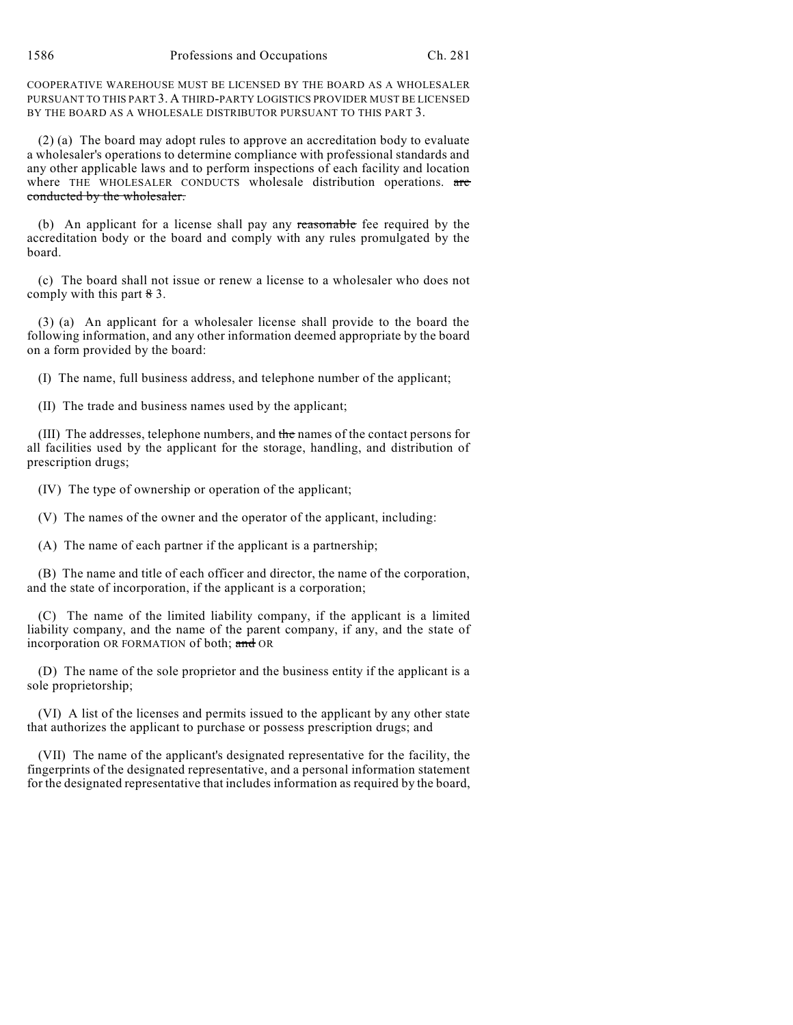COOPERATIVE WAREHOUSE MUST BE LICENSED BY THE BOARD AS A WHOLESALER PURSUANT TO THIS PART 3. A THIRD-PARTY LOGISTICS PROVIDER MUST BE LICENSED BY THE BOARD AS A WHOLESALE DISTRIBUTOR PURSUANT TO THIS PART 3.

(2) (a) The board may adopt rules to approve an accreditation body to evaluate a wholesaler's operations to determine compliance with professional standards and any other applicable laws and to perform inspections of each facility and location where THE WHOLESALER CONDUCTS wholesale distribution operations. are conducted by the wholesaler.

(b) An applicant for a license shall pay any reasonable fee required by the accreditation body or the board and comply with any rules promulgated by the board.

(c) The board shall not issue or renew a license to a wholesaler who does not comply with this part  $\frac{8}{3}$ .

(3) (a) An applicant for a wholesaler license shall provide to the board the following information, and any other information deemed appropriate by the board on a form provided by the board:

(I) The name, full business address, and telephone number of the applicant;

(II) The trade and business names used by the applicant;

(III) The addresses, telephone numbers, and the names of the contact persons for all facilities used by the applicant for the storage, handling, and distribution of prescription drugs;

(IV) The type of ownership or operation of the applicant;

(V) The names of the owner and the operator of the applicant, including:

(A) The name of each partner if the applicant is a partnership;

(B) The name and title of each officer and director, the name of the corporation, and the state of incorporation, if the applicant is a corporation;

(C) The name of the limited liability company, if the applicant is a limited liability company, and the name of the parent company, if any, and the state of incorporation OR FORMATION of both; and OR

(D) The name of the sole proprietor and the business entity if the applicant is a sole proprietorship;

(VI) A list of the licenses and permits issued to the applicant by any other state that authorizes the applicant to purchase or possess prescription drugs; and

(VII) The name of the applicant's designated representative for the facility, the fingerprints of the designated representative, and a personal information statement for the designated representative that includes information as required by the board,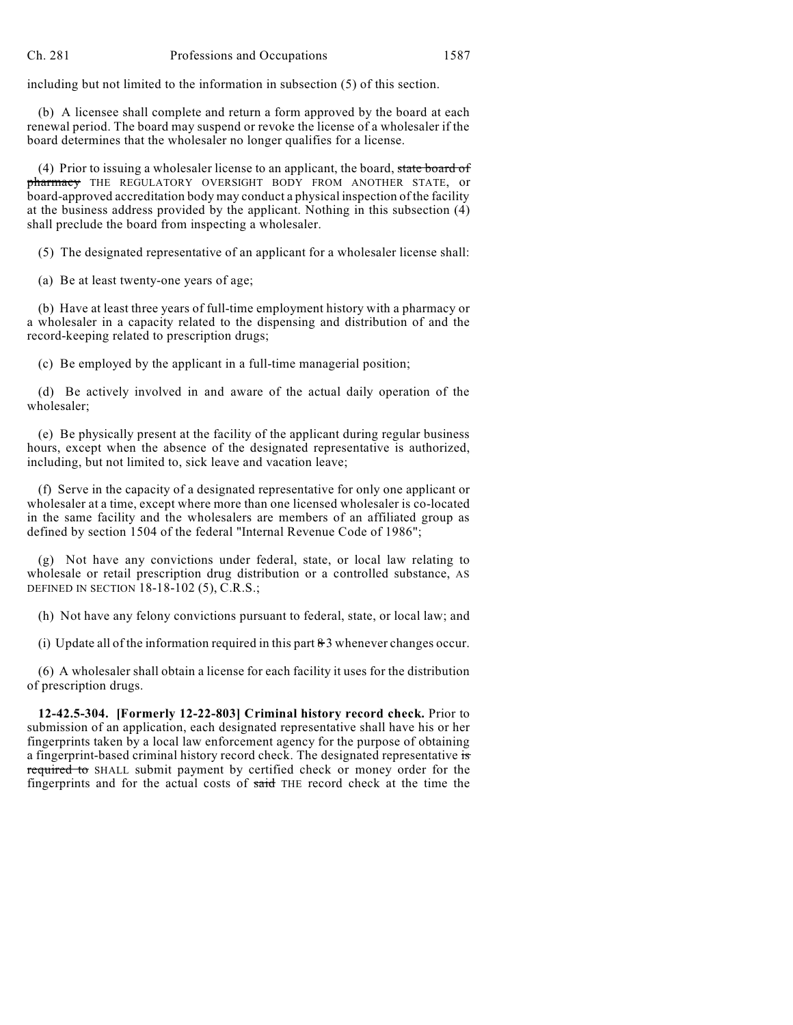including but not limited to the information in subsection (5) of this section.

(b) A licensee shall complete and return a form approved by the board at each renewal period. The board may suspend or revoke the license of a wholesaler if the board determines that the wholesaler no longer qualifies for a license.

(4) Prior to issuing a wholesaler license to an applicant, the board, state board of pharmacy THE REGULATORY OVERSIGHT BODY FROM ANOTHER STATE, or board-approved accreditation body may conduct a physical inspection of the facility at the business address provided by the applicant. Nothing in this subsection (4) shall preclude the board from inspecting a wholesaler.

(5) The designated representative of an applicant for a wholesaler license shall:

(a) Be at least twenty-one years of age;

(b) Have at least three years of full-time employment history with a pharmacy or a wholesaler in a capacity related to the dispensing and distribution of and the record-keeping related to prescription drugs;

(c) Be employed by the applicant in a full-time managerial position;

(d) Be actively involved in and aware of the actual daily operation of the wholesaler;

(e) Be physically present at the facility of the applicant during regular business hours, except when the absence of the designated representative is authorized, including, but not limited to, sick leave and vacation leave;

(f) Serve in the capacity of a designated representative for only one applicant or wholesaler at a time, except where more than one licensed wholesaler is co-located in the same facility and the wholesalers are members of an affiliated group as defined by section 1504 of the federal "Internal Revenue Code of 1986";

(g) Not have any convictions under federal, state, or local law relating to wholesale or retail prescription drug distribution or a controlled substance, AS DEFINED IN SECTION 18-18-102 (5), C.R.S.;

(h) Not have any felony convictions pursuant to federal, state, or local law; and

(i) Update all of the information required in this part  $\frac{1}{2}$  whenever changes occur.

(6) A wholesaler shall obtain a license for each facility it uses for the distribution of prescription drugs.

**12-42.5-304. [Formerly 12-22-803] Criminal history record check.** Prior to submission of an application, each designated representative shall have his or her fingerprints taken by a local law enforcement agency for the purpose of obtaining a fingerprint-based criminal history record check. The designated representative is required to SHALL submit payment by certified check or money order for the fingerprints and for the actual costs of said THE record check at the time the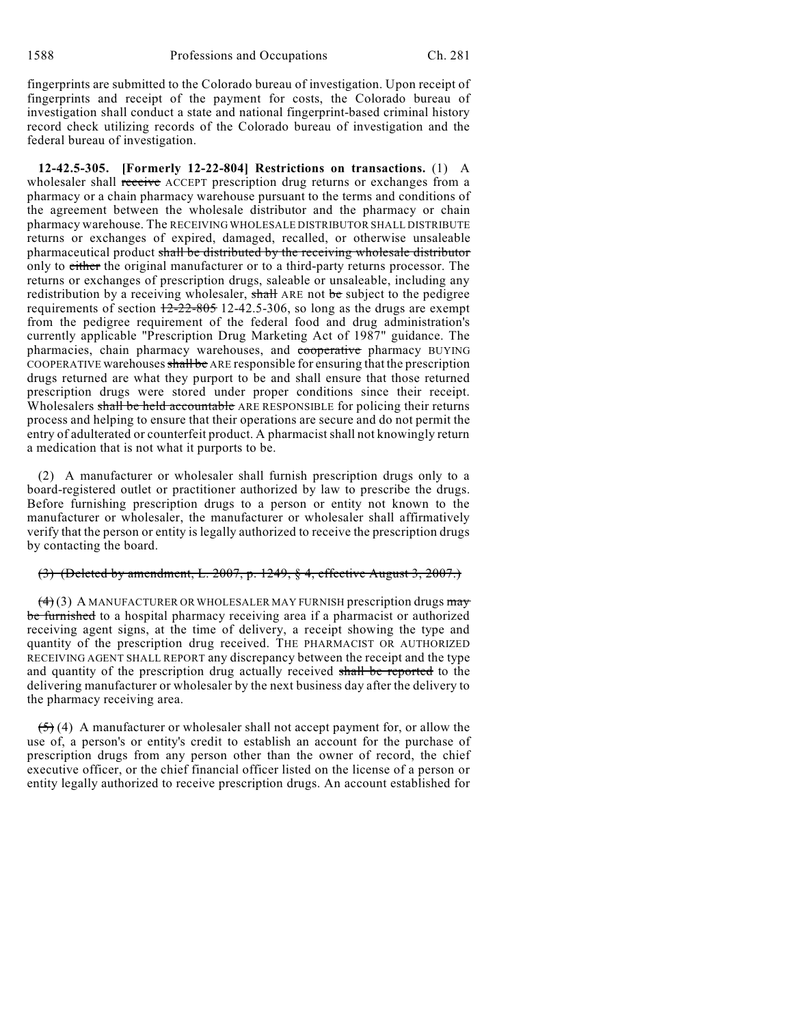fingerprints are submitted to the Colorado bureau of investigation. Upon receipt of fingerprints and receipt of the payment for costs, the Colorado bureau of investigation shall conduct a state and national fingerprint-based criminal history record check utilizing records of the Colorado bureau of investigation and the federal bureau of investigation.

**12-42.5-305. [Formerly 12-22-804] Restrictions on transactions.** (1) A wholesaler shall receive ACCEPT prescription drug returns or exchanges from a pharmacy or a chain pharmacy warehouse pursuant to the terms and conditions of the agreement between the wholesale distributor and the pharmacy or chain pharmacy warehouse. The RECEIVING WHOLESALE DISTRIBUTOR SHALL DISTRIBUTE returns or exchanges of expired, damaged, recalled, or otherwise unsaleable pharmaceutical product shall be distributed by the receiving wholesale distributor only to either the original manufacturer or to a third-party returns processor. The returns or exchanges of prescription drugs, saleable or unsaleable, including any redistribution by a receiving wholesaler, shall ARE not be subject to the pedigree requirements of section 12-22-805 12-42.5-306, so long as the drugs are exempt from the pedigree requirement of the federal food and drug administration's currently applicable "Prescription Drug Marketing Act of 1987" guidance. The pharmacies, chain pharmacy warehouses, and cooperative pharmacy BUYING COOPERATIVE warehouses shall be ARE responsible for ensuring that the prescription drugs returned are what they purport to be and shall ensure that those returned prescription drugs were stored under proper conditions since their receipt. Wholesalers shall be held accountable ARE RESPONSIBLE for policing their returns process and helping to ensure that their operations are secure and do not permit the entry of adulterated or counterfeit product. A pharmacist shall not knowingly return a medication that is not what it purports to be.

(2) A manufacturer or wholesaler shall furnish prescription drugs only to a board-registered outlet or practitioner authorized by law to prescribe the drugs. Before furnishing prescription drugs to a person or entity not known to the manufacturer or wholesaler, the manufacturer or wholesaler shall affirmatively verify that the person or entity is legally authorized to receive the prescription drugs by contacting the board.

#### (3) (Deleted by amendment, L. 2007, p. 1249, § 4, effective August 3, 2007.)

 $(4)(3)$  A MANUFACTURER OR WHOLESALER MAY FURNISH prescription drugs  $\frac{m}{2}$ be furnished to a hospital pharmacy receiving area if a pharmacist or authorized receiving agent signs, at the time of delivery, a receipt showing the type and quantity of the prescription drug received. THE PHARMACIST OR AUTHORIZED RECEIVING AGENT SHALL REPORT any discrepancy between the receipt and the type and quantity of the prescription drug actually received shall be reported to the delivering manufacturer or wholesaler by the next business day after the delivery to the pharmacy receiving area.

 $(5)$  (4) A manufacturer or wholesaler shall not accept payment for, or allow the use of, a person's or entity's credit to establish an account for the purchase of prescription drugs from any person other than the owner of record, the chief executive officer, or the chief financial officer listed on the license of a person or entity legally authorized to receive prescription drugs. An account established for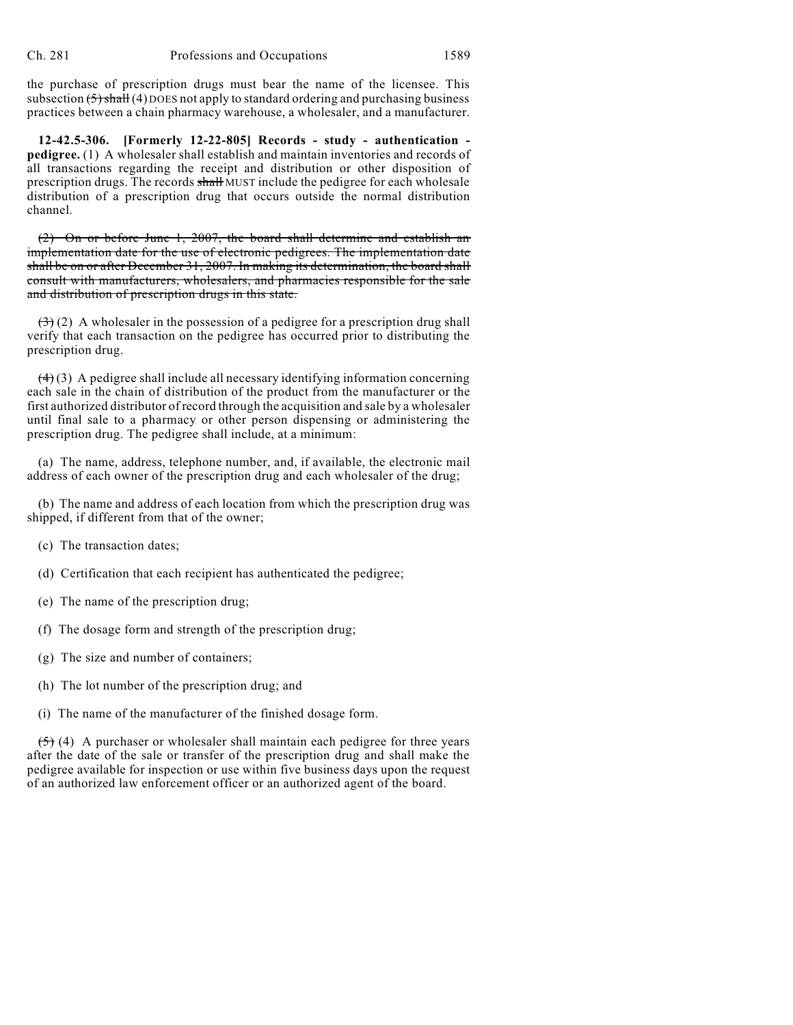the purchase of prescription drugs must bear the name of the licensee. This subsection  $(5)$  shall (4) DOES not apply to standard ordering and purchasing business practices between a chain pharmacy warehouse, a wholesaler, and a manufacturer.

**12-42.5-306. [Formerly 12-22-805] Records - study - authentication pedigree.** (1) A wholesaler shall establish and maintain inventories and records of all transactions regarding the receipt and distribution or other disposition of prescription drugs. The records shall MUST include the pedigree for each wholesale distribution of a prescription drug that occurs outside the normal distribution channel.

(2) On or before June 1, 2007, the board shall determine and establish an implementation date for the use of electronic pedigrees. The implementation date shall be on or after December 31, 2007. In making its determination, the board shall consult with manufacturers, wholesalers, and pharmacies responsible for the sale and distribution of prescription drugs in this state.

 $(3)$  (2) A wholesaler in the possession of a pedigree for a prescription drug shall verify that each transaction on the pedigree has occurred prior to distributing the prescription drug.

 $(4)(3)$  A pedigree shall include all necessary identifying information concerning each sale in the chain of distribution of the product from the manufacturer or the first authorized distributor of record through the acquisition and sale by a wholesaler until final sale to a pharmacy or other person dispensing or administering the prescription drug. The pedigree shall include, at a minimum:

(a) The name, address, telephone number, and, if available, the electronic mail address of each owner of the prescription drug and each wholesaler of the drug;

(b) The name and address of each location from which the prescription drug was shipped, if different from that of the owner;

(c) The transaction dates;

(d) Certification that each recipient has authenticated the pedigree;

- (e) The name of the prescription drug;
- (f) The dosage form and strength of the prescription drug;
- (g) The size and number of containers;
- (h) The lot number of the prescription drug; and
- (i) The name of the manufacturer of the finished dosage form.

 $(5)$  (4) A purchaser or wholesaler shall maintain each pedigree for three years after the date of the sale or transfer of the prescription drug and shall make the pedigree available for inspection or use within five business days upon the request of an authorized law enforcement officer or an authorized agent of the board.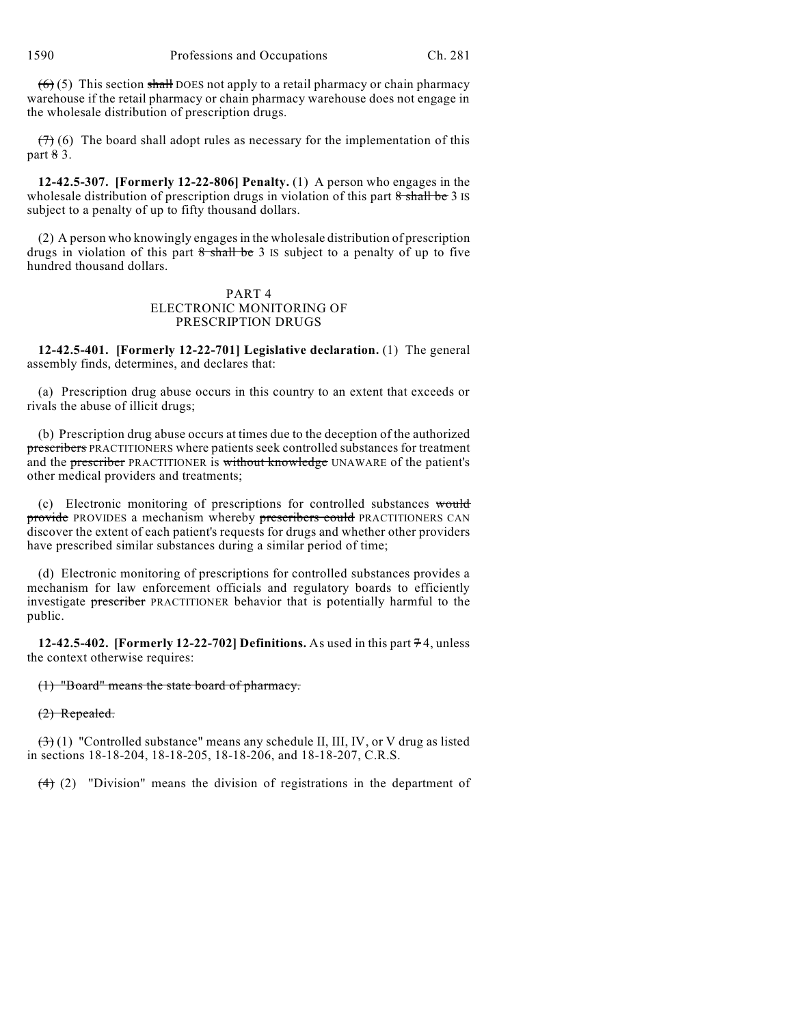$(6)$  (5) This section shall DOES not apply to a retail pharmacy or chain pharmacy warehouse if the retail pharmacy or chain pharmacy warehouse does not engage in the wholesale distribution of prescription drugs.

 $(7)$  (6) The board shall adopt rules as necessary for the implementation of this part 8 3.

**12-42.5-307. [Formerly 12-22-806] Penalty.** (1) A person who engages in the wholesale distribution of prescription drugs in violation of this part  $8 \text{ shall be } 3$  IS subject to a penalty of up to fifty thousand dollars.

(2) A person who knowingly engagesin the wholesale distribution of prescription drugs in violation of this part  $8$  shall be 3 IS subject to a penalty of up to five hundred thousand dollars.

## PART 4 ELECTRONIC MONITORING OF PRESCRIPTION DRUGS

**12-42.5-401. [Formerly 12-22-701] Legislative declaration.** (1) The general assembly finds, determines, and declares that:

(a) Prescription drug abuse occurs in this country to an extent that exceeds or rivals the abuse of illicit drugs;

(b) Prescription drug abuse occurs at times due to the deception of the authorized prescribers PRACTITIONERS where patients seek controlled substances for treatment and the **prescriber** PRACTITIONER is without knowledge UNAWARE of the patient's other medical providers and treatments;

(c) Electronic monitoring of prescriptions for controlled substances would provide PROVIDES a mechanism whereby prescribers could PRACTITIONERS CAN discover the extent of each patient's requests for drugs and whether other providers have prescribed similar substances during a similar period of time;

(d) Electronic monitoring of prescriptions for controlled substances provides a mechanism for law enforcement officials and regulatory boards to efficiently investigate prescriber PRACTITIONER behavior that is potentially harmful to the public.

**12-42.5-402. [Formerly 12-22-702] Definitions.** As used in this part  $74$ , unless the context otherwise requires:

(1) "Board" means the state board of pharmacy.

(2) Repealed.

 $\left(\frac{3}{2}\right)$  (1) "Controlled substance" means any schedule II, III, IV, or V drug as listed in sections 18-18-204, 18-18-205, 18-18-206, and 18-18-207, C.R.S.

 $(4)$  (2) "Division" means the division of registrations in the department of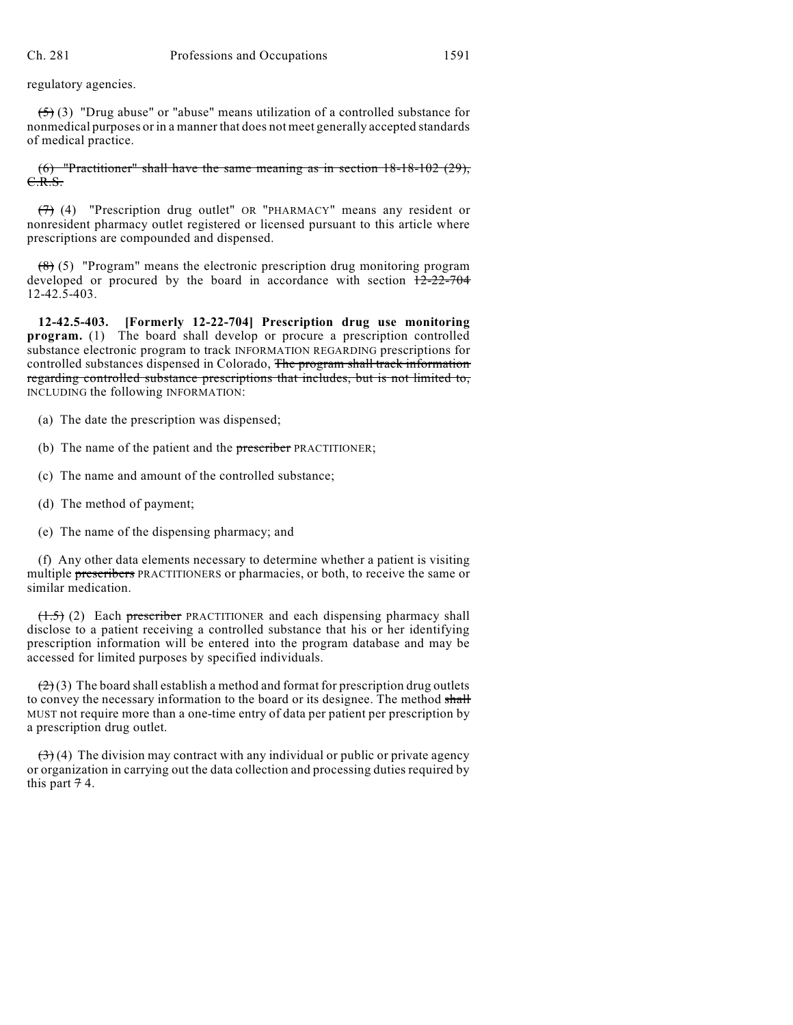regulatory agencies.

 $(5)$  (3) "Drug abuse" or "abuse" means utilization of a controlled substance for nonmedical purposes or in a manner that does not meet generally accepted standards of medical practice.

 $(6)$  "Practitioner" shall have the same meaning as in section 18-18-102 (29), C.R.S.

(7) (4) "Prescription drug outlet" OR "PHARMACY" means any resident or nonresident pharmacy outlet registered or licensed pursuant to this article where prescriptions are compounded and dispensed.

 $(8)$  (5) "Program" means the electronic prescription drug monitoring program developed or procured by the board in accordance with section  $\frac{12-22-704}{2}$ 12-42.5-403.

**12-42.5-403. [Formerly 12-22-704] Prescription drug use monitoring program.** (1) The board shall develop or procure a prescription controlled substance electronic program to track INFORMATION REGARDING prescriptions for controlled substances dispensed in Colorado, The program shall track information regarding controlled substance prescriptions that includes, but is not limited to, INCLUDING the following INFORMATION:

- (a) The date the prescription was dispensed;
- (b) The name of the patient and the prescriber PRACTITIONER;
- (c) The name and amount of the controlled substance;
- (d) The method of payment;
- (e) The name of the dispensing pharmacy; and

(f) Any other data elements necessary to determine whether a patient is visiting multiple prescribers PRACTITIONERS or pharmacies, or both, to receive the same or similar medication.

 $(1.5)$  (2) Each prescriber PRACTITIONER and each dispensing pharmacy shall disclose to a patient receiving a controlled substance that his or her identifying prescription information will be entered into the program database and may be accessed for limited purposes by specified individuals.

 $(2)(3)$  The board shall establish a method and format for prescription drug outlets to convey the necessary information to the board or its designee. The method shall MUST not require more than a one-time entry of data per patient per prescription by a prescription drug outlet.

 $(3)$  (4) The division may contract with any individual or public or private agency or organization in carrying out the data collection and processing duties required by this part  $74$ .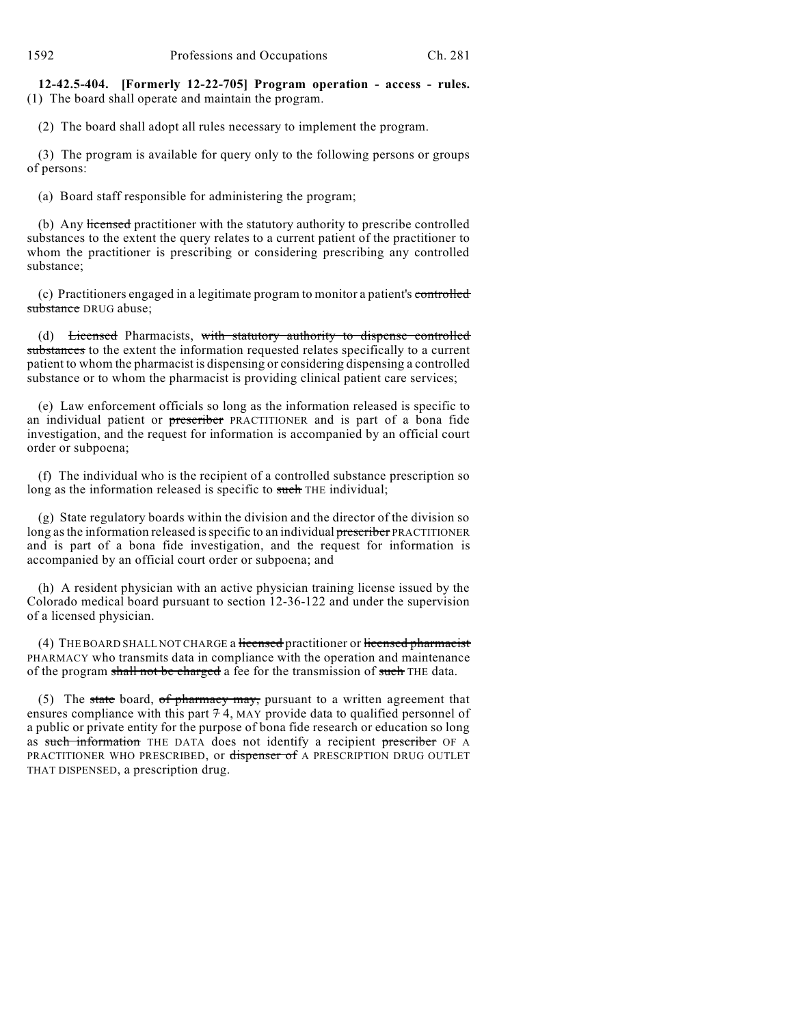**12-42.5-404. [Formerly 12-22-705] Program operation - access - rules.** (1) The board shall operate and maintain the program.

(2) The board shall adopt all rules necessary to implement the program.

(3) The program is available for query only to the following persons or groups of persons:

(a) Board staff responsible for administering the program;

(b) Any licensed practitioner with the statutory authority to prescribe controlled substances to the extent the query relates to a current patient of the practitioner to whom the practitioner is prescribing or considering prescribing any controlled substance;

(c) Practitioners engaged in a legitimate program to monitor a patient's controlled substance DRUG abuse;

(d) Licensed Pharmacists, with statutory authority to dispense controlled substances to the extent the information requested relates specifically to a current patient to whom the pharmacist is dispensing or considering dispensing a controlled substance or to whom the pharmacist is providing clinical patient care services;

(e) Law enforcement officials so long as the information released is specific to an individual patient or prescriber PRACTITIONER and is part of a bona fide investigation, and the request for information is accompanied by an official court order or subpoena;

(f) The individual who is the recipient of a controlled substance prescription so long as the information released is specific to such THE individual;

(g) State regulatory boards within the division and the director of the division so long as the information released is specific to an individual prescriber PRACTITIONER and is part of a bona fide investigation, and the request for information is accompanied by an official court order or subpoena; and

(h) A resident physician with an active physician training license issued by the Colorado medical board pursuant to section 12-36-122 and under the supervision of a licensed physician.

(4) THE BOARD SHALL NOT CHARGE a licensed practitioner or licensed pharmacist PHARMACY who transmits data in compliance with the operation and maintenance of the program shall not be charged a fee for the transmission of such THE data.

(5) The state board, of pharmacy may, pursuant to a written agreement that ensures compliance with this part  $74$ , MAY provide data to qualified personnel of a public or private entity for the purpose of bona fide research or education so long as such information THE DATA does not identify a recipient prescriber OF A PRACTITIONER WHO PRESCRIBED, or dispenser of A PRESCRIPTION DRUG OUTLET THAT DISPENSED, a prescription drug.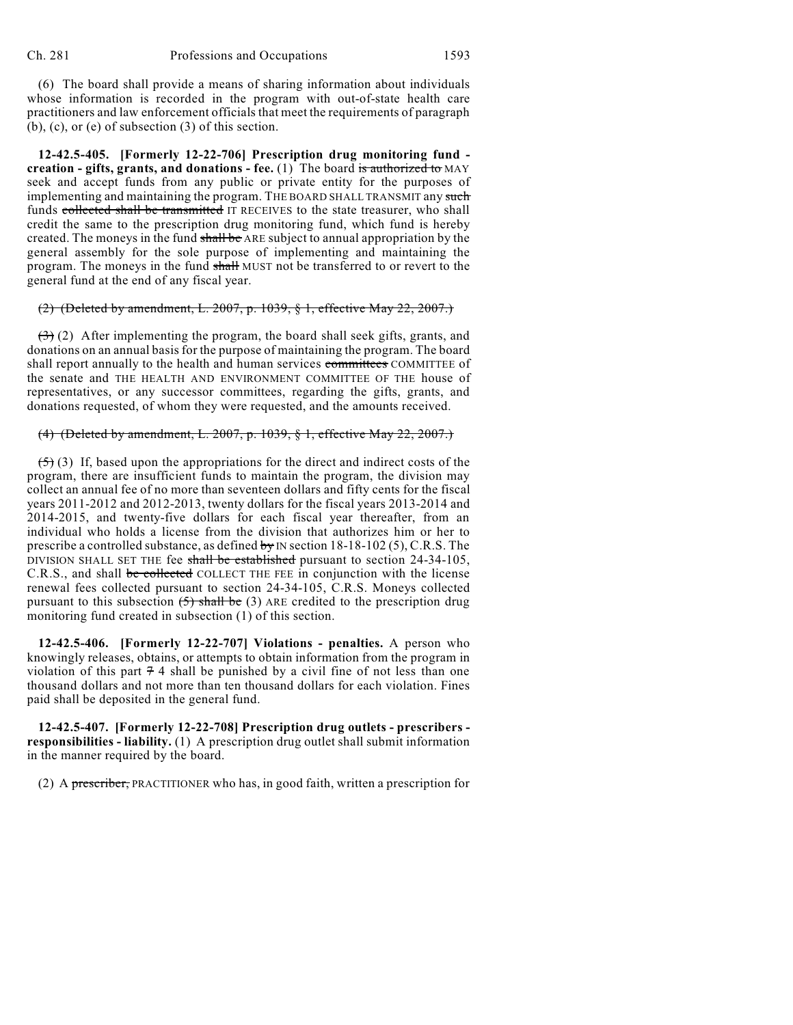(6) The board shall provide a means of sharing information about individuals whose information is recorded in the program with out-of-state health care practitioners and law enforcement officials that meet the requirements of paragraph (b), (c), or (e) of subsection (3) of this section.

**12-42.5-405. [Formerly 12-22-706] Prescription drug monitoring fund creation - gifts, grants, and donations - fee.** (1) The board is authorized to MAY seek and accept funds from any public or private entity for the purposes of implementing and maintaining the program. THE BOARD SHALL TRANSMIT any such funds collected shall be transmitted IT RECEIVES to the state treasurer, who shall credit the same to the prescription drug monitoring fund, which fund is hereby created. The moneys in the fund shall be ARE subject to annual appropriation by the general assembly for the sole purpose of implementing and maintaining the program. The moneys in the fund shall MUST not be transferred to or revert to the general fund at the end of any fiscal year.

### (2) (Deleted by amendment, L. 2007, p. 1039, § 1, effective May 22, 2007.)

 $(3)$  (2) After implementing the program, the board shall seek gifts, grants, and donations on an annual basis for the purpose of maintaining the program. The board shall report annually to the health and human services committees COMMITTEE of the senate and THE HEALTH AND ENVIRONMENT COMMITTEE OF THE house of representatives, or any successor committees, regarding the gifts, grants, and donations requested, of whom they were requested, and the amounts received.

### (4) (Deleted by amendment, L. 2007, p. 1039, § 1, effective May 22, 2007.)

 $(5)$  (3) If, based upon the appropriations for the direct and indirect costs of the program, there are insufficient funds to maintain the program, the division may collect an annual fee of no more than seventeen dollars and fifty cents for the fiscal years 2011-2012 and 2012-2013, twenty dollars for the fiscal years 2013-2014 and 2014-2015, and twenty-five dollars for each fiscal year thereafter, from an individual who holds a license from the division that authorizes him or her to prescribe a controlled substance, as defined by IN section  $18-18-102$  (5), C.R.S. The DIVISION SHALL SET THE fee shall be established pursuant to section 24-34-105, C.R.S., and shall be collected COLLECT THE FEE in conjunction with the license renewal fees collected pursuant to section 24-34-105, C.R.S. Moneys collected pursuant to this subsection  $(5)$  shall be (3) ARE credited to the prescription drug monitoring fund created in subsection (1) of this section.

**12-42.5-406. [Formerly 12-22-707] Violations - penalties.** A person who knowingly releases, obtains, or attempts to obtain information from the program in violation of this part  $74$  shall be punished by a civil fine of not less than one thousand dollars and not more than ten thousand dollars for each violation. Fines paid shall be deposited in the general fund.

**12-42.5-407. [Formerly 12-22-708] Prescription drug outlets - prescribers responsibilities - liability.** (1) A prescription drug outlet shall submit information in the manner required by the board.

(2) A prescriber, PRACTITIONER who has, in good faith, written a prescription for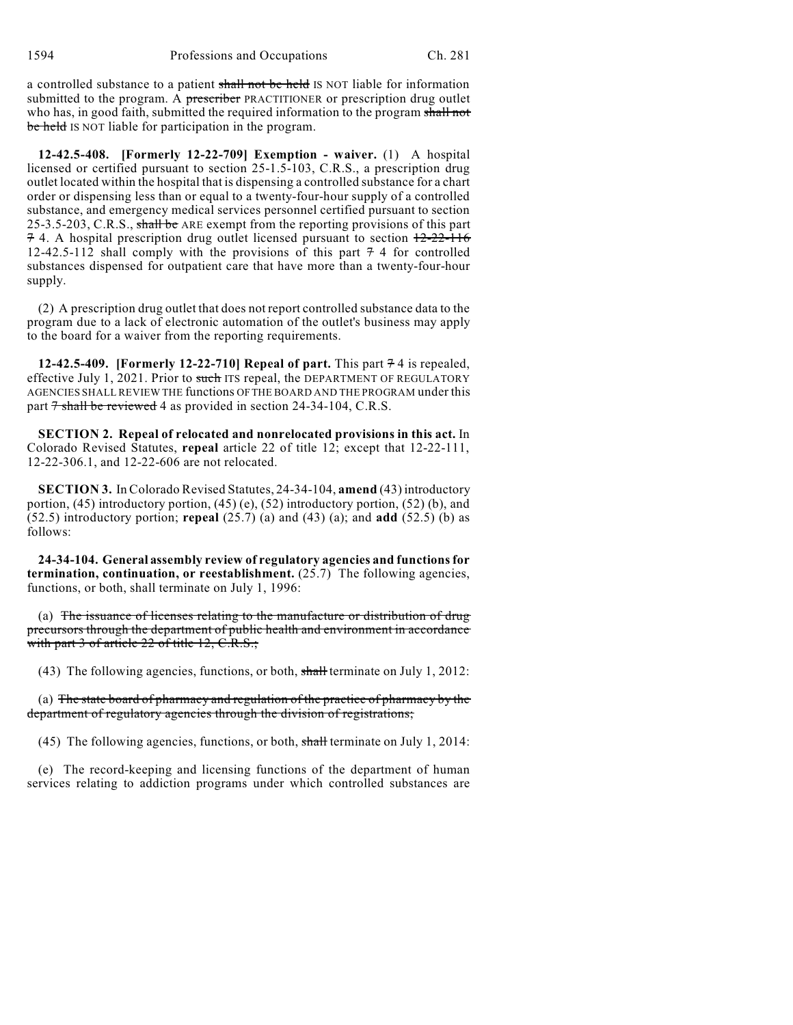a controlled substance to a patient shall not be held IS NOT liable for information submitted to the program. A prescriber PRACTITIONER or prescription drug outlet who has, in good faith, submitted the required information to the program shall not be held IS NOT liable for participation in the program.

**12-42.5-408. [Formerly 12-22-709] Exemption - waiver.** (1) A hospital licensed or certified pursuant to section 25-1.5-103, C.R.S., a prescription drug outlet located within the hospital that is dispensing a controlled substance for a chart order or dispensing less than or equal to a twenty-four-hour supply of a controlled substance, and emergency medical services personnel certified pursuant to section 25-3.5-203, C.R.S., shall be ARE exempt from the reporting provisions of this part 7 4. A hospital prescription drug outlet licensed pursuant to section 12-22-116 12-42.5-112 shall comply with the provisions of this part  $7/4$  for controlled substances dispensed for outpatient care that have more than a twenty-four-hour supply.

(2) A prescription drug outlet that does not report controlled substance data to the program due to a lack of electronic automation of the outlet's business may apply to the board for a waiver from the reporting requirements.

**12-42.5-409.** [Formerly 12-22-710] Repeal of part. This part  $74$  is repealed, effective July 1, 2021. Prior to such ITS repeal, the DEPARTMENT OF REGULATORY AGENCIES SHALL REVIEW THE functions OFTHE BOARD AND THE PROGRAM under this part  $7$  shall be reviewed 4 as provided in section 24-34-104, C.R.S.

**SECTION 2. Repeal of relocated and nonrelocated provisions in this act.** In Colorado Revised Statutes, **repeal** article 22 of title 12; except that 12-22-111, 12-22-306.1, and 12-22-606 are not relocated.

**SECTION 3.** In Colorado Revised Statutes, 24-34-104, **amend** (43) introductory portion, (45) introductory portion, (45) (e), (52) introductory portion, (52) (b), and (52.5) introductory portion; **repeal** (25.7) (a) and (43) (a); and **add** (52.5) (b) as follows:

**24-34-104. General assembly review of regulatory agencies and functionsfor termination, continuation, or reestablishment.** (25.7) The following agencies, functions, or both, shall terminate on July 1, 1996:

(a) The issuance of licenses relating to the manufacture or distribution of drug precursors through the department of public health and environment in accordance with part 3 of article 22 of title 12, C.R.S.;

(43) The following agencies, functions, or both,  $\frac{\text{shall}}{\text{shall}}$  terminate on July 1, 2012:

(a) The state board of pharmacy and regulation of the practice of pharmacy by the department of regulatory agencies through the division of registrations;

(45) The following agencies, functions, or both, shall terminate on July 1, 2014:

(e) The record-keeping and licensing functions of the department of human services relating to addiction programs under which controlled substances are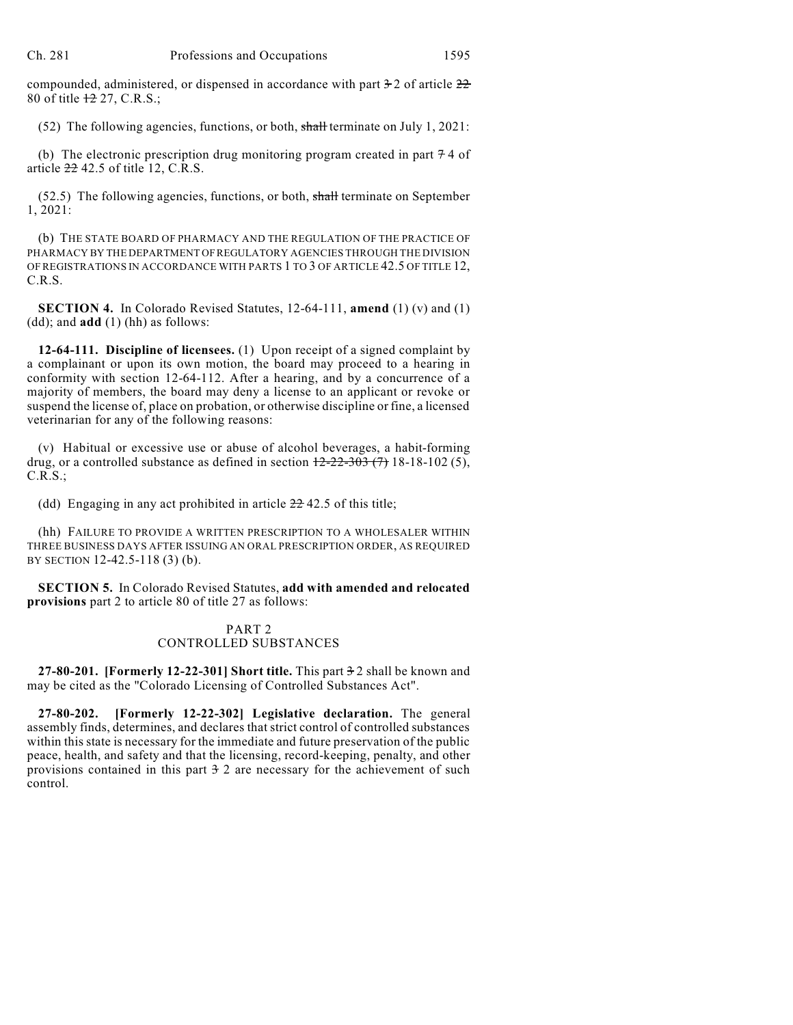compounded, administered, or dispensed in accordance with part  $\frac{1}{2}$  of article  $\frac{22}{2}$ 80 of title 12 27, C.R.S.;

(52) The following agencies, functions, or both, shall terminate on July 1, 2021:

(b) The electronic prescription drug monitoring program created in part  $74$  of article  $22\,42.5$  of title 12, C.R.S.

 $(52.5)$  The following agencies, functions, or both, shall terminate on September 1, 2021:

(b) THE STATE BOARD OF PHARMACY AND THE REGULATION OF THE PRACTICE OF PHARMACY BY THE DEPARTMENT OFREGULATORY AGENCIES THROUGH THE DIVISION OF REGISTRATIONS IN ACCORDANCE WITH PARTS 1 TO 3 OF ARTICLE 42.5 OF TITLE 12, C.R.S.

**SECTION 4.** In Colorado Revised Statutes, 12-64-111, **amend** (1) (v) and (1) (dd); and **add** (1) (hh) as follows:

**12-64-111. Discipline of licensees.** (1) Upon receipt of a signed complaint by a complainant or upon its own motion, the board may proceed to a hearing in conformity with section 12-64-112. After a hearing, and by a concurrence of a majority of members, the board may deny a license to an applicant or revoke or suspend the license of, place on probation, or otherwise discipline or fine, a licensed veterinarian for any of the following reasons:

(v) Habitual or excessive use or abuse of alcohol beverages, a habit-forming drug, or a controlled substance as defined in section  $12-22-303$  (7) 18-18-102 (5), C.R.S.;

(dd) Engaging in any act prohibited in article  $22\overline{42.5}$  of this title;

(hh) FAILURE TO PROVIDE A WRITTEN PRESCRIPTION TO A WHOLESALER WITHIN THREE BUSINESS DAYS AFTER ISSUING AN ORAL PRESCRIPTION ORDER, AS REQUIRED BY SECTION 12-42.5-118 (3) (b).

**SECTION 5.** In Colorado Revised Statutes, **add with amended and relocated provisions** part 2 to article 80 of title 27 as follows:

# PART 2 CONTROLLED SUBSTANCES

**27-80-201. [Formerly 12-22-301] Short title.** This part 3 2 shall be known and may be cited as the "Colorado Licensing of Controlled Substances Act".

**27-80-202. [Formerly 12-22-302] Legislative declaration.** The general assembly finds, determines, and declares that strict control of controlled substances within this state is necessary for the immediate and future preservation of the public peace, health, and safety and that the licensing, record-keeping, penalty, and other provisions contained in this part  $\frac{3}{2}$  are necessary for the achievement of such control.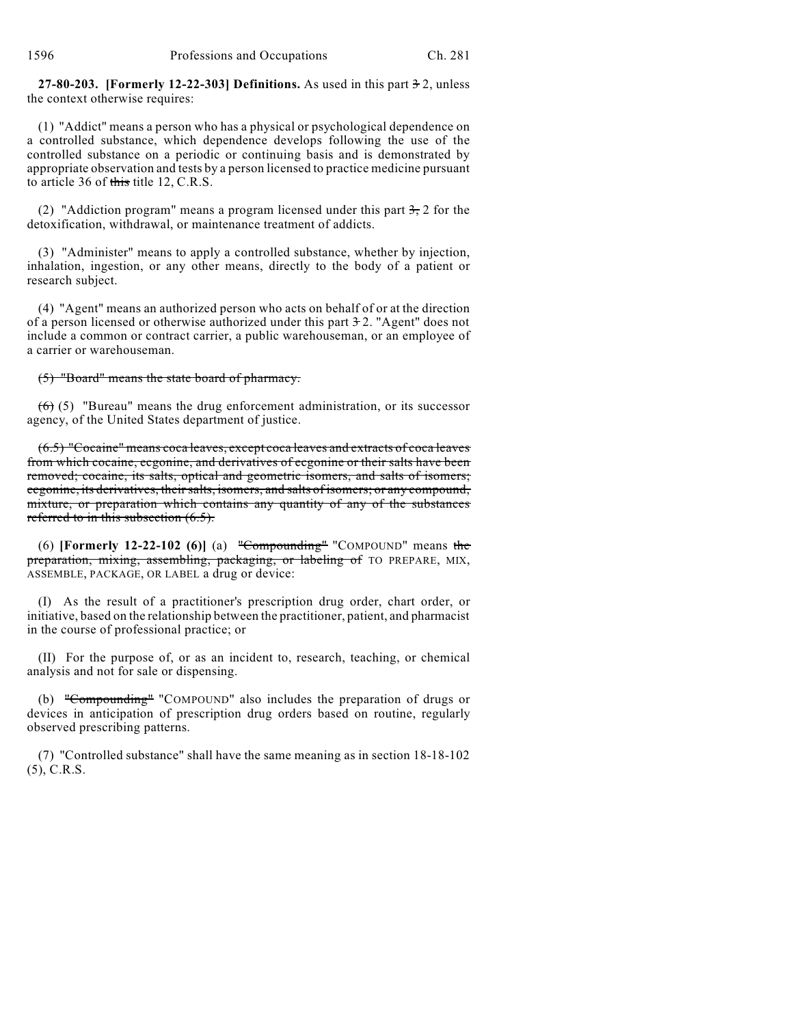**27-80-203. [Formerly 12-22-303] Definitions.** As used in this part 3 2, unless the context otherwise requires:

(1) "Addict" means a person who has a physical or psychological dependence on a controlled substance, which dependence develops following the use of the controlled substance on a periodic or continuing basis and is demonstrated by appropriate observation and tests by a person licensed to practice medicine pursuant to article 36 of this title 12, C.R.S.

(2) "Addiction program" means a program licensed under this part  $3, 2$  for the detoxification, withdrawal, or maintenance treatment of addicts.

(3) "Administer" means to apply a controlled substance, whether by injection, inhalation, ingestion, or any other means, directly to the body of a patient or research subject.

(4) "Agent" means an authorized person who acts on behalf of or at the direction of a person licensed or otherwise authorized under this part  $\frac{3}{2}$ . "Agent" does not include a common or contract carrier, a public warehouseman, or an employee of a carrier or warehouseman.

(5) "Board" means the state board of pharmacy.

 $(6)$  (5) "Bureau" means the drug enforcement administration, or its successor agency, of the United States department of justice.

(6.5) "Cocaine" means coca leaves, except coca leaves and extracts of coca leaves from which cocaine, ecgonine, and derivatives of ecgonine or their salts have been removed; cocaine, its salts, optical and geometric isomers, and salts of isomers; ecgonine, its derivatives, their salts, isomers, and salts of isomers; or any compound, mixture, or preparation which contains any quantity of any of the substances referred to in this subsection  $(6.5)$ .

(6) **[Formerly 12-22-102 (6)]** (a) "Compounding" "COMPOUND" means the preparation, mixing, assembling, packaging, or labeling of TO PREPARE, MIX, ASSEMBLE, PACKAGE, OR LABEL a drug or device:

(I) As the result of a practitioner's prescription drug order, chart order, or initiative, based on the relationship between the practitioner, patient, and pharmacist in the course of professional practice; or

(II) For the purpose of, or as an incident to, research, teaching, or chemical analysis and not for sale or dispensing.

(b) "Compounding" "COMPOUND" also includes the preparation of drugs or devices in anticipation of prescription drug orders based on routine, regularly observed prescribing patterns.

(7) "Controlled substance" shall have the same meaning as in section 18-18-102 (5), C.R.S.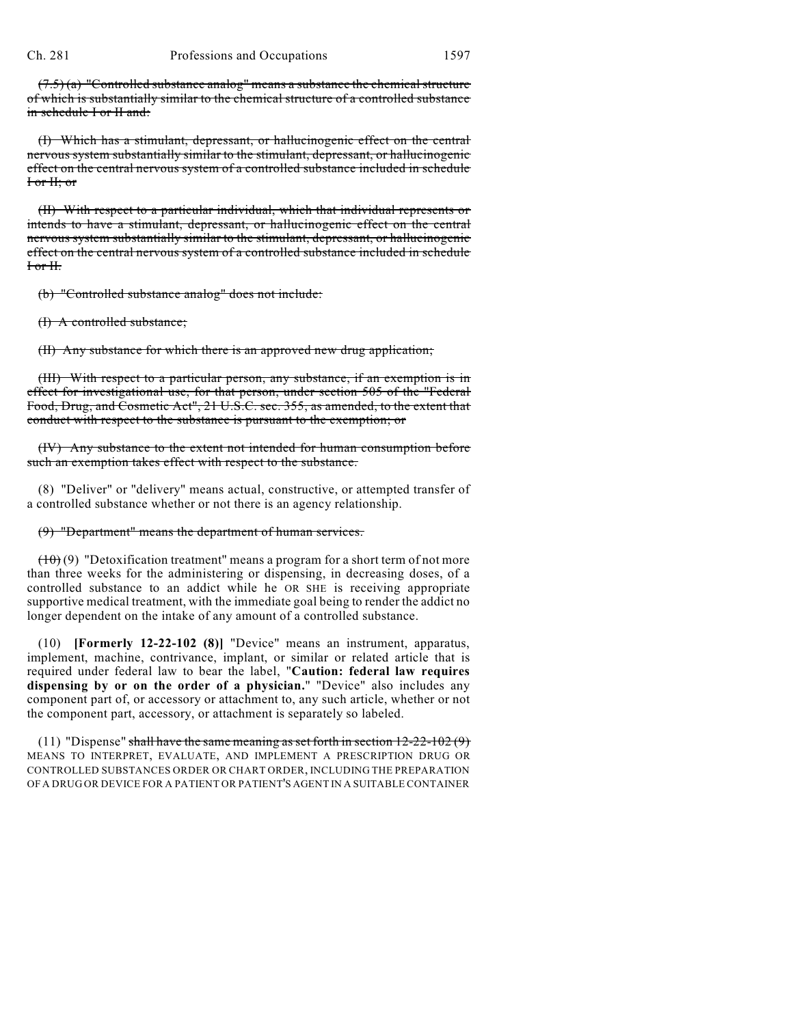$(7.5)$  (a) "Controlled substance analog" means a substance the chemical structure of which is substantially similar to the chemical structure of a controlled substance in schedule I or II and:

(I) Which has a stimulant, depressant, or hallucinogenic effect on the central nervous system substantially similar to the stimulant, depressant, or hallucinogenic effect on the central nervous system of a controlled substance included in schedule I or II; or

(II) With respect to a particular individual, which that individual represents or intends to have a stimulant, depressant, or hallucinogenic effect on the central nervous system substantially similar to the stimulant, depressant, or hallucinogenic effect on the central nervous system of a controlled substance included in schedule I or II.

(b) "Controlled substance analog" does not include:

(I) A controlled substance;

(II) Any substance for which there is an approved new drug application;

(III) With respect to a particular person, any substance, if an exemption is in effect for investigational use, for that person, under section 505 of the "Federal Food, Drug, and Cosmetic Act", 21 U.S.C. sec. 355, as amended, to the extent that conduct with respect to the substance is pursuant to the exemption; or

(IV) Any substance to the extent not intended for human consumption before such an exemption takes effect with respect to the substance.

(8) "Deliver" or "delivery" means actual, constructive, or attempted transfer of a controlled substance whether or not there is an agency relationship.

### (9) "Department" means the department of human services.

 $(10)(9)$  "Detoxification treatment" means a program for a short term of not more than three weeks for the administering or dispensing, in decreasing doses, of a controlled substance to an addict while he OR SHE is receiving appropriate supportive medical treatment, with the immediate goal being to render the addict no longer dependent on the intake of any amount of a controlled substance.

(10) **[Formerly 12-22-102 (8)]** "Device" means an instrument, apparatus, implement, machine, contrivance, implant, or similar or related article that is required under federal law to bear the label, "**Caution: federal law requires dispensing by or on the order of a physician.**" "Device" also includes any component part of, or accessory or attachment to, any such article, whether or not the component part, accessory, or attachment is separately so labeled.

(11) "Dispense" shall have the same meaning as set forth in section  $12-22-102(9)$ MEANS TO INTERPRET, EVALUATE, AND IMPLEMENT A PRESCRIPTION DRUG OR CONTROLLED SUBSTANCES ORDER OR CHART ORDER, INCLUDING THE PREPARATION OF A DRUG OR DEVICE FOR A PATIENT OR PATIENT'S AGENT IN A SUITABLE CONTAINER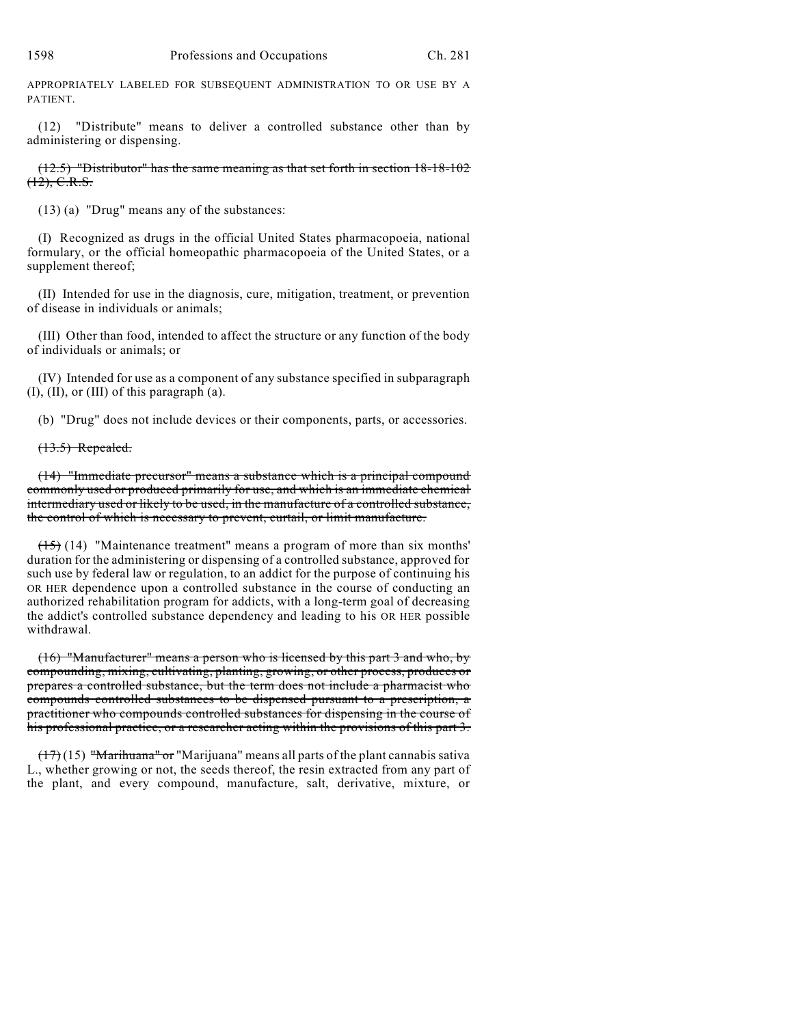APPROPRIATELY LABELED FOR SUBSEQUENT ADMINISTRATION TO OR USE BY A PATIENT.

(12) "Distribute" means to deliver a controlled substance other than by administering or dispensing.

(12.5) "Distributor" has the same meaning as that set forth in section 18-18-102  $(12)$ , C.R.S.

(13) (a) "Drug" means any of the substances:

(I) Recognized as drugs in the official United States pharmacopoeia, national formulary, or the official homeopathic pharmacopoeia of the United States, or a supplement thereof;

(II) Intended for use in the diagnosis, cure, mitigation, treatment, or prevention of disease in individuals or animals;

(III) Other than food, intended to affect the structure or any function of the body of individuals or animals; or

(IV) Intended for use as a component of any substance specified in subparagraph (I), (II), or (III) of this paragraph (a).

(b) "Drug" does not include devices or their components, parts, or accessories.

(13.5) Repealed.

(14) "Immediate precursor" means a substance which is a principal compound commonly used or produced primarily for use, and which is an immediate chemical intermediary used or likely to be used, in the manufacture of a controlled substance, the control of which is necessary to prevent, curtail, or limit manufacture.

 $(15)$  (14) "Maintenance treatment" means a program of more than six months' duration for the administering or dispensing of a controlled substance, approved for such use by federal law or regulation, to an addict for the purpose of continuing his OR HER dependence upon a controlled substance in the course of conducting an authorized rehabilitation program for addicts, with a long-term goal of decreasing the addict's controlled substance dependency and leading to his OR HER possible withdrawal.

(16) "Manufacturer" means a person who is licensed by this part 3 and who, by compounding, mixing, cultivating, planting, growing, or other process, produces or prepares a controlled substance, but the term does not include a pharmacist who compounds controlled substances to be dispensed pursuant to a prescription, a practitioner who compounds controlled substances for dispensing in the course of his professional practice, or a researcher acting within the provisions of this part 3.

 $(17)(15)$  "Marihuana" or "Marijuana" means all parts of the plant cannabis sativa L., whether growing or not, the seeds thereof, the resin extracted from any part of the plant, and every compound, manufacture, salt, derivative, mixture, or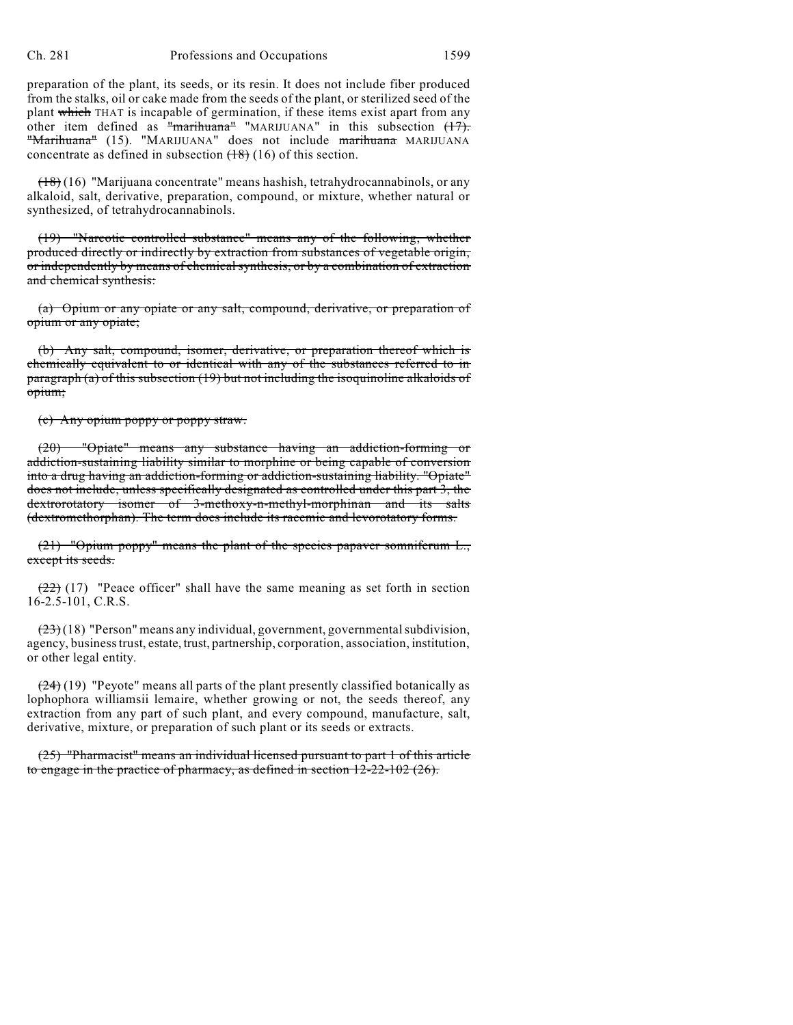preparation of the plant, its seeds, or its resin. It does not include fiber produced from the stalks, oil or cake made from the seeds of the plant, or sterilized seed of the plant which THAT is incapable of germination, if these items exist apart from any other item defined as "marihuana" "MARIJUANA" in this subsection  $(17)$ . "Marihuana" (15). "MARIJUANA" does not include marihuana MARIJUANA concentrate as defined in subsection  $(18)$  (16) of this section.

 $(18)(16)$  "Marijuana concentrate" means hashish, tetrahydrocannabinols, or any alkaloid, salt, derivative, preparation, compound, or mixture, whether natural or synthesized, of tetrahydrocannabinols.

(19) "Narcotic controlled substance" means any of the following, whether produced directly or indirectly by extraction from substances of vegetable origin, or independently by means of chemical synthesis, or by a combination of extraction and chemical synthesis:

(a) Opium or any opiate or any salt, compound, derivative, or preparation of opium or any opiate;

(b) Any salt, compound, isomer, derivative, or preparation thereof which is chemically equivalent to or identical with any of the substances referred to in paragraph (a) of this subsection (19) but not including the isoquinoline alkaloids of opium;

(c) Any opium poppy or poppy straw.

(20) "Opiate" means any substance having an addiction-forming or addiction-sustaining liability similar to morphine or being capable of conversion into a drug having an addiction-forming or addiction-sustaining liability. "Opiate" does not include, unless specifically designated as controlled under this part 3, the dextrorotatory isomer of 3-methoxy-n-methyl-morphinan and its salts (dextromethorphan). The term does include its racemic and levorotatory forms.

(21) "Opium poppy" means the plant of the species papaver somniferum L., except its seeds.

 $(22)$  (17) "Peace officer" shall have the same meaning as set forth in section 16-2.5-101, C.R.S.

 $(23)(18)$  "Person" means any individual, government, governmental subdivision, agency, business trust, estate, trust, partnership, corporation, association, institution, or other legal entity.

 $(24)(19)$  "Peyote" means all parts of the plant presently classified botanically as lophophora williamsii lemaire, whether growing or not, the seeds thereof, any extraction from any part of such plant, and every compound, manufacture, salt, derivative, mixture, or preparation of such plant or its seeds or extracts.

(25) "Pharmacist" means an individual licensed pursuant to part 1 of this article to engage in the practice of pharmacy, as defined in section 12-22-102 (26).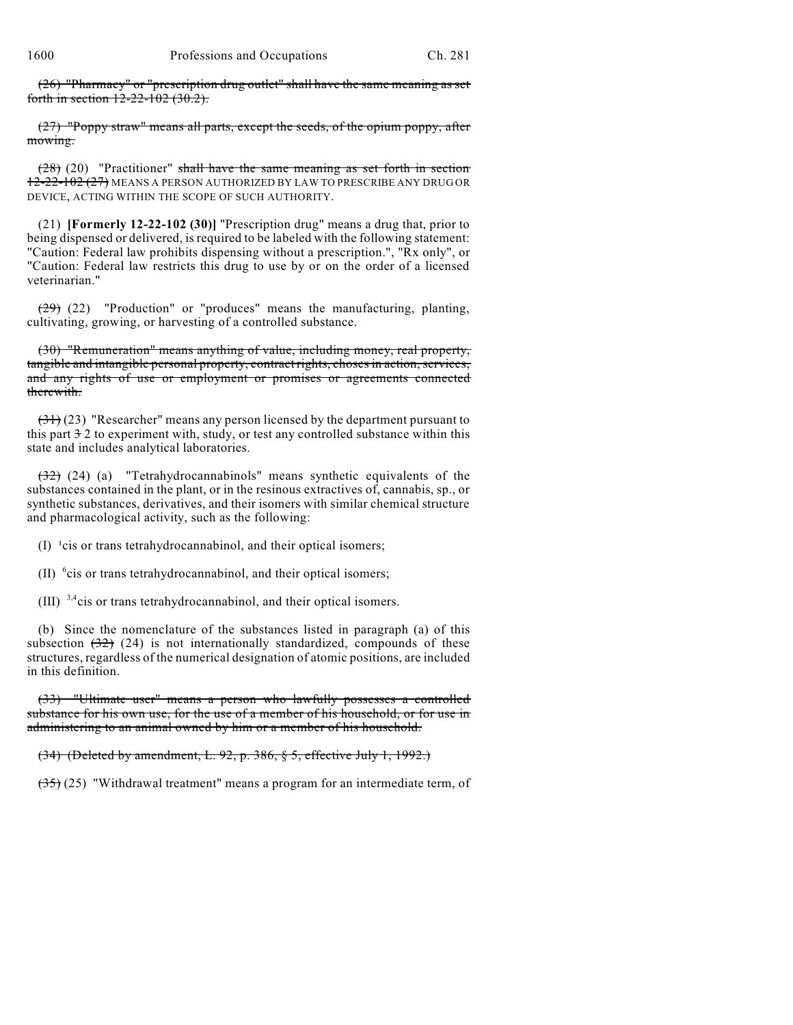(26) "Pharmacy" or "prescription drug outlet" shall have the same meaning as set forth in section 12-22-102 (30.2).

(27) "Poppy straw" means all parts, except the seeds, of the opium poppy, after mowing.

 $(28)$  (20) "Practitioner" shall have the same meaning as set forth in section 12-22-102 (27) MEANS A PERSON AUTHORIZED BY LAW TO PRESCRIBE ANY DRUG OR DEVICE, ACTING WITHIN THE SCOPE OF SUCH AUTHORITY.

(21) **[Formerly 12-22-102 (30)]** "Prescription drug" means a drug that, prior to being dispensed or delivered, is required to be labeled with the following statement: "Caution: Federal law prohibits dispensing without a prescription.", "Rx only", or "Caution: Federal law restricts this drug to use by or on the order of a licensed veterinarian."

 $(29)$  (22) "Production" or "produces" means the manufacturing, planting, cultivating, growing, or harvesting of a controlled substance.

(30) "Remuneration" means anything of value, including money, real property, tangible and intangible personal property, contract rights, choses in action, services, and any rights of use or employment or promises or agreements connected therewith.

 $(31)(23)$  "Researcher" means any person licensed by the department pursuant to this part  $\frac{3}{2}$  to experiment with, study, or test any controlled substance within this state and includes analytical laboratories.

(32) (24) (a) "Tetrahydrocannabinols" means synthetic equivalents of the substances contained in the plant, or in the resinous extractives of, cannabis, sp., or synthetic substances, derivatives, and their isomers with similar chemical structure and pharmacological activity, such as the following:

 $(I)$  <sup>1</sup>cis or trans tetrahydrocannabinol, and their optical isomers;

(II)  $\text{6}$  cis or trans tetrahydrocannabinol, and their optical isomers;

(III)  $3,4$  cis or trans tetrahydrocannabinol, and their optical isomers.

(b) Since the nomenclature of the substances listed in paragraph (a) of this subsection  $(32)$  (24) is not internationally standardized, compounds of these structures, regardless of the numerical designation of atomic positions, are included in this definition.

(33) "Ultimate user" means a person who lawfully possesses a controlled substance for his own use, for the use of a member of his household, or for use in administering to an animal owned by him or a member of his household.

(34) (Deleted by amendment, L. 92, p. 386, § 5, effective July 1, 1992.)

 $(35)$  (25) "Withdrawal treatment" means a program for an intermediate term, of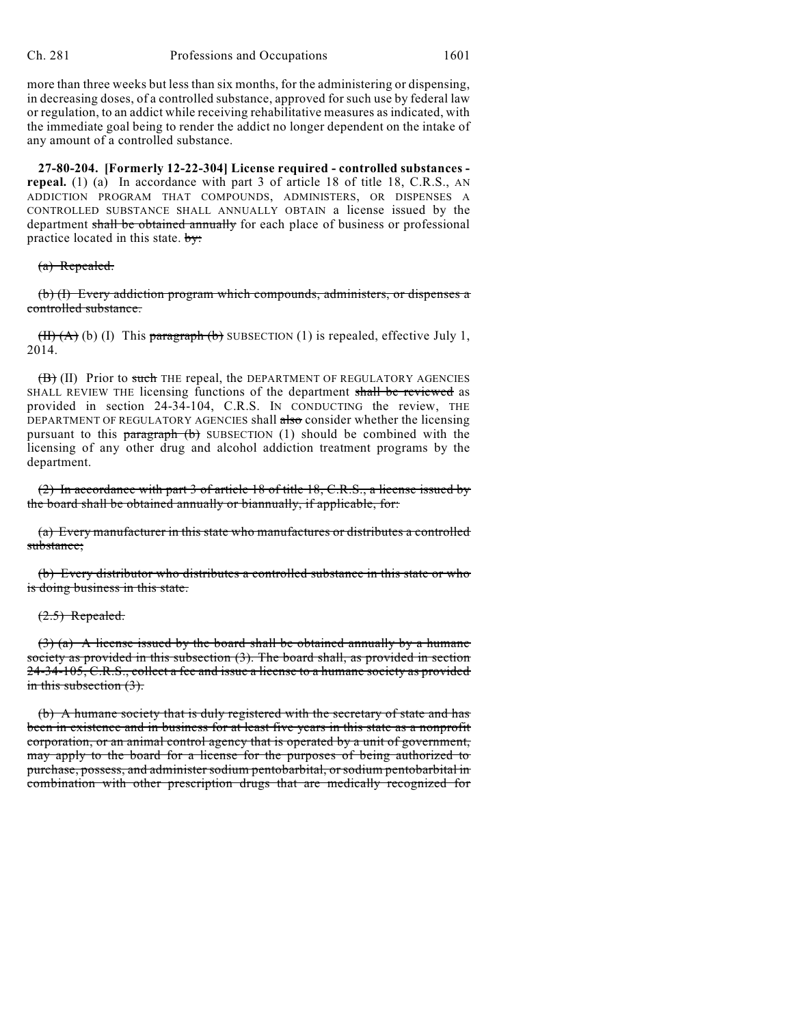more than three weeks but less than six months, for the administering or dispensing, in decreasing doses, of a controlled substance, approved for such use by federal law or regulation, to an addict while receiving rehabilitative measures as indicated, with the immediate goal being to render the addict no longer dependent on the intake of any amount of a controlled substance.

**27-80-204. [Formerly 12-22-304] License required - controlled substances repeal.** (1) (a) In accordance with part 3 of article 18 of title 18, C.R.S., AN ADDICTION PROGRAM THAT COMPOUNDS, ADMINISTERS, OR DISPENSES A CONTROLLED SUBSTANCE SHALL ANNUALLY OBTAIN a license issued by the department shall be obtained annually for each place of business or professional practice located in this state.  $\frac{1}{2}$ 

#### (a) Repealed.

(b) (I) Every addiction program which compounds, administers, or dispenses a controlled substance.

 $(H)(A)$  (b) (I) This paragraph (b) SUBSECTION (1) is repealed, effective July 1, 2014.

(B) (II) Prior to such THE repeal, the DEPARTMENT OF REGULATORY AGENCIES SHALL REVIEW THE licensing functions of the department shall be reviewed as provided in section 24-34-104, C.R.S. IN CONDUCTING the review, THE DEPARTMENT OF REGULATORY AGENCIES shall also consider whether the licensing pursuant to this  $\frac{1}{2}$  paragraph (b) SUBSECTION (1) should be combined with the licensing of any other drug and alcohol addiction treatment programs by the department.

(2) In accordance with part 3 of article 18 of title 18, C.R.S., a license issued by the board shall be obtained annually or biannually, if applicable, for:

(a) Every manufacturer in this state who manufactures or distributes a controlled substance;

(b) Every distributor who distributes a controlled substance in this state or who is doing business in this state.

#### $(2.5)$  Repealed.

 $(3)$  (a) A license issued by the board shall be obtained annually by a humane society as provided in this subsection (3). The board shall, as provided in section 24-34-105, C.R.S., collect a fee and issue a license to a humane society as provided in this subsection  $(3)$ .

(b) A humane society that is duly registered with the secretary of state and has been in existence and in business for at least five years in this state as a nonprofit corporation, or an animal control agency that is operated by a unit of government, may apply to the board for a license for the purposes of being authorized to purchase, possess, and administer sodium pentobarbital, or sodium pentobarbital in combination with other prescription drugs that are medically recognized for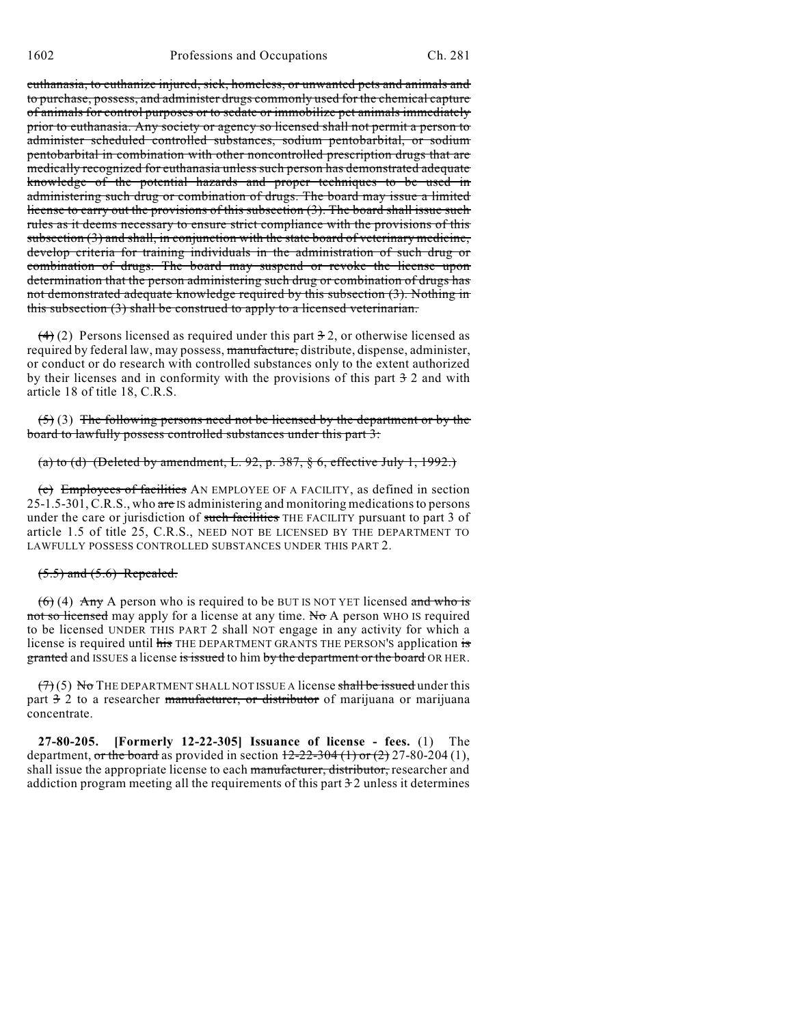euthanasia, to euthanize injured, sick, homeless, or unwanted pets and animals and to purchase, possess, and administer drugs commonly used for the chemical capture of animals for control purposes or to sedate or immobilize pet animals immediately prior to euthanasia. Any society or agency so licensed shall not permit a person to administer scheduled controlled substances, sodium pentobarbital, or sodium pentobarbital in combination with other noncontrolled prescription drugs that are medically recognized for euthanasia unless such person has demonstrated adequate knowledge of the potential hazards and proper techniques to be used in administering such drug or combination of drugs. The board may issue a limited license to carry out the provisions of this subsection (3). The board shall issue such rules as it deems necessary to ensure strict compliance with the provisions of this subsection (3) and shall, in conjunction with the state board of veterinary medicine, develop criteria for training individuals in the administration of such drug or combination of drugs. The board may suspend or revoke the license upon determination that the person administering such drug or combination of drugs has not demonstrated adequate knowledge required by this subsection (3). Nothing in this subsection (3) shall be construed to apply to a licensed veterinarian.

 $(4)$  (2) Persons licensed as required under this part 3 2, or otherwise licensed as required by federal law, may possess, manufacture, distribute, dispense, administer, or conduct or do research with controlled substances only to the extent authorized by their licenses and in conformity with the provisions of this part  $\frac{1}{2}$  2 and with article 18 of title 18, C.R.S.

 $(5)$  (3) The following persons need not be licensed by the department or by the board to lawfully possess controlled substances under this part 3:

# (a) to (d) (Deleted by amendment, L. 92, p. 387, § 6, effective July 1, 1992.)

(e) Employees of facilities AN EMPLOYEE OF A FACILITY, as defined in section 25-1.5-301, C.R.S., who are IS administering and monitoring medications to persons under the care or jurisdiction of such facilities THE FACILITY pursuant to part 3 of article 1.5 of title 25, C.R.S., NEED NOT BE LICENSED BY THE DEPARTMENT TO LAWFULLY POSSESS CONTROLLED SUBSTANCES UNDER THIS PART 2.

#### $(5.5)$  and  $(5.6)$  Repealed.

 $(6)$  (4) Any A person who is required to be BUT IS NOT YET licensed and who is not so licensed may apply for a license at any time. No A person WHO IS required to be licensed UNDER THIS PART 2 shall NOT engage in any activity for which a license is required until his THE DEPARTMENT GRANTS THE PERSON'S application is granted and ISSUES a license is issued to him by the department or the board OR HER.

 $(7)(5)$  No THE DEPARTMENT SHALL NOT ISSUE A license shall be issued under this part 3 2 to a researcher manufacturer, or distributor of marijuana or marijuana concentrate.

**27-80-205. [Formerly 12-22-305] Issuance of license - fees.** (1) The department, or the board as provided in section  $12-22-304$  (1) or (2) 27-80-204 (1), shall issue the appropriate license to each manufacturer, distributor, researcher and addiction program meeting all the requirements of this part  $\frac{1}{2}$  unless it determines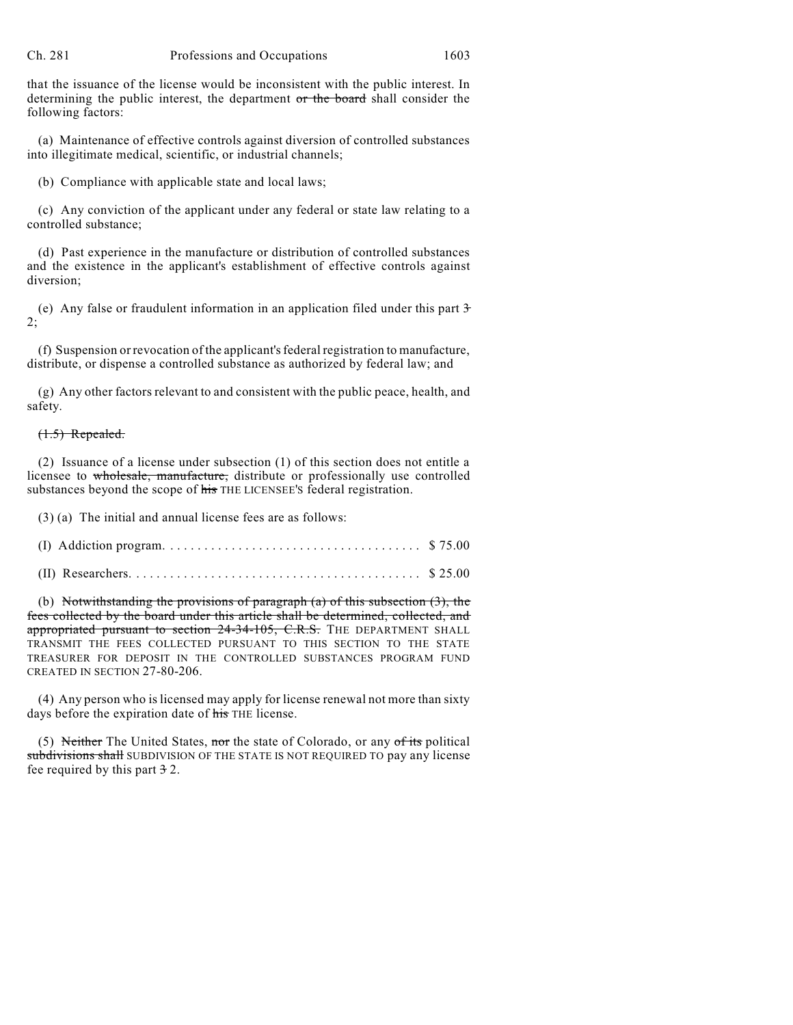that the issuance of the license would be inconsistent with the public interest. In determining the public interest, the department or the board shall consider the following factors:

(a) Maintenance of effective controls against diversion of controlled substances into illegitimate medical, scientific, or industrial channels;

(b) Compliance with applicable state and local laws;

(c) Any conviction of the applicant under any federal or state law relating to a controlled substance;

(d) Past experience in the manufacture or distribution of controlled substances and the existence in the applicant's establishment of effective controls against diversion;

(e) Any false or fraudulent information in an application filed under this part 3 2;

(f) Suspension or revocation of the applicant's federal registration to manufacture, distribute, or dispense a controlled substance as authorized by federal law; and

(g) Any other factors relevant to and consistent with the public peace, health, and safety.

## $(1.5)$  Repealed.

(2) Issuance of a license under subsection (1) of this section does not entitle a licensee to wholesale, manufacture, distribute or professionally use controlled substances beyond the scope of his THE LICENSEE's federal registration.

(3) (a) The initial and annual license fees are as follows:

(b) Notwithstanding the provisions of paragraph (a) of this subsection (3), the fees collected by the board under this article shall be determined, collected, and appropriated pursuant to section 24-34-105, C.R.S. THE DEPARTMENT SHALL TRANSMIT THE FEES COLLECTED PURSUANT TO THIS SECTION TO THE STATE TREASURER FOR DEPOSIT IN THE CONTROLLED SUBSTANCES PROGRAM FUND CREATED IN SECTION 27-80-206.

(4) Any person who is licensed may apply for license renewal not more than sixty days before the expiration date of his THE license.

(5) Neither The United States, nor the state of Colorado, or any  $of$  its political subdivisions shall SUBDIVISION OF THE STATE IS NOT REQUIRED TO pay any license fee required by this part  $\frac{3}{2}$ .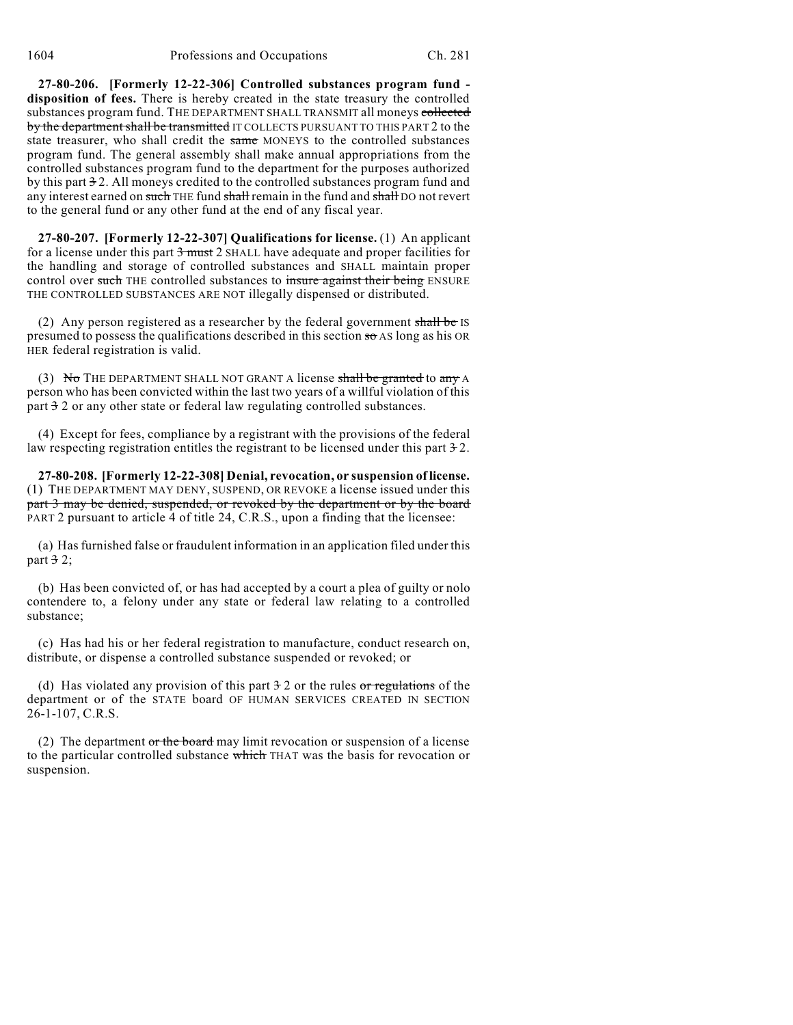**27-80-206. [Formerly 12-22-306] Controlled substances program fund disposition of fees.** There is hereby created in the state treasury the controlled substances program fund. THE DEPARTMENT SHALL TRANSMIT all moneys collected by the department shall be transmitted IT COLLECTS PURSUANT TO THIS PART 2 to the state treasurer, who shall credit the same MONEYS to the controlled substances program fund. The general assembly shall make annual appropriations from the controlled substances program fund to the department for the purposes authorized by this part 3 2. All moneys credited to the controlled substances program fund and any interest earned on such THE fund shall remain in the fund and shall DO not revert to the general fund or any other fund at the end of any fiscal year.

**27-80-207. [Formerly 12-22-307] Qualifications for license.** (1) An applicant for a license under this part 3 must 2 SHALL have adequate and proper facilities for the handling and storage of controlled substances and SHALL maintain proper control over such THE controlled substances to insure against their being ENSURE THE CONTROLLED SUBSTANCES ARE NOT illegally dispensed or distributed.

(2) Any person registered as a researcher by the federal government shall be IS presumed to possess the qualifications described in this section  $\frac{1}{50}$  AS long as his OR HER federal registration is valid.

(3) No THE DEPARTMENT SHALL NOT GRANT A license shall be granted to any A person who has been convicted within the last two years of a willful violation of this part 3 2 or any other state or federal law regulating controlled substances.

(4) Except for fees, compliance by a registrant with the provisions of the federal law respecting registration entitles the registrant to be licensed under this part  $\pm 2$ .

**27-80-208. [Formerly 12-22-308] Denial, revocation, or suspension of license.** (1) THE DEPARTMENT MAY DENY, SUSPEND, OR REVOKE a license issued under this part 3 may be denied, suspended, or revoked by the department or by the board PART 2 pursuant to article 4 of title 24, C.R.S., upon a finding that the licensee:

(a) Hasfurnished false or fraudulent information in an application filed under this part  $3^2$ ;

(b) Has been convicted of, or has had accepted by a court a plea of guilty or nolo contendere to, a felony under any state or federal law relating to a controlled substance;

(c) Has had his or her federal registration to manufacture, conduct research on, distribute, or dispense a controlled substance suspended or revoked; or

(d) Has violated any provision of this part  $\frac{3}{2}$  or the rules or regulations of the department or of the STATE board OF HUMAN SERVICES CREATED IN SECTION 26-1-107, C.R.S.

(2) The department  $or$  the board may limit revocation or suspension of a license to the particular controlled substance which THAT was the basis for revocation or suspension.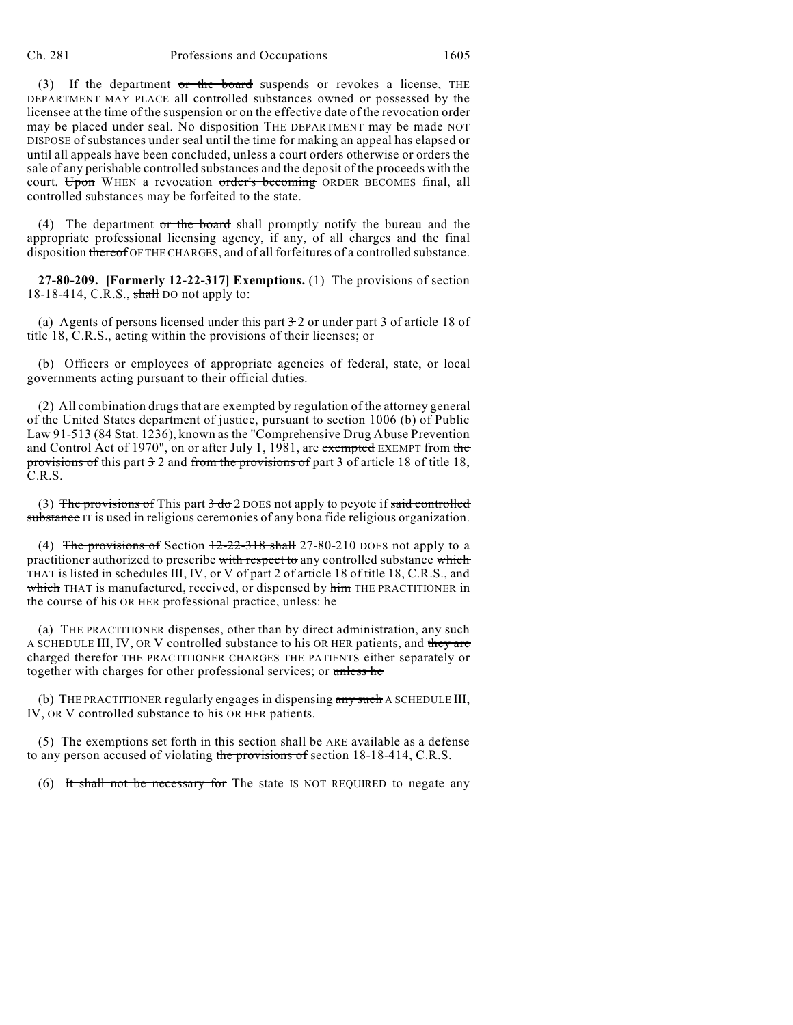(3) If the department or the board suspends or revokes a license, THE DEPARTMENT MAY PLACE all controlled substances owned or possessed by the licensee at the time of the suspension or on the effective date of the revocation order may be placed under seal. No disposition THE DEPARTMENT may be made NOT DISPOSE of substances under seal until the time for making an appeal has elapsed or until all appeals have been concluded, unless a court orders otherwise or orders the sale of any perishable controlled substances and the deposit of the proceeds with the court. Upon WHEN a revocation order's becoming ORDER BECOMES final, all controlled substances may be forfeited to the state.

(4) The department or the board shall promptly notify the bureau and the appropriate professional licensing agency, if any, of all charges and the final disposition thereof OF THE CHARGES, and of all forfeitures of a controlled substance.

**27-80-209. [Formerly 12-22-317] Exemptions.** (1) The provisions of section  $18-18-414$ , C.R.S., shall DO not apply to:

(a) Agents of persons licensed under this part  $\frac{3}{2}$  or under part 3 of article 18 of title 18, C.R.S., acting within the provisions of their licenses; or

(b) Officers or employees of appropriate agencies of federal, state, or local governments acting pursuant to their official duties.

(2) All combination drugs that are exempted by regulation of the attorney general of the United States department of justice, pursuant to section 1006 (b) of Public Law 91-513 (84 Stat. 1236), known as the "Comprehensive Drug Abuse Prevention and Control Act of 1970", on or after July 1, 1981, are exempted EXEMPT from the provisions of this part 3 2 and from the provisions of part 3 of article 18 of title 18, C.R.S.

(3) The provisions of This part  $3 \text{ do } 2$  DOES not apply to peyote if said controlled substance IT is used in religious ceremonies of any bona fide religious organization.

(4) The provisions of Section  $\frac{12-22-318 \text{ shall}}{27-80-210 \text{ poes}}$  not apply to a practitioner authorized to prescribe with respect to any controlled substance which THAT is listed in schedules III, IV, or V of part 2 of article 18 of title 18, C.R.S., and which THAT is manufactured, received, or dispensed by him THE PRACTITIONER in the course of his OR HER professional practice, unless: he

(a) THE PRACTITIONER dispenses, other than by direct administration, any such A SCHEDULE III, IV, OR V controlled substance to his OR HER patients, and they are charged therefor THE PRACTITIONER CHARGES THE PATIENTS either separately or together with charges for other professional services; or unless he

(b) THE PRACTITIONER regularly engages in dispensing any such A SCHEDULE III, IV, OR V controlled substance to his OR HER patients.

(5) The exemptions set forth in this section  $\frac{\text{shall}}{\text{be}}$  ARE available as a defense to any person accused of violating the provisions of section 18-18-414, C.R.S.

(6) It shall not be necessary for The state IS NOT REQUIRED to negate any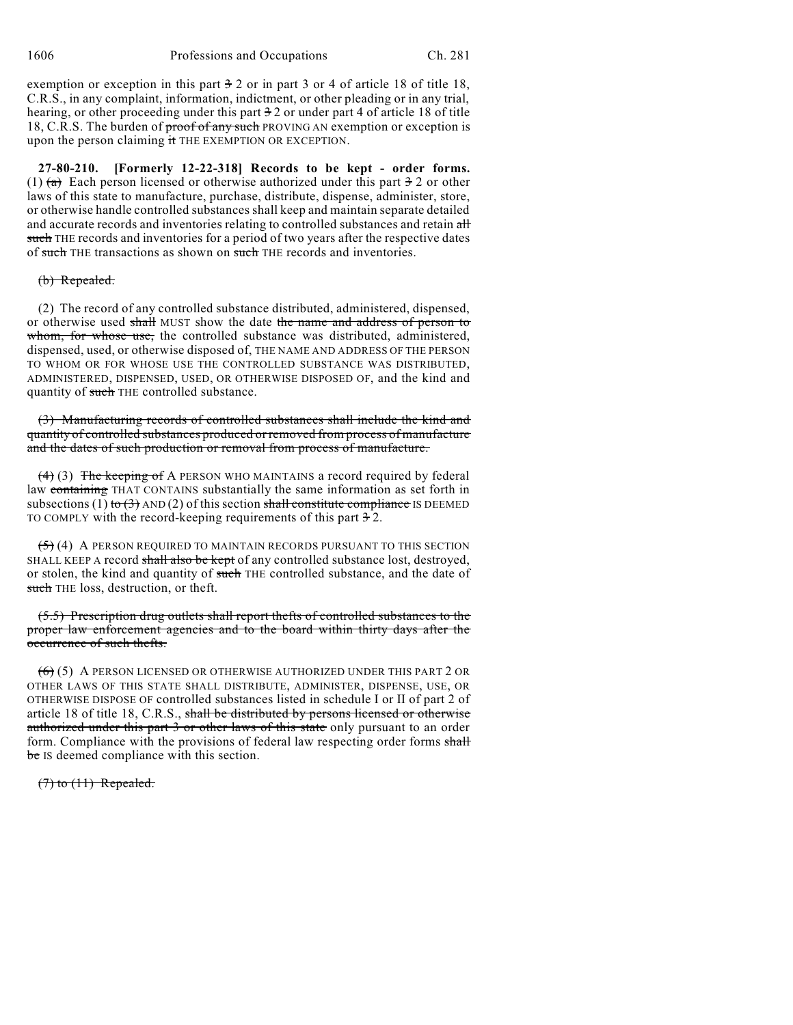exemption or exception in this part  $\frac{3}{2}$  or in part 3 or 4 of article 18 of title 18, C.R.S., in any complaint, information, indictment, or other pleading or in any trial, hearing, or other proceeding under this part  $\frac{3}{2}$  or under part 4 of article 18 of title 18, C.R.S. The burden of proof of any such PROVING AN exemption or exception is upon the person claiming it THE EXEMPTION OR EXCEPTION.

**27-80-210. [Formerly 12-22-318] Records to be kept - order forms.** (1)  $(a)$  Each person licensed or otherwise authorized under this part  $\frac{3}{2}$  or other laws of this state to manufacture, purchase, distribute, dispense, administer, store, or otherwise handle controlled substances shall keep and maintain separate detailed and accurate records and inventories relating to controlled substances and retain all such THE records and inventories for a period of two years after the respective dates of such THE transactions as shown on such THE records and inventories.

## (b) Repealed.

(2) The record of any controlled substance distributed, administered, dispensed, or otherwise used shall MUST show the date the name and address of person to whom, for whose use, the controlled substance was distributed, administered, dispensed, used, or otherwise disposed of, THE NAME AND ADDRESS OF THE PERSON TO WHOM OR FOR WHOSE USE THE CONTROLLED SUBSTANCE WAS DISTRIBUTED, ADMINISTERED, DISPENSED, USED, OR OTHERWISE DISPOSED OF, and the kind and quantity of such THE controlled substance.

(3) Manufacturing records of controlled substances shall include the kind and quantity of controlled substances produced orremoved from process of manufacture and the dates of such production or removal from process of manufacture.

 $(4)$  (3) The keeping of A PERSON WHO MAINTAINS a record required by federal law containing THAT CONTAINS substantially the same information as set forth in subsections (1) to  $(3)$  AND (2) of this section shall constitute compliance IS DEEMED TO COMPLY with the record-keeping requirements of this part  $\pm 2$ .

 $(5)$  (4) A PERSON REQUIRED TO MAINTAIN RECORDS PURSUANT TO THIS SECTION SHALL KEEP A record shall also be kept of any controlled substance lost, destroyed, or stolen, the kind and quantity of such THE controlled substance, and the date of such THE loss, destruction, or theft.

(5.5) Prescription drug outlets shall report thefts of controlled substances to the proper law enforcement agencies and to the board within thirty days after the occurrence of such thefts.

 $(6)$  (5) A PERSON LICENSED OR OTHERWISE AUTHORIZED UNDER THIS PART 2 OR OTHER LAWS OF THIS STATE SHALL DISTRIBUTE, ADMINISTER, DISPENSE, USE, OR OTHERWISE DISPOSE OF controlled substances listed in schedule I or II of part 2 of article 18 of title 18, C.R.S., shall be distributed by persons licensed or otherwise authorized under this part 3 or other laws of this state only pursuant to an order form. Compliance with the provisions of federal law respecting order forms shall be IS deemed compliance with this section.

 $(7)$  to  $(11)$  Repealed.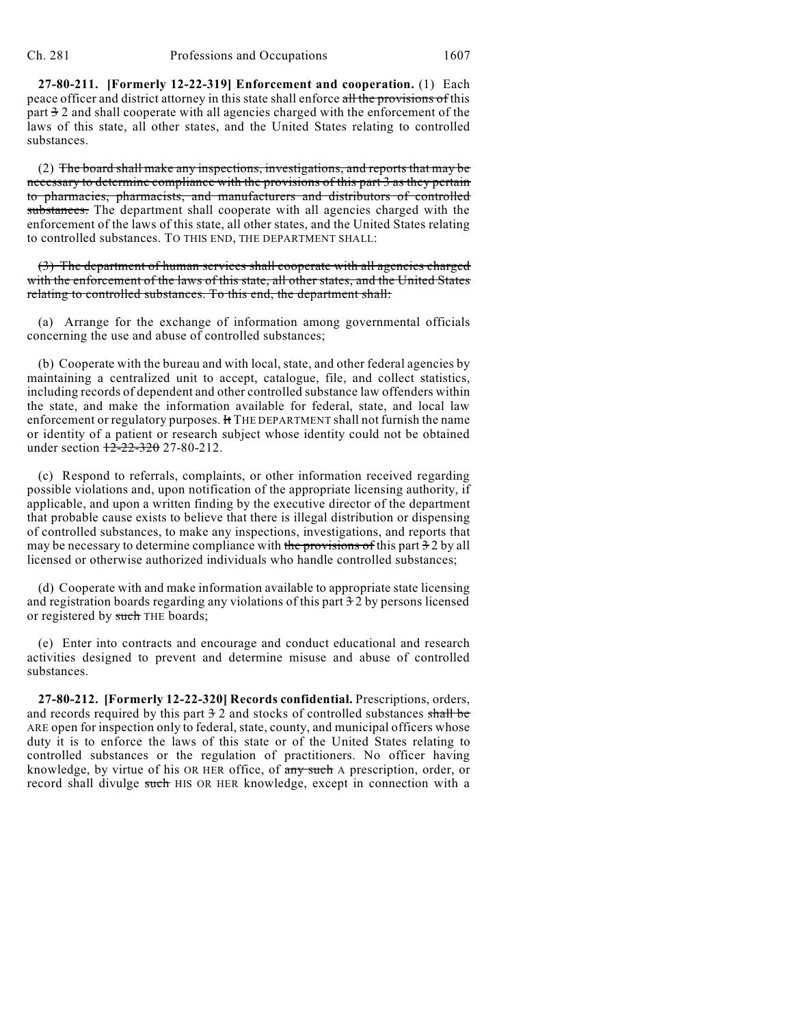**27-80-211. [Formerly 12-22-319] Enforcement and cooperation.** (1) Each peace officer and district attorney in this state shall enforce all the provisions of this part 3 2 and shall cooperate with all agencies charged with the enforcement of the laws of this state, all other states, and the United States relating to controlled substances.

(2) The board shall make any inspections, investigations, and reports that may be necessary to determine compliance with the provisions of this part 3 as they pertain to pharmacies, pharmacists, and manufacturers and distributors of controlled substances. The department shall cooperate with all agencies charged with the enforcement of the laws of this state, all other states, and the United States relating to controlled substances. TO THIS END, THE DEPARTMENT SHALL:

(3) The department of human services shall cooperate with all agencies charged with the enforcement of the laws of this state, all other states, and the United States relating to controlled substances. To this end, the department shall:

(a) Arrange for the exchange of information among governmental officials concerning the use and abuse of controlled substances;

(b) Cooperate with the bureau and with local, state, and other federal agencies by maintaining a centralized unit to accept, catalogue, file, and collect statistics, including records of dependent and other controlled substance law offenders within the state, and make the information available for federal, state, and local law enforcement or regulatory purposes. It THE DEPARTMENT shall not furnish the name or identity of a patient or research subject whose identity could not be obtained under section  $12 - 22 - 320$  27-80-212.

(c) Respond to referrals, complaints, or other information received regarding possible violations and, upon notification of the appropriate licensing authority, if applicable, and upon a written finding by the executive director of the department that probable cause exists to believe that there is illegal distribution or dispensing of controlled substances, to make any inspections, investigations, and reports that may be necessary to determine compliance with the provisions of this part  $32$  by all licensed or otherwise authorized individuals who handle controlled substances;

(d) Cooperate with and make information available to appropriate state licensing and registration boards regarding any violations of this part 3 2 by persons licensed or registered by such THE boards;

(e) Enter into contracts and encourage and conduct educational and research activities designed to prevent and determine misuse and abuse of controlled substances.

**27-80-212. [Formerly 12-22-320] Records confidential.** Prescriptions, orders, and records required by this part  $\frac{3}{2}$  and stocks of controlled substances shall be ARE open for inspection only to federal, state, county, and municipal officers whose duty it is to enforce the laws of this state or of the United States relating to controlled substances or the regulation of practitioners. No officer having knowledge, by virtue of his OR HER office, of any such A prescription, order, or record shall divulge such HIS OR HER knowledge, except in connection with a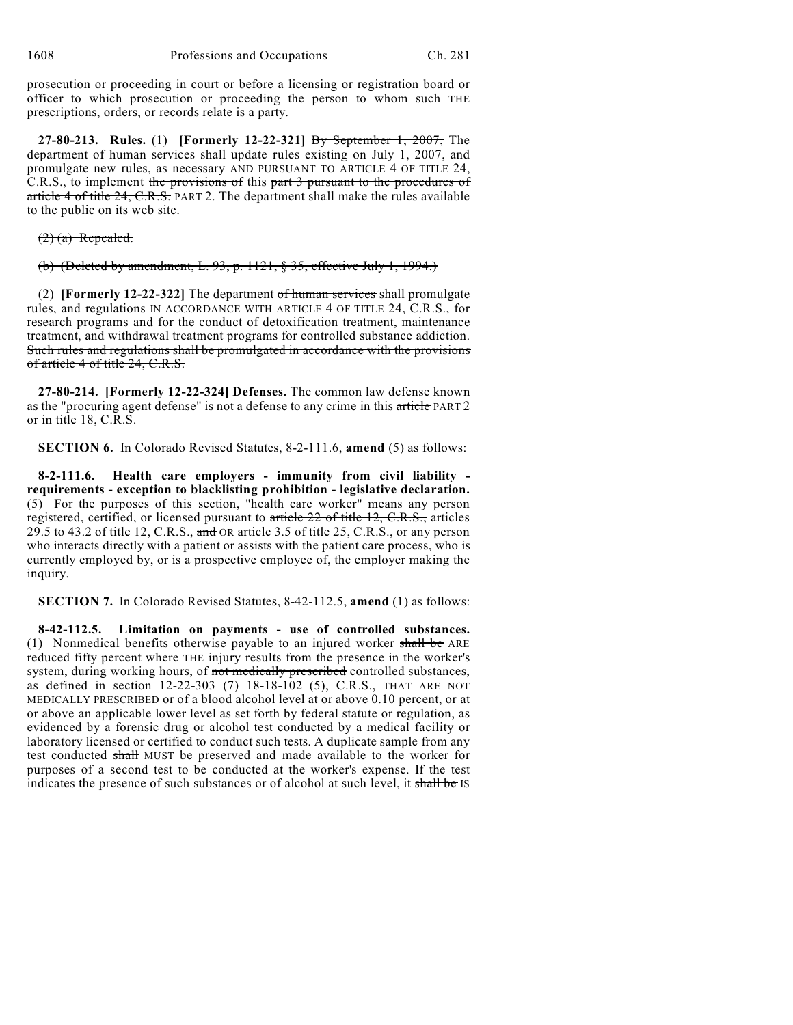prosecution or proceeding in court or before a licensing or registration board or officer to which prosecution or proceeding the person to whom such THE prescriptions, orders, or records relate is a party.

**27-80-213. Rules.** (1) **[Formerly 12-22-321]** By September 1, 2007, The department of human services shall update rules existing on July 1, 2007, and promulgate new rules, as necessary AND PURSUANT TO ARTICLE 4 OF TITLE 24, C.R.S., to implement the provisions of this part 3 pursuant to the procedures of article 4 of title 24, C.R.S. PART 2. The department shall make the rules available to the public on its web site.

 $(2)$  (a) Repealed.

(b) (Deleted by amendment, L. 93, p. 1121, § 35, effective July 1, 1994.)

(2) **[Formerly 12-22-322]** The department of human services shall promulgate rules, and regulations IN ACCORDANCE WITH ARTICLE 4 OF TITLE 24, C.R.S., for research programs and for the conduct of detoxification treatment, maintenance treatment, and withdrawal treatment programs for controlled substance addiction. Such rules and regulations shall be promulgated in accordance with the provisions of article 4 of title 24, C.R.S.

**27-80-214. [Formerly 12-22-324] Defenses.** The common law defense known as the "procuring agent defense" is not a defense to any crime in this article PART 2 or in title 18, C.R.S.

**SECTION 6.** In Colorado Revised Statutes, 8-2-111.6, **amend** (5) as follows:

**8-2-111.6. Health care employers - immunity from civil liability requirements - exception to blacklisting prohibition - legislative declaration.** (5) For the purposes of this section, "health care worker" means any person registered, certified, or licensed pursuant to article 22 of title 12, C.R.S., articles 29.5 to 43.2 of title 12, C.R.S., and OR article 3.5 of title 25, C.R.S., or any person who interacts directly with a patient or assists with the patient care process, who is currently employed by, or is a prospective employee of, the employer making the inquiry.

**SECTION 7.** In Colorado Revised Statutes, 8-42-112.5, **amend** (1) as follows:

**8-42-112.5. Limitation on payments - use of controlled substances.** (1) Nonmedical benefits otherwise payable to an injured worker shall be ARE reduced fifty percent where THE injury results from the presence in the worker's system, during working hours, of not medically prescribed controlled substances, as defined in section  $\frac{12-22-303(7)}{18-18-102}$  (5), C.R.S., THAT ARE NOT MEDICALLY PRESCRIBED or of a blood alcohol level at or above 0.10 percent, or at or above an applicable lower level as set forth by federal statute or regulation, as evidenced by a forensic drug or alcohol test conducted by a medical facility or laboratory licensed or certified to conduct such tests. A duplicate sample from any test conducted shall MUST be preserved and made available to the worker for purposes of a second test to be conducted at the worker's expense. If the test indicates the presence of such substances or of alcohol at such level, it shall be IS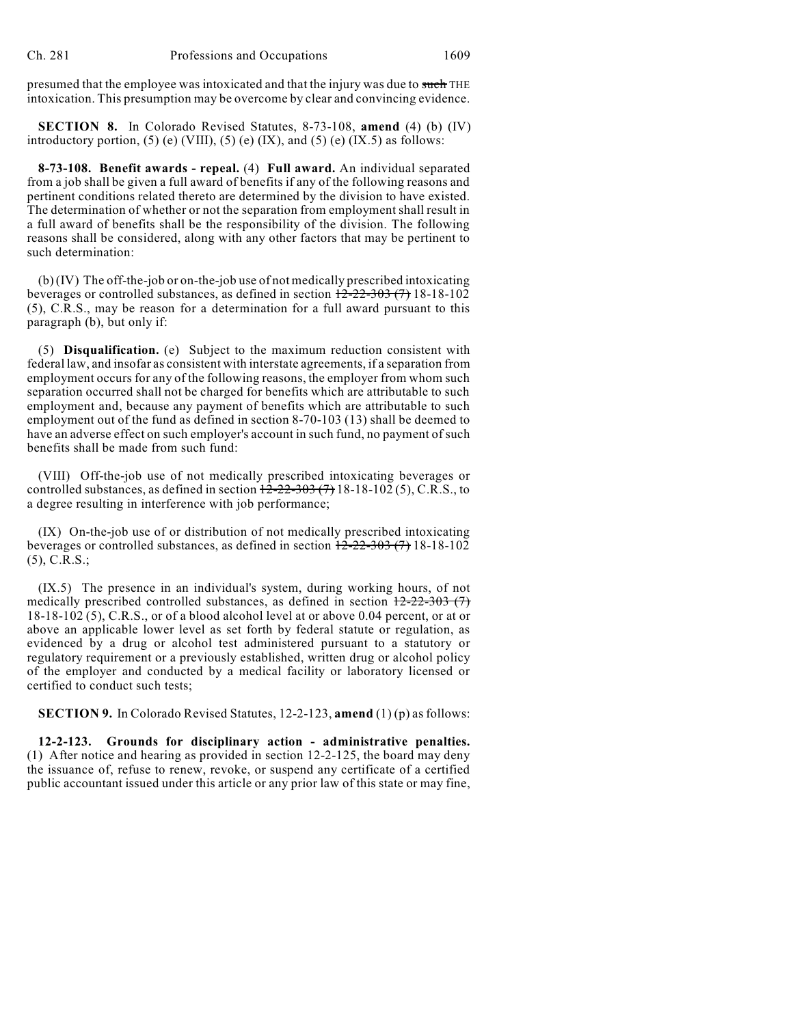presumed that the employee was intoxicated and that the injury was due to such THE intoxication. This presumption may be overcome by clear and convincing evidence.

**SECTION 8.** In Colorado Revised Statutes, 8-73-108, **amend** (4) (b) (IV) introductory portion, (5) (e) (VIII), (5) (e) (IX), and (5) (e) (IX.5) as follows:

**8-73-108. Benefit awards - repeal.** (4) **Full award.** An individual separated from a job shall be given a full award of benefits if any of the following reasons and pertinent conditions related thereto are determined by the division to have existed. The determination of whether or not the separation from employment shall result in a full award of benefits shall be the responsibility of the division. The following reasons shall be considered, along with any other factors that may be pertinent to such determination:

(b) (IV) The off-the-job or on-the-job use of not medically prescribed intoxicating beverages or controlled substances, as defined in section  $\frac{12-22-303(7)}{18-18-102}$ (5), C.R.S., may be reason for a determination for a full award pursuant to this paragraph (b), but only if:

(5) **Disqualification.** (e) Subject to the maximum reduction consistent with federal law, and insofar as consistent with interstate agreements, if a separation from employment occurs for any of the following reasons, the employer from whom such separation occurred shall not be charged for benefits which are attributable to such employment and, because any payment of benefits which are attributable to such employment out of the fund as defined in section 8-70-103 (13) shall be deemed to have an adverse effect on such employer's account in such fund, no payment of such benefits shall be made from such fund:

(VIII) Off-the-job use of not medically prescribed intoxicating beverages or controlled substances, as defined in section  $12-22-303$  (7) 18-18-102 (5), C.R.S., to a degree resulting in interference with job performance;

(IX) On-the-job use of or distribution of not medically prescribed intoxicating beverages or controlled substances, as defined in section  $\frac{12-22-303(7)}{18-18-102}$ (5), C.R.S.;

(IX.5) The presence in an individual's system, during working hours, of not medically prescribed controlled substances, as defined in section  $12-22-303$  (7) 18-18-102 (5), C.R.S., or of a blood alcohol level at or above 0.04 percent, or at or above an applicable lower level as set forth by federal statute or regulation, as evidenced by a drug or alcohol test administered pursuant to a statutory or regulatory requirement or a previously established, written drug or alcohol policy of the employer and conducted by a medical facility or laboratory licensed or certified to conduct such tests;

**SECTION 9.** In Colorado Revised Statutes, 12-2-123, **amend** (1) (p) as follows:

**12-2-123. Grounds for disciplinary action - administrative penalties.** (1) After notice and hearing as provided in section 12-2-125, the board may deny the issuance of, refuse to renew, revoke, or suspend any certificate of a certified public accountant issued under this article or any prior law of this state or may fine,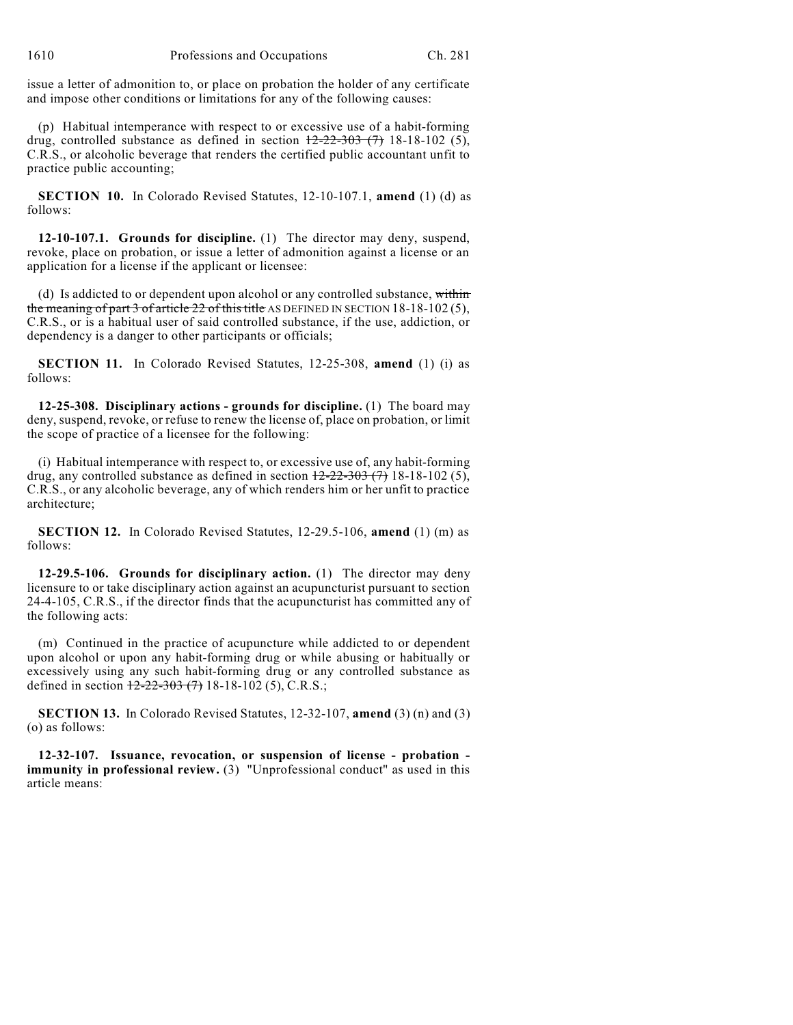issue a letter of admonition to, or place on probation the holder of any certificate and impose other conditions or limitations for any of the following causes:

(p) Habitual intemperance with respect to or excessive use of a habit-forming drug, controlled substance as defined in section  $12-22-303$  (7) 18-18-102 (5), C.R.S., or alcoholic beverage that renders the certified public accountant unfit to practice public accounting;

**SECTION 10.** In Colorado Revised Statutes, 12-10-107.1, **amend** (1) (d) as follows:

**12-10-107.1. Grounds for discipline.** (1) The director may deny, suspend, revoke, place on probation, or issue a letter of admonition against a license or an application for a license if the applicant or licensee:

(d) Is addicted to or dependent upon alcohol or any controlled substance, within the meaning of part 3 of article  $22$  of this title AS DEFINED IN SECTION 18-18-102(5), C.R.S., or is a habitual user of said controlled substance, if the use, addiction, or dependency is a danger to other participants or officials;

**SECTION 11.** In Colorado Revised Statutes, 12-25-308, **amend** (1) (i) as follows:

**12-25-308. Disciplinary actions - grounds for discipline.** (1) The board may deny, suspend, revoke, or refuse to renew the license of, place on probation, or limit the scope of practice of a licensee for the following:

(i) Habitual intemperance with respect to, or excessive use of, any habit-forming drug, any controlled substance as defined in section  $12-22-303$  (7) 18-18-102 (5), C.R.S., or any alcoholic beverage, any of which renders him or her unfit to practice architecture;

**SECTION 12.** In Colorado Revised Statutes, 12-29.5-106, **amend** (1) (m) as follows:

**12-29.5-106. Grounds for disciplinary action.** (1) The director may deny licensure to or take disciplinary action against an acupuncturist pursuant to section 24-4-105, C.R.S., if the director finds that the acupuncturist has committed any of the following acts:

(m) Continued in the practice of acupuncture while addicted to or dependent upon alcohol or upon any habit-forming drug or while abusing or habitually or excessively using any such habit-forming drug or any controlled substance as defined in section  $12-22-303(7)$  18-18-102 (5), C.R.S.;

**SECTION 13.** In Colorado Revised Statutes, 12-32-107, **amend** (3) (n) and (3) (o) as follows:

**12-32-107. Issuance, revocation, or suspension of license - probation immunity in professional review.** (3) "Unprofessional conduct" as used in this article means: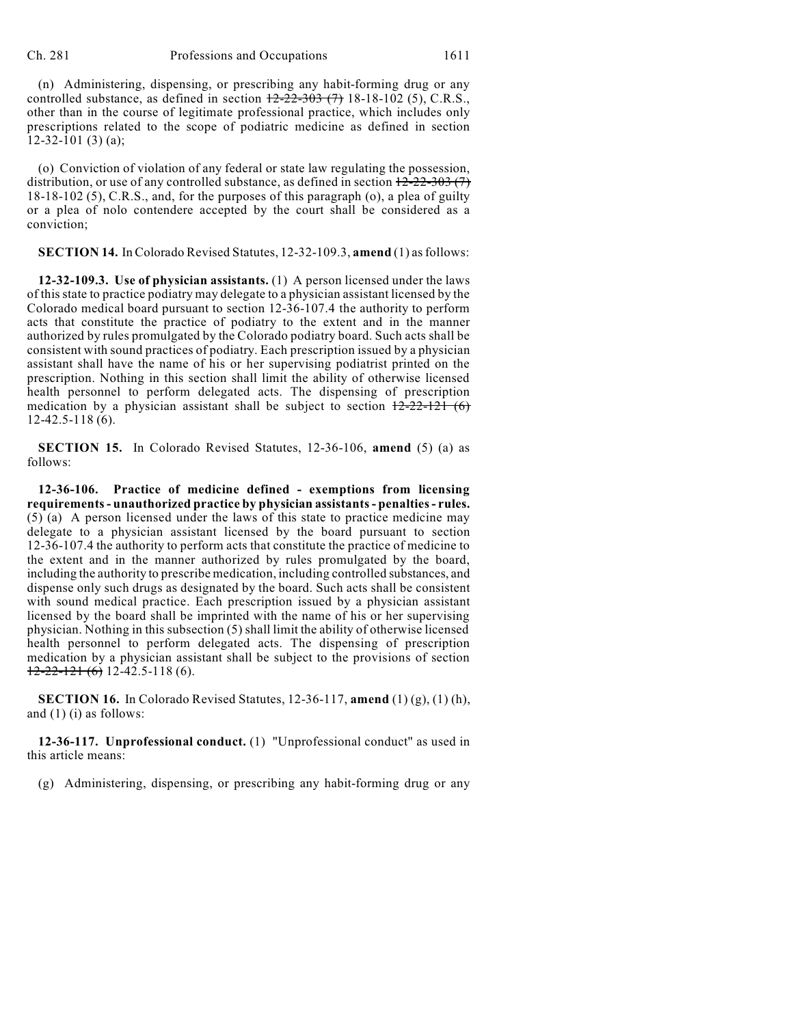(n) Administering, dispensing, or prescribing any habit-forming drug or any controlled substance, as defined in section  $\frac{12-22-303(7)}{2}$  18-18-102 (5), C.R.S., other than in the course of legitimate professional practice, which includes only prescriptions related to the scope of podiatric medicine as defined in section  $12-32-101(3)(a);$ 

(o) Conviction of violation of any federal or state law regulating the possession, distribution, or use of any controlled substance, as defined in section  $12-22-303(7)$ 18-18-102 (5), C.R.S., and, for the purposes of this paragraph (o), a plea of guilty or a plea of nolo contendere accepted by the court shall be considered as a conviction;

**SECTION 14.** In Colorado Revised Statutes, 12-32-109.3, **amend** (1) asfollows:

**12-32-109.3. Use of physician assistants.** (1) A person licensed under the laws of this state to practice podiatry may delegate to a physician assistant licensed by the Colorado medical board pursuant to section 12-36-107.4 the authority to perform acts that constitute the practice of podiatry to the extent and in the manner authorized by rules promulgated by the Colorado podiatry board. Such acts shall be consistent with sound practices of podiatry. Each prescription issued by a physician assistant shall have the name of his or her supervising podiatrist printed on the prescription. Nothing in this section shall limit the ability of otherwise licensed health personnel to perform delegated acts. The dispensing of prescription medication by a physician assistant shall be subject to section  $12-22-121$  (6) 12-42.5-118 (6).

**SECTION 15.** In Colorado Revised Statutes, 12-36-106, **amend** (5) (a) as follows:

**12-36-106. Practice of medicine defined - exemptions from licensing requirements- unauthorized practice by physician assistants- penalties- rules.**  $(5)$  (a) A person licensed under the laws of this state to practice medicine may delegate to a physician assistant licensed by the board pursuant to section 12-36-107.4 the authority to perform acts that constitute the practice of medicine to the extent and in the manner authorized by rules promulgated by the board, including the authority to prescribe medication, including controlled substances, and dispense only such drugs as designated by the board. Such acts shall be consistent with sound medical practice. Each prescription issued by a physician assistant licensed by the board shall be imprinted with the name of his or her supervising physician. Nothing in this subsection (5) shall limit the ability of otherwise licensed health personnel to perform delegated acts. The dispensing of prescription medication by a physician assistant shall be subject to the provisions of section  $12-22-121(6)$  12-42.5-118 (6).

**SECTION 16.** In Colorado Revised Statutes, 12-36-117, **amend** (1) (g), (1) (h), and (1) (i) as follows:

**12-36-117. Unprofessional conduct.** (1) "Unprofessional conduct" as used in this article means:

(g) Administering, dispensing, or prescribing any habit-forming drug or any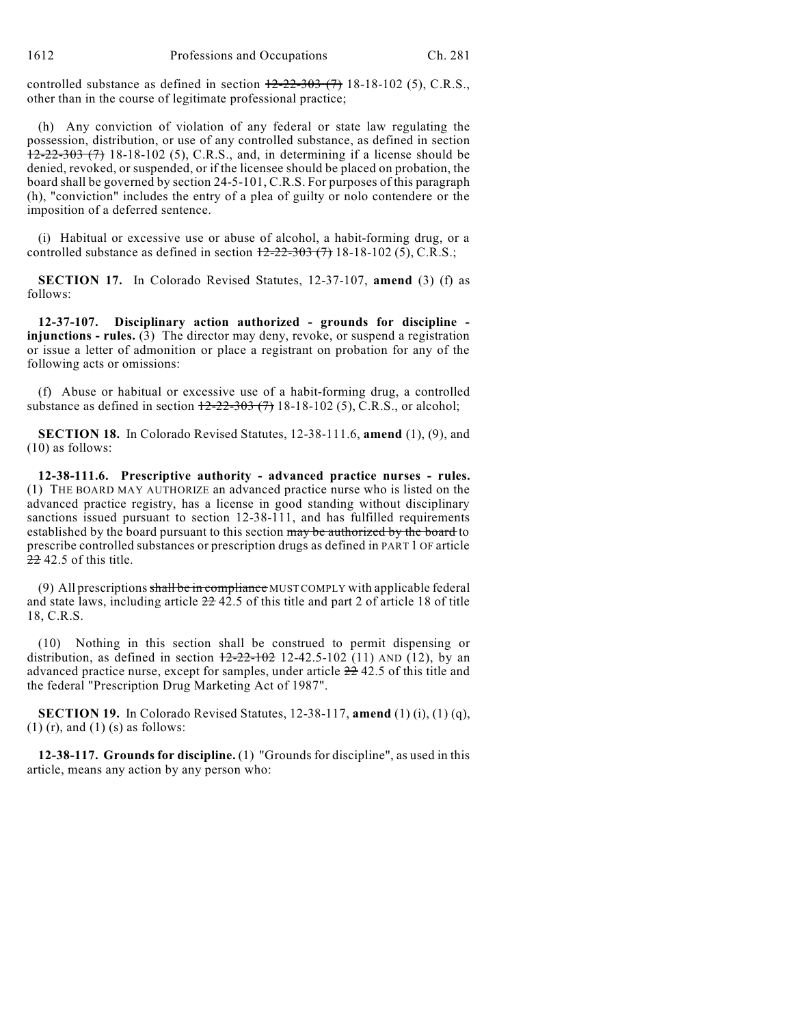1612 Professions and Occupations Ch. 281

controlled substance as defined in section  $12-22-303$  (7) 18-18-102 (5), C.R.S., other than in the course of legitimate professional practice;

(h) Any conviction of violation of any federal or state law regulating the possession, distribution, or use of any controlled substance, as defined in section  $12-22-303$  (7) 18-18-102 (5), C.R.S., and, in determining if a license should be denied, revoked, or suspended, or if the licensee should be placed on probation, the board shall be governed by section 24-5-101, C.R.S. For purposes of this paragraph (h), "conviction" includes the entry of a plea of guilty or nolo contendere or the imposition of a deferred sentence.

(i) Habitual or excessive use or abuse of alcohol, a habit-forming drug, or a controlled substance as defined in section  $\frac{12-22-303(7)}{18-18-102(5)}$ , C.R.S.;

**SECTION 17.** In Colorado Revised Statutes, 12-37-107, **amend** (3) (f) as follows:

**12-37-107. Disciplinary action authorized - grounds for discipline injunctions - rules.** (3) The director may deny, revoke, or suspend a registration or issue a letter of admonition or place a registrant on probation for any of the following acts or omissions:

(f) Abuse or habitual or excessive use of a habit-forming drug, a controlled substance as defined in section  $\frac{12-22-303(7)}{18-18-102(5)}$ , C.R.S., or alcohol;

**SECTION 18.** In Colorado Revised Statutes, 12-38-111.6, **amend** (1), (9), and (10) as follows:

**12-38-111.6. Prescriptive authority - advanced practice nurses - rules.** (1) THE BOARD MAY AUTHORIZE an advanced practice nurse who is listed on the advanced practice registry, has a license in good standing without disciplinary sanctions issued pursuant to section 12-38-111, and has fulfilled requirements established by the board pursuant to this section may be authorized by the board to prescribe controlled substances or prescription drugs as defined in PART 1 OF article  $2242.5$  of this title.

(9) All prescriptions shall be in compliance MUSTCOMPLY with applicable federal and state laws, including article 22 42.5 of this title and part 2 of article 18 of title 18, C.R.S.

(10) Nothing in this section shall be construed to permit dispensing or distribution, as defined in section  $\frac{12-22-102}{2}$  12-42.5-102 (11) AND (12), by an advanced practice nurse, except for samples, under article 22 42.5 of this title and the federal "Prescription Drug Marketing Act of 1987".

**SECTION 19.** In Colorado Revised Statutes, 12-38-117, **amend** (1) (i), (1) (q),  $(1)$  (r), and  $(1)$  (s) as follows:

**12-38-117. Grounds for discipline.** (1) "Grounds for discipline", as used in this article, means any action by any person who: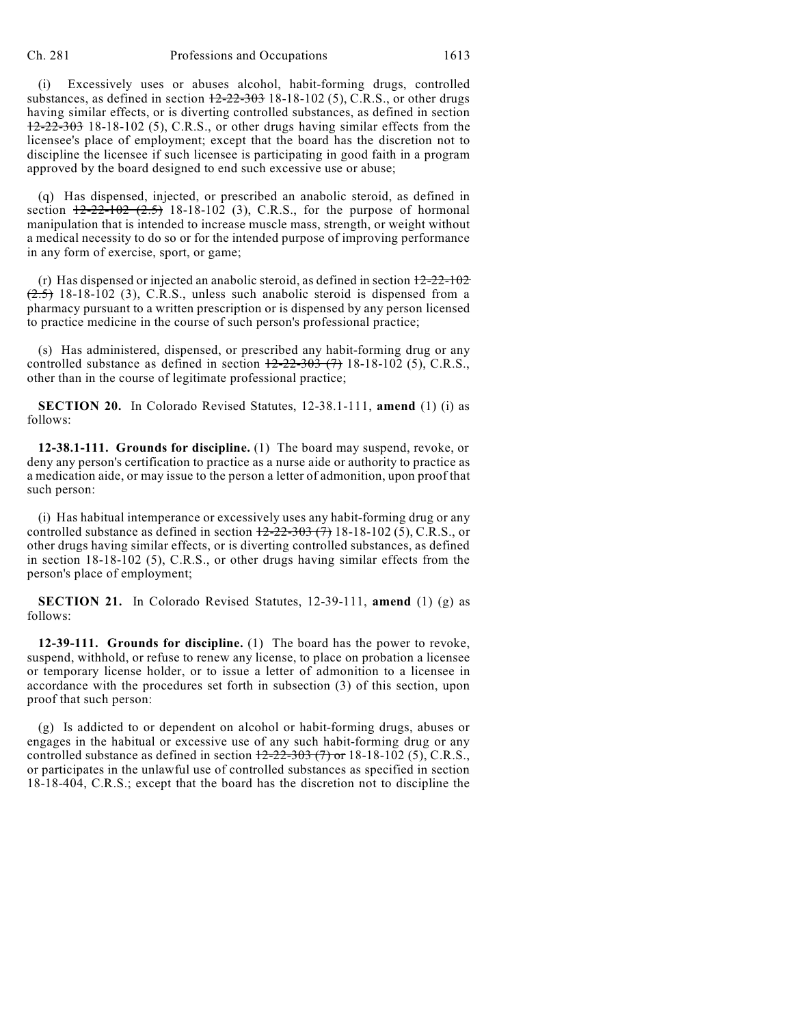(i) Excessively uses or abuses alcohol, habit-forming drugs, controlled substances, as defined in section  $12-22-303$  18-18-102 (5), C.R.S., or other drugs having similar effects, or is diverting controlled substances, as defined in section  $12-22-303$  18-18-102 (5), C.R.S., or other drugs having similar effects from the licensee's place of employment; except that the board has the discretion not to discipline the licensee if such licensee is participating in good faith in a program approved by the board designed to end such excessive use or abuse;

(q) Has dispensed, injected, or prescribed an anabolic steroid, as defined in section  $12-22-102$   $(2.5)$  18-18-102 (3), C.R.S., for the purpose of hormonal manipulation that is intended to increase muscle mass, strength, or weight without a medical necessity to do so or for the intended purpose of improving performance in any form of exercise, sport, or game;

(r) Has dispensed or injected an anabolic steroid, as defined in section  $12-22-102$  $(2.5)$  18-18-102 (3), C.R.S., unless such anabolic steroid is dispensed from a pharmacy pursuant to a written prescription or is dispensed by any person licensed to practice medicine in the course of such person's professional practice;

(s) Has administered, dispensed, or prescribed any habit-forming drug or any controlled substance as defined in section  $12-22-303$  (7) 18-18-102 (5), C.R.S., other than in the course of legitimate professional practice;

**SECTION 20.** In Colorado Revised Statutes, 12-38.1-111, **amend** (1) (i) as follows:

**12-38.1-111. Grounds for discipline.** (1) The board may suspend, revoke, or deny any person's certification to practice as a nurse aide or authority to practice as a medication aide, or may issue to the person a letter of admonition, upon proof that such person:

(i) Has habitual intemperance or excessively uses any habit-forming drug or any controlled substance as defined in section  $12-22-303$  (7) 18-18-102 (5), C.R.S., or other drugs having similar effects, or is diverting controlled substances, as defined in section 18-18-102 (5), C.R.S., or other drugs having similar effects from the person's place of employment;

**SECTION 21.** In Colorado Revised Statutes, 12-39-111, **amend** (1) (g) as follows:

**12-39-111. Grounds for discipline.** (1) The board has the power to revoke, suspend, withhold, or refuse to renew any license, to place on probation a licensee or temporary license holder, or to issue a letter of admonition to a licensee in accordance with the procedures set forth in subsection (3) of this section, upon proof that such person:

(g) Is addicted to or dependent on alcohol or habit-forming drugs, abuses or engages in the habitual or excessive use of any such habit-forming drug or any controlled substance as defined in section  $12-22-303$  (7) or 18-18-102 (5), C.R.S., or participates in the unlawful use of controlled substances as specified in section 18-18-404, C.R.S.; except that the board has the discretion not to discipline the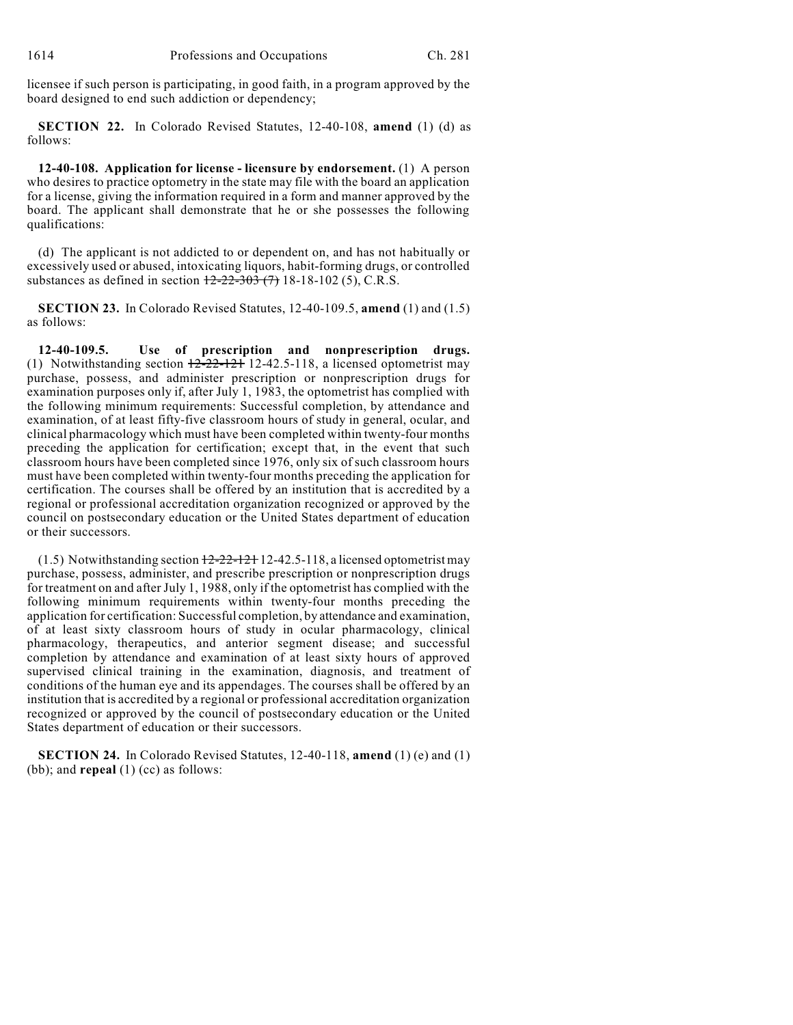licensee if such person is participating, in good faith, in a program approved by the board designed to end such addiction or dependency;

**SECTION 22.** In Colorado Revised Statutes, 12-40-108, **amend** (1) (d) as follows:

**12-40-108. Application for license - licensure by endorsement.** (1) A person who desires to practice optometry in the state may file with the board an application for a license, giving the information required in a form and manner approved by the board. The applicant shall demonstrate that he or she possesses the following qualifications:

(d) The applicant is not addicted to or dependent on, and has not habitually or excessively used or abused, intoxicating liquors, habit-forming drugs, or controlled substances as defined in section  $12-22-303$  (7) 18-18-102 (5), C.R.S.

**SECTION 23.** In Colorado Revised Statutes, 12-40-109.5, **amend** (1) and (1.5) as follows:

**12-40-109.5. Use of prescription and nonprescription drugs.** (1) Notwithstanding section  $\frac{12-22-121}{2}$  12-42.5-118, a licensed optometrist may purchase, possess, and administer prescription or nonprescription drugs for examination purposes only if, after July 1, 1983, the optometrist has complied with the following minimum requirements: Successful completion, by attendance and examination, of at least fifty-five classroom hours of study in general, ocular, and clinical pharmacology which must have been completed within twenty-four months preceding the application for certification; except that, in the event that such classroom hours have been completed since 1976, only six of such classroom hours must have been completed within twenty-four months preceding the application for certification. The courses shall be offered by an institution that is accredited by a regional or professional accreditation organization recognized or approved by the council on postsecondary education or the United States department of education or their successors.

 $(1.5)$  Notwithstanding section  $12-22-121$  12-42.5-118, a licensed optometrist may purchase, possess, administer, and prescribe prescription or nonprescription drugs for treatment on and after July 1, 1988, only if the optometrist has complied with the following minimum requirements within twenty-four months preceding the application for certification: Successful completion, by attendance and examination, of at least sixty classroom hours of study in ocular pharmacology, clinical pharmacology, therapeutics, and anterior segment disease; and successful completion by attendance and examination of at least sixty hours of approved supervised clinical training in the examination, diagnosis, and treatment of conditions of the human eye and its appendages. The courses shall be offered by an institution that is accredited by a regional or professional accreditation organization recognized or approved by the council of postsecondary education or the United States department of education or their successors.

**SECTION 24.** In Colorado Revised Statutes, 12-40-118, **amend** (1) (e) and (1) (bb); and **repeal** (1) (cc) as follows: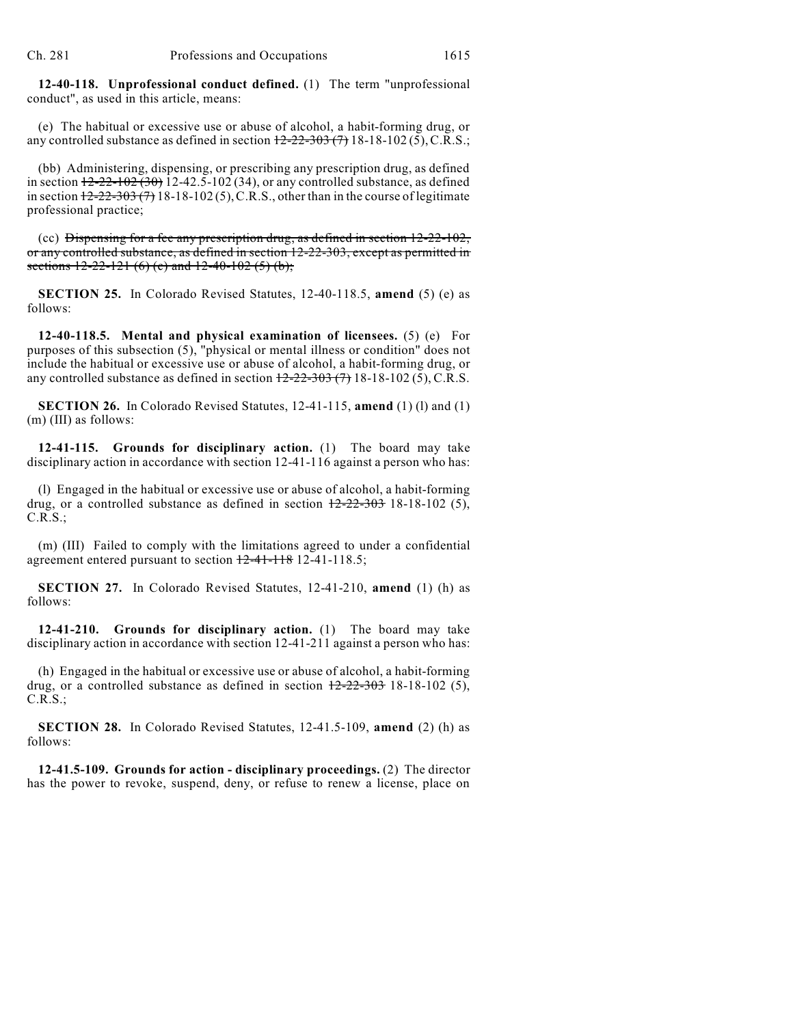**12-40-118. Unprofessional conduct defined.** (1) The term "unprofessional conduct", as used in this article, means:

(e) The habitual or excessive use or abuse of alcohol, a habit-forming drug, or any controlled substance as defined in section  $12-22-303(7)$  18-18-102(5), C.R.S.;

(bb) Administering, dispensing, or prescribing any prescription drug, as defined in section  $12-22-102(30)$  12-42.5-102 (34), or any controlled substance, as defined in section  $12-22-303(7)$  18-18-102(5), C.R.S., other than in the course of legitimate professional practice;

(cc) Dispensing for a fee any prescription drug, as defined in section  $12-22-102$ , or any controlled substance, as defined in section 12-22-303, except as permitted in sections  $12-22-121$  (6) (c) and  $12-40-102$  (5) (b);

**SECTION 25.** In Colorado Revised Statutes, 12-40-118.5, **amend** (5) (e) as follows:

**12-40-118.5. Mental and physical examination of licensees.** (5) (e) For purposes of this subsection (5), "physical or mental illness or condition" does not include the habitual or excessive use or abuse of alcohol, a habit-forming drug, or any controlled substance as defined in section  $12-22-303$  (7) 18-18-102 (5), C.R.S.

**SECTION 26.** In Colorado Revised Statutes, 12-41-115, **amend** (1) (l) and (1) (m) (III) as follows:

**12-41-115. Grounds for disciplinary action.** (1) The board may take disciplinary action in accordance with section 12-41-116 against a person who has:

(l) Engaged in the habitual or excessive use or abuse of alcohol, a habit-forming drug, or a controlled substance as defined in section  $12-22-303$  18-18-102 (5), C.R.S.;

(m) (III) Failed to comply with the limitations agreed to under a confidential agreement entered pursuant to section  $12-41-118$  12-41-118.5;

**SECTION 27.** In Colorado Revised Statutes, 12-41-210, **amend** (1) (h) as follows:

**12-41-210. Grounds for disciplinary action.** (1) The board may take disciplinary action in accordance with section 12-41-211 against a person who has:

(h) Engaged in the habitual or excessive use or abuse of alcohol, a habit-forming drug, or a controlled substance as defined in section  $\frac{12-22-303}{2}$  18-18-102 (5), C.R.S.;

**SECTION 28.** In Colorado Revised Statutes, 12-41.5-109, **amend** (2) (h) as follows:

**12-41.5-109. Grounds for action - disciplinary proceedings.** (2) The director has the power to revoke, suspend, deny, or refuse to renew a license, place on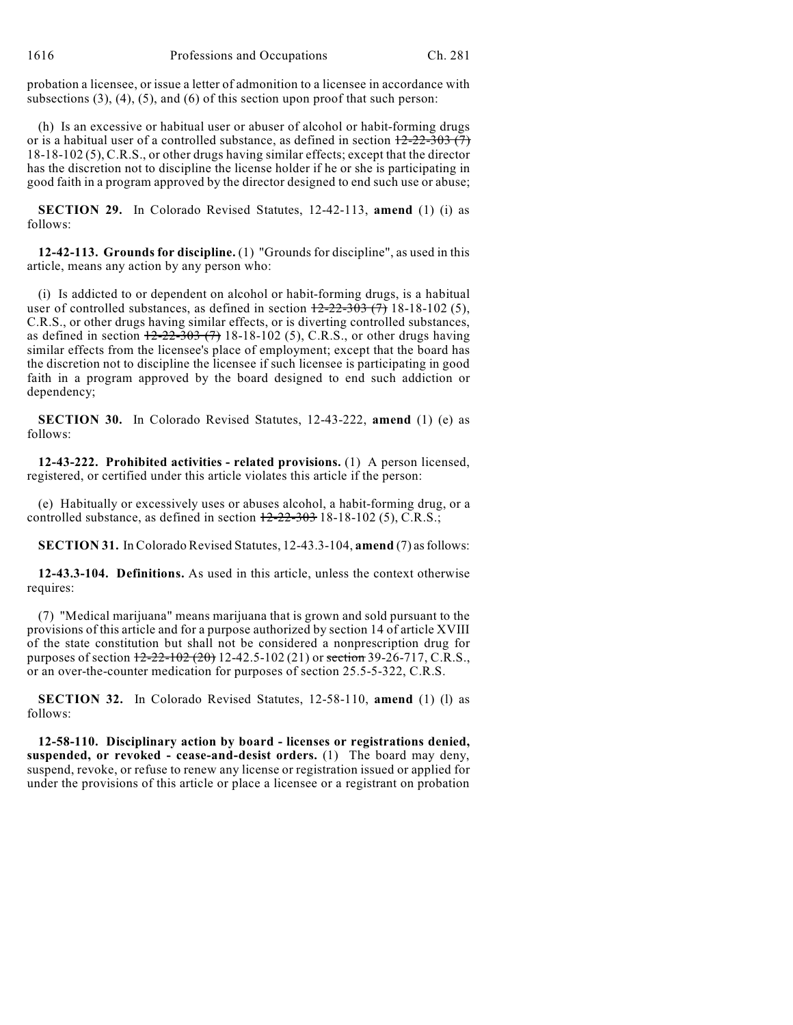probation a licensee, or issue a letter of admonition to a licensee in accordance with subsections  $(3)$ ,  $(4)$ ,  $(5)$ , and  $(6)$  of this section upon proof that such person:

(h) Is an excessive or habitual user or abuser of alcohol or habit-forming drugs or is a habitual user of a controlled substance, as defined in section  $\frac{12-22-303(7)}{2}$ 18-18-102 (5), C.R.S., or other drugs having similar effects; except that the director has the discretion not to discipline the license holder if he or she is participating in good faith in a program approved by the director designed to end such use or abuse;

**SECTION 29.** In Colorado Revised Statutes, 12-42-113, **amend** (1) (i) as follows:

**12-42-113. Grounds for discipline.** (1) "Grounds for discipline", as used in this article, means any action by any person who:

(i) Is addicted to or dependent on alcohol or habit-forming drugs, is a habitual user of controlled substances, as defined in section  $\frac{12-22-303(7)}{18-18-102}$  (5), C.R.S., or other drugs having similar effects, or is diverting controlled substances, as defined in section  $\frac{12-22-303(7)}{18-18-102}$  (5), C.R.S., or other drugs having similar effects from the licensee's place of employment; except that the board has the discretion not to discipline the licensee if such licensee is participating in good faith in a program approved by the board designed to end such addiction or dependency;

**SECTION 30.** In Colorado Revised Statutes, 12-43-222, **amend** (1) (e) as follows:

**12-43-222. Prohibited activities - related provisions.** (1) A person licensed, registered, or certified under this article violates this article if the person:

(e) Habitually or excessively uses or abuses alcohol, a habit-forming drug, or a controlled substance, as defined in section  $12-22-303$  18-18-102 (5), C.R.S.;

**SECTION 31.** In Colorado Revised Statutes, 12-43.3-104, **amend** (7) as follows:

**12-43.3-104. Definitions.** As used in this article, unless the context otherwise requires:

(7) "Medical marijuana" means marijuana that is grown and sold pursuant to the provisions of this article and for a purpose authorized by section 14 of article XVIII of the state constitution but shall not be considered a nonprescription drug for purposes of section  $12-22-102$  (20) 12-42.5-102 (21) or section 39-26-717, C.R.S., or an over-the-counter medication for purposes of section 25.5-5-322, C.R.S.

**SECTION 32.** In Colorado Revised Statutes, 12-58-110, **amend** (1) (l) as follows:

**12-58-110. Disciplinary action by board - licenses or registrations denied, suspended, or revoked - cease-and-desist orders.** (1) The board may deny, suspend, revoke, or refuse to renew any license or registration issued or applied for under the provisions of this article or place a licensee or a registrant on probation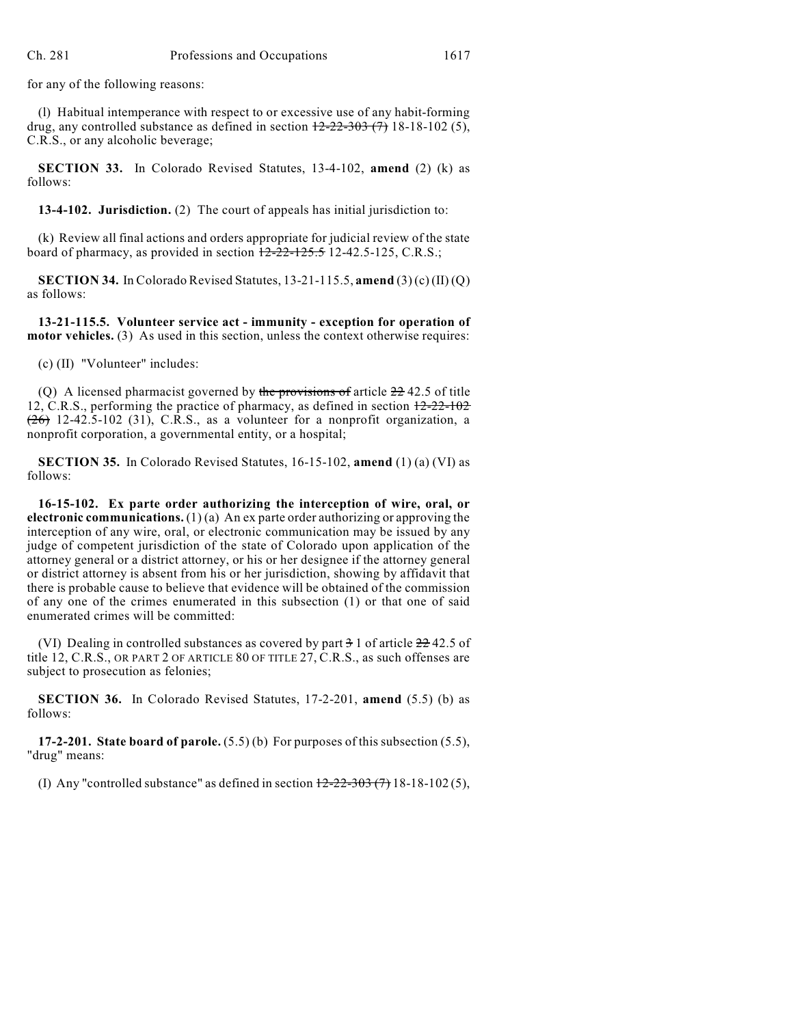for any of the following reasons:

(l) Habitual intemperance with respect to or excessive use of any habit-forming drug, any controlled substance as defined in section  $\frac{12-22-303(7)}{18-18-102(5)}$ , C.R.S., or any alcoholic beverage;

**SECTION 33.** In Colorado Revised Statutes, 13-4-102, **amend** (2) (k) as follows:

**13-4-102. Jurisdiction.** (2) The court of appeals has initial jurisdiction to:

(k) Review all final actions and orders appropriate for judicial review of the state board of pharmacy, as provided in section  $12-22-125.5$  12-42.5-125, C.R.S.;

**SECTION 34.** In Colorado Revised Statutes, 13-21-115.5, **amend** (3) (c) (II) (Q) as follows:

**13-21-115.5. Volunteer service act - immunity - exception for operation of motor vehicles.** (3) As used in this section, unless the context otherwise requires:

(c) (II) "Volunteer" includes:

(Q) A licensed pharmacist governed by the provisions of article  $22\frac{42.5}{5}$  of title 12, C.R.S., performing the practice of pharmacy, as defined in section 12-22-102  $(26)$  12-42.5-102 (31), C.R.S., as a volunteer for a nonprofit organization, a nonprofit corporation, a governmental entity, or a hospital;

**SECTION 35.** In Colorado Revised Statutes, 16-15-102, **amend** (1) (a) (VI) as follows:

**16-15-102. Ex parte order authorizing the interception of wire, oral, or electronic communications.** (1) (a) An ex parte order authorizing or approving the interception of any wire, oral, or electronic communication may be issued by any judge of competent jurisdiction of the state of Colorado upon application of the attorney general or a district attorney, or his or her designee if the attorney general or district attorney is absent from his or her jurisdiction, showing by affidavit that there is probable cause to believe that evidence will be obtained of the commission of any one of the crimes enumerated in this subsection (1) or that one of said enumerated crimes will be committed:

(VI) Dealing in controlled substances as covered by part  $\frac{3}{2}$  1 of article  $\frac{22}{22}$  42.5 of title 12, C.R.S., OR PART 2 OF ARTICLE 80 OF TITLE 27, C.R.S., as such offenses are subject to prosecution as felonies;

**SECTION 36.** In Colorado Revised Statutes, 17-2-201, **amend** (5.5) (b) as follows:

**17-2-201. State board of parole.** (5.5) (b) For purposes of this subsection (5.5), "drug" means:

(I) Any "controlled substance" as defined in section  $\frac{12-22-303(7)}{18-18-102(5)}$ ,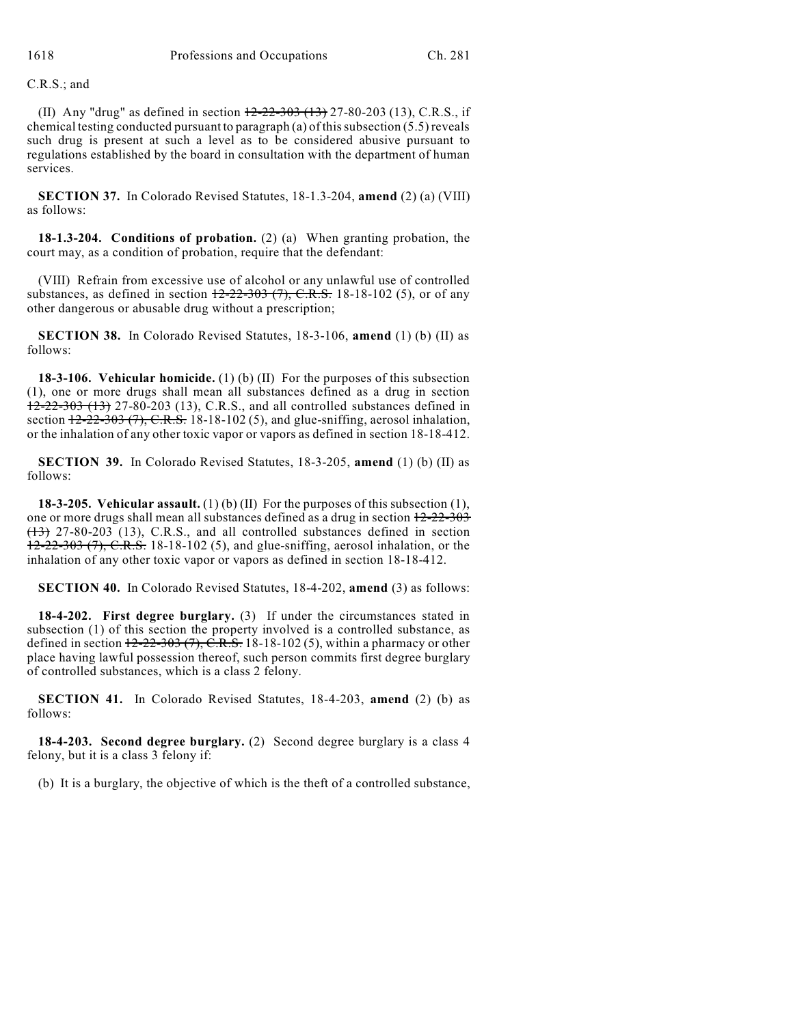C.R.S.; and

(II) Any "drug" as defined in section  $12-22-303$  (13) 27-80-203 (13), C.R.S., if chemical testing conducted pursuant to paragraph (a) of this subsection  $(5.5)$  reveals such drug is present at such a level as to be considered abusive pursuant to regulations established by the board in consultation with the department of human services.

**SECTION 37.** In Colorado Revised Statutes, 18-1.3-204, **amend** (2) (a) (VIII) as follows:

**18-1.3-204. Conditions of probation.** (2) (a) When granting probation, the court may, as a condition of probation, require that the defendant:

(VIII) Refrain from excessive use of alcohol or any unlawful use of controlled substances, as defined in section  $12-22-303$  (7), C.R.S. 18-18-102 (5), or of any other dangerous or abusable drug without a prescription;

**SECTION 38.** In Colorado Revised Statutes, 18-3-106, **amend** (1) (b) (II) as follows:

**18-3-106. Vehicular homicide.** (1) (b) (II) For the purposes of this subsection (1), one or more drugs shall mean all substances defined as a drug in section 12-22-303 (13) 27-80-203 (13), C.R.S., and all controlled substances defined in section  $12-22-303$  (7), C.R.S. 18-18-102 (5), and glue-sniffing, aerosol inhalation, or the inhalation of any other toxic vapor or vapors as defined in section 18-18-412.

**SECTION 39.** In Colorado Revised Statutes, 18-3-205, **amend** (1) (b) (II) as follows:

**18-3-205. Vehicular assault.** (1) (b) (II) For the purposes of this subsection (1), one or more drugs shall mean all substances defined as a drug in section 12-22-303  $(13)$  27-80-203 (13), C.R.S., and all controlled substances defined in section 12-22-303 (7), C.R.S. 18-18-102 (5), and glue-sniffing, aerosol inhalation, or the inhalation of any other toxic vapor or vapors as defined in section 18-18-412.

**SECTION 40.** In Colorado Revised Statutes, 18-4-202, **amend** (3) as follows:

**18-4-202. First degree burglary.** (3) If under the circumstances stated in subsection (1) of this section the property involved is a controlled substance, as defined in section  $12-22-303$  (7),  $\overline{C.R.S.}$  18-18-102 (5), within a pharmacy or other place having lawful possession thereof, such person commits first degree burglary of controlled substances, which is a class 2 felony.

**SECTION 41.** In Colorado Revised Statutes, 18-4-203, **amend** (2) (b) as follows:

**18-4-203. Second degree burglary.** (2) Second degree burglary is a class 4 felony, but it is a class 3 felony if:

(b) It is a burglary, the objective of which is the theft of a controlled substance,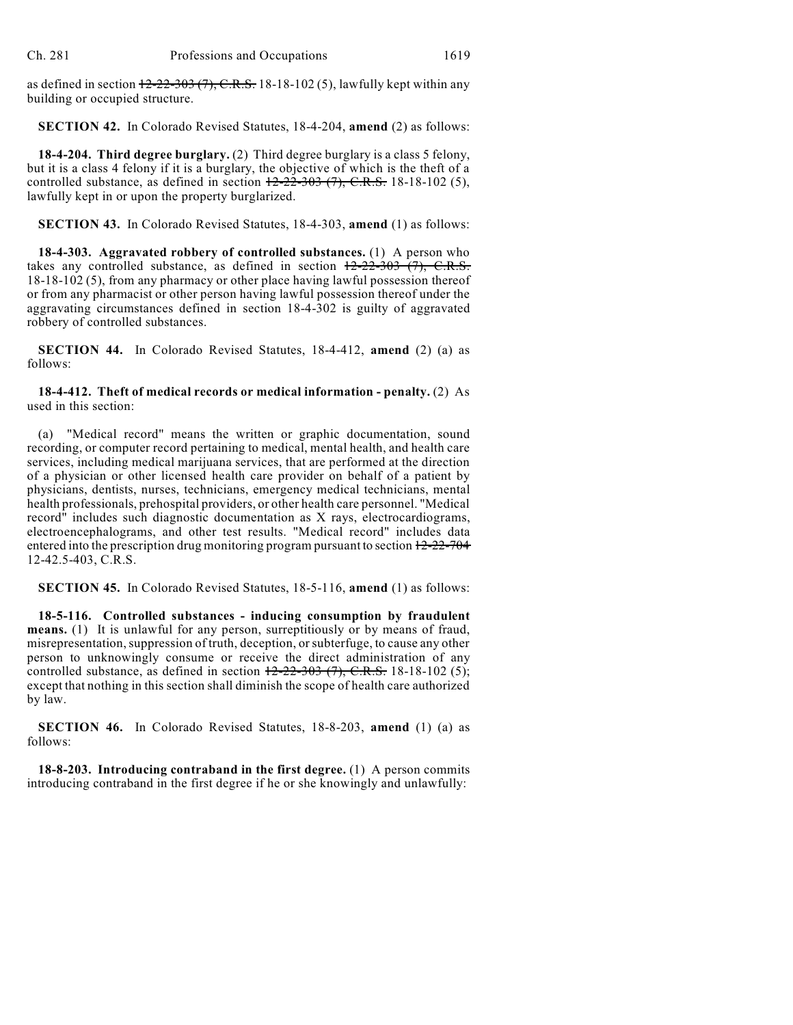as defined in section  $12-22-303(7)$ , C.R.S. 18-18-102(5), lawfully kept within any building or occupied structure.

**SECTION 42.** In Colorado Revised Statutes, 18-4-204, **amend** (2) as follows:

**18-4-204. Third degree burglary.** (2) Third degree burglary is a class 5 felony, but it is a class 4 felony if it is a burglary, the objective of which is the theft of a controlled substance, as defined in section  $12-22-303$  (7), C.R.S. 18-18-102 (5), lawfully kept in or upon the property burglarized.

**SECTION 43.** In Colorado Revised Statutes, 18-4-303, **amend** (1) as follows:

**18-4-303. Aggravated robbery of controlled substances.** (1) A person who takes any controlled substance, as defined in section  $12-22-303$  (7), C.R.S. 18-18-102 (5), from any pharmacy or other place having lawful possession thereof or from any pharmacist or other person having lawful possession thereof under the aggravating circumstances defined in section 18-4-302 is guilty of aggravated robbery of controlled substances.

**SECTION 44.** In Colorado Revised Statutes, 18-4-412, **amend** (2) (a) as follows:

**18-4-412. Theft of medical records or medical information - penalty.** (2) As used in this section:

"Medical record" means the written or graphic documentation, sound recording, or computer record pertaining to medical, mental health, and health care services, including medical marijuana services, that are performed at the direction of a physician or other licensed health care provider on behalf of a patient by physicians, dentists, nurses, technicians, emergency medical technicians, mental health professionals, prehospital providers, or other health care personnel. "Medical record" includes such diagnostic documentation as X rays, electrocardiograms, electroencephalograms, and other test results. "Medical record" includes data entered into the prescription drug monitoring program pursuant to section 12-22-704 12-42.5-403, C.R.S.

**SECTION 45.** In Colorado Revised Statutes, 18-5-116, **amend** (1) as follows:

**18-5-116. Controlled substances - inducing consumption by fraudulent means.** (1) It is unlawful for any person, surreptitiously or by means of fraud, misrepresentation, suppression of truth, deception, or subterfuge, to cause any other person to unknowingly consume or receive the direct administration of any controlled substance, as defined in section  $12-22-303$  (7), C.R.S. 18-18-102 (5); except that nothing in this section shall diminish the scope of health care authorized by law.

**SECTION 46.** In Colorado Revised Statutes, 18-8-203, **amend** (1) (a) as follows:

**18-8-203. Introducing contraband in the first degree.** (1) A person commits introducing contraband in the first degree if he or she knowingly and unlawfully: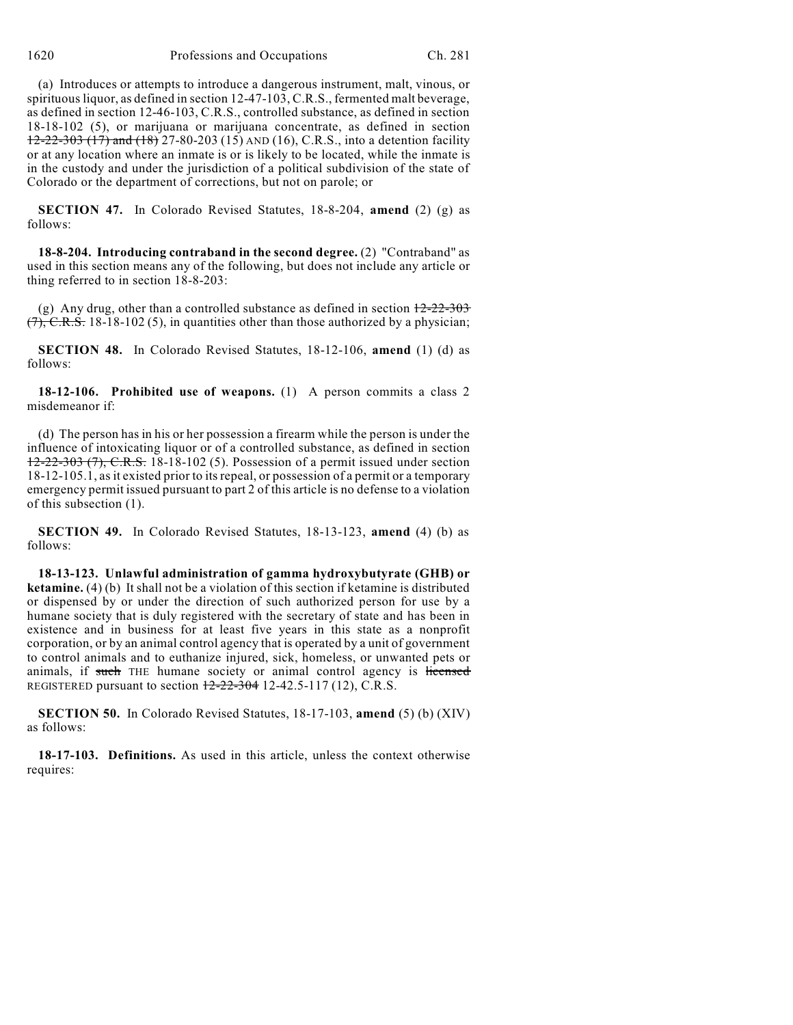(a) Introduces or attempts to introduce a dangerous instrument, malt, vinous, or spirituousliquor, as defined in section 12-47-103, C.R.S., fermented malt beverage, as defined in section 12-46-103, C.R.S., controlled substance, as defined in section 18-18-102 (5), or marijuana or marijuana concentrate, as defined in section 12-22-303 (17) and (18) 27-80-203 (15) AND (16), C.R.S., into a detention facility or at any location where an inmate is or is likely to be located, while the inmate is in the custody and under the jurisdiction of a political subdivision of the state of Colorado or the department of corrections, but not on parole; or

**SECTION 47.** In Colorado Revised Statutes, 18-8-204, **amend** (2) (g) as follows:

**18-8-204. Introducing contraband in the second degree.** (2) "Contraband" as used in this section means any of the following, but does not include any article or thing referred to in section 18-8-203:

(g) Any drug, other than a controlled substance as defined in section  $\frac{12-22-303}{2}$  $(7)$ , C.R.S. 18-18-102 (5), in quantities other than those authorized by a physician;

**SECTION 48.** In Colorado Revised Statutes, 18-12-106, **amend** (1) (d) as follows:

**18-12-106. Prohibited use of weapons.** (1) A person commits a class 2 misdemeanor if:

(d) The person has in his or her possession a firearm while the person is under the influence of intoxicating liquor or of a controlled substance, as defined in section  $12-22-303$  (7), C.R.S. 18-18-102 (5). Possession of a permit issued under section 18-12-105.1, as it existed prior to its repeal, or possession of a permit or a temporary emergency permit issued pursuant to part 2 of this article is no defense to a violation of this subsection (1).

**SECTION 49.** In Colorado Revised Statutes, 18-13-123, **amend** (4) (b) as follows:

**18-13-123. Unlawful administration of gamma hydroxybutyrate (GHB) or ketamine.** (4) (b) It shall not be a violation of this section if ketamine is distributed or dispensed by or under the direction of such authorized person for use by a humane society that is duly registered with the secretary of state and has been in existence and in business for at least five years in this state as a nonprofit corporation, or by an animal control agency that is operated by a unit of government to control animals and to euthanize injured, sick, homeless, or unwanted pets or animals, if such THE humane society or animal control agency is licensed REGISTERED pursuant to section  $12-22-304$  12-42.5-117 (12), C.R.S.

**SECTION 50.** In Colorado Revised Statutes, 18-17-103, **amend** (5) (b) (XIV) as follows:

**18-17-103. Definitions.** As used in this article, unless the context otherwise requires: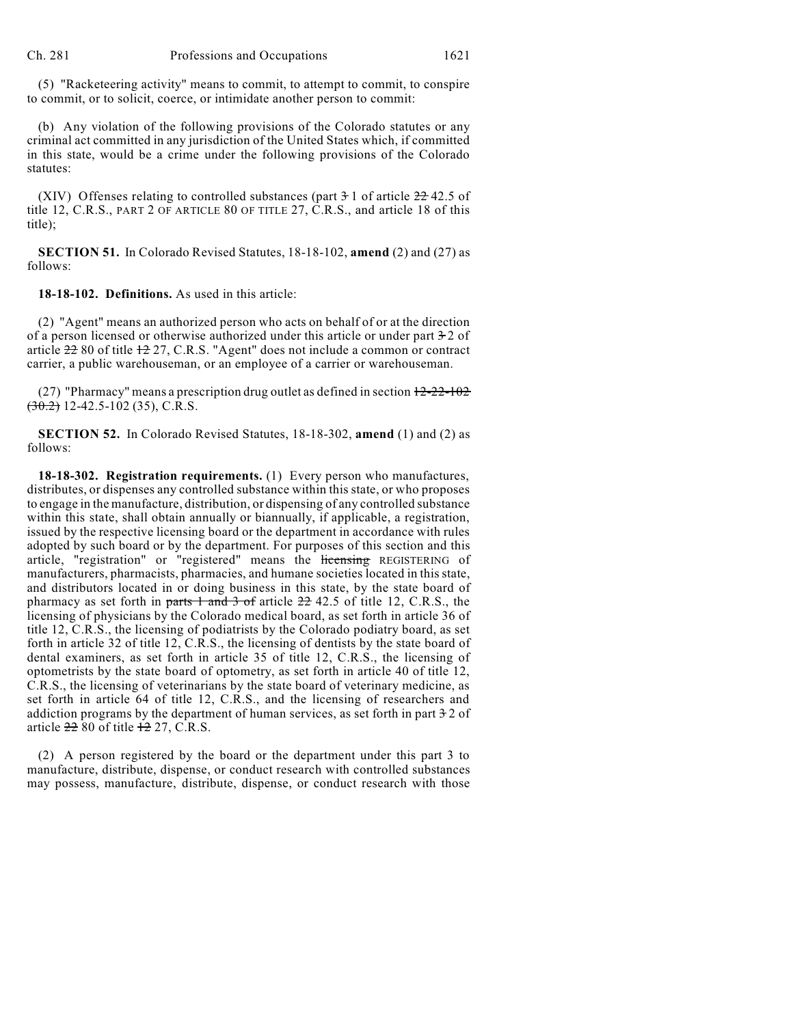(5) "Racketeering activity" means to commit, to attempt to commit, to conspire to commit, or to solicit, coerce, or intimidate another person to commit:

(b) Any violation of the following provisions of the Colorado statutes or any criminal act committed in any jurisdiction of the United States which, if committed in this state, would be a crime under the following provisions of the Colorado statutes<sup>.</sup>

(XIV) Offenses relating to controlled substances (part  $3\frac{1}{1}$  of article  $22\frac{42.5}{1}$  of title 12, C.R.S., PART 2 OF ARTICLE 80 OF TITLE 27, C.R.S., and article 18 of this title);

**SECTION 51.** In Colorado Revised Statutes, 18-18-102, **amend** (2) and (27) as follows:

**18-18-102. Definitions.** As used in this article:

(2) "Agent" means an authorized person who acts on behalf of or at the direction of a person licensed or otherwise authorized under this article or under part 3-2 of article 22 80 of title 12 27, C.R.S. "Agent" does not include a common or contract carrier, a public warehouseman, or an employee of a carrier or warehouseman.

(27) "Pharmacy" means a prescription drug outlet as defined in section  $12-22-102$  $(30.2)$  12-42.5-102 (35), C.R.S.

**SECTION 52.** In Colorado Revised Statutes, 18-18-302, **amend** (1) and (2) as follows:

**18-18-302. Registration requirements.** (1) Every person who manufactures, distributes, or dispenses any controlled substance within this state, or who proposes to engage in the manufacture, distribution, or dispensing of any controlled substance within this state, shall obtain annually or biannually, if applicable, a registration, issued by the respective licensing board or the department in accordance with rules adopted by such board or by the department. For purposes of this section and this article, "registration" or "registered" means the licensing REGISTERING of manufacturers, pharmacists, pharmacies, and humane societies located in this state, and distributors located in or doing business in this state, by the state board of pharmacy as set forth in parts 1 and 3 of article 22 42.5 of title 12, C.R.S., the licensing of physicians by the Colorado medical board, as set forth in article 36 of title 12, C.R.S., the licensing of podiatrists by the Colorado podiatry board, as set forth in article 32 of title 12, C.R.S., the licensing of dentists by the state board of dental examiners, as set forth in article 35 of title 12, C.R.S., the licensing of optometrists by the state board of optometry, as set forth in article 40 of title 12, C.R.S., the licensing of veterinarians by the state board of veterinary medicine, as set forth in article 64 of title 12, C.R.S., and the licensing of researchers and addiction programs by the department of human services, as set forth in part  $\frac{1}{2}$  of article  $22\,80$  of title  $12\,27$ , C.R.S.

(2) A person registered by the board or the department under this part 3 to manufacture, distribute, dispense, or conduct research with controlled substances may possess, manufacture, distribute, dispense, or conduct research with those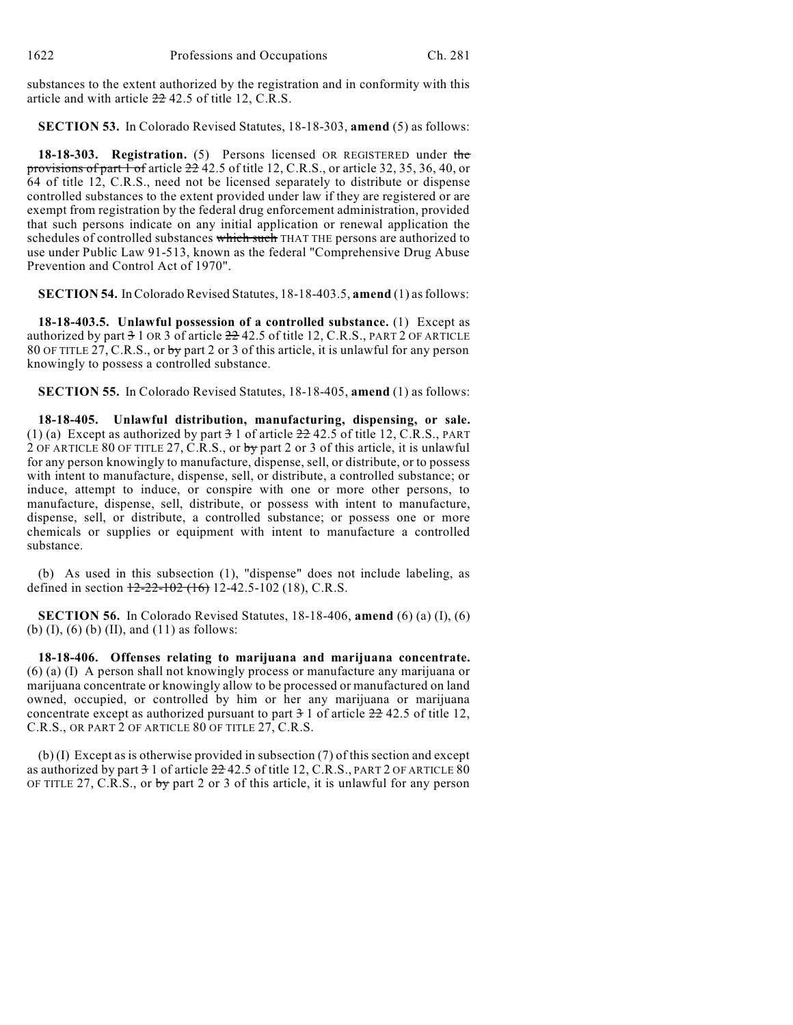substances to the extent authorized by the registration and in conformity with this article and with article 22 42.5 of title 12, C.R.S.

**SECTION 53.** In Colorado Revised Statutes, 18-18-303, **amend** (5) as follows:

**18-18-303. Registration.** (5) Persons licensed OR REGISTERED under the provisions of part 1 of article 22 42.5 of title 12, C.R.S., or article 32, 35, 36, 40, or 64 of title 12, C.R.S., need not be licensed separately to distribute or dispense controlled substances to the extent provided under law if they are registered or are exempt from registration by the federal drug enforcement administration, provided that such persons indicate on any initial application or renewal application the schedules of controlled substances which such THAT THE persons are authorized to use under Public Law 91-513, known as the federal "Comprehensive Drug Abuse Prevention and Control Act of 1970".

**SECTION 54.** InColorado Revised Statutes, 18-18-403.5, **amend** (1) asfollows:

**18-18-403.5. Unlawful possession of a controlled substance.** (1) Except as authorized by part  $3 \times 10^{8}$  of article  $22 \times 42.5$  of title 12, C.R.S., PART 2 OF ARTICLE 80 OF TITLE  $27$ , C.R.S., or by part 2 or 3 of this article, it is unlawful for any person knowingly to possess a controlled substance.

**SECTION 55.** In Colorado Revised Statutes, 18-18-405, **amend** (1) as follows:

**18-18-405. Unlawful distribution, manufacturing, dispensing, or sale.** (1) (a) Except as authorized by part  $\frac{3}{2}$  1 of article  $\frac{2}{2}$  42.5 of title 12, C.R.S., PART 2 OF ARTICLE 80 OF TITLE 27, C.R.S., or by part 2 or 3 of this article, it is unlawful for any person knowingly to manufacture, dispense, sell, or distribute, or to possess with intent to manufacture, dispense, sell, or distribute, a controlled substance; or induce, attempt to induce, or conspire with one or more other persons, to manufacture, dispense, sell, distribute, or possess with intent to manufacture, dispense, sell, or distribute, a controlled substance; or possess one or more chemicals or supplies or equipment with intent to manufacture a controlled substance.

(b) As used in this subsection (1), "dispense" does not include labeling, as defined in section  $\frac{12-22-102(16)}{22-102(18)}$ , C.R.S.

**SECTION 56.** In Colorado Revised Statutes, 18-18-406, **amend** (6) (a) (I), (6) (b) (I), (6) (b) (II), and (11) as follows:

**18-18-406. Offenses relating to marijuana and marijuana concentrate.** (6) (a) (I) A person shall not knowingly process or manufacture any marijuana or marijuana concentrate or knowingly allow to be processed or manufactured on land owned, occupied, or controlled by him or her any marijuana or marijuana concentrate except as authorized pursuant to part  $\frac{3}{1}$  of article  $\frac{22}{12}$ ,  $\frac{42}{5}$  of title 12, C.R.S., OR PART 2 OF ARTICLE 80 OF TITLE 27, C.R.S.

(b) (I) Except as is otherwise provided in subsection (7) of this section and except as authorized by part  $31$  of article  $22$  42.5 of title 12, C.R.S., PART 2 OF ARTICLE  $80$ OF TITLE 27, C.R.S., or by part 2 or 3 of this article, it is unlawful for any person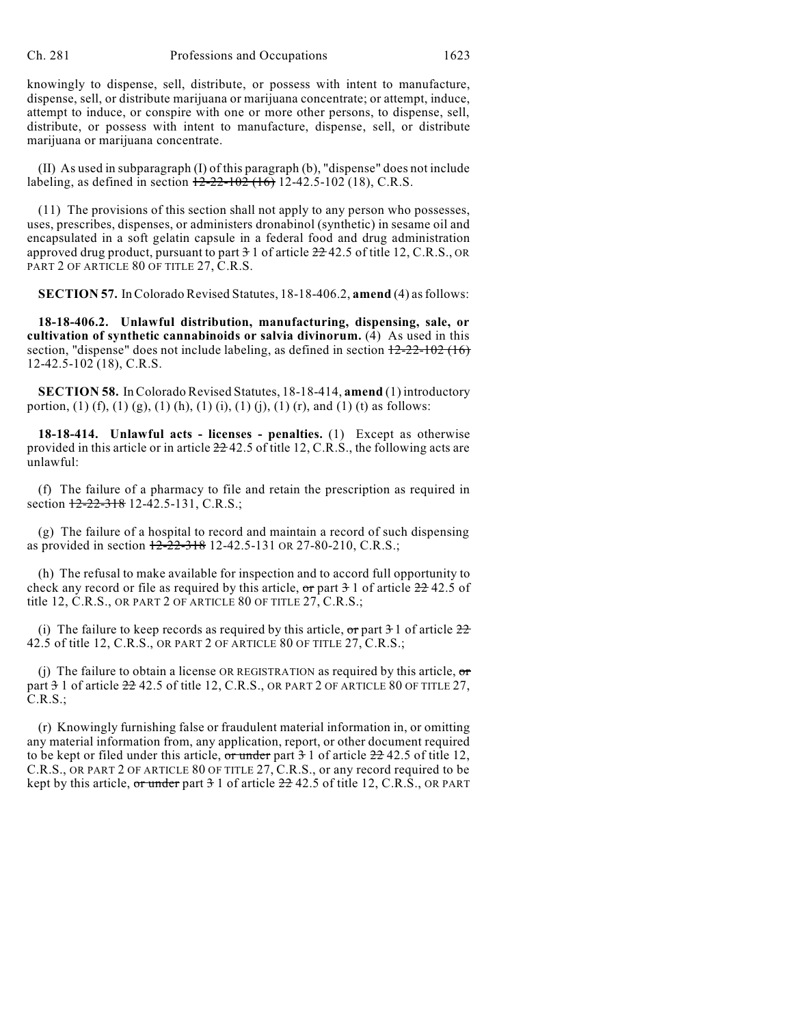knowingly to dispense, sell, distribute, or possess with intent to manufacture, dispense, sell, or distribute marijuana or marijuana concentrate; or attempt, induce, attempt to induce, or conspire with one or more other persons, to dispense, sell, distribute, or possess with intent to manufacture, dispense, sell, or distribute marijuana or marijuana concentrate.

(II) As used in subparagraph (I) of this paragraph (b), "dispense" does not include labeling, as defined in section  $\frac{12-22-102}{2}(16)$  12-42.5-102 (18), C.R.S.

(11) The provisions of this section shall not apply to any person who possesses, uses, prescribes, dispenses, or administers dronabinol (synthetic) in sesame oil and encapsulated in a soft gelatin capsule in a federal food and drug administration approved drug product, pursuant to part  $-3$  1 of article  $-22$  42.5 of title 12, C.R.S., OR PART 2 OF ARTICLE 80 OF TITLE 27, C.R.S.

**SECTION 57.** InColorado Revised Statutes, 18-18-406.2, **amend** (4) asfollows:

**18-18-406.2. Unlawful distribution, manufacturing, dispensing, sale, or cultivation of synthetic cannabinoids or salvia divinorum.** (4) As used in this section, "dispense" does not include labeling, as defined in section  $12-22-102$  (16) 12-42.5-102 (18), C.R.S.

**SECTION 58.** In Colorado Revised Statutes, 18-18-414, **amend** (1) introductory portion, (1) (f), (1) (g), (1) (h), (1) (i), (1) (j), (1) (r), and (1) (t) as follows:

**18-18-414. Unlawful acts - licenses - penalties.** (1) Except as otherwise provided in this article or in article 22 42.5 of title 12, C.R.S., the following acts are unlawful:

(f) The failure of a pharmacy to file and retain the prescription as required in section  $12-22-318$  12-42.5-131, C.R.S.;

(g) The failure of a hospital to record and maintain a record of such dispensing as provided in section 12-22-318 12-42.5-131 OR 27-80-210, C.R.S.;

(h) The refusal to make available for inspection and to accord full opportunity to check any record or file as required by this article,  $\sigma r$  part  $\theta$  1 of article  $22\theta$  42.5 of title 12, C.R.S., OR PART 2 OF ARTICLE 80 OF TITLE 27, C.R.S.;

(i) The failure to keep records as required by this article, or part  $\frac{3}{1}$  of article  $\frac{22}{1}$ 42.5 of title 12, C.R.S., OR PART 2 OF ARTICLE 80 OF TITLE 27, C.R.S.;

(j) The failure to obtain a license OR REGISTRATION as required by this article,  $\sigma$ part 3 1 of article 22 42.5 of title 12, C.R.S., OR PART 2 OF ARTICLE 80 OF TITLE 27, C.R.S.;

(r) Knowingly furnishing false or fraudulent material information in, or omitting any material information from, any application, report, or other document required to be kept or filed under this article, or under part  $\frac{3}{1}$  of article  $\frac{22}{12}$  42.5 of title 12, C.R.S., OR PART 2 OF ARTICLE 80 OF TITLE 27, C.R.S., or any record required to be kept by this article, or under part  $31$  of article  $22$  42.5 of title 12, C.R.S., OR PART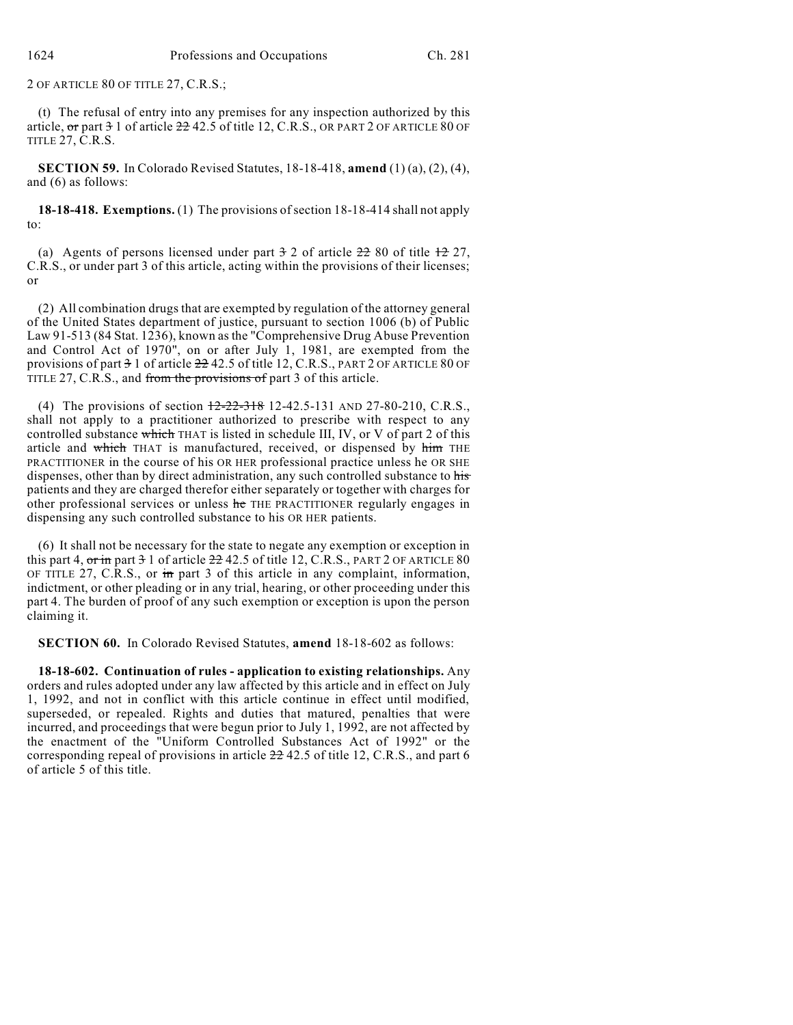2 OF ARTICLE 80 OF TITLE 27, C.R.S.;

(t) The refusal of entry into any premises for any inspection authorized by this article,  $\sigma$ r part  $3$  1 of article  $22$  42.5 of title 12, C.R.S., OR PART 2 OF ARTICLE 80 OF TITLE 27, C.R.S.

**SECTION 59.** In Colorado Revised Statutes, 18-18-418, **amend** (1) (a), (2), (4), and (6) as follows:

**18-18-418. Exemptions.** (1) The provisions ofsection 18-18-414 shall not apply to:

(a) Agents of persons licensed under part  $\frac{3}{2}$  of article  $\frac{22}{2}$  80 of title  $\frac{12}{2}$  27, C.R.S., or under part 3 of this article, acting within the provisions of their licenses; or

(2) All combination drugs that are exempted by regulation of the attorney general of the United States department of justice, pursuant to section 1006 (b) of Public Law 91-513 (84 Stat. 1236), known as the "Comprehensive Drug Abuse Prevention and Control Act of 1970", on or after July 1, 1981, are exempted from the provisions of part 3 1 of article 22 42.5 of title 12, C.R.S., PART 2 OF ARTICLE 80 OF TITLE 27, C.R.S., and from the provisions of part 3 of this article.

(4) The provisions of section 12-22-318 12-42.5-131 AND 27-80-210, C.R.S., shall not apply to a practitioner authorized to prescribe with respect to any controlled substance which THAT is listed in schedule III, IV, or V of part 2 of this article and which THAT is manufactured, received, or dispensed by him THE PRACTITIONER in the course of his OR HER professional practice unless he OR SHE dispenses, other than by direct administration, any such controlled substance to his patients and they are charged therefor either separately or together with charges for other professional services or unless he THE PRACTITIONER regularly engages in dispensing any such controlled substance to his OR HER patients.

(6) It shall not be necessary for the state to negate any exemption or exception in this part 4,  $\sigma r$  in part  $\theta$  1 of article  $22/42.5$  of title 12, C.R.S., PART 2 OF ARTICLE 80 OF TITLE 27, C.R.S., or  $\overline{m}$  part 3 of this article in any complaint, information, indictment, or other pleading or in any trial, hearing, or other proceeding under this part 4. The burden of proof of any such exemption or exception is upon the person claiming it.

**SECTION 60.** In Colorado Revised Statutes, **amend** 18-18-602 as follows:

**18-18-602. Continuation of rules - application to existing relationships.** Any orders and rules adopted under any law affected by this article and in effect on July 1, 1992, and not in conflict with this article continue in effect until modified, superseded, or repealed. Rights and duties that matured, penalties that were incurred, and proceedings that were begun prior to July 1, 1992, are not affected by the enactment of the "Uniform Controlled Substances Act of 1992" or the corresponding repeal of provisions in article 22 42.5 of title 12, C.R.S., and part 6 of article 5 of this title.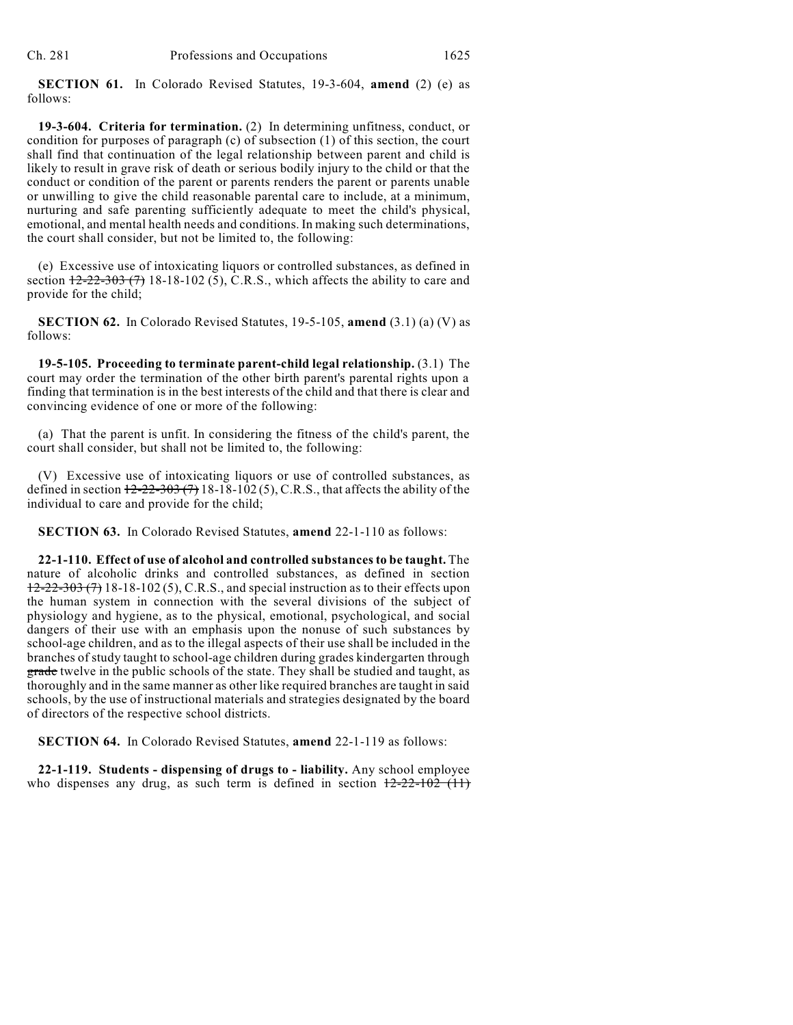**SECTION 61.** In Colorado Revised Statutes, 19-3-604, **amend** (2) (e) as follows:

**19-3-604. Criteria for termination.** (2) In determining unfitness, conduct, or condition for purposes of paragraph (c) of subsection (1) of this section, the court shall find that continuation of the legal relationship between parent and child is likely to result in grave risk of death or serious bodily injury to the child or that the conduct or condition of the parent or parents renders the parent or parents unable or unwilling to give the child reasonable parental care to include, at a minimum, nurturing and safe parenting sufficiently adequate to meet the child's physical, emotional, and mental health needs and conditions. In making such determinations, the court shall consider, but not be limited to, the following:

(e) Excessive use of intoxicating liquors or controlled substances, as defined in section  $\frac{12-22-303(7)}{18-18-102(5)}$ , C.R.S., which affects the ability to care and provide for the child;

**SECTION 62.** In Colorado Revised Statutes, 19-5-105, **amend** (3.1) (a) (V) as follows:

**19-5-105. Proceeding to terminate parent-child legal relationship.** (3.1) The court may order the termination of the other birth parent's parental rights upon a finding that termination is in the best interests of the child and that there is clear and convincing evidence of one or more of the following:

(a) That the parent is unfit. In considering the fitness of the child's parent, the court shall consider, but shall not be limited to, the following:

(V) Excessive use of intoxicating liquors or use of controlled substances, as defined in section  $12-22-303(7)$  18-18-102(5), C.R.S., that affects the ability of the individual to care and provide for the child;

**SECTION 63.** In Colorado Revised Statutes, **amend** 22-1-110 as follows:

**22-1-110. Effect of use of alcohol and controlled substancesto be taught.** The nature of alcoholic drinks and controlled substances, as defined in section  $12-22-303$  (7) 18-18-102 (5), C.R.S., and special instruction as to their effects upon the human system in connection with the several divisions of the subject of physiology and hygiene, as to the physical, emotional, psychological, and social dangers of their use with an emphasis upon the nonuse of such substances by school-age children, and as to the illegal aspects of their use shall be included in the branches of study taught to school-age children during grades kindergarten through grade twelve in the public schools of the state. They shall be studied and taught, as thoroughly and in the same manner as other like required branches are taught in said schools, by the use of instructional materials and strategies designated by the board of directors of the respective school districts.

**SECTION 64.** In Colorado Revised Statutes, **amend** 22-1-119 as follows:

**22-1-119. Students - dispensing of drugs to - liability.** Any school employee who dispenses any drug, as such term is defined in section  $12-22-102$  (11)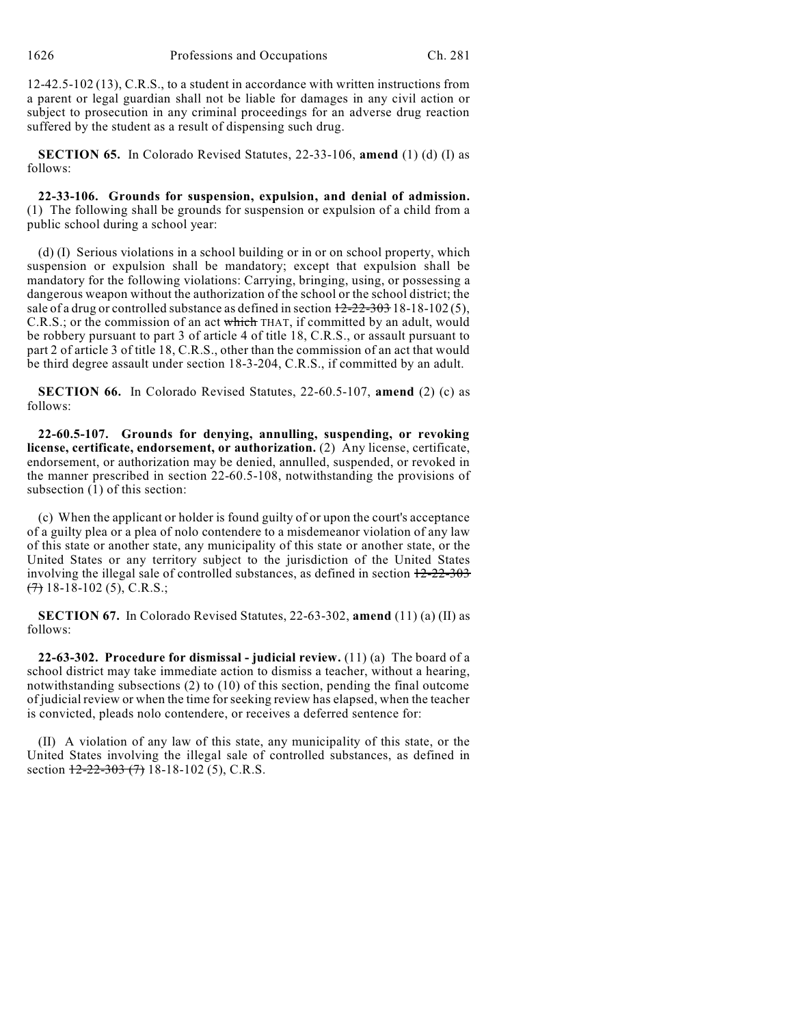12-42.5-102 (13), C.R.S., to a student in accordance with written instructions from a parent or legal guardian shall not be liable for damages in any civil action or subject to prosecution in any criminal proceedings for an adverse drug reaction suffered by the student as a result of dispensing such drug.

**SECTION 65.** In Colorado Revised Statutes, 22-33-106, **amend** (1) (d) (I) as follows:

**22-33-106. Grounds for suspension, expulsion, and denial of admission.** (1) The following shall be grounds for suspension or expulsion of a child from a public school during a school year:

(d) (I) Serious violations in a school building or in or on school property, which suspension or expulsion shall be mandatory; except that expulsion shall be mandatory for the following violations: Carrying, bringing, using, or possessing a dangerous weapon without the authorization of the school or the school district; the sale of a drug or controlled substance as defined in section  $12-22-303$  18-18-102(5), C.R.S.; or the commission of an act which THAT, if committed by an adult, would be robbery pursuant to part 3 of article 4 of title 18, C.R.S., or assault pursuant to part 2 of article 3 of title 18, C.R.S., other than the commission of an act that would be third degree assault under section 18-3-204, C.R.S., if committed by an adult.

**SECTION 66.** In Colorado Revised Statutes, 22-60.5-107, **amend** (2) (c) as follows:

**22-60.5-107. Grounds for denying, annulling, suspending, or revoking license, certificate, endorsement, or authorization.** (2) Any license, certificate, endorsement, or authorization may be denied, annulled, suspended, or revoked in the manner prescribed in section 22-60.5-108, notwithstanding the provisions of subsection  $(1)$  of this section:

(c) When the applicant or holder is found guilty of or upon the court's acceptance of a guilty plea or a plea of nolo contendere to a misdemeanor violation of any law of this state or another state, any municipality of this state or another state, or the United States or any territory subject to the jurisdiction of the United States involving the illegal sale of controlled substances, as defined in section  $12-22-303$  $(7)$  18-18-102 (5), C.R.S.;

**SECTION 67.** In Colorado Revised Statutes, 22-63-302, **amend** (11) (a) (II) as follows:

**22-63-302. Procedure for dismissal - judicial review.** (11) (a) The board of a school district may take immediate action to dismiss a teacher, without a hearing, notwithstanding subsections (2) to (10) of this section, pending the final outcome of judicial review or when the time forseeking review has elapsed, when the teacher is convicted, pleads nolo contendere, or receives a deferred sentence for:

(II) A violation of any law of this state, any municipality of this state, or the United States involving the illegal sale of controlled substances, as defined in section  $12-22-303$  (7) 18-18-102 (5), C.R.S.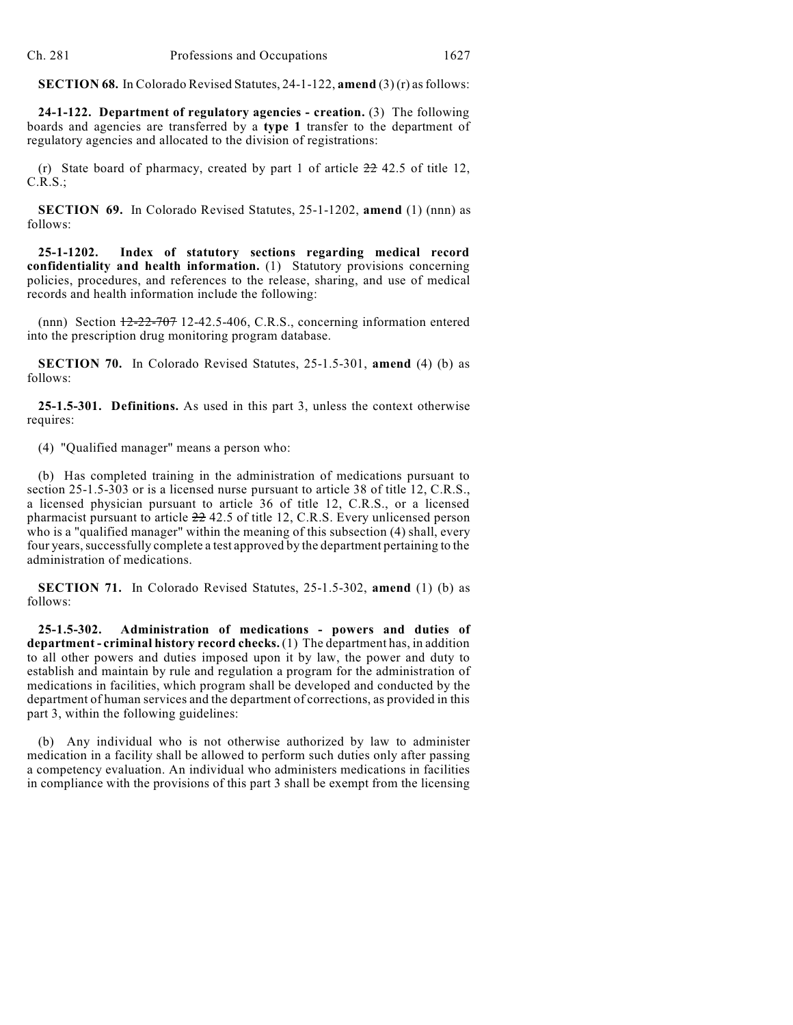**SECTION 68.** In Colorado Revised Statutes, 24-1-122, **amend** (3) (r) asfollows:

**24-1-122. Department of regulatory agencies - creation.** (3) The following boards and agencies are transferred by a **type 1** transfer to the department of regulatory agencies and allocated to the division of registrations:

(r) State board of pharmacy, created by part 1 of article  $22\frac{42.5}{5}$  of title 12, C.R.S.;

**SECTION 69.** In Colorado Revised Statutes, 25-1-1202, **amend** (1) (nnn) as follows:

**25-1-1202. Index of statutory sections regarding medical record confidentiality and health information.** (1) Statutory provisions concerning policies, procedures, and references to the release, sharing, and use of medical records and health information include the following:

 $(nnn)$  Section  $\frac{12-22-707}{2}$  12-42.5-406, C.R.S., concerning information entered into the prescription drug monitoring program database.

**SECTION 70.** In Colorado Revised Statutes, 25-1.5-301, **amend** (4) (b) as follows:

**25-1.5-301. Definitions.** As used in this part 3, unless the context otherwise requires:

(4) "Qualified manager" means a person who:

(b) Has completed training in the administration of medications pursuant to section 25-1.5-303 or is a licensed nurse pursuant to article 38 of title 12, C.R.S., a licensed physician pursuant to article 36 of title 12, C.R.S., or a licensed pharmacist pursuant to article 22 42.5 of title 12, C.R.S. Every unlicensed person who is a "qualified manager" within the meaning of this subsection (4) shall, every four years, successfully complete a test approved by the department pertaining to the administration of medications.

**SECTION 71.** In Colorado Revised Statutes, 25-1.5-302, **amend** (1) (b) as follows:

**25-1.5-302. Administration of medications - powers and duties of department - criminal history record checks.** (1) The department has, in addition to all other powers and duties imposed upon it by law, the power and duty to establish and maintain by rule and regulation a program for the administration of medications in facilities, which program shall be developed and conducted by the department of human services and the department of corrections, as provided in this part 3, within the following guidelines:

(b) Any individual who is not otherwise authorized by law to administer medication in a facility shall be allowed to perform such duties only after passing a competency evaluation. An individual who administers medications in facilities in compliance with the provisions of this part 3 shall be exempt from the licensing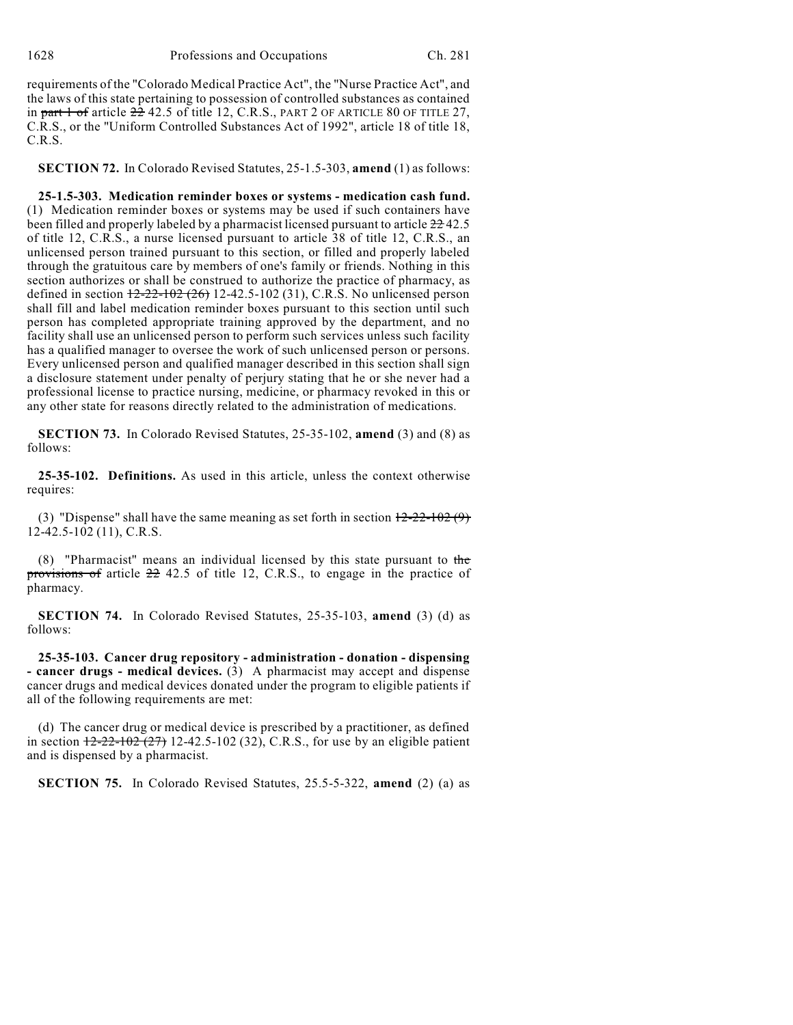requirements of the "Colorado Medical Practice Act", the "Nurse Practice Act", and the laws of this state pertaining to possession of controlled substances as contained in part  $1$  of article  $22$  42.5 of title 12, C.R.S., PART 2 OF ARTICLE 80 OF TITLE 27, C.R.S., or the "Uniform Controlled Substances Act of 1992", article 18 of title 18, C.R.S.

**SECTION 72.** In Colorado Revised Statutes, 25-1.5-303, **amend** (1) as follows:

**25-1.5-303. Medication reminder boxes or systems - medication cash fund.** (1) Medication reminder boxes or systems may be used if such containers have been filled and properly labeled by a pharmacist licensed pursuant to article  $22-42.5$ of title 12, C.R.S., a nurse licensed pursuant to article 38 of title 12, C.R.S., an unlicensed person trained pursuant to this section, or filled and properly labeled through the gratuitous care by members of one's family or friends. Nothing in this section authorizes or shall be construed to authorize the practice of pharmacy, as defined in section  $12-22-102$  (26) 12-42.5-102 (31), C.R.S. No unlicensed person shall fill and label medication reminder boxes pursuant to this section until such person has completed appropriate training approved by the department, and no facility shall use an unlicensed person to perform such services unless such facility has a qualified manager to oversee the work of such unlicensed person or persons. Every unlicensed person and qualified manager described in this section shall sign a disclosure statement under penalty of perjury stating that he or she never had a professional license to practice nursing, medicine, or pharmacy revoked in this or any other state for reasons directly related to the administration of medications.

**SECTION 73.** In Colorado Revised Statutes, 25-35-102, **amend** (3) and (8) as follows:

**25-35-102. Definitions.** As used in this article, unless the context otherwise requires:

(3) "Dispense" shall have the same meaning as set forth in section  $12-22-102(9)$ 12-42.5-102 (11), C.R.S.

(8) "Pharmacist" means an individual licensed by this state pursuant to the provisions of article 22 42.5 of title 12, C.R.S., to engage in the practice of pharmacy.

**SECTION 74.** In Colorado Revised Statutes, 25-35-103, **amend** (3) (d) as follows:

**25-35-103. Cancer drug repository - administration - donation - dispensing - cancer drugs - medical devices.** (3) A pharmacist may accept and dispense cancer drugs and medical devices donated under the program to eligible patients if all of the following requirements are met:

(d) The cancer drug or medical device is prescribed by a practitioner, as defined in section  $12-22-102$  (27) 12-42.5-102 (32), C.R.S., for use by an eligible patient and is dispensed by a pharmacist.

**SECTION 75.** In Colorado Revised Statutes, 25.5-5-322, **amend** (2) (a) as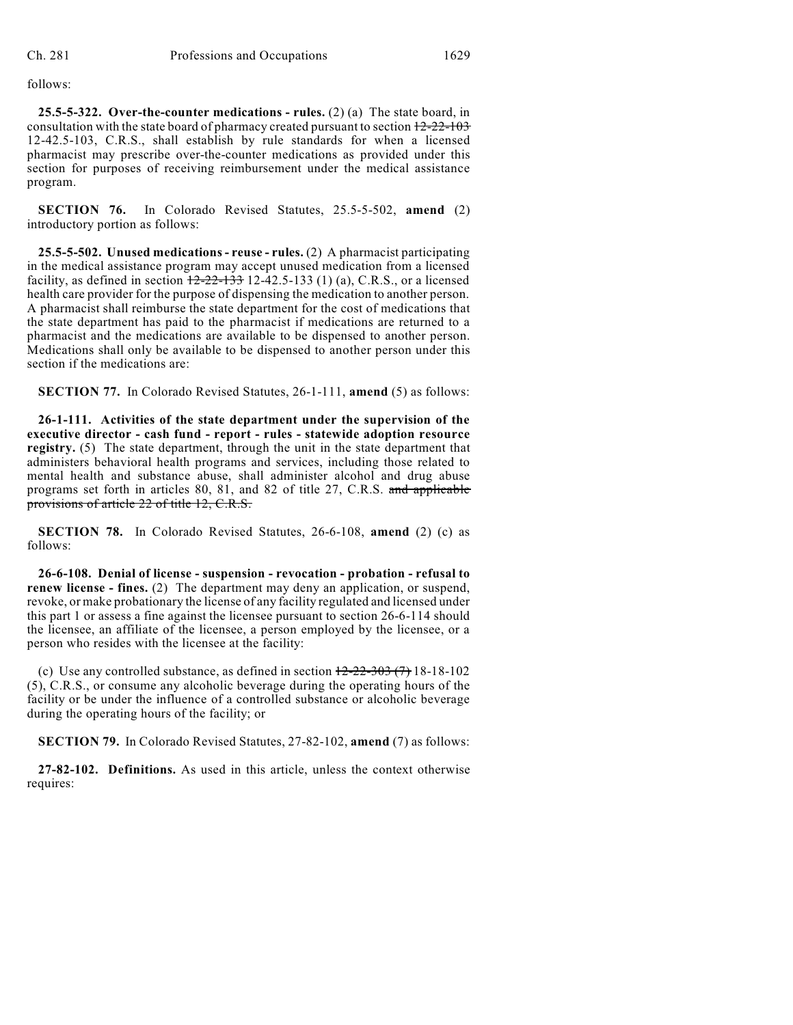follows:

**25.5-5-322. Over-the-counter medications - rules.** (2) (a) The state board, in consultation with the state board of pharmacy created pursuant to section  $12-22-103$ 12-42.5-103, C.R.S., shall establish by rule standards for when a licensed pharmacist may prescribe over-the-counter medications as provided under this section for purposes of receiving reimbursement under the medical assistance program.

**SECTION 76.** In Colorado Revised Statutes, 25.5-5-502, **amend** (2) introductory portion as follows:

**25.5-5-502. Unused medications - reuse - rules.** (2) A pharmacist participating in the medical assistance program may accept unused medication from a licensed facility, as defined in section  $12-22-133$  12-42.5-133 (1) (a), C.R.S., or a licensed health care provider for the purpose of dispensing the medication to another person. A pharmacist shall reimburse the state department for the cost of medications that the state department has paid to the pharmacist if medications are returned to a pharmacist and the medications are available to be dispensed to another person. Medications shall only be available to be dispensed to another person under this section if the medications are:

**SECTION 77.** In Colorado Revised Statutes, 26-1-111, **amend** (5) as follows:

**26-1-111. Activities of the state department under the supervision of the executive director - cash fund - report - rules - statewide adoption resource registry.** (5) The state department, through the unit in the state department that administers behavioral health programs and services, including those related to mental health and substance abuse, shall administer alcohol and drug abuse programs set forth in articles 80, 81, and 82 of title 27, C.R.S. and applicable provisions of article 22 of title 12, C.R.S.

**SECTION 78.** In Colorado Revised Statutes, 26-6-108, **amend** (2) (c) as follows:

**26-6-108. Denial of license - suspension - revocation - probation - refusal to renew license - fines.** (2) The department may deny an application, or suspend, revoke, or make probationary the license of any facility regulated and licensed under this part 1 or assess a fine against the licensee pursuant to section 26-6-114 should the licensee, an affiliate of the licensee, a person employed by the licensee, or a person who resides with the licensee at the facility:

(c) Use any controlled substance, as defined in section  $12-22-303$  (7) 18-18-102 (5), C.R.S., or consume any alcoholic beverage during the operating hours of the facility or be under the influence of a controlled substance or alcoholic beverage during the operating hours of the facility; or

**SECTION 79.** In Colorado Revised Statutes, 27-82-102, **amend** (7) as follows:

**27-82-102. Definitions.** As used in this article, unless the context otherwise requires: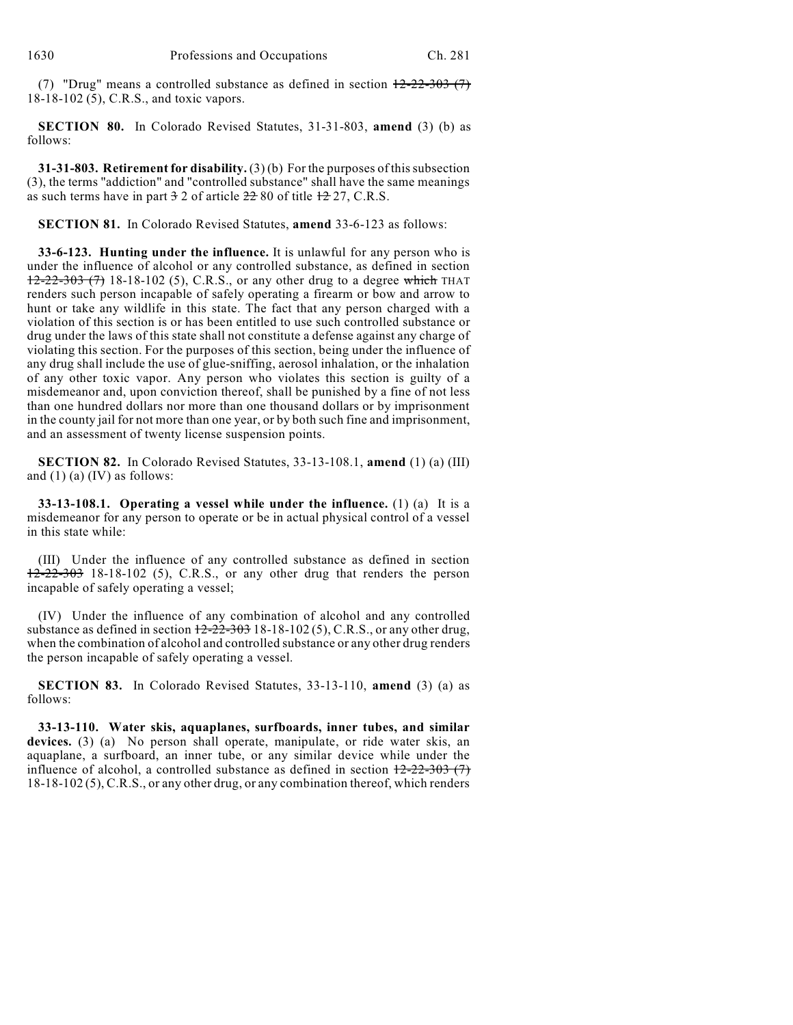(7) "Drug" means a controlled substance as defined in section  $12-22-303$  (7) 18-18-102 (5), C.R.S., and toxic vapors.

**SECTION 80.** In Colorado Revised Statutes, 31-31-803, **amend** (3) (b) as follows:

**31-31-803. Retirement for disability.** (3) (b) For the purposes of thissubsection (3), the terms "addiction" and "controlled substance" shall have the same meanings as such terms have in part  $3\overline{2}$  of article  $2\overline{2}$  80 of title  $1\overline{2}$  27, C.R.S.

**SECTION 81.** In Colorado Revised Statutes, **amend** 33-6-123 as follows:

**33-6-123. Hunting under the influence.** It is unlawful for any person who is under the influence of alcohol or any controlled substance, as defined in section  $12-22-303$  (7) 18-18-102 (5), C.R.S., or any other drug to a degree which THAT renders such person incapable of safely operating a firearm or bow and arrow to hunt or take any wildlife in this state. The fact that any person charged with a violation of this section is or has been entitled to use such controlled substance or drug under the laws of this state shall not constitute a defense against any charge of violating this section. For the purposes of this section, being under the influence of any drug shall include the use of glue-sniffing, aerosol inhalation, or the inhalation of any other toxic vapor. Any person who violates this section is guilty of a misdemeanor and, upon conviction thereof, shall be punished by a fine of not less than one hundred dollars nor more than one thousand dollars or by imprisonment in the county jail for not more than one year, or by both such fine and imprisonment, and an assessment of twenty license suspension points.

**SECTION 82.** In Colorado Revised Statutes, 33-13-108.1, **amend** (1) (a) (III) and (1) (a) (IV) as follows:

**33-13-108.1. Operating a vessel while under the influence.** (1) (a) It is a misdemeanor for any person to operate or be in actual physical control of a vessel in this state while:

(III) Under the influence of any controlled substance as defined in section  $12-22-303$  18-18-102 (5), C.R.S., or any other drug that renders the person incapable of safely operating a vessel;

(IV) Under the influence of any combination of alcohol and any controlled substance as defined in section  $12-22-303$  18-18-102(5), C.R.S., or any other drug, when the combination of alcohol and controlled substance or any other drug renders the person incapable of safely operating a vessel.

**SECTION 83.** In Colorado Revised Statutes, 33-13-110, **amend** (3) (a) as follows:

**33-13-110. Water skis, aquaplanes, surfboards, inner tubes, and similar devices.** (3) (a) No person shall operate, manipulate, or ride water skis, an aquaplane, a surfboard, an inner tube, or any similar device while under the influence of alcohol, a controlled substance as defined in section  $12-22-303$  (7) 18-18-102 (5), C.R.S., or any other drug, or any combination thereof, which renders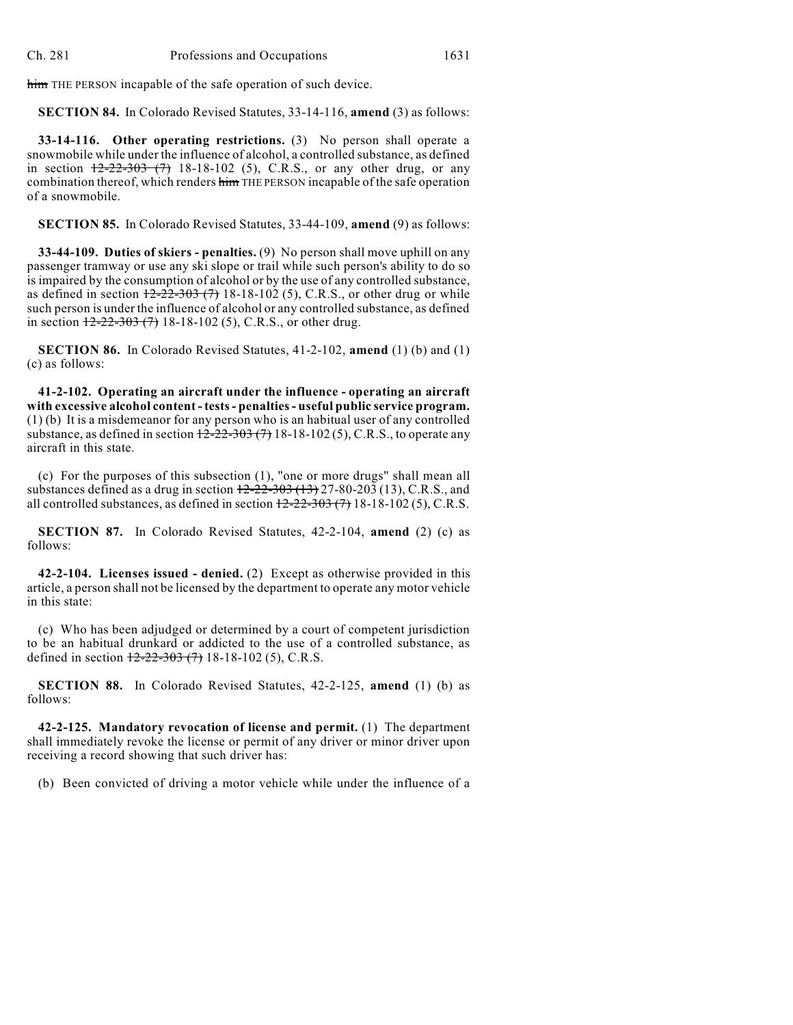him THE PERSON incapable of the safe operation of such device.

**SECTION 84.** In Colorado Revised Statutes, 33-14-116, **amend** (3) as follows:

**33-14-116. Other operating restrictions.** (3) No person shall operate a snowmobile while under the influence of alcohol, a controlled substance, as defined in section  $\frac{12-22-303(7)}{18-18-102}$  (5), C.R.S., or any other drug, or any combination thereof, which renders him THE PERSON incapable of the safe operation of a snowmobile.

**SECTION 85.** In Colorado Revised Statutes, 33-44-109, **amend** (9) as follows:

**33-44-109. Duties of skiers - penalties.** (9) No person shall move uphill on any passenger tramway or use any ski slope or trail while such person's ability to do so is impaired by the consumption of alcohol or by the use of any controlled substance, as defined in section  $12-22-303(7)$  18-18-102 (5), C.R.S., or other drug or while such person is under the influence of alcohol or any controlled substance, as defined in section  $\frac{12-22-303(7)}{18-18-102(5)}$ , C.R.S., or other drug.

**SECTION 86.** In Colorado Revised Statutes, 41-2-102, **amend** (1) (b) and (1) (c) as follows:

**41-2-102. Operating an aircraft under the influence - operating an aircraft with excessive alcohol content - tests- penalties- useful public service program.** (1) (b) It is a misdemeanor for any person who is an habitual user of any controlled substance, as defined in section  $\frac{12-22-303(7)}{18-18-102(5)}$ , C.R.S., to operate any aircraft in this state.

(c) For the purposes of this subsection (1), "one or more drugs" shall mean all substances defined as a drug in section  $12-22-303$  (13)  $27-80-203$  (13), C.R.S., and all controlled substances, as defined in section  $12-22-303(7)$  18-18-102(5), C.R.S.

**SECTION 87.** In Colorado Revised Statutes, 42-2-104, **amend** (2) (c) as follows:

**42-2-104. Licenses issued - denied.** (2) Except as otherwise provided in this article, a person shall not be licensed by the department to operate any motor vehicle in this state:

(c) Who has been adjudged or determined by a court of competent jurisdiction to be an habitual drunkard or addicted to the use of a controlled substance, as defined in section  $\frac{12-22-303(7)}{18-18-102(5)}$ , C.R.S.

**SECTION 88.** In Colorado Revised Statutes, 42-2-125, **amend** (1) (b) as follows:

**42-2-125. Mandatory revocation of license and permit.** (1) The department shall immediately revoke the license or permit of any driver or minor driver upon receiving a record showing that such driver has:

(b) Been convicted of driving a motor vehicle while under the influence of a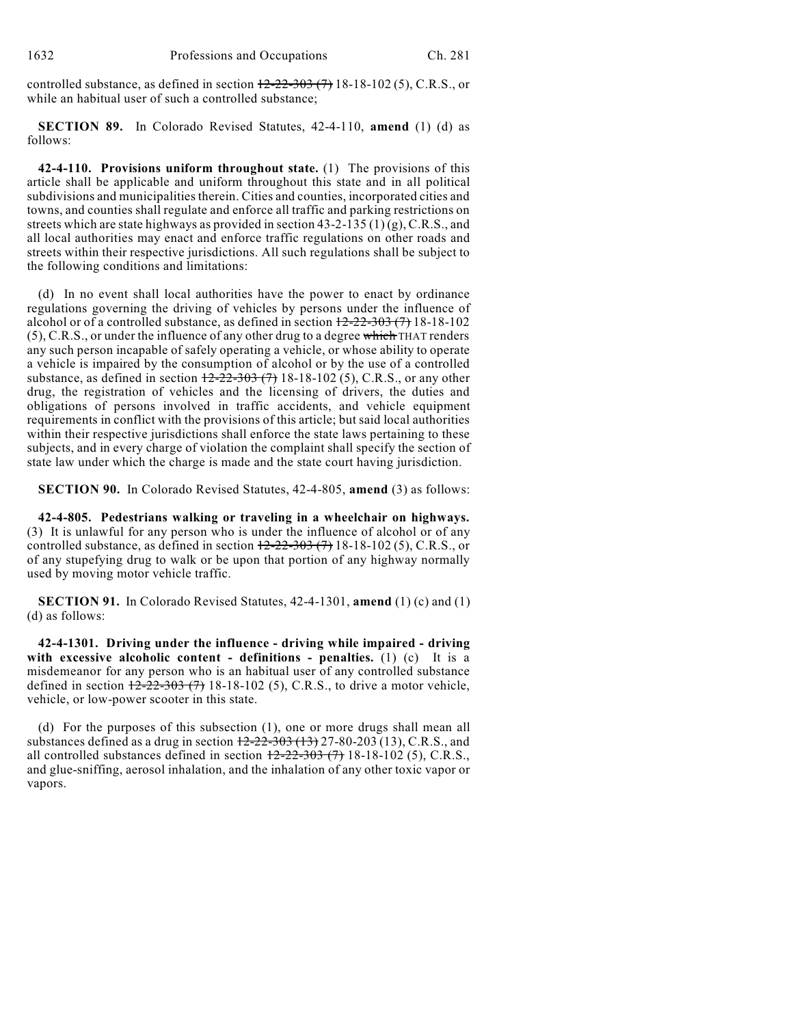controlled substance, as defined in section  $\frac{12-22-303(7)}{18-18-102(5)}$ , C.R.S., or while an habitual user of such a controlled substance;

**SECTION 89.** In Colorado Revised Statutes, 42-4-110, **amend** (1) (d) as follows:

**42-4-110. Provisions uniform throughout state.** (1) The provisions of this article shall be applicable and uniform throughout this state and in all political subdivisions and municipalities therein. Cities and counties, incorporated cities and towns, and counties shall regulate and enforce all traffic and parking restrictions on streets which are state highways as provided in section  $43-2-135(1)(g)$ , C.R.S., and all local authorities may enact and enforce traffic regulations on other roads and streets within their respective jurisdictions. All such regulations shall be subject to the following conditions and limitations:

(d) In no event shall local authorities have the power to enact by ordinance regulations governing the driving of vehicles by persons under the influence of alcohol or of a controlled substance, as defined in section  $12-22-303(7)$  18-18-102 (5), C.R.S., or under the influence of any other drug to a degree which THAT renders any such person incapable of safely operating a vehicle, or whose ability to operate a vehicle is impaired by the consumption of alcohol or by the use of a controlled substance, as defined in section  $\frac{12-22-303(7)}{18-18-102(5)}$ , C.R.S., or any other drug, the registration of vehicles and the licensing of drivers, the duties and obligations of persons involved in traffic accidents, and vehicle equipment requirements in conflict with the provisions of this article; but said local authorities within their respective jurisdictions shall enforce the state laws pertaining to these subjects, and in every charge of violation the complaint shall specify the section of state law under which the charge is made and the state court having jurisdiction.

**SECTION 90.** In Colorado Revised Statutes, 42-4-805, **amend** (3) as follows:

**42-4-805. Pedestrians walking or traveling in a wheelchair on highways.** (3) It is unlawful for any person who is under the influence of alcohol or of any controlled substance, as defined in section  $12-22-303$  (7) 18-18-102 (5), C.R.S., or of any stupefying drug to walk or be upon that portion of any highway normally used by moving motor vehicle traffic.

**SECTION 91.** In Colorado Revised Statutes, 42-4-1301, **amend** (1) (c) and (1) (d) as follows:

**42-4-1301. Driving under the influence - driving while impaired - driving with excessive alcoholic content - definitions - penalties.** (1) (c) It is a misdemeanor for any person who is an habitual user of any controlled substance defined in section  $12-22-303$  (7) 18-18-102 (5), C.R.S., to drive a motor vehicle, vehicle, or low-power scooter in this state.

(d) For the purposes of this subsection (1), one or more drugs shall mean all substances defined as a drug in section  $12-22-303(13)$ , 27-80-203 (13), C.R.S., and all controlled substances defined in section  $12-22-303$  (7) 18-18-102 (5), C.R.S., and glue-sniffing, aerosol inhalation, and the inhalation of any other toxic vapor or vapors.